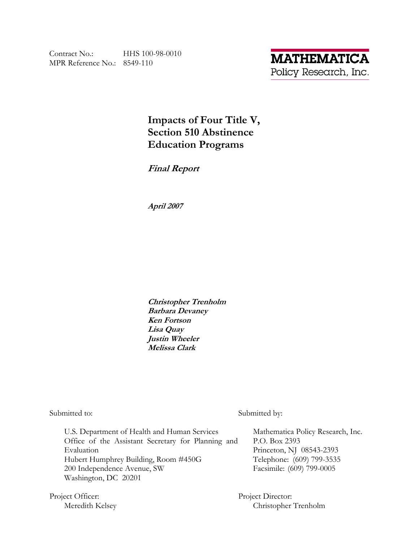Contract No.: HHS 100-98-0010 MPR Reference No.: 8549-110

## **Impacts of Four Title V, Section 510 Abstinence Education Programs**

**Final Report**

**April 2007** 

**Christopher Trenholm Barbara Devaney Ken Fortson Lisa Quay Justin Wheeler Melissa Clark** 

Submitted to:

Submitted by:

| U.S. Department of Health and Human Services       | Mathematica Policy Research, Inc. |
|----------------------------------------------------|-----------------------------------|
| Office of the Assistant Secretary for Planning and | P.O. Box 2393                     |
| Evaluation                                         | Princeton, NJ 08543-2393          |
| Hubert Humphrey Building, Room #450G               | Telephone: (609) 799-3535         |
| 200 Independence Avenue, SW                        | Facsimile: (609) 799-0005         |
| Washington, DC 20201                               |                                   |

Project Officer: Meredith Kelsey Project Director: Christopher Trenholm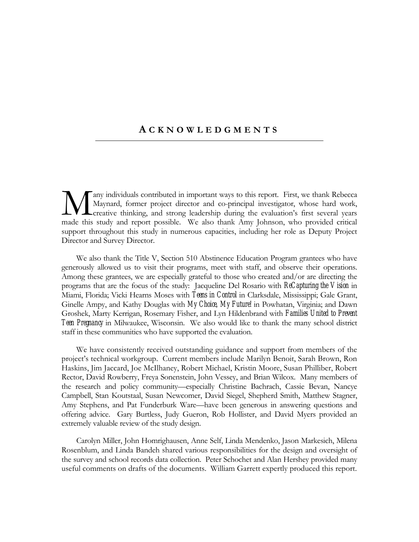### **A CKNOWLEDGMENTS**

any individuals contributed in important ways to this report. First, we thank Rebecca Maynard, former project director and co-principal investigator, whose hard work, -creative thinking, and strong leadership during the evaluation's first several years Maynard, former project director and co-principal investigator, whose hard work, Creative thinking, and strong leadership during the evaluation's first several years made this study and report possible. We also thank Amy J support throughout this study in numerous capacities, including her role as Deputy Project Director and Survey Director.

We also thank the Title V, Section 510 Abstinence Education Program grantees who have generously allowed us to visit their programs, meet with staff, and observe their operations. Among these grantees, we are especially grateful to those who created and/or are directing the programs that are the focus of the study: Jacqueline Del Rosario with *ReCapturing the Vision* in Miami, Florida; Vicki Hearns Moses with *Teens in Control* in Clarksdale, Mississippi; Gale Grant, Ginelle Ampy, and Kathy Douglas with *My Choice, My Future!* in Powhatan, Virginia; and Dawn Groshek, Marty Kerrigan, Rosemary Fisher, and Lyn Hildenbrand with *Families United to Prevent Teen Pregnancy* in Milwaukee, Wisconsin. We also would like to thank the many school district staff in these communities who have supported the evaluation.

We have consistently received outstanding guidance and support from members of the projectís technical workgroup. Current members include Marilyn Benoit, Sarah Brown, Ron Haskins, Jim Jaccard, Joe McIlhaney, Robert Michael, Kristin Moore, Susan Philliber, Robert Rector, David Rowberry, Freya Sonenstein, John Vessey, and Brian Wilcox. Many members of the research and policy community—especially Christine Bachrach, Cassie Bevan, Nancye Campbell, Stan Koutstaal, Susan Newcomer, David Siegel, Shepherd Smith, Matthew Stagner, Amy Stephens, and Pat Funderburk Ware—have been generous in answering questions and offering advice. Gary Burtless, Judy Gueron, Rob Hollister, and David Myers provided an extremely valuable review of the study design.

Carolyn Miller, John Homrighausen, Anne Self, Linda Mendenko, Jason Markesich, Milena Rosenblum, and Linda Bandeh shared various responsibilities for the design and oversight of the survey and school records data collection. Peter Schochet and Alan Hershey provided many useful comments on drafts of the documents. William Garrett expertly produced this report.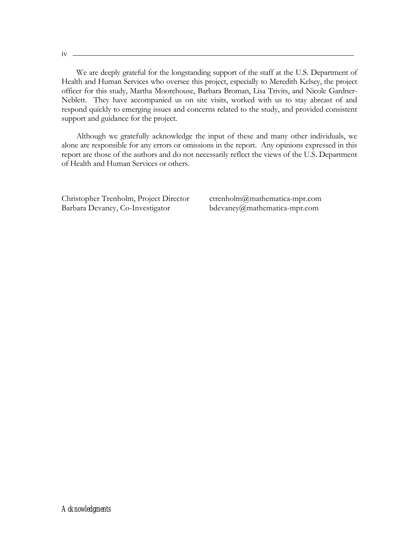$iv =$ 

We are deeply grateful for the longstanding support of the staff at the U.S. Department of Health and Human Services who oversee this project, especially to Meredith Kelsey, the project officer for this study, Martha Moorehouse, Barbara Broman, Lisa Trivits, and Nicole Gardner-Neblett. They have accompanied us on site visits, worked with us to stay abreast of and respond quickly to emerging issues and concerns related to the study, and provided consistent support and guidance for the project.

Although we gratefully acknowledge the input of these and many other individuals, we alone are responsible for any errors or omissions in the report. Any opinions expressed in this report are those of the authors and do not necessarily reflect the views of the U.S. Department of Health and Human Services or others.

Christopher Trenholm, Project Director ctrenholm@mathematica-mpr.com Barbara Devaney, Co-Investigator bdevaney@mathematica-mpr.com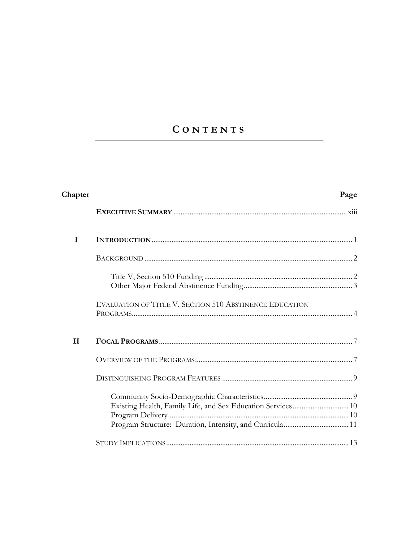## CONTENTS

| Chapter      |                                                             | Page |
|--------------|-------------------------------------------------------------|------|
|              |                                                             |      |
| I            |                                                             |      |
|              |                                                             |      |
|              |                                                             |      |
|              |                                                             |      |
|              | EVALUATION OF TITLE V, SECTION 510 ABSTINENCE EDUCATION     |      |
| $\mathbf{H}$ |                                                             |      |
|              |                                                             |      |
|              |                                                             |      |
|              |                                                             |      |
|              | Existing Health, Family Life, and Sex Education Services 10 |      |
|              |                                                             |      |
|              |                                                             |      |
|              |                                                             |      |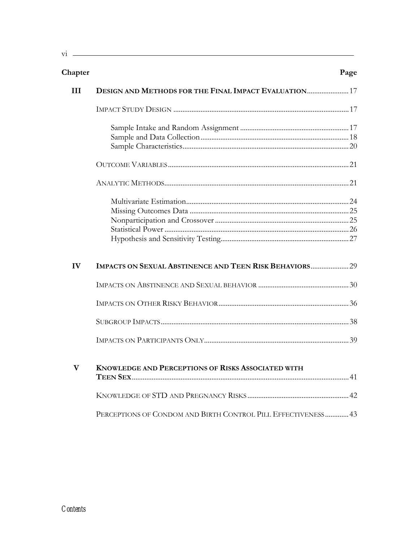$\overline{\text{vi}}$   $\overline{\text{v}}$ 

| Chapter |                                                                | Page |
|---------|----------------------------------------------------------------|------|
| III     | DESIGN AND METHODS FOR THE FINAL IMPACT EVALUATION 17          |      |
|         |                                                                |      |
|         |                                                                |      |
|         |                                                                |      |
|         |                                                                |      |
|         |                                                                |      |
|         |                                                                |      |
|         |                                                                |      |
|         |                                                                |      |
|         |                                                                |      |
|         |                                                                |      |
|         |                                                                |      |
| IV      | <b>IMPACTS ON SEXUAL ABSTINENCE AND TEEN RISK BEHAVIORS 29</b> |      |
|         |                                                                |      |
|         |                                                                |      |
|         |                                                                |      |
|         |                                                                |      |
| V       | <b>KNOWLEDGE AND PERCEPTIONS OF RISKS ASSOCIATED WITH</b>      |      |
|         |                                                                |      |
|         | PERCEPTIONS OF CONDOM AND BIRTH CONTROL PILL EFFECTIVENESS  43 |      |
|         |                                                                |      |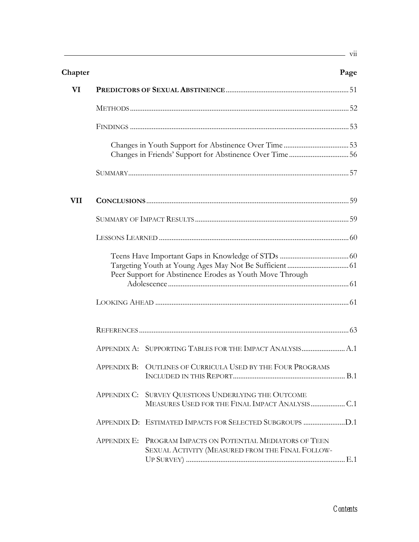|         | $\overline{\phantom{a}}$ vii                                                                                   |      |
|---------|----------------------------------------------------------------------------------------------------------------|------|
| Chapter |                                                                                                                | Page |
| VI      |                                                                                                                |      |
|         |                                                                                                                |      |
|         |                                                                                                                |      |
|         |                                                                                                                |      |
|         |                                                                                                                |      |
| VII     |                                                                                                                |      |
|         |                                                                                                                |      |
|         |                                                                                                                |      |
|         |                                                                                                                |      |
|         | Peer Support for Abstinence Erodes as Youth Move Through                                                       |      |
|         |                                                                                                                |      |
|         |                                                                                                                |      |
|         |                                                                                                                |      |
|         |                                                                                                                |      |
|         | APPENDIX B: OUTLINES OF CURRICULA USED BY THE FOUR PROGRAMS                                                    |      |
|         | APPENDIX C: SURVEY QUESTIONS UNDERLYING THE OUTCOME<br>MEASURES USED FOR THE FINAL IMPACT ANALYSISC.1          |      |
|         | APPENDIX D: ESTIMATED IMPACTS FOR SELECTED SUBGROUPS D.1                                                       |      |
|         | APPENDIX E: PROGRAM IMPACTS ON POTENTIAL MEDIATORS OF TEEN<br>SEXUAL ACTIVITY (MEASURED FROM THE FINAL FOLLOW- |      |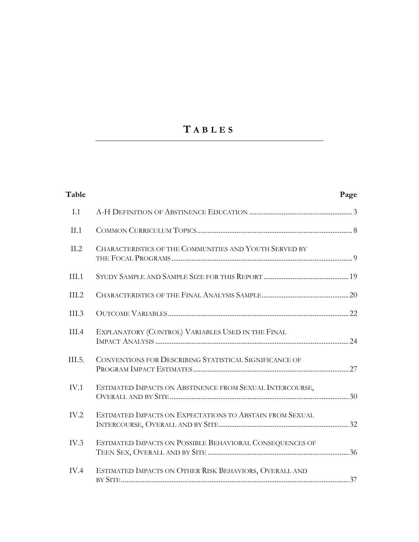# **T ABLES**

| Table  |                                                          | Page |
|--------|----------------------------------------------------------|------|
| I.1    |                                                          |      |
| II.1   |                                                          |      |
| II.2   | CHARACTERISTICS OF THE COMMUNITIES AND YOUTH SERVED BY   |      |
| III.1  |                                                          |      |
| III.2  |                                                          |      |
| III.3  |                                                          |      |
| III.4  | EXPLANATORY (CONTROL) VARIABLES USED IN THE FINAL        |      |
| III.5. | CONVENTIONS FOR DESCRIBING STATISTICAL SIGNIFICANCE OF   |      |
| IV.1   | ESTIMATED IMPACTS ON ABSTINENCE FROM SEXUAL INTERCOURSE, |      |
| IV.2   | ESTIMATED IMPACTS ON EXPECTATIONS TO ABSTAIN FROM SEXUAL |      |
| IV.3   | ESTIMATED IMPACTS ON POSSIBLE BEHAVIORAL CONSEQUENCES OF |      |
| IV.4   | ESTIMATED IMPACTS ON OTHER RISK BEHAVIORS, OVERALL AND   |      |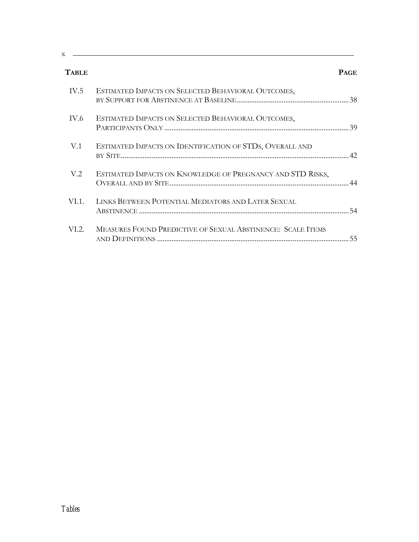$\mathbf{x}$  and  $\mathbf{x}$  and  $\mathbf{x}$  and  $\mathbf{x}$  and  $\mathbf{x}$  and  $\mathbf{x}$  and  $\mathbf{x}$  and  $\mathbf{x}$  and  $\mathbf{x}$  and  $\mathbf{x}$  and  $\mathbf{x}$  and  $\mathbf{x}$  and  $\mathbf{x}$  and  $\mathbf{x}$  and  $\mathbf{x}$  and  $\mathbf{x}$  and  $\mathbf{x}$  and  $\mathbf{x}$  and  $\mathbf{x$ 

### TABLE PAGE

 $\overline{\phantom{0}}$ 

| IV.5  | ESTIMATED IMPACTS ON SELECTED BEHAVIORAL OUTCOMES,          |     |
|-------|-------------------------------------------------------------|-----|
| IV.6  | ESTIMATED IMPACTS ON SELECTED BEHAVIORAL OUTCOMES,          | 39  |
| V.1   | ESTIMATED IMPACTS ON IDENTIFICATION OF STDS, OVERALL AND    |     |
| V.2   | ESTIMATED IMPACTS ON KNOWLEDGE OF PREGNANCY AND STD RISKS,  | 44  |
| VI.1. | LINKS BETWEEN POTENTIAL MEDIATORS AND LATER SEXUAL          | 54  |
| VI 2. | MEASURES FOUND PREDICTIVE OF SEXUAL ABSTINENCE: SCALE ITEMS | -55 |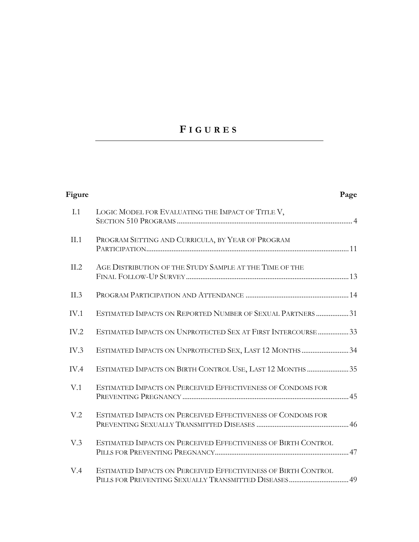## **F IGURES**

| Figure          | Page                                                          |
|-----------------|---------------------------------------------------------------|
| I.1             | LOGIC MODEL FOR EVALUATING THE IMPACT OF TITLE V,             |
| II.1            | PROGRAM SETTING AND CURRICULA, BY YEAR OF PROGRAM             |
| II.2            | AGE DISTRIBUTION OF THE STUDY SAMPLE AT THE TIME OF THE       |
| II.3            |                                                               |
| IV.1            | ESTIMATED IMPACTS ON REPORTED NUMBER OF SEXUAL PARTNERS  31   |
| IV.2            | ESTIMATED IMPACTS ON UNPROTECTED SEX AT FIRST INTERCOURSE  33 |
| IV.3            | ESTIMATED IMPACTS ON UNPROTECTED SEX, LAST 12 MONTHS  34      |
| IV.4            | ESTIMATED IMPACTS ON BIRTH CONTROL USE, LAST 12 MONTHS  35    |
| V.1             | ESTIMATED IMPACTS ON PERCEIVED EFFECTIVENESS OF CONDOMS FOR   |
| V <sub>.2</sub> | ESTIMATED IMPACTS ON PERCEIVED EFFECTIVENESS OF CONDOMS FOR   |
| V.3             | ESTIMATED IMPACTS ON PERCEIVED EFFECTIVENESS OF BIRTH CONTROL |
| V.4             | ESTIMATED IMPACTS ON PERCEIVED EFFECTIVENESS OF BIRTH CONTROL |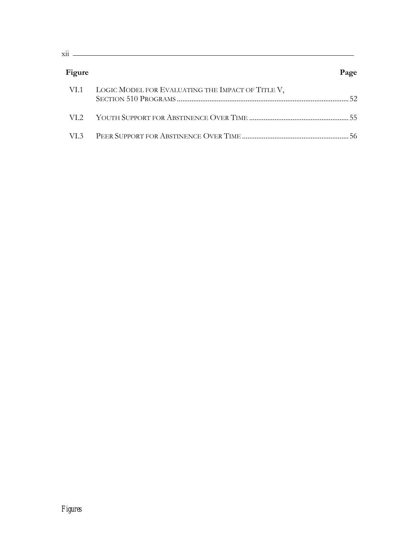$\overline{xii}$  —

| ou |
|----|
|    |

| Figure |                                                        | Page |
|--------|--------------------------------------------------------|------|
|        | VI.1 LOGIC MODEL FOR EVALUATING THE IMPACT OF TITLE V, | トラウ  |
|        |                                                        |      |
|        |                                                        |      |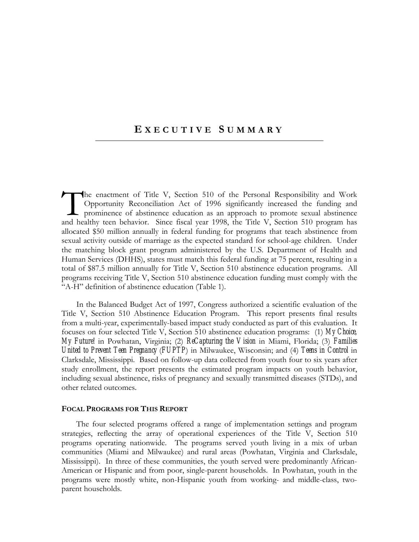## **E XECUTIVE S UMMARY**

he enactment of Title V, Section 510 of the Personal Responsibility and Work Opportunity Reconciliation Act of 1996 significantly increased the funding and prominence of abstinence education as an approach to promote sexual abstinence The enactment of Title V, Section 510 of the Personal Responsibility and Work Opportunity Reconciliation Act of 1996 significantly increased the funding and prominence of abstinence education as an approach to promote sexu allocated \$50 million annually in federal funding for programs that teach abstinence from sexual activity outside of marriage as the expected standard for school-age children. Under the matching block grant program administered by the U.S. Department of Health and Human Services (DHHS), states must match this federal funding at 75 percent, resulting in a total of \$87.5 million annually for Title V, Section 510 abstinence education programs. All programs receiving Title V, Section 510 abstinence education funding must comply with the "A-H" definition of abstinence education (Table 1).

In the Balanced Budget Act of 1997, Congress authorized a scientific evaluation of the Title V, Section 510 Abstinence Education Program. This report presents final results from a multi-year, experimentally-based impact study conducted as part of this evaluation. It focuses on four selected Title V, Section 510 abstinence education programs: (1) *My Choice, My Future!* in Powhatan, Virginia; (2) *ReCapturing the Vision* in Miami, Florida; (3) *Families United to Prevent Teen Pregnancy* (*FUPTP*) in Milwaukee, Wisconsin; and (4) *Teens in Control* in Clarksdale, Mississippi. Based on follow-up data collected from youth four to six years after study enrollment, the report presents the estimated program impacts on youth behavior, including sexual abstinence, risks of pregnancy and sexually transmitted diseases (STDs), and other related outcomes.

#### **FOCAL PROGRAMS FOR THIS REPORT**

The four selected programs offered a range of implementation settings and program strategies, reflecting the array of operational experiences of the Title V, Section 510 programs operating nationwide. The programs served youth living in a mix of urban communities (Miami and Milwaukee) and rural areas (Powhatan, Virginia and Clarksdale, Mississippi). In three of these communities, the youth served were predominantly African-American or Hispanic and from poor, single-parent households. In Powhatan, youth in the programs were mostly white, non-Hispanic youth from working- and middle-class, twoparent households.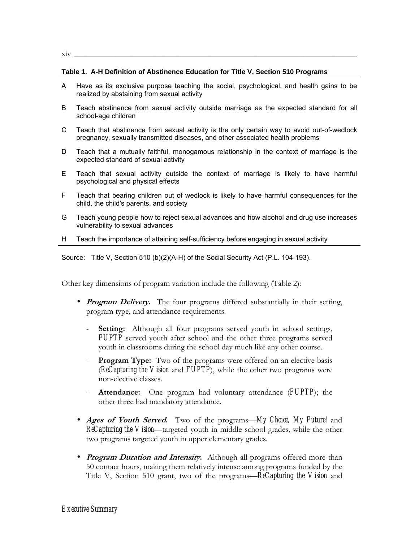#### xiv \_\_\_\_\_\_\_\_\_\_\_\_\_\_\_\_\_\_\_\_\_\_\_\_\_\_\_\_\_\_\_\_\_\_\_\_\_\_\_\_\_\_\_\_\_\_\_\_\_\_\_\_\_\_\_\_\_\_\_\_\_\_\_\_\_\_\_\_\_

#### **Table 1. A-H Definition of Abstinence Education for Title V, Section 510 Programs**

- A Have as its exclusive purpose teaching the social, psychological, and health gains to be realized by abstaining from sexual activity
- B Teach abstinence from sexual activity outside marriage as the expected standard for all school-age children
- C Teach that abstinence from sexual activity is the only certain way to avoid out-of-wedlock pregnancy, sexually transmitted diseases, and other associated health problems
- D Teach that a mutually faithful, monogamous relationship in the context of marriage is the expected standard of sexual activity
- E Teach that sexual activity outside the context of marriage is likely to have harmful psychological and physical effects
- F Teach that bearing children out of wedlock is likely to have harmful consequences for the child, the child's parents, and society
- G Teach young people how to reject sexual advances and how alcohol and drug use increases vulnerability to sexual advances
- H Teach the importance of attaining self-sufficiency before engaging in sexual activity

Source: Title V, Section 510 (b)(2)(A-H) of the Social Security Act (P.L. 104-193).

Other key dimensions of program variation include the following (Table 2):

- **Program Delivery.** The four programs differed substantially in their setting, program type, and attendance requirements.
	- **Setting:** Although all four programs served youth in school settings, *FUPTP* served youth after school and the other three programs served youth in classrooms during the school day much like any other course.
	- **Program Type:** Two of the programs were offered on an elective basis (*ReCapturing the Vision* and *FUPTP*), while the other two programs were non-elective classes.
	- **Attendance:** One program had voluntary attendance (*FUPTP*); the other three had mandatory attendance.
- *Ages of Youth Served.* Two of the programs—My Choice, My Future! and *ReCapturing the Vision*—targeted youth in middle school grades, while the other two programs targeted youth in upper elementary grades.
- **Program Duration and Intensity.** Although all programs offered more than 50 contact hours, making them relatively intense among programs funded by the Title V, Section 510 grant, two of the programs—*ReCapturing the Vision* and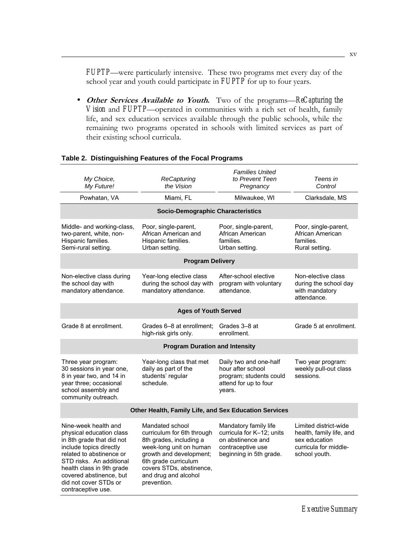*FUPTP*—were particularly intensive. These two programs met every day of the school year and youth could participate in *FUPTP* for up to four years.

• Other Services Available to Youth. Two of the programs-ReCapturing the *Vision* and *FUPTP*—operated in communities with a rich set of health, family life, and sex education services available through the public schools, while the remaining two programs operated in schools with limited services as part of their existing school curricula.

| My Choice,<br>ReCapturing<br>the Vision<br>My Future!                                                                                                                                                                                                                   |                                                                                                                                                                                                                           | <b>Families United</b><br>to Prevent Teen<br>Pregnancy                                                                  | Teens in<br>Control                                                                                          |  |  |  |
|-------------------------------------------------------------------------------------------------------------------------------------------------------------------------------------------------------------------------------------------------------------------------|---------------------------------------------------------------------------------------------------------------------------------------------------------------------------------------------------------------------------|-------------------------------------------------------------------------------------------------------------------------|--------------------------------------------------------------------------------------------------------------|--|--|--|
| Powhatan, VA                                                                                                                                                                                                                                                            | Miami, FL                                                                                                                                                                                                                 | Milwaukee, WI                                                                                                           | Clarksdale, MS                                                                                               |  |  |  |
|                                                                                                                                                                                                                                                                         | <b>Socio-Demographic Characteristics</b>                                                                                                                                                                                  |                                                                                                                         |                                                                                                              |  |  |  |
| Middle- and working-class,<br>two-parent, white, non-<br>Hispanic families.<br>Semi-rural setting.                                                                                                                                                                      | Poor, single-parent,<br>African American and<br>Hispanic families.<br>Urban setting.                                                                                                                                      | Poor, single-parent,<br>African American<br>families.<br>Urban setting.                                                 | Poor, single-parent,<br>African American<br>families.<br>Rural setting.                                      |  |  |  |
|                                                                                                                                                                                                                                                                         | <b>Program Delivery</b>                                                                                                                                                                                                   |                                                                                                                         |                                                                                                              |  |  |  |
| Non-elective class during<br>the school day with<br>mandatory attendance.                                                                                                                                                                                               | Year-long elective class<br>during the school day with<br>mandatory attendance.                                                                                                                                           | After-school elective<br>program with voluntary<br>attendance.                                                          | Non-elective class<br>during the school day<br>with mandatory<br>attendance.                                 |  |  |  |
| <b>Ages of Youth Served</b>                                                                                                                                                                                                                                             |                                                                                                                                                                                                                           |                                                                                                                         |                                                                                                              |  |  |  |
| Grade 8 at enrollment.                                                                                                                                                                                                                                                  | Grades 6-8 at enrollment:<br>high-risk girls only.                                                                                                                                                                        | Grades 3-8 at<br>enrollment.                                                                                            | Grade 5 at enrollment.                                                                                       |  |  |  |
|                                                                                                                                                                                                                                                                         | <b>Program Duration and Intensity</b>                                                                                                                                                                                     |                                                                                                                         |                                                                                                              |  |  |  |
| Three year program:<br>30 sessions in year one,<br>8 in year two, and 14 in<br>year three; occasional<br>school assembly and<br>community outreach.                                                                                                                     | Year-long class that met<br>daily as part of the<br>students' regular<br>schedule.                                                                                                                                        | Daily two and one-half<br>hour after school<br>program; students could<br>attend for up to four<br>vears.               | Two year program:<br>weekly pull-out class<br>sessions.                                                      |  |  |  |
| Other Health, Family Life, and Sex Education Services                                                                                                                                                                                                                   |                                                                                                                                                                                                                           |                                                                                                                         |                                                                                                              |  |  |  |
| Nine-week health and<br>physical education class<br>in 8th grade that did not<br>include topics directly<br>related to abstinence or<br>STD risks. An additional<br>health class in 9th grade<br>covered abstinence, but<br>did not cover STDs or<br>contraceptive use. | Mandated school<br>curriculum for 6th through<br>8th grades, including a<br>week-long unit on human<br>growth and development;<br>6th grade curriculum<br>covers STDs, abstinence,<br>and drug and alcohol<br>prevention. | Mandatory family life<br>curricula for K-12; units<br>on abstinence and<br>contraceptive use<br>beginning in 5th grade. | Limited district-wide<br>health, family life, and<br>sex education<br>curricula for middle-<br>school youth. |  |  |  |

#### **Table 2. Distinguishing Features of the Focal Programs**

 $XV$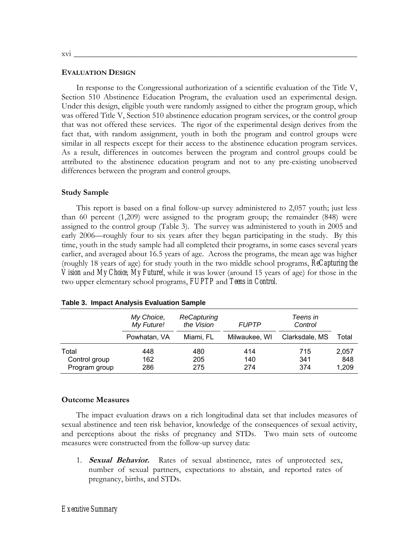#### **EVALUATION DESIGN**

In response to the Congressional authorization of a scientific evaluation of the Title V, Section 510 Abstinence Education Program, the evaluation used an experimental design. Under this design, eligible youth were randomly assigned to either the program group, which was offered Title V, Section 510 abstinence education program services, or the control group that was not offered these services. The rigor of the experimental design derives from the fact that, with random assignment, youth in both the program and control groups were similar in all respects except for their access to the abstinence education program services. As a result, differences in outcomes between the program and control groups could be attributed to the abstinence education program and not to any pre-existing unobserved differences between the program and control groups.

#### **Study Sample**

This report is based on a final follow-up survey administered to 2,057 youth; just less than 60 percent (1,209) were assigned to the program group; the remainder (848) were assigned to the control group (Table 3). The survey was administered to youth in 2005 and early 2006—roughly four to six years after they began participating in the study. By this time, youth in the study sample had all completed their programs, in some cases several years earlier, and averaged about 16.5 years of age. Across the programs, the mean age was higher (roughly 18 years of age) for study youth in the two middle school programs, *ReCapturing the Vision* and *My Choice, My Future!*, while it was lower (around 15 years of age) for those in the two upper elementary school programs, *FUPTP* and *Teens in Control*.

|                                         | My Choice,<br>My Future! | ReCapturing<br>the Vision | <b>FUPTP</b>      | Teens in<br>Control |                       |
|-----------------------------------------|--------------------------|---------------------------|-------------------|---------------------|-----------------------|
|                                         | Powhatan, VA             | Miami, FL                 | Milwaukee, WI     | Clarksdale, MS      | Total                 |
| Total<br>Control group<br>Program group | 448<br>162<br>286        | 480<br>205<br>275         | 414<br>140<br>274 | 715<br>341<br>374   | 2,057<br>848<br>1,209 |

#### **Table 3. Impact Analysis Evaluation Sample**

#### **Outcome Measures**

The impact evaluation draws on a rich longitudinal data set that includes measures of sexual abstinence and teen risk behavior, knowledge of the consequences of sexual activity, and perceptions about the risks of pregnancy and STDs. Two main sets of outcome measures were constructed from the follow-up survey data:

1. **Sexual Behavior.** Rates of sexual abstinence, rates of unprotected sex, number of sexual partners, expectations to abstain, and reported rates of pregnancy, births, and STDs.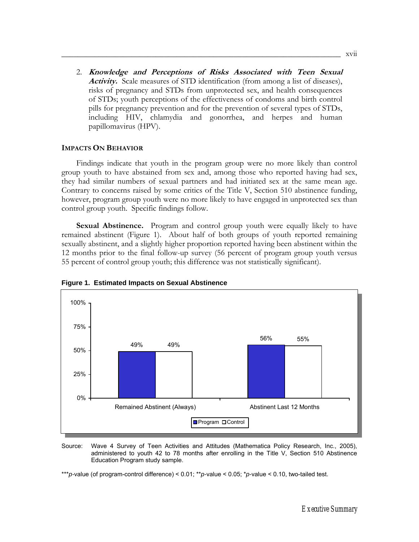2. **Knowledge and Perceptions of Risks Associated with Teen Sexual**  Activity. Scale measures of STD identification (from among a list of diseases), risks of pregnancy and STDs from unprotected sex, and health consequences of STDs; youth perceptions of the effectiveness of condoms and birth control pills for pregnancy prevention and for the prevention of several types of STDs, including HIV, chlamydia and gonorrhea, and herpes and human papillomavirus (HPV).

#### **IMPACTS ON BEHAVIOR**

Findings indicate that youth in the program group were no more likely than control group youth to have abstained from sex and, among those who reported having had sex, they had similar numbers of sexual partners and had initiated sex at the same mean age. Contrary to concerns raised by some critics of the Title V, Section 510 abstinence funding, however, program group youth were no more likely to have engaged in unprotected sex than control group youth. Specific findings follow.

**Sexual Abstinence.** Program and control group youth were equally likely to have remained abstinent (Figure 1). About half of both groups of youth reported remaining sexually abstinent, and a slightly higher proportion reported having been abstinent within the 12 months prior to the final follow-up survey (56 percent of program group youth versus 55 percent of control group youth; this difference was not statistically significant).



**Figure 1. Estimated Impacts on Sexual Abstinence** 

Source: Wave 4 Survey of Teen Activities and Attitudes (Mathematica Policy Research, Inc., 2005), administered to youth 42 to 78 months after enrolling in the Title V, Section 510 Abstinence Education Program study sample.

\*\*\**p-*value (of program-control difference) < 0.01; \*\**p-*value < 0.05; \**p-*value < 0.10, two-tailed test.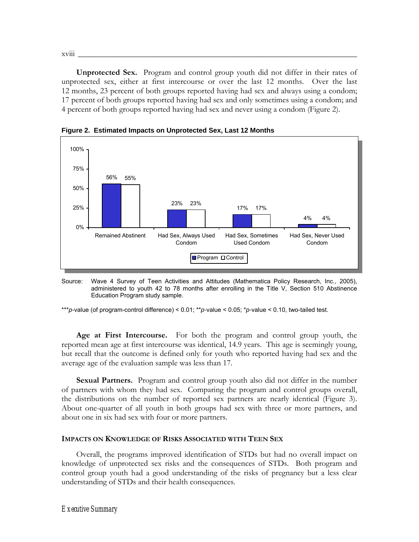**Unprotected Sex.** Program and control group youth did not differ in their rates of unprotected sex, either at first intercourse or over the last 12 months. Over the last 12 months, 23 percent of both groups reported having had sex and always using a condom; 17 percent of both groups reported having had sex and only sometimes using a condom; and 4 percent of both groups reported having had sex and never using a condom (Figure 2).



**Figure 2. Estimated Impacts on Unprotected Sex, Last 12 Months** 

Source: Wave 4 Survey of Teen Activities and Attitudes (Mathematica Policy Research, Inc., 2005), administered to youth 42 to 78 months after enrolling in the Title V, Section 510 Abstinence Education Program study sample.

\*\*\**p-*value (of program-control difference) < 0.01; \*\**p-*value < 0.05; \**p-*value < 0.10, two-tailed test.

**Age at First Intercourse.** For both the program and control group youth, the reported mean age at first intercourse was identical, 14.9 years. This age is seemingly young, but recall that the outcome is defined only for youth who reported having had sex and the average age of the evaluation sample was less than 17.

**Sexual Partners.** Program and control group youth also did not differ in the number of partners with whom they had sex. Comparing the program and control groups overall, the distributions on the number of reported sex partners are nearly identical (Figure 3). About one-quarter of all youth in both groups had sex with three or more partners, and about one in six had sex with four or more partners.

#### **IMPACTS ON KNOWLEDGE OF RISKS ASSOCIATED WITH TEEN SEX**

Overall, the programs improved identification of STDs but had no overall impact on knowledge of unprotected sex risks and the consequences of STDs. Both program and control group youth had a good understanding of the risks of pregnancy but a less clear understanding of STDs and their health consequences.

xviii \_\_\_\_\_\_\_\_\_\_\_\_\_\_\_\_\_\_\_\_\_\_\_\_\_\_\_\_\_\_\_\_\_\_\_\_\_\_\_\_\_\_\_\_\_\_\_\_\_\_\_\_\_\_\_\_\_\_\_\_\_\_\_\_\_\_\_\_

#### *Executive Summary*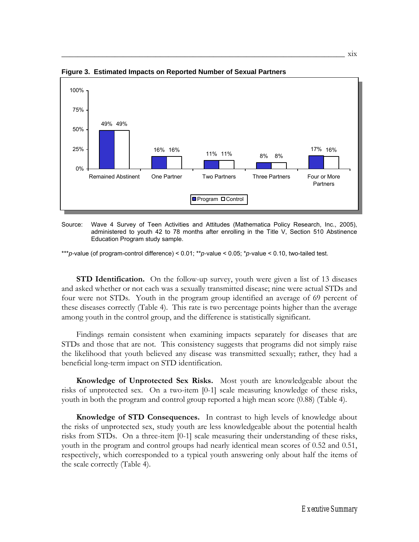

**Figure 3. Estimated Impacts on Reported Number of Sexual Partners** 

Source: Wave 4 Survey of Teen Activities and Attitudes (Mathematica Policy Research, Inc., 2005), administered to youth 42 to 78 months after enrolling in the Title V, Section 510 Abstinence Education Program study sample.

\*\*\**p-*value (of program-control difference) < 0.01; \*\**p-*value < 0.05; \**p-*value < 0.10, two-tailed test.

**STD Identification.** On the follow-up survey, youth were given a list of 13 diseases and asked whether or not each was a sexually transmitted disease; nine were actual STDs and four were not STDs. Youth in the program group identified an average of 69 percent of these diseases correctly (Table 4). This rate is two percentage points higher than the average among youth in the control group, and the difference is statistically significant.

Findings remain consistent when examining impacts separately for diseases that are STDs and those that are not. This consistency suggests that programs did not simply raise the likelihood that youth believed any disease was transmitted sexually; rather, they had a beneficial long-term impact on STD identification.

**Knowledge of Unprotected Sex Risks.** Most youth are knowledgeable about the risks of unprotected sex. On a two-item [0-1] scale measuring knowledge of these risks, youth in both the program and control group reported a high mean score (0.88) (Table 4).

**Knowledge of STD Consequences.** In contrast to high levels of knowledge about the risks of unprotected sex, study youth are less knowledgeable about the potential health risks from STDs. On a three-item [0-1] scale measuring their understanding of these risks, youth in the program and control groups had nearly identical mean scores of 0.52 and 0.51, respectively, which corresponded to a typical youth answering only about half the items of the scale correctly (Table 4).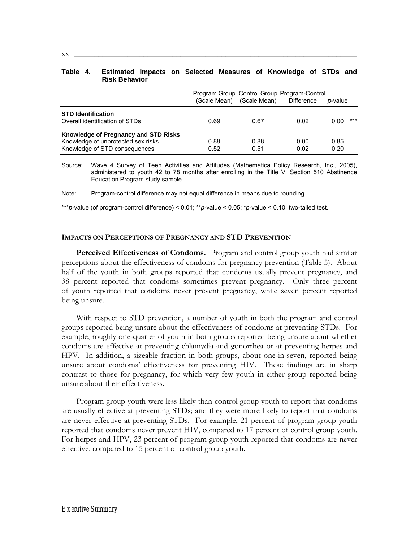|                                                                                                             |              | Program Group Control Group Program-Control<br>(Scale Mean) (Scale Mean) | Difference   | <i>p</i> -value |       |
|-------------------------------------------------------------------------------------------------------------|--------------|--------------------------------------------------------------------------|--------------|-----------------|-------|
| <b>STD Identification</b><br>Overall identification of STDs                                                 | 0.69         | 0.67                                                                     | 0.02         | 0.00            | $***$ |
| Knowledge of Pregnancy and STD Risks<br>Knowledge of unprotected sex risks<br>Knowledge of STD consequences | 0.88<br>0.52 | 0.88<br>0.51                                                             | 0.00<br>0.02 | 0.85<br>0.20    |       |

#### **Table 4. Estimated Impacts on Selected Measures of Knowledge of STDs and Risk Behavior**

Source: Wave 4 Survey of Teen Activities and Attitudes (Mathematica Policy Research, Inc., 2005), administered to youth 42 to 78 months after enrolling in the Title V, Section 510 Abstinence Education Program study sample.

Note: Program-control difference may not equal difference in means due to rounding.

\*\*\**p-*value (of program-control difference) < 0.01; \*\**p-*value < 0.05; \**p-*value < 0.10, two-tailed test.

#### **IMPACTS ON PERCEPTIONS OF PREGNANCY AND STD PREVENTION**

**Perceived Effectiveness of Condoms.** Program and control group youth had similar perceptions about the effectiveness of condoms for pregnancy prevention (Table 5). About half of the youth in both groups reported that condoms usually prevent pregnancy, and 38 percent reported that condoms sometimes prevent pregnancy. Only three percent of youth reported that condoms never prevent pregnancy, while seven percent reported being unsure.

With respect to STD prevention, a number of youth in both the program and control groups reported being unsure about the effectiveness of condoms at preventing STDs. For example, roughly one-quarter of youth in both groups reported being unsure about whether condoms are effective at preventing chlamydia and gonorrhea or at preventing herpes and HPV. In addition, a sizeable fraction in both groups, about one-in-seven, reported being unsure about condoms' effectiveness for preventing HIV. These findings are in sharp contrast to those for pregnancy, for which very few youth in either group reported being unsure about their effectiveness.

Program group youth were less likely than control group youth to report that condoms are usually effective at preventing STDs; and they were more likely to report that condoms are never effective at preventing STDs. For example, 21 percent of program group youth reported that condoms never prevent HIV, compared to 17 percent of control group youth. For herpes and HPV, 23 percent of program group youth reported that condoms are never effective, compared to 15 percent of control group youth.

 $\text{XX}$   $\blacksquare$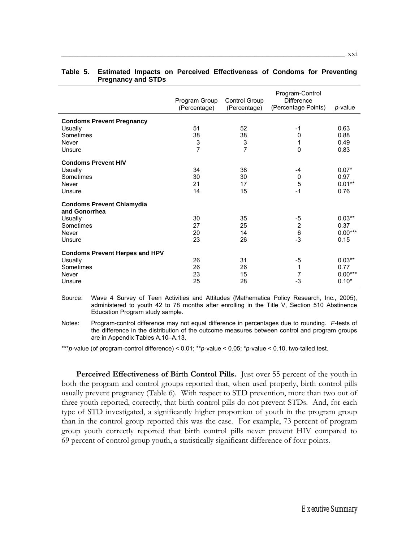|                                                   | Program Group<br>(Percentage) | <b>Control Group</b><br>(Percentage) | Program-Control<br><b>Difference</b><br>(Percentage Points) | p-value   |
|---------------------------------------------------|-------------------------------|--------------------------------------|-------------------------------------------------------------|-----------|
| <b>Condoms Prevent Pregnancy</b>                  |                               |                                      |                                                             |           |
| Usually                                           | 51                            | 52                                   | -1                                                          | 0.63      |
| Sometimes                                         | 38                            | 38                                   | 0                                                           | 0.88      |
| Never                                             | $\frac{3}{7}$                 | $rac{3}{7}$                          | 1                                                           | 0.49      |
| Unsure                                            |                               |                                      | $\mathbf 0$                                                 | 0.83      |
| <b>Condoms Prevent HIV</b>                        |                               |                                      |                                                             |           |
| Usually                                           | 34                            | 38                                   | $-4$                                                        | $0.07*$   |
| Sometimes                                         | 30                            | 30                                   | 0                                                           | 0.97      |
| Never                                             | 21                            | 17                                   | 5                                                           | $0.01***$ |
| Unsure                                            | 14                            | 15                                   | $-1$                                                        | 0.76      |
| <b>Condoms Prevent Chlamydia</b><br>and Gonorrhea |                               |                                      |                                                             |           |
| Usually                                           | 30                            | 35                                   | -5                                                          | $0.03**$  |
| Sometimes                                         | 27                            | 25                                   | $\begin{array}{c} 2 \\ 6 \end{array}$                       | 0.37      |
| Never                                             | 20                            | 14                                   |                                                             | $0.00***$ |
| Unsure                                            | 23                            | 26                                   | $-3$                                                        | 0.15      |
| <b>Condoms Prevent Herpes and HPV</b>             |                               |                                      |                                                             |           |
| Usually                                           | 26                            | 31                                   | -5                                                          | $0.03**$  |
| Sometimes                                         | 26                            | 26                                   | 1                                                           | 0.77      |
| Never                                             | 23                            | 15                                   | 7                                                           | $0.00***$ |
| Unsure                                            | 25                            | 28                                   | $-3$                                                        | $0.10*$   |

#### **Table 5. Estimated Impacts on Perceived Effectiveness of Condoms for Preventing Pregnancy and STDs**

Source: Wave 4 Survey of Teen Activities and Attitudes (Mathematica Policy Research, Inc., 2005), administered to youth 42 to 78 months after enrolling in the Title V, Section 510 Abstinence Education Program study sample.

Notes: Program-control difference may not equal difference in percentages due to rounding. *F*-tests of the difference in the distribution of the outcome measures between control and program groups are in Appendix Tables A.10-A.13.

\*\*\**p-*value (of program-control difference) < 0.01; \*\**p-*value < 0.05; \**p-*value < 0.10, two-tailed test.

**Perceived Effectiveness of Birth Control Pills.** Just over 55 percent of the youth in both the program and control groups reported that, when used properly, birth control pills usually prevent pregnancy (Table 6). With respect to STD prevention, more than two out of three youth reported, correctly, that birth control pills do not prevent STDs. And, for each type of STD investigated, a significantly higher proportion of youth in the program group than in the control group reported this was the case. For example, 73 percent of program group youth correctly reported that birth control pills never prevent HIV compared to 69 percent of control group youth, a statistically significant difference of four points.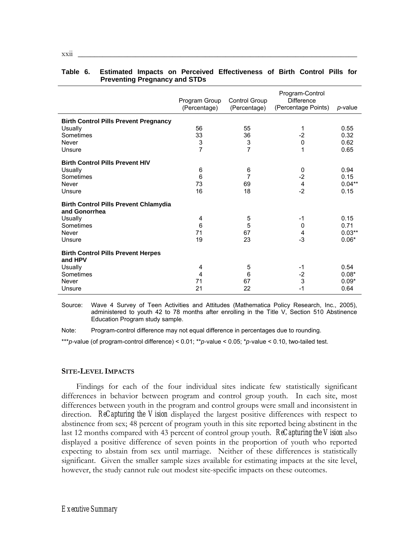|                                                               | Program Group<br>(Percentage) | <b>Control Group</b><br>(Percentage) | Program-Control<br><b>Difference</b><br>(Percentage Points) | p-value   |
|---------------------------------------------------------------|-------------------------------|--------------------------------------|-------------------------------------------------------------|-----------|
| <b>Birth Control Pills Prevent Pregnancy</b>                  |                               |                                      |                                                             |           |
| Usually                                                       | 56                            | 55                                   | 1                                                           | 0.55      |
| Sometimes                                                     | 33                            | 36                                   | $-2$                                                        | 0.32      |
| Never                                                         | $\ensuremath{\mathsf{3}}$     | $\ensuremath{\mathsf{3}}$            | 0                                                           | 0.62      |
| Unsure                                                        | $\overline{7}$                | 7                                    | 1                                                           | 0.65      |
| <b>Birth Control Pills Prevent HIV</b>                        |                               |                                      |                                                             |           |
| Usually                                                       | 6                             | 6                                    | 0                                                           | 0.94      |
| Sometimes                                                     | 6                             | 7                                    | $-2$                                                        | 0.15      |
| Never                                                         | 73                            | 69                                   | $\overline{\mathbf{4}}$                                     | $0.04**$  |
| Unsure                                                        | 16                            | 18                                   | $-2$                                                        | 0.15      |
| <b>Birth Control Pills Prevent Chlamydia</b><br>and Gonorrhea |                               |                                      |                                                             |           |
| Usually                                                       | 4                             | 5                                    | $-1$                                                        | 0.15      |
| Sometimes                                                     | 6                             | 5                                    | $\mathbf 0$                                                 | 0.71      |
| Never                                                         | 71                            | 67                                   | 4                                                           | $0.03***$ |
| Unsure                                                        | 19                            | 23                                   | $-3$                                                        | $0.06*$   |
| <b>Birth Control Pills Prevent Herpes</b><br>and HPV          |                               |                                      |                                                             |           |
| Usually                                                       | 4                             | 5                                    | $-1$                                                        | 0.54      |
| Sometimes                                                     | $\overline{4}$                | 6                                    | $-2$                                                        | $0.08*$   |
| Never                                                         | 71                            | 67                                   | 3                                                           | $0.09*$   |
| Unsure                                                        | 21                            | 22                                   | $-1$                                                        | 0.64      |

#### **Table 6. Estimated Impacts on Perceived Effectiveness of Birth Control Pills for Preventing Pregnancy and STDs**

Source: Wave 4 Survey of Teen Activities and Attitudes (Mathematica Policy Research, Inc., 2005), administered to youth 42 to 78 months after enrolling in the Title V, Section 510 Abstinence Education Program study sample.

Note: Program-control difference may not equal difference in percentages due to rounding.

\*\*\**p-*value (of program-control difference) < 0.01; \*\**p-*value < 0.05; \**p-*value < 0.10, two-tailed test.

#### **SITE-LEVEL IMPACTS**

Findings for each of the four individual sites indicate few statistically significant differences in behavior between program and control group youth. In each site, most differences between youth in the program and control groups were small and inconsistent in direction. *ReCapturing the Vision* displayed the largest positive differences with respect to abstinence from sex; 48 percent of program youth in this site reported being abstinent in the last 12 months compared with 43 percent of control group youth. *ReCapturing the Vision* also displayed a positive difference of seven points in the proportion of youth who reported expecting to abstain from sex until marriage. Neither of these differences is statistically significant. Given the smaller sample sizes available for estimating impacts at the site level, however, the study cannot rule out modest site-specific impacts on these outcomes.

 $\widetilde{\text{xxiii}}$   $\_\_\_\_\_\_\_\_\_$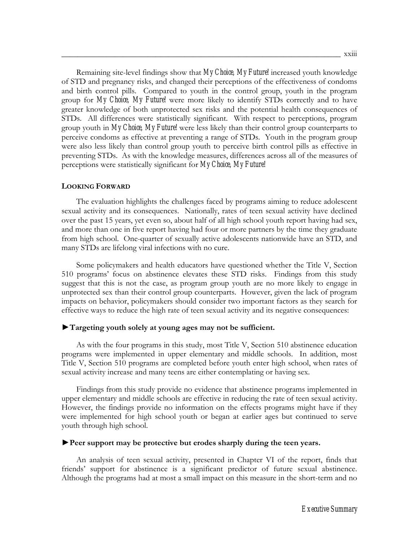Remaining site-level findings show that *My Choice, My Future!* increased youth knowledge of STD and pregnancy risks, and changed their perceptions of the effectiveness of condoms and birth control pills. Compared to youth in the control group, youth in the program group for *My Choice, My Future!* were more likely to identify STDs correctly and to have greater knowledge of both unprotected sex risks and the potential health consequences of STDs. All differences were statistically significant. With respect to perceptions, program group youth in *My Choice, My Future!* were less likely than their control group counterparts to perceive condoms as effective at preventing a range of STDs. Youth in the program group were also less likely than control group youth to perceive birth control pills as effective in preventing STDs. As with the knowledge measures, differences across all of the measures of perceptions were statistically significant for *My Choice, My Future!*

#### **LOOKING FORWARD**

The evaluation highlights the challenges faced by programs aiming to reduce adolescent sexual activity and its consequences. Nationally, rates of teen sexual activity have declined over the past 15 years, yet even so, about half of all high school youth report having had sex, and more than one in five report having had four or more partners by the time they graduate from high school. One-quarter of sexually active adolescents nationwide have an STD, and many STDs are lifelong viral infections with no cure.

Some policymakers and health educators have questioned whether the Title V, Section 510 programs' focus on abstinence elevates these STD risks. Findings from this study suggest that this is not the case, as program group youth are no more likely to engage in unprotected sex than their control group counterparts. However, given the lack of program impacts on behavior, policymakers should consider two important factors as they search for effective ways to reduce the high rate of teen sexual activity and its negative consequences:

#### **►Targeting youth solely at young ages may not be sufficient.**

As with the four programs in this study, most Title V, Section 510 abstinence education programs were implemented in upper elementary and middle schools. In addition, most Title V, Section 510 programs are completed before youth enter high school, when rates of sexual activity increase and many teens are either contemplating or having sex.

Findings from this study provide no evidence that abstinence programs implemented in upper elementary and middle schools are effective in reducing the rate of teen sexual activity. However, the findings provide no information on the effects programs might have if they were implemented for high school youth or began at earlier ages but continued to serve youth through high school.

#### **►Peer support may be protective but erodes sharply during the teen years.**

An analysis of teen sexual activity, presented in Chapter VI of the report, finds that friends' support for abstinence is a significant predictor of future sexual abstinence. Although the programs had at most a small impact on this measure in the short-term and no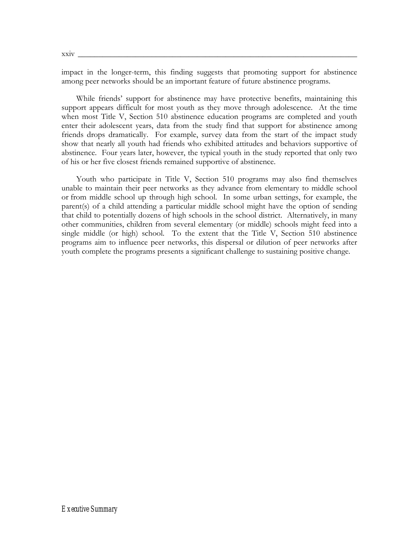xxiv \_\_\_\_\_\_\_\_\_\_\_\_\_\_\_\_\_\_\_\_\_\_\_\_\_\_\_\_\_\_\_\_\_\_\_\_\_\_\_\_\_\_\_\_\_\_\_\_\_\_\_\_\_\_\_\_\_\_\_\_\_\_\_\_\_\_\_\_

impact in the longer-term, this finding suggests that promoting support for abstinence among peer networks should be an important feature of future abstinence programs.

While friends' support for abstinence may have protective benefits, maintaining this support appears difficult for most youth as they move through adolescence. At the time when most Title V, Section 510 abstinence education programs are completed and youth enter their adolescent years, data from the study find that support for abstinence among friends drops dramatically. For example, survey data from the start of the impact study show that nearly all youth had friends who exhibited attitudes and behaviors supportive of abstinence. Four years later, however, the typical youth in the study reported that only two of his or her five closest friends remained supportive of abstinence.

Youth who participate in Title V, Section 510 programs may also find themselves unable to maintain their peer networks as they advance from elementary to middle school or from middle school up through high school. In some urban settings, for example, the parent(s) of a child attending a particular middle school might have the option of sending that child to potentially dozens of high schools in the school district. Alternatively, in many other communities, children from several elementary (or middle) schools might feed into a single middle (or high) school. To the extent that the Title V, Section 510 abstinence programs aim to influence peer networks, this dispersal or dilution of peer networks after youth complete the programs presents a significant challenge to sustaining positive change.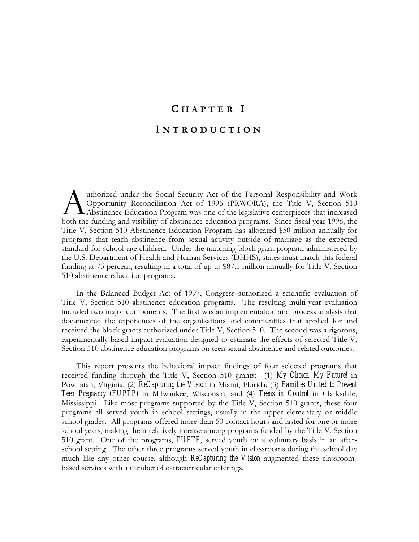## **C HAPTER I**

### **I NTRODUCTION**

uthorized under the Social Security Act of the Personal Responsibility and Work Opportunity Reconciliation Act of 1996 (PRWORA), the Title V, Section 510 Abstinence Education Program was one of the legislative centerpieces that increased durchized under the Social Security Act of the Personal Responsibility and Work<br>Opportunity Reconciliation Act of 1996 (PRWORA), the Title V, Section 510<br>both the funding and visibility of abstinence education programs. Si Title V, Section 510 Abstinence Education Program has allocated \$50 million annually for programs that teach abstinence from sexual activity outside of marriage as the expected standard for school-age children. Under the matching block grant program administered by the U.S. Department of Health and Human Services (DHHS), states must match this federal funding at 75 percent, resulting in a total of up to \$87.5 million annually for Title V, Section 510 abstinence education programs.

In the Balanced Budget Act of 1997, Congress authorized a scientific evaluation of Title V, Section 510 abstinence education programs. The resulting multi-year evaluation included two major components. The first was an implementation and process analysis that documented the experiences of the organizations and communities that applied for and received the block grants authorized under Title V, Section 510. The second was a rigorous, experimentally based impact evaluation designed to estimate the effects of selected Title V, Section 510 abstinence education programs on teen sexual abstinence and related outcomes.

This report presents the behavioral impact findings of four selected programs that received funding through the Title V, Section 510 grants: (1) *My Choice, My Future!* in Powhatan, Virginia; (2) *ReCapturing the Vision* in Miami, Florida; (3) *Families United to Prevent Teen Pregnancy (FUPTP)* in Milwaukee, Wisconsin; and (4) *Teens in Control* in Clarksdale, Mississippi. Like most programs supported by the Title V, Section 510 grants, these four programs all served youth in school settings, usually in the upper elementary or middle school grades. All programs offered more than 50 contact hours and lasted for one or more school years, making them relatively intense among programs funded by the Title V, Section 510 grant. One of the programs, *FUPTP*, served youth on a voluntary basis in an afterschool setting. The other three programs served youth in classrooms during the school day much like any other course, although *ReCapturing the Vision* augmented these classroombased services with a number of extracurricular offerings.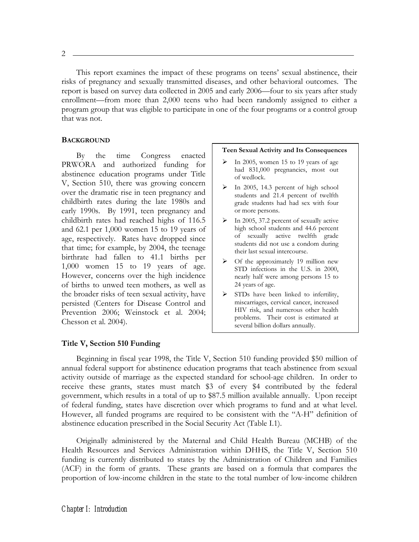This report examines the impact of these programs on teens' sexual abstinence, their risks of pregnancy and sexually transmitted diseases, and other behavioral outcomes. The report is based on survey data collected in 2005 and early 2006—four to six years after study enrollment—from more than 2,000 teens who had been randomly assigned to either a program group that was eligible to participate in one of the four programs or a control group that was not.

#### **BACKGROUND**

By the time Congress enacted PRWORA and authorized funding for abstinence education programs under Title V, Section 510, there was growing concern over the dramatic rise in teen pregnancy and childbirth rates during the late 1980s and early 1990s. By 1991, teen pregnancy and childbirth rates had reached highs of 116.5 and 62.1 per 1,000 women 15 to 19 years of age, respectively. Rates have dropped since that time; for example, by 2004, the teenage birthrate had fallen to 41.1 births per 1,000 women 15 to 19 years of age. However, concerns over the high incidence of births to unwed teen mothers, as well as the broader risks of teen sexual activity, have persisted (Centers for Disease Control and Prevention 2006; Weinstock et al. 2004; Chesson et al. 2004).

#### **Teen Sexual Activity and Its Consequences**

- In 2005, women 15 to 19 years of age had 831,000 pregnancies, most out of wedlock.
- In 2005, 14.3 percent of high school students and 21.4 percent of twelfth grade students had had sex with four or more persons.
- In 2005, 37.2 percent of sexually active high school students and 44.6 percent of sexually active twelfth grade students did not use a condom during their last sexual intercourse.
- $\triangleright$  Of the approximately 19 million new STD infections in the U.S. in 2000, nearly half were among persons 15 to 24 years of age.
- $\triangleright$  STDs have been linked to infertility, miscarriages, cervical cancer, increased HIV risk, and numerous other health problems. Their cost is estimated at several billion dollars annually.

#### **Title V, Section 510 Funding**

Beginning in fiscal year 1998, the Title V, Section 510 funding provided \$50 million of annual federal support for abstinence education programs that teach abstinence from sexual activity outside of marriage as the expected standard for school-age children. In order to receive these grants, states must match \$3 of every \$4 contributed by the federal government, which results in a total of up to \$87.5 million available annually. Upon receipt of federal funding, states have discretion over which programs to fund and at what level. However, all funded programs are required to be consistent with the "A-H" definition of abstinence education prescribed in the Social Security Act (Table I.1).

Originally administered by the Maternal and Child Health Bureau (MCHB) of the Health Resources and Services Administration within DHHS, the Title V, Section 510 funding is currently distributed to states by the Administration of Children and Families (ACF) in the form of grants. These grants are based on a formula that compares the proportion of low-income children in the state to the total number of low-income children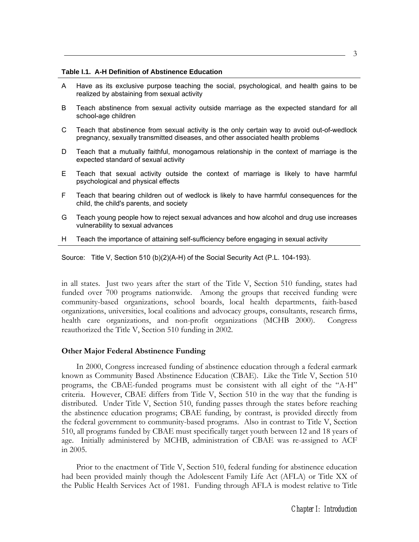#### **Table I.1. A-H Definition of Abstinence Education**

- A Have as its exclusive purpose teaching the social, psychological, and health gains to be realized by abstaining from sexual activity
- B Teach abstinence from sexual activity outside marriage as the expected standard for all school-age children
- C Teach that abstinence from sexual activity is the only certain way to avoid out-of-wedlock pregnancy, sexually transmitted diseases, and other associated health problems
- D Teach that a mutually faithful, monogamous relationship in the context of marriage is the expected standard of sexual activity
- E Teach that sexual activity outside the context of marriage is likely to have harmful psychological and physical effects
- F Teach that bearing children out of wedlock is likely to have harmful consequences for the child, the child's parents, and society
- G Teach young people how to reject sexual advances and how alcohol and drug use increases vulnerability to sexual advances
- H Teach the importance of attaining self-sufficiency before engaging in sexual activity

Source: Title V, Section 510 (b)(2)(A-H) of the Social Security Act (P.L. 104-193).

in all states. Just two years after the start of the Title V, Section 510 funding, states had funded over 700 programs nationwide. Among the groups that received funding were community-based organizations, school boards, local health departments, faith-based organizations, universities, local coalitions and advocacy groups, consultants, research firms, health care organizations, and non-profit organizations (MCHB 2000). Congress reauthorized the Title V, Section 510 funding in 2002.

#### **Other Major Federal Abstinence Funding**

In 2000, Congress increased funding of abstinence education through a federal earmark known as Community Based Abstinence Education (CBAE). Like the Title V, Section 510 programs, the CBAE-funded programs must be consistent with all eight of the "A-H" criteria. However, CBAE differs from Title V, Section 510 in the way that the funding is distributed. Under Title V, Section 510, funding passes through the states before reaching the abstinence education programs; CBAE funding, by contrast, is provided directly from the federal government to community-based programs. Also in contrast to Title V, Section 510, all programs funded by CBAE must specifically target youth between 12 and 18 years of age. Initially administered by MCHB, administration of CBAE was re-assigned to ACF in 2005.

Prior to the enactment of Title V, Section 510, federal funding for abstinence education had been provided mainly though the Adolescent Family Life Act (AFLA) or Title XX of the Public Health Services Act of 1981. Funding through AFLA is modest relative to Title

3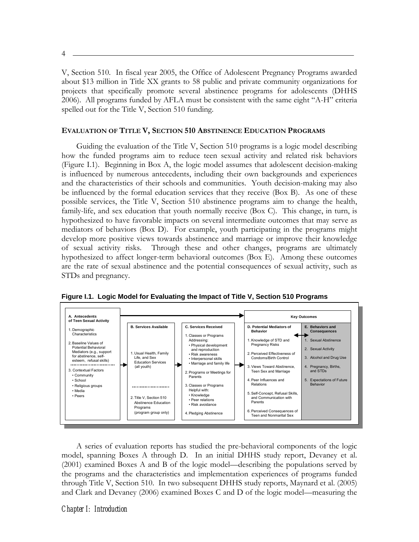4

V, Section 510. In fiscal year 2005, the Office of Adolescent Pregnancy Programs awarded about \$13 million in Title XX grants to 58 public and private community organizations for projects that specifically promote several abstinence programs for adolescents (DHHS 2006). All programs funded by AFLA must be consistent with the same eight "A-H" criteria spelled out for the Title V, Section 510 funding.

#### **EVALUATION OF TITLE V, SECTION 510 ABSTINENCE EDUCATION PROGRAMS**

Guiding the evaluation of the Title V, Section 510 programs is a logic model describing how the funded programs aim to reduce teen sexual activity and related risk behaviors (Figure I.1). Beginning in Box A, the logic model assumes that adolescent decision-making is influenced by numerous antecedents, including their own backgrounds and experiences and the characteristics of their schools and communities. Youth decision-making may also be influenced by the formal education services that they receive (Box B). As one of these possible services, the Title V, Section 510 abstinence programs aim to change the health, family-life, and sex education that youth normally receive (Box C). This change, in turn, is hypothesized to have favorable impacts on several intermediate outcomes that may serve as mediators of behaviors (Box D). For example, youth participating in the programs might develop more positive views towards abstinence and marriage or improve their knowledge of sexual activity risks. Through these and other changes, programs are ultimately hypothesized to affect longer-term behavioral outcomes (Box E). Among these outcomes are the rate of sexual abstinence and the potential consequences of sexual activity, such as STDs and pregnancy.



**Figure I.1. Logic Model for Evaluating the Impact of Title V, Section 510 Programs** 

A series of evaluation reports has studied the pre-behavioral components of the logic model, spanning Boxes A through D. In an initial DHHS study report, Devaney et al.  $(2001)$  examined Boxes A and B of the logic model—describing the populations served by the programs and the characteristics and implementation experiences of programs funded through Title V, Section 510. In two subsequent DHHS study reports, Maynard et al. (2005) and Clark and Devaney  $(2006)$  examined Boxes C and D of the logic model—measuring the

#### *Chapter I: Introduction*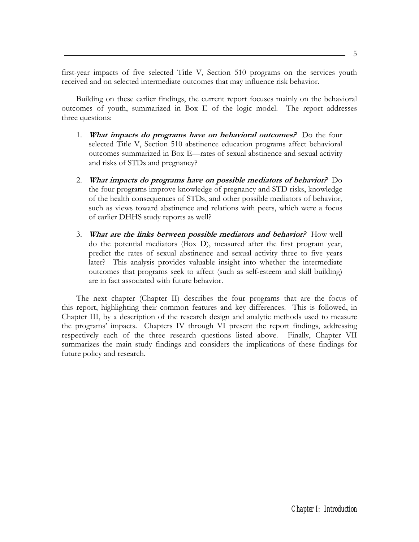first-year impacts of five selected Title V, Section 510 programs on the services youth received and on selected intermediate outcomes that may influence risk behavior.

Building on these earlier findings, the current report focuses mainly on the behavioral outcomes of youth, summarized in Box E of the logic model. The report addresses three questions:

- 1. **What impacts do programs have on behavioral outcomes?** Do the four selected Title V, Section 510 abstinence education programs affect behavioral outcomes summarized in Box E—rates of sexual abstinence and sexual activity and risks of STDs and pregnancy?
- 2. **What impacts do programs have on possible mediators of behavior?** Do the four programs improve knowledge of pregnancy and STD risks, knowledge of the health consequences of STDs, and other possible mediators of behavior, such as views toward abstinence and relations with peers, which were a focus of earlier DHHS study reports as well?
- 3. **What are the links between possible mediators and behavior?** How well do the potential mediators (Box D), measured after the first program year, predict the rates of sexual abstinence and sexual activity three to five years later? This analysis provides valuable insight into whether the intermediate outcomes that programs seek to affect (such as self-esteem and skill building) are in fact associated with future behavior.

The next chapter (Chapter II) describes the four programs that are the focus of this report, highlighting their common features and key differences. This is followed, in Chapter III, by a description of the research design and analytic methods used to measure the programsí impacts. Chapters IV through VI present the report findings, addressing respectively each of the three research questions listed above. Finally, Chapter VII summarizes the main study findings and considers the implications of these findings for future policy and research.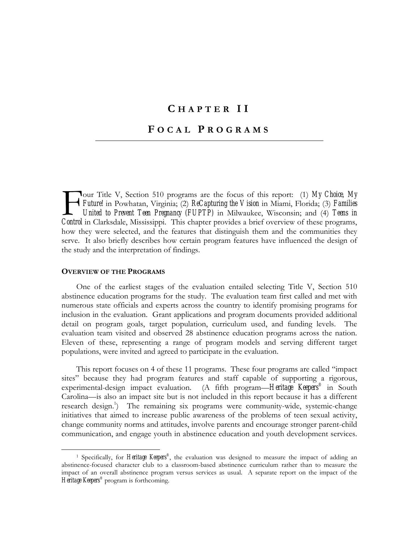## **C HAPTER II**

## **F OCAL P ROGRAMS**

**Jour Title V, Section 510 programs are the focus of this report:** (1) My Choice, My *Future!* in Powhatan, Virginia; (2) *ReCapturing the Vision* in Miami, Florida; (3) *Families United to Prevent Teen Pregnancy (FUPTP)* in Milwaukee, Wisconsin; and (4) *Teens in*  **Cour Title V, Section 510 programs are the focus of this report:** (1) My Choice, My Future! in Powhatan, Virginia; (2) ReCapturing the Vision in Miami, Florida; (3) Families United to Prevent Teen Pregnancy (FUPTP) in Mil how they were selected, and the features that distinguish them and the communities they serve. It also briefly describes how certain program features have influenced the design of the study and the interpretation of findings.

#### **OVERVIEW OF THE PROGRAMS**

 $\overline{a}$ 

One of the earliest stages of the evaluation entailed selecting Title V, Section 510 abstinence education programs for the study. The evaluation team first called and met with numerous state officials and experts across the country to identify promising programs for inclusion in the evaluation. Grant applications and program documents provided additional detail on program goals, target population, curriculum used, and funding levels. The evaluation team visited and observed 28 abstinence education programs across the nation. Eleven of these, representing a range of program models and serving different target populations, were invited and agreed to participate in the evaluation.

This report focuses on 4 of these 11 programs. These four programs are called "impact" sites" because they had program features and staff capable of supporting a rigorous, experimental-design impact evaluation. (A fifth program—*Heritage Keepers<sup>®</sup>* in South Carolina—is also an impact site but is not included in this report because it has a different research design.<sup>1</sup>) The remaining six programs were community-wide, systemic-change initiatives that aimed to increase public awareness of the problems of teen sexual activity, change community norms and attitudes, involve parents and encourage stronger parent-child communication, and engage youth in abstinence education and youth development services.

<sup>1</sup> Specifically, for *Heritage Keepers®*, the evaluation was designed to measure the impact of adding an abstinence-focused character club to a classroom-based abstinence curriculum rather than to measure the impact of an overall abstinence program versus services as usual. A separate report on the impact of the *Heritage Keepers®* program is forthcoming.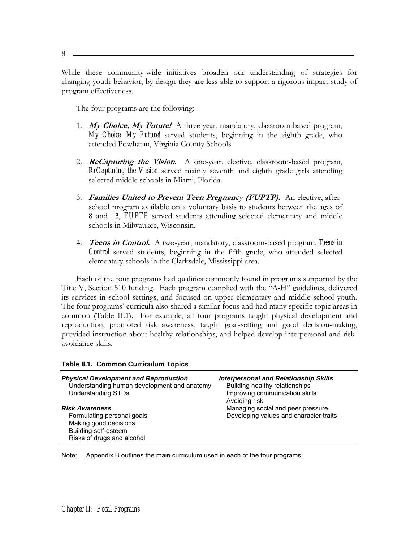8

While these community-wide initiatives broaden our understanding of strategies for changing youth behavior, by design they are less able to support a rigorous impact study of program effectiveness.

The four programs are the following:

- 1. **My Choice, My Future!** A three-year, mandatory, classroom-based program, *My Choice, My Future!* served students, beginning in the eighth grade, who attended Powhatan, Virginia County Schools.
- 2. **ReCapturing the Vision.** A one-year, elective, classroom-based program, *ReCapturing the Vision* served mainly seventh and eighth grade girls attending selected middle schools in Miami, Florida.
- 3. **Families United to Prevent Teen Pregnancy (FUPTP).** An elective, afterschool program available on a voluntary basis to students between the ages of 8 and 13, *FUPTP* served students attending selected elementary and middle schools in Milwaukee, Wisconsin.
- 4. **Teens in Control.** A two-year, mandatory, classroom-based program, *Teens in Control* served students, beginning in the fifth grade, who attended selected elementary schools in the Clarksdale, Mississippi area.

Each of the four programs had qualities commonly found in programs supported by the Title V, Section 510 funding. Each program complied with the "A-H" guidelines, delivered its services in school settings, and focused on upper elementary and middle school youth. The four programs' curricula also shared a similar focus and had many specific topic areas in common (Table II.1). For example, all four programs taught physical development and reproduction, promoted risk awareness, taught goal-setting and good decision-making, provided instruction about healthy relationships, and helped develop interpersonal and riskavoidance skills.

| <b>Physical Development and Reproduction</b><br>Understanding human development and anatomy<br><b>Understanding STDs</b>           | Interpersonal and Relationship Skills<br>Building healthy relationships<br>Improving communication skills<br>Avoiding risk |
|------------------------------------------------------------------------------------------------------------------------------------|----------------------------------------------------------------------------------------------------------------------------|
| <b>Risk Awareness</b><br>Formulating personal goals<br>Making good decisions<br>Building self-esteem<br>Risks of drugs and alcohol | Managing social and peer pressure<br>Developing values and character traits                                                |

#### **Table II.1. Common Curriculum Topics**

Note: Appendix B outlines the main curriculum used in each of the four programs.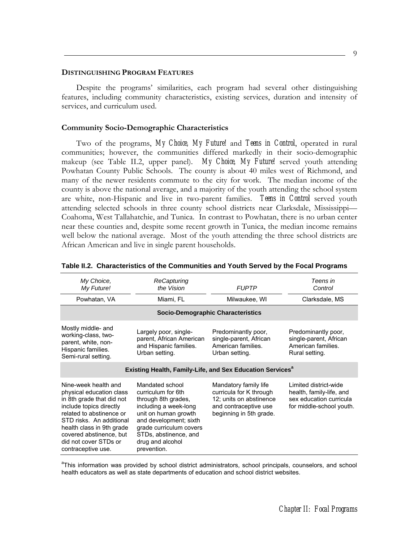#### **DISTINGUISHING PROGRAM FEATURES**

Despite the programs' similarities, each program had several other distinguishing features, including community characteristics, existing services, duration and intensity of services, and curriculum used.

#### **Community Socio-Demographic Characteristics**

Two of the programs, *My Choice, My Future!* and *Teens in Control*, operated in rural communities; however, the communities differed markedly in their socio-demographic makeup (see Table II.2, upper panel). *My Choice, My Future!* served youth attending Powhatan County Public Schools. The county is about 40 miles west of Richmond, and many of the newer residents commute to the city for work. The median income of the county is above the national average, and a majority of the youth attending the school system are white, non-Hispanic and live in two-parent families. *Teens in Control* served youth attending selected schools in three county school districts near Clarksdale, Mississippi-Coahoma, West Tallahatchie, and Tunica. In contrast to Powhatan, there is no urban center near these counties and, despite some recent growth in Tunica, the median income remains well below the national average. Most of the youth attending the three school districts are African American and live in single parent households.

| My Choice,<br>My Future!                                                                                                                                                                                                                                                | ReCapturing<br>the Vision<br><b>FUPTP</b>                                                                                                                                                                                      |                                                                                                                                 | Teens in<br>Control                                                                                      |  |  |
|-------------------------------------------------------------------------------------------------------------------------------------------------------------------------------------------------------------------------------------------------------------------------|--------------------------------------------------------------------------------------------------------------------------------------------------------------------------------------------------------------------------------|---------------------------------------------------------------------------------------------------------------------------------|----------------------------------------------------------------------------------------------------------|--|--|
| Powhatan, VA                                                                                                                                                                                                                                                            | Miami, FL                                                                                                                                                                                                                      | Milwaukee, WI                                                                                                                   | Clarksdale, MS                                                                                           |  |  |
| Socio-Demographic Characteristics                                                                                                                                                                                                                                       |                                                                                                                                                                                                                                |                                                                                                                                 |                                                                                                          |  |  |
| Mostly middle- and<br>working-class, two-<br>parent, white, non-<br>Hispanic families.<br>Semi-rural setting.                                                                                                                                                           | Largely poor, single-<br>parent, African American<br>and Hispanic families.<br>Urban setting.                                                                                                                                  | Predominantly poor,<br>single-parent, African<br>American families.<br>Urban setting.                                           | Predominantly poor,<br>single-parent, African<br>American families.<br>Rural setting.                    |  |  |
| <b>Existing Health, Family-Life, and Sex Education Services</b> <sup>4</sup>                                                                                                                                                                                            |                                                                                                                                                                                                                                |                                                                                                                                 |                                                                                                          |  |  |
| Nine-week health and<br>physical education class<br>in 8th grade that did not<br>include topics directly<br>related to abstinence or<br>STD risks. An additional<br>health class in 9th grade<br>covered abstinence, but<br>did not cover STDs or<br>contraceptive use. | Mandated school<br>curriculum for 6th<br>through 8th grades,<br>including a week-long<br>unit on human growth<br>and development; sixth<br>grade curriculum covers<br>STDs, abstinence, and<br>drug and alcohol<br>prevention. | Mandatory family life<br>curricula for K through<br>12; units on abstinence<br>and contraceptive use<br>beginning in 5th grade. | Limited district-wide<br>health, family-life, and<br>sex education curricula<br>for middle-school youth. |  |  |

#### **Table II.2. Characteristics of the Communities and Youth Served by the Focal Programs**

<sup>a</sup>This information was provided by school district administrators, school principals, counselors, and school health educators as well as state departments of education and school district websites.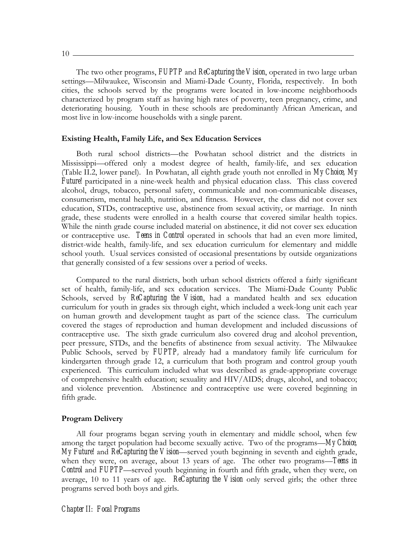$10 -$ 

The two other programs, *FUPTP* and *ReCapturing the Vision*, operated in two large urban settings—Milwaukee, Wisconsin and Miami-Dade County, Florida, respectively. In both cities, the schools served by the programs were located in low-income neighborhoods characterized by program staff as having high rates of poverty, teen pregnancy, crime, and deteriorating housing. Youth in these schools are predominantly African American, and most live in low-income households with a single parent.

#### **Existing Health, Family Life, and Sex Education Services**

Both rural school districts—the Powhatan school district and the districts in Mississippi—offered only a modest degree of health, family-life, and sex education (Table II.2, lower panel). In Powhatan, all eighth grade youth not enrolled in *My Choice, My Future!* participated in a nine-week health and physical education class. This class covered alcohol, drugs, tobacco, personal safety, communicable and non-communicable diseases, consumerism, mental health, nutrition, and fitness. However, the class did not cover sex education, STDs, contraceptive use, abstinence from sexual activity, or marriage. In ninth grade, these students were enrolled in a health course that covered similar health topics. While the ninth grade course included material on abstinence, it did not cover sex education or contraceptive use. *Teens in Control* operated in schools that had an even more limited, district-wide health, family-life, and sex education curriculum for elementary and middle school youth. Usual services consisted of occasional presentations by outside organizations that generally consisted of a few sessions over a period of weeks.

Compared to the rural districts, both urban school districts offered a fairly significant set of health, family-life, and sex education services. The Miami-Dade County Public Schools, served by *ReCapturing the Vision*, had a mandated health and sex education curriculum for youth in grades six through eight, which included a week-long unit each year on human growth and development taught as part of the science class. The curriculum covered the stages of reproduction and human development and included discussions of contraceptive use. The sixth grade curriculum also covered drug and alcohol prevention, peer pressure, STDs, and the benefits of abstinence from sexual activity.The Milwaukee Public Schools, served by *FUPTP,* already had a mandatory family life curriculum for kindergarten through grade 12, a curriculum that both program and control group youth experienced. This curriculum included what was described as grade-appropriate coverage of comprehensive health education; sexuality and HIV/AIDS; drugs, alcohol, and tobacco; and violence prevention. Abstinence and contraceptive use were covered beginning in fifth grade.

#### **Program Delivery**

All four programs began serving youth in elementary and middle school, when few among the target population had become sexually active. Two of the programs—*My Choice*, *My Future!* and *ReCapturing the Vision*—served youth beginning in seventh and eighth grade, when they were, on average, about 13 years of age. The other two programs—*Teens in Control* and *FUPTP*—served youth beginning in fourth and fifth grade, when they were, on average, 10 to 11 years of age. *ReCapturing the Vision* only served girls; the other three programs served both boys and girls.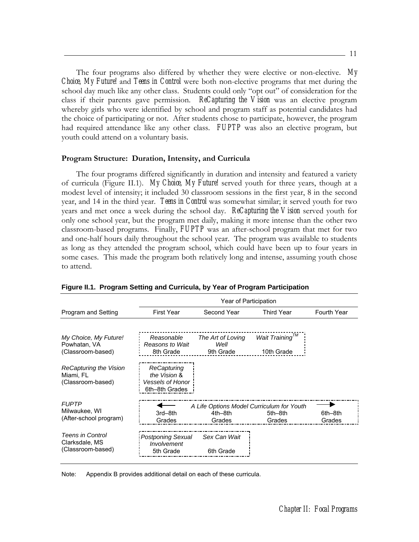The four programs also differed by whether they were elective or non-elective. *My Choice, My Future!* and *Teens in Control* were both non-elective programs that met during the school day much like any other class. Students could only "opt out" of consideration for the class if their parents gave permission. *ReCapturing the Vision* was an elective program whereby girls who were identified by school and program staff as potential candidates had the choice of participating or not. After students chose to participate, however, the program had required attendance like any other class. *FUPTP* was also an elective program, but youth could attend on a voluntary basis.

#### **Program Structure: Duration, Intensity, and Curricula**

The four programs differed significantly in duration and intensity and featured a variety of curricula (Figure II.1). *My Choice, My Future!* served youth for three years, though at a modest level of intensity; it included 30 classroom sessions in the first year, 8 in the second year, and 14 in the third year. *Teens in Control* was somewhat similar; it served youth for two years and met once a week during the school day. *ReCapturing the Vision* served youth for only one school year, but the program met daily, making it more intense than the other two classroom-based programs. Finally, *FUPTP* was an after-school program that met for two and one-half hours daily throughout the school year. The program was available to students as long as they attended the program school, which could have been up to four years in some cases. This made the program both relatively long and intense, assuming youth chose to attend.

|                                                                 | Year of Participation                                                    |                           |                   |                   |
|-----------------------------------------------------------------|--------------------------------------------------------------------------|---------------------------|-------------------|-------------------|
| Program and Setting                                             | <b>First Year</b>                                                        | Second Year               | <b>Third Year</b> | Fourth Year       |
|                                                                 |                                                                          |                           |                   |                   |
| My Choice, My Future!<br>Powhatan, VA                           | Reasonable<br>Reasons to Wait                                            | The Art of Loving<br>Well | Wait Training™    |                   |
| (Classroom-based)                                               | 8th Grade                                                                | 9th Grade                 | 10th Grade        |                   |
| <b>ReCapturing the Vision</b><br>Miami, FL<br>(Classroom-based) | ReCapturing<br>the Vision &<br><b>Vessels of Honor</b><br>6th-8th Grades |                           |                   |                   |
| <b>FUPTP</b>                                                    | A Life Options Model Curriculum for Youth                                |                           |                   |                   |
| Milwaukee, WI<br>(After-school program)                         | 3rd-8th<br>Grades                                                        | 4th–8th<br>Grades         | 5th-8th<br>Grades | 6th-8th<br>Grades |
| <b>Teens in Control</b><br>Clarksdale, MS<br>(Classroom-based)  | <b>Postponing Sexual</b><br>Involvement<br>5th Grade                     | Sex Can Wait<br>6th Grade |                   |                   |

**Figure II.1. Program Setting and Curricula, by Year of Program Participation** 

Note: Appendix B provides additional detail on each of these curricula.

11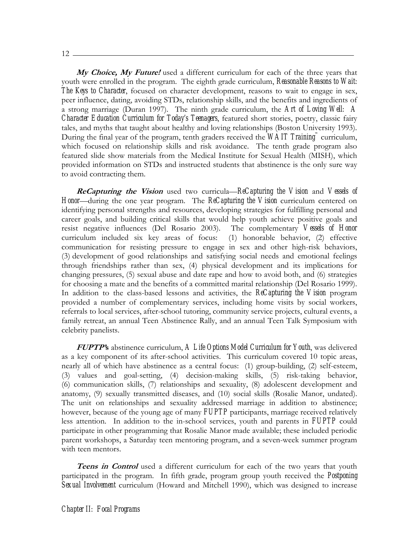$12 -$ 

**My Choice, My Future!** used a different curriculum for each of the three years that youth were enrolled in the program. The eighth grade curriculum, *Reasonable Reasons to Wait: The Keys to Character*, focused on character development, reasons to wait to engage in sex, peer influence, dating, avoiding STDs, relationship skills, and the benefits and ingredients of a strong marriage (Duran 1997). The ninth grade curriculum, the *Art of Loving Well: A Character Education Curriculum for Today's Teenagers*, featured short stories, poetry, classic fairy tales, and myths that taught about healthy and loving relationships (Boston University 1993). During the final year of the program, tenth graders received the *WAIT Training™* curriculum, which focused on relationship skills and risk avoidance. The tenth grade program also featured slide show materials from the Medical Institute for Sexual Health (MISH), which provided information on STDs and instructed students that abstinence is the only sure way to avoid contracting them.

**ReCapturing the Vision** used two curricula—ReCapturing the Vision and Vessels of *Honor*—during the one year program. The *ReCapturing the Vision* curriculum centered on identifying personal strengths and resources, developing strategies for fulfilling personal and career goals, and building critical skills that would help youth achieve positive goals and resist negative influences (Del Rosario 2003). The complementary *Vessels of Honor* curriculum included six key areas of focus: (1) honorable behavior, (2) effective communication for resisting pressure to engage in sex and other high-risk behaviors, (3) development of good relationships and satisfying social needs and emotional feelings through friendships rather than sex, (4) physical development and its implications for changing pressures, (5) sexual abuse and date rape and how to avoid both, and (6) strategies for choosing a mate and the benefits of a committed marital relationship (Del Rosario 1999). In addition to the class-based lessons and activities, the *ReCapturing the Vision* program provided a number of complementary services, including home visits by social workers, referrals to local services, after-school tutoring, community service projects, cultural events, a family retreat, an annual Teen Abstinence Rally, and an annual Teen Talk Symposium with celebrity panelists.

**FUPTPís** abstinence curriculum, *A Life Options Model Curriculum for Youth*, was delivered as a key component of its after-school activities. This curriculum covered 10 topic areas, nearly all of which have abstinence as a central focus: (1) group-building, (2) self-esteem, (3) values and goal-setting, (4) decision-making skills, (5) risk-taking behavior, (6) communication skills, (7) relationships and sexuality, (8) adolescent development and anatomy, (9) sexually transmitted diseases, and (10) social skills (Rosalie Manor, undated). The unit on relationships and sexuality addressed marriage in addition to abstinence; however, because of the young age of many *FUPTP* participants, marriage received relatively less attention. In addition to the in-school services, youth and parents in *FUPTP* could participate in other programming that Rosalie Manor made available; these included periodic parent workshops, a Saturday teen mentoring program, and a seven-week summer program with teen mentors.

**Teens in Control** used a different curriculum for each of the two years that youth participated in the program. In fifth grade, program group youth received the *Postponing Sexual Involvement* curriculum (Howard and Mitchell 1990), which was designed to increase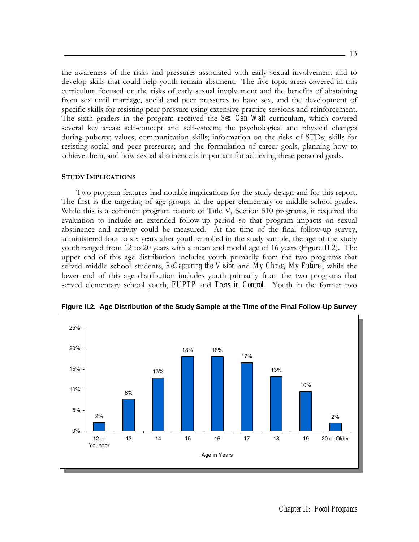the awareness of the risks and pressures associated with early sexual involvement and to develop skills that could help youth remain abstinent. The five topic areas covered in this curriculum focused on the risks of early sexual involvement and the benefits of abstaining from sex until marriage, social and peer pressures to have sex, and the development of specific skills for resisting peer pressure using extensive practice sessions and reinforcement. The sixth graders in the program received the *Sex Can Wait* curriculum, which covered several key areas: self-concept and self-esteem; the psychological and physical changes during puberty; values; communication skills; information on the risks of STDs; skills for resisting social and peer pressures; and the formulation of career goals, planning how to achieve them, and how sexual abstinence is important for achieving these personal goals.

# **STUDY IMPLICATIONS**

Two program features had notable implications for the study design and for this report. The first is the targeting of age groups in the upper elementary or middle school grades. While this is a common program feature of Title V, Section 510 programs, it required the evaluation to include an extended follow-up period so that program impacts on sexual abstinence and activity could be measured. At the time of the final follow-up survey, administered four to six years after youth enrolled in the study sample, the age of the study youth ranged from 12 to 20 years with a mean and modal age of 16 years (Figure II.2). The upper end of this age distribution includes youth primarily from the two programs that served middle school students, *ReCapturing the Vision* and *My Choice, My Future!*, while the lower end of this age distribution includes youth primarily from the two programs that served elementary school youth, *FUPTP* and *Teens in Control.* Youth in the former two



**Figure II.2. Age Distribution of the Study Sample at the Time of the Final Follow-Up Survey**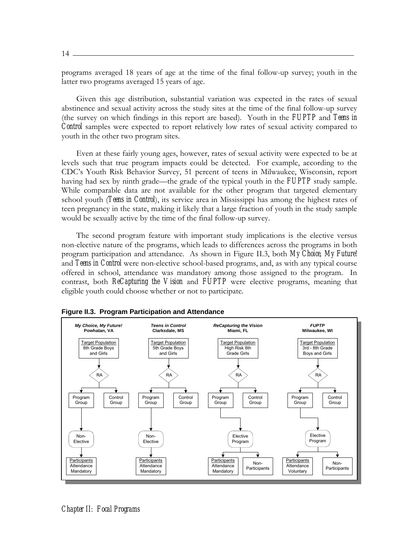programs averaged 18 years of age at the time of the final follow-up survey; youth in the latter two programs averaged 15 years of age.

Given this age distribution, substantial variation was expected in the rates of sexual abstinence and sexual activity across the study sites at the time of the final follow-up survey (the survey on which findings in this report are based). Youth in the *FUPTP* and *Teens in Control* samples were expected to report relatively low rates of sexual activity compared to youth in the other two program sites.

Even at these fairly young ages, however, rates of sexual activity were expected to be at levels such that true program impacts could be detected. For example, according to the CDCís Youth Risk Behavior Survey, 51 percent of teens in Milwaukee, Wisconsin, report having had sex by ninth grade—the grade of the typical youth in the *FUPTP* study sample. While comparable data are not available for the other program that targeted elementary school youth (*Teens in Control*), its service area in Mississippi has among the highest rates of teen pregnancy in the state, making it likely that a large fraction of youth in the study sample would be sexually active by the time of the final follow-up survey.

The second program feature with important study implications is the elective versus non-elective nature of the programs, which leads to differences across the programs in both program participation and attendance. As shown in Figure II.3, both *My Choice, My Future!* and *Teens in Control* were non-elective school-based programs, and, as with any typical course offered in school, attendance was mandatory among those assigned to the program. In contrast, both *ReCapturing the Vision* and *FUPTP* were elective programs, meaning that eligible youth could choose whether or not to participate.





*Chapter II: Focal Programs*

14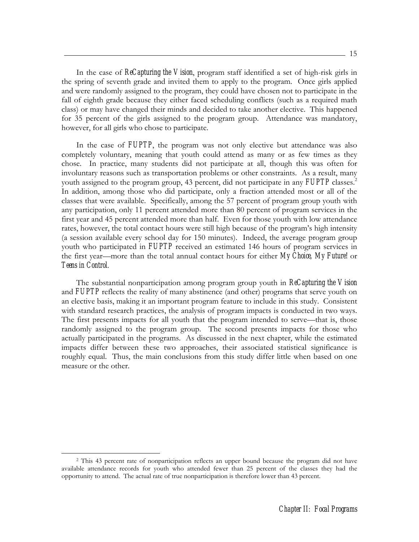15

In the case of *ReCapturing the Vision*, program staff identified a set of high-risk girls in the spring of seventh grade and invited them to apply to the program. Once girls applied and were randomly assigned to the program, they could have chosen not to participate in the fall of eighth grade because they either faced scheduling conflicts (such as a required math class) or may have changed their minds and decided to take another elective. This happened for 35 percent of the girls assigned to the program group. Attendance was mandatory, however, for all girls who chose to participate.

In the case of *FUPTP*, the program was not only elective but attendance was also completely voluntary, meaning that youth could attend as many or as few times as they chose. In practice, many students did not participate at all, though this was often for involuntary reasons such as transportation problems or other constraints. As a result, many youth assigned to the program group, 43 percent, did not participate in any *FUPTP* classes.2 In addition, among those who did participate, only a fraction attended most or all of the classes that were available. Specifically, among the 57 percent of program group youth with any participation, only 11 percent attended more than 80 percent of program services in the first year and 45 percent attended more than half. Even for those youth with low attendance rates, however, the total contact hours were still high because of the program's high intensity (a session available every school day for 150 minutes). Indeed, the average program group youth who participated in *FUPTP* received an estimated 146 hours of program services in the first year—more than the total annual contact hours for either *My Choice, My Future!* or *Teens in Control*.

The substantial nonparticipation among program group youth in *ReCapturing the Vision* and *FUPTP* reflects the reality of many abstinence (and other) programs that serve youth on an elective basis, making it an important program feature to include in this study. Consistent with standard research practices, the analysis of program impacts is conducted in two ways. The first presents impacts for all youth that the program intended to serve—that is, those randomly assigned to the program group. The second presents impacts for those who actually participated in the programs. As discussed in the next chapter, while the estimated impacts differ between these two approaches, their associated statistical significance is roughly equal. Thus, the main conclusions from this study differ little when based on one measure or the other.

<u>.</u>

<sup>&</sup>lt;sup>2</sup> This 43 percent rate of nonparticipation reflects an upper bound because the program did not have available attendance records for youth who attended fewer than 25 percent of the classes they had the opportunity to attend. The actual rate of true nonparticipation is therefore lower than 43 percent.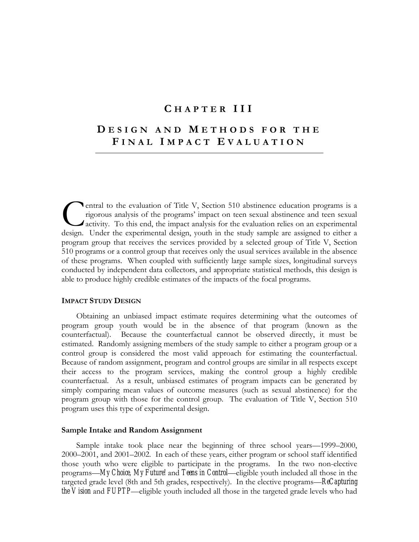# **C HAPTER III**

# **D ESIGN AND M ETHODS FOR THE F INAL I MPACT E VALUATION**

entral to the evaluation of Title V, Section 510 abstinence education programs is a rigorous analysis of the programs' impact on teen sexual abstinence and teen sexual Activity. To this end, the impact analysis for the evaluation relies on an experimental entral to the evaluation of Title V, Section 510 abstinence education programs is a rigorous analysis of the programs' impact on teen sexual abstinence and teen sexual activity. To this end, the impact analysis for the eva program group that receives the services provided by a selected group of Title V, Section 510 programs or a control group that receives only the usual services available in the absence of these programs. When coupled with sufficiently large sample sizes, longitudinal surveys conducted by independent data collectors, and appropriate statistical methods, this design is able to produce highly credible estimates of the impacts of the focal programs.

# **IMPACT STUDY DESIGN**

Obtaining an unbiased impact estimate requires determining what the outcomes of program group youth would be in the absence of that program (known as the counterfactual). Because the counterfactual cannot be observed directly, it must be estimated. Randomly assigning members of the study sample to either a program group or a control group is considered the most valid approach for estimating the counterfactual. Because of random assignment, program and control groups are similar in all respects except their access to the program services, making the control group a highly credible counterfactual. As a result, unbiased estimates of program impacts can be generated by simply comparing mean values of outcome measures (such as sexual abstinence) for the program group with those for the control group. The evaluation of Title V, Section 510 program uses this type of experimental design.

# **Sample Intake and Random Assignment**

Sample intake took place near the beginning of three school years—1999–2000, 2000–2001, and 2001–2002. In each of these years, either program or school staff identified those youth who were eligible to participate in the programs. In the two non-elective programs—*My Choice, My Future!* and *Teens in Control*—eligible youth included all those in the targeted grade level (8th and 5th grades, respectively). In the elective programs—*ReCapturing the Vision* and *FUPTP*—eligible youth included all those in the targeted grade levels who had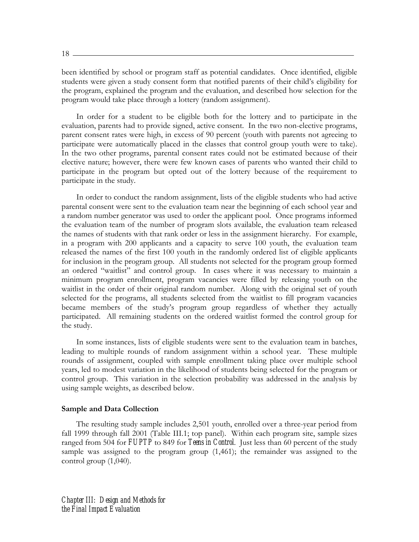18

been identified by school or program staff as potential candidates. Once identified, eligible students were given a study consent form that notified parents of their child's eligibility for the program, explained the program and the evaluation, and described how selection for the program would take place through a lottery (random assignment).

In order for a student to be eligible both for the lottery and to participate in the evaluation, parents had to provide signed, active consent. In the two non-elective programs, parent consent rates were high, in excess of 90 percent (youth with parents not agreeing to participate were automatically placed in the classes that control group youth were to take). In the two other programs, parental consent rates could not be estimated because of their elective nature; however, there were few known cases of parents who wanted their child to participate in the program but opted out of the lottery because of the requirement to participate in the study.

In order to conduct the random assignment, lists of the eligible students who had active parental consent were sent to the evaluation team near the beginning of each school year and a random number generator was used to order the applicant pool. Once programs informed the evaluation team of the number of program slots available, the evaluation team released the names of students with that rank order or less in the assignment hierarchy. For example, in a program with 200 applicants and a capacity to serve 100 youth, the evaluation team released the names of the first 100 youth in the randomly ordered list of eligible applicants for inclusion in the program group. All students not selected for the program group formed an ordered "waitlist" and control group. In cases where it was necessary to maintain a minimum program enrollment, program vacancies were filled by releasing youth on the waitlist in the order of their original random number. Along with the original set of youth selected for the programs, all students selected from the waitlist to fill program vacancies became members of the study's program group regardless of whether they actually participated. All remaining students on the ordered waitlist formed the control group for the study.

In some instances, lists of eligible students were sent to the evaluation team in batches, leading to multiple rounds of random assignment within a school year. These multiple rounds of assignment, coupled with sample enrollment taking place over multiple school years, led to modest variation in the likelihood of students being selected for the program or control group. This variation in the selection probability was addressed in the analysis by using sample weights, as described below.

# **Sample and Data Collection**

The resulting study sample includes 2,501 youth, enrolled over a three-year period from fall 1999 through fall 2001 (Table III.1; top panel). Within each program site, sample sizes ranged from 504 for *FUPTP* to 849 for *Teens in Control*. Just less than 60 percent of the study sample was assigned to the program group (1,461); the remainder was assigned to the control group (1,040).

*Chapter III: Design and Methods for the Final Impact Evaluation*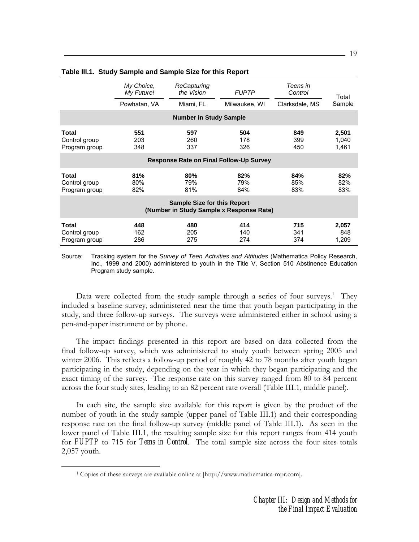|                                                                                | My Choice,<br>My Future!<br>Powhatan, VA | ReCapturing<br>the Vision<br>Miami, FL | <b>FUPTP</b><br>Milwaukee, WI                  |                   | Total<br>Sample         |  |
|--------------------------------------------------------------------------------|------------------------------------------|----------------------------------------|------------------------------------------------|-------------------|-------------------------|--|
|                                                                                |                                          | <b>Number in Study Sample</b>          |                                                |                   |                         |  |
| Total<br>Control group<br>Program group                                        | 551<br>203<br>348                        | 597<br>260<br>337                      | 504<br>178<br>326                              | 849<br>399<br>450 | 2,501<br>1.040<br>1,461 |  |
|                                                                                |                                          |                                        | <b>Response Rate on Final Follow-Up Survey</b> |                   |                         |  |
| Total<br>Control group<br>Program group                                        | 81%<br>80%<br>82%                        | 80%<br>79%<br>81%                      | 82%<br>79%<br>84%                              | 84%<br>85%<br>83% | 82%<br>82%<br>83%       |  |
| <b>Sample Size for this Report</b><br>(Number in Study Sample x Response Rate) |                                          |                                        |                                                |                   |                         |  |
| Total<br>Control group<br>Program group                                        | 448<br>162<br>286                        | 480<br>205<br>275                      | 414<br>140<br>274                              | 715<br>341<br>374 | 2,057<br>848<br>1,209   |  |

# **Table III.1. Study Sample and Sample Size for this Report**

Source: Tracking system for the *Survey of Teen Activities and Attitudes* (Mathematica Policy Research, Inc., 1999 and 2000) administered to youth in the Title V, Section 510 Abstinence Education Program study sample.

Data were collected from the study sample through a series of four surveys.<sup>1</sup> They included a baseline survey, administered near the time that youth began participating in the study, and three follow-up surveys. The surveys were administered either in school using a pen-and-paper instrument or by phone.

The impact findings presented in this report are based on data collected from the final follow-up survey, which was administered to study youth between spring 2005 and winter 2006. This reflects a follow-up period of roughly 42 to 78 months after youth began participating in the study, depending on the year in which they began participating and the exact timing of the survey. The response rate on this survey ranged from 80 to 84 percent across the four study sites, leading to an 82 percent rate overall (Table III.1, middle panel).

In each site, the sample size available for this report is given by the product of the number of youth in the study sample (upper panel of Table III.1) and their corresponding response rate on the final follow-up survey (middle panel of Table III.1). As seen in the lower panel of Table III.1, the resulting sample size for this report ranges from 414 youth for *FUPTP* to 715 for *Teens in Control*. The total sample size across the four sites totals 2,057 youth.

 $\overline{a}$ 

<sup>1</sup> Copies of these surveys are available online at [http://www.mathematica-mpr.com].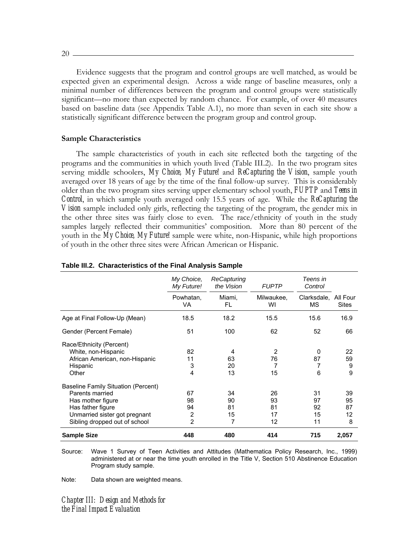Evidence suggests that the program and control groups are well matched, as would be expected given an experimental design. Across a wide range of baseline measures, only a minimal number of differences between the program and control groups were statistically significant—no more than expected by random chance. For example, of over 40 measures based on baseline data (see Appendix Table A.1), no more than seven in each site show a statistically significant difference between the program group and control group.

## **Sample Characteristics**

The sample characteristics of youth in each site reflected both the targeting of the programs and the communities in which youth lived (Table III.2). In the two program sites serving middle schoolers, *My Choice, My Future!* and *ReCapturing the Vision*, sample youth averaged over 18 years of age by the time of the final follow-up survey. This is considerably older than the two program sites serving upper elementary school youth, *FUPTP* and *Teens in Control*, in which sample youth averaged only 15.5 years of age. While the *ReCapturing the Vision* sample included only girls, reflecting the targeting of the program, the gender mix in the other three sites was fairly close to even. The race/ethnicity of youth in the study samples largely reflected their communities' composition. More than 80 percent of the youth in the *My Choice, My Future!* sample were white, non-Hispanic, while high proportions of youth in the other three sites were African American or Hispanic.

|                                                                                                                                                                    | My Choice,<br>My Future! | ReCapturing<br>the Vision | <b>FUPTP</b>               | Teens in<br>Control        |                           |
|--------------------------------------------------------------------------------------------------------------------------------------------------------------------|--------------------------|---------------------------|----------------------------|----------------------------|---------------------------|
|                                                                                                                                                                    | Powhatan,<br>VA          | Miami,<br>FL              | Milwaukee,<br>WI           | Clarksdale,<br><b>MS</b>   | All Four<br><b>Sites</b>  |
| Age at Final Follow-Up (Mean)                                                                                                                                      | 18.5                     | 18.2                      | 15.5                       | 15.6                       | 16.9                      |
| Gender (Percent Female)                                                                                                                                            | 51                       | 100                       | 62                         | 52                         | 66                        |
| Race/Ethnicity (Percent)<br>White, non-Hispanic<br>African American, non-Hispanic<br>Hispanic<br>Other                                                             | 82<br>11<br>3<br>4       | 4<br>63<br>20<br>13       | 2<br>76<br>7<br>15         | $\Omega$<br>87<br>6        | 22<br>59<br>9<br>9        |
| Baseline Family Situation (Percent)<br>Parents married<br>Has mother figure<br>Has father figure<br>Unmarried sister got pregnant<br>Sibling dropped out of school | 67<br>98<br>94<br>2<br>2 | 34<br>90<br>81<br>15<br>7 | 26<br>93<br>81<br>17<br>12 | 31<br>97<br>92<br>15<br>11 | 39<br>95<br>87<br>12<br>8 |
| <b>Sample Size</b>                                                                                                                                                 | 448                      | 480                       | 414                        | 715                        | 2,057                     |

#### **Table III.2. Characteristics of the Final Analysis Sample**

Source: Wave 1 Survey of Teen Activities and Attitudes (Mathematica Policy Research, Inc., 1999) administered at or near the time youth enrolled in the Title V, Section 510 Abstinence Education Program study sample.

Note: Data shown are weighted means.

*Chapter III: Design and Methods for the Final Impact Evaluation*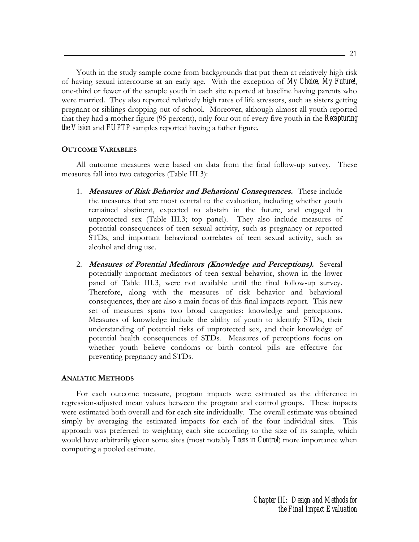Youth in the study sample come from backgrounds that put them at relatively high risk of having sexual intercourse at an early age. With the exception of *My Choice, My Future!*, one-third or fewer of the sample youth in each site reported at baseline having parents who were married. They also reported relatively high rates of life stressors, such as sisters getting pregnant or siblings dropping out of school. Moreover, although almost all youth reported that they had a mother figure (95 percent), only four out of every five youth in the *Recapturing the Vision* and *FUPTP* samples reported having a father figure.

#### **OUTCOME VARIABLES**

All outcome measures were based on data from the final follow-up survey. These measures fall into two categories (Table III.3):

- 1. **Measures of Risk Behavior and Behavioral Consequences.** These include the measures that are most central to the evaluation, including whether youth remained abstinent, expected to abstain in the future, and engaged in unprotected sex (Table III.3; top panel). They also include measures of potential consequences of teen sexual activity, such as pregnancy or reported STDs, and important behavioral correlates of teen sexual activity, such as alcohol and drug use.
- 2. **Measures of Potential Mediators (Knowledge and Perceptions).** Several potentially important mediators of teen sexual behavior, shown in the lower panel of Table III.3, were not available until the final follow-up survey. Therefore, along with the measures of risk behavior and behavioral consequences, they are also a main focus of this final impacts report. This new set of measures spans two broad categories: knowledge and perceptions. Measures of knowledge include the ability of youth to identify STDs, their understanding of potential risks of unprotected sex, and their knowledge of potential health consequences of STDs. Measures of perceptions focus on whether youth believe condoms or birth control pills are effective for preventing pregnancy and STDs.

# **ANALYTIC METHODS**

For each outcome measure, program impacts were estimated as the difference in regression-adjusted mean values between the program and control groups. These impacts were estimated both overall and for each site individually. The overall estimate was obtained simply by averaging the estimated impacts for each of the four individual sites. This approach was preferred to weighting each site according to the size of its sample, which would have arbitrarily given some sites (most notably *Teens in Control*) more importance when computing a pooled estimate.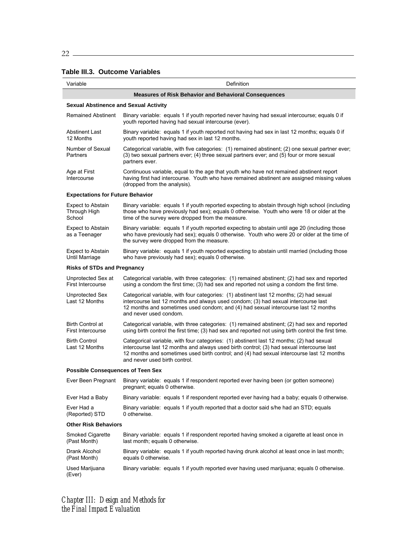$22$   $\overline{\phantom{1}}$ 

# **Table III.3. Outcome Variables**

| Variable                                           | Definition                                                                                                                                                                                                                                                                                                          |
|----------------------------------------------------|---------------------------------------------------------------------------------------------------------------------------------------------------------------------------------------------------------------------------------------------------------------------------------------------------------------------|
|                                                    | <b>Measures of Risk Behavior and Behavioral Consequences</b>                                                                                                                                                                                                                                                        |
| <b>Sexual Abstinence and Sexual Activity</b>       |                                                                                                                                                                                                                                                                                                                     |
| <b>Remained Abstinent</b>                          | Binary variable: equals 1 if youth reported never having had sexual intercourse; equals 0 if<br>youth reported having had sexual intercourse (ever).                                                                                                                                                                |
| <b>Abstinent Last</b><br>12 Months                 | Binary variable: equals 1 if youth reported not having had sex in last 12 months; equals 0 if<br>youth reported having had sex in last 12 months.                                                                                                                                                                   |
| Number of Sexual<br>Partners                       | Categorical variable, with five categories: (1) remained abstinent; (2) one sexual partner ever;<br>(3) two sexual partners ever; (4) three sexual partners ever; and (5) four or more sexual<br>partners ever.                                                                                                     |
| Age at First<br>Intercourse                        | Continuous variable, equal to the age that youth who have not remained abstinent report<br>having first had intercourse. Youth who have remained abstinent are assigned missing values<br>(dropped from the analysis).                                                                                              |
| <b>Expectations for Future Behavior</b>            |                                                                                                                                                                                                                                                                                                                     |
| <b>Expect to Abstain</b><br>Through High<br>School | Binary variable: equals 1 if youth reported expecting to abstain through high school (including<br>those who have previously had sex); equals 0 otherwise. Youth who were 18 or older at the<br>time of the survey were dropped from the measure.                                                                   |
| <b>Expect to Abstain</b><br>as a Teenager          | Binary variable: equals 1 if youth reported expecting to abstain until age 20 (including those<br>who have previously had sex); equals 0 otherwise. Youth who were 20 or older at the time of<br>the survey were dropped from the measure.                                                                          |
| <b>Expect to Abstain</b><br>Until Marriage         | Binary variable: equals 1 if youth reported expecting to abstain until married (including those<br>who have previously had sex); equals 0 otherwise.                                                                                                                                                                |
| <b>Risks of STDs and Pregnancy</b>                 |                                                                                                                                                                                                                                                                                                                     |
| Unprotected Sex at<br><b>First Intercourse</b>     | Categorical variable, with three categories: (1) remained abstinent; (2) had sex and reported<br>using a condom the first time; (3) had sex and reported not using a condom the first time.                                                                                                                         |
| Unprotected Sex<br>Last 12 Months                  | Categorical variable, with four categories: (1) abstinent last 12 months; (2) had sexual<br>intercourse last 12 months and always used condom; (3) had sexual intercourse last<br>12 months and sometimes used condom; and (4) had sexual intercourse last 12 months<br>and never used condom.                      |
| Birth Control at<br>First Intercourse              | Categorical variable, with three categories: (1) remained abstinent; (2) had sex and reported<br>using birth control the first time; (3) had sex and reported not using birth control the first time.                                                                                                               |
| <b>Birth Control</b><br>Last 12 Months             | Categorical variable, with four categories: (1) abstinent last 12 months; (2) had sexual<br>intercourse last 12 months and always used birth control; (3) had sexual intercourse last<br>12 months and sometimes used birth control; and (4) had sexual intercourse last 12 months<br>and never used birth control. |
| <b>Possible Consequences of Teen Sex</b>           |                                                                                                                                                                                                                                                                                                                     |
| Ever Been Pregnant                                 | Binary variable: equals 1 if respondent reported ever having been (or gotten someone)<br>pregnant; equals 0 otherwise.                                                                                                                                                                                              |
| Ever Had a Baby                                    | Binary variable: equals 1 if respondent reported ever having had a baby; equals 0 otherwise.                                                                                                                                                                                                                        |
| Ever Had a<br>(Reported) STD                       | Binary variable: equals 1 if youth reported that a doctor said s/he had an STD; equals<br>0 otherwise.                                                                                                                                                                                                              |
| <b>Other Risk Behaviors</b>                        |                                                                                                                                                                                                                                                                                                                     |
| Smoked Cigarette<br>(Past Month)                   | Binary variable: equals 1 if respondent reported having smoked a cigarette at least once in<br>last month; equals 0 otherwise.                                                                                                                                                                                      |
| Drank Alcohol<br>(Past Month)                      | Binary variable: equals 1 if youth reported having drunk alcohol at least once in last month;<br>equals 0 otherwise.                                                                                                                                                                                                |
| Used Marijuana<br>(Ever)                           | Binary variable: equals 1 if youth reported ever having used marijuana; equals 0 otherwise.                                                                                                                                                                                                                         |

*Chapter III: Design and Methods for the Final Impact Evaluation*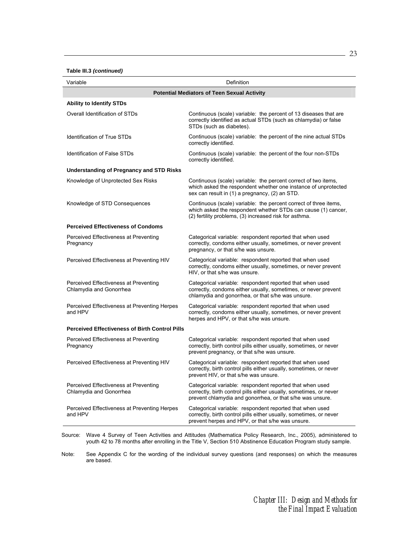**Table III.3** *(continued)*

 $\overline{a}$ 

| $i$ able $ii.5$ (continued)                                      |                                                                                                                                                                                             |
|------------------------------------------------------------------|---------------------------------------------------------------------------------------------------------------------------------------------------------------------------------------------|
| Variable                                                         | Definition                                                                                                                                                                                  |
|                                                                  | <b>Potential Mediators of Teen Sexual Activity</b>                                                                                                                                          |
| <b>Ability to Identify STDs</b>                                  |                                                                                                                                                                                             |
| Overall Identification of STDs                                   | Continuous (scale) variable: the percent of 13 diseases that are<br>correctly identified as actual STDs (such as chlamydia) or false<br>STDs (such as diabetes).                            |
| <b>Identification of True STDs</b>                               | Continuous (scale) variable: the percent of the nine actual STDs<br>correctly identified.                                                                                                   |
| <b>Identification of False STDs</b>                              | Continuous (scale) variable: the percent of the four non-STDs<br>correctly identified.                                                                                                      |
| <b>Understanding of Pregnancy and STD Risks</b>                  |                                                                                                                                                                                             |
| Knowledge of Unprotected Sex Risks                               | Continuous (scale) variable: the percent correct of two items,<br>which asked the respondent whether one instance of unprotected<br>sex can result in (1) a pregnancy, (2) an STD.          |
| Knowledge of STD Consequences                                    | Continuous (scale) variable: the percent correct of three items,<br>which asked the respondent whether STDs can cause (1) cancer,<br>(2) fertility problems, (3) increased risk for asthma. |
| <b>Perceived Effectiveness of Condoms</b>                        |                                                                                                                                                                                             |
| Perceived Effectiveness at Preventing<br>Pregnancy               | Categorical variable: respondent reported that when used<br>correctly, condoms either usually, sometimes, or never prevent<br>pregnancy, or that s/he was unsure.                           |
| Perceived Effectiveness at Preventing HIV                        | Categorical variable: respondent reported that when used<br>correctly, condoms either usually, sometimes, or never prevent<br>HIV, or that s/he was unsure.                                 |
| Perceived Effectiveness at Preventing<br>Chlamydia and Gonorrhea | Categorical variable: respondent reported that when used<br>correctly, condoms either usually, sometimes, or never prevent<br>chlamydia and gonorrhea, or that s/he was unsure.             |
| Perceived Effectiveness at Preventing Herpes<br>and HPV          | Categorical variable: respondent reported that when used<br>correctly, condoms either usually, sometimes, or never prevent<br>herpes and HPV, or that s/he was unsure.                      |
| <b>Perceived Effectiveness of Birth Control Pills</b>            |                                                                                                                                                                                             |
| Perceived Effectiveness at Preventing<br>Pregnancy               | Categorical variable: respondent reported that when used<br>correctly, birth control pills either usually, sometimes, or never<br>prevent pregnancy, or that s/he was unsure.               |
| Perceived Effectiveness at Preventing HIV                        | Categorical variable: respondent reported that when used<br>correctly, birth control pills either usually, sometimes, or never<br>prevent HIV, or that s/he was unsure.                     |
| Perceived Effectiveness at Preventing<br>Chlamydia and Gonorrhea | Categorical variable: respondent reported that when used<br>correctly, birth control pills either usually, sometimes, or never<br>prevent chlamydia and gonorrhea, or that s/he was unsure. |
| Perceived Effectiveness at Preventing Herpes<br>and HPV          | Categorical variable: respondent reported that when used<br>correctly, birth control pills either usually, sometimes, or never<br>prevent herpes and HPV, or that s/he was unsure.          |

Source: Wave 4 Survey of Teen Activities and Attitudes (Mathematica Policy Research, Inc., 2005), administered to youth 42 to 78 months after enrolling in the Title V, Section 510 Abstinence Education Program study sample.

Note: See Appendix C for the wording of the individual survey questions (and responses) on which the measures are based.

# *Chapter III: Design and Methods for*

*the Final Impact Evaluation* 

 $-$  23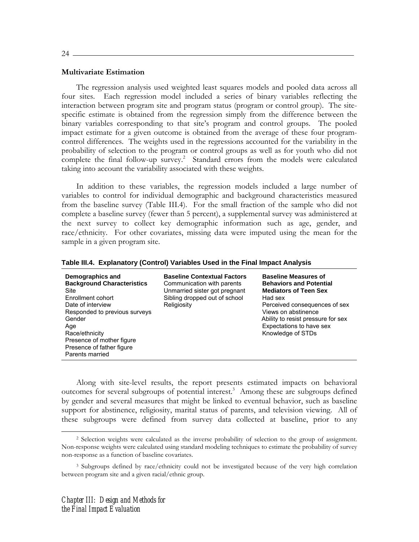## **Multivariate Estimation**

The regression analysis used weighted least squares models and pooled data across all four sites. Each regression model included a series of binary variables reflecting the interaction between program site and program status (program or control group). The sitespecific estimate is obtained from the regression simply from the difference between the binary variables corresponding to that site's program and control groups. The pooled impact estimate for a given outcome is obtained from the average of these four programcontrol differences. The weights used in the regressions accounted for the variability in the probability of selection to the program or control groups as well as for youth who did not complete the final follow-up survey.<sup>2</sup> Standard errors from the models were calculated taking into account the variability associated with these weights.

In addition to these variables, the regression models included a large number of variables to control for individual demographic and background characteristics measured from the baseline survey (Table III.4). For the small fraction of the sample who did not complete a baseline survey (fewer than 5 percent), a supplemental survey was administered at the next survey to collect key demographic information such as age, gender, and race/ethnicity. For other covariates, missing data were imputed using the mean for the sample in a given program site.

| Demographics and<br><b>Background Characteristics</b><br>Site<br>Enrollment cohort<br>Date of interview<br>Responded to previous surveys<br>Gender<br>Age<br>Race/ethnicity<br>Presence of mother figure<br>Presence of father figure<br>Parents married | <b>Baseline Contextual Factors</b><br>Communication with parents<br>Unmarried sister got pregnant<br>Sibling dropped out of school<br>Religiosity | <b>Baseline Measures of</b><br><b>Behaviors and Potential</b><br><b>Mediators of Teen Sex</b><br>Had sex<br>Perceived consequences of sex<br>Views on abstinence<br>Ability to resist pressure for sex<br>Expectations to have sex<br>Knowledge of STDs |
|----------------------------------------------------------------------------------------------------------------------------------------------------------------------------------------------------------------------------------------------------------|---------------------------------------------------------------------------------------------------------------------------------------------------|---------------------------------------------------------------------------------------------------------------------------------------------------------------------------------------------------------------------------------------------------------|
|----------------------------------------------------------------------------------------------------------------------------------------------------------------------------------------------------------------------------------------------------------|---------------------------------------------------------------------------------------------------------------------------------------------------|---------------------------------------------------------------------------------------------------------------------------------------------------------------------------------------------------------------------------------------------------------|

**Table III.4. Explanatory (Control) Variables Used in the Final Impact Analysis** 

Along with site-level results, the report presents estimated impacts on behavioral outcomes for several subgroups of potential interest.<sup>3</sup> Among these are subgroups defined by gender and several measures that might be linked to eventual behavior, such as baseline support for abstinence, religiosity, marital status of parents, and television viewing. All of these subgroups were defined from survey data collected at baseline, prior to any

<u>.</u>

<sup>2</sup> Selection weights were calculated as the inverse probability of selection to the group of assignment. Non-response weights were calculated using standard modeling techniques to estimate the probability of survey non-response as a function of baseline covariates.

<sup>&</sup>lt;sup>3</sup> Subgroups defined by race/ethnicity could not be investigated because of the very high correlation between program site and a given racial/ethnic group.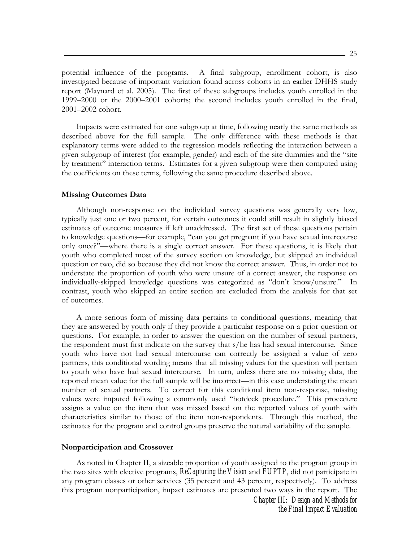potential influence of the programs. A final subgroup, enrollment cohort, is also investigated because of important variation found across cohorts in an earlier DHHS study report (Maynard et al. 2005). The first of these subgroups includes youth enrolled in the 1999 $-2000$  or the 2000 $-2001$  cohorts; the second includes youth enrolled in the final, 2001-2002 cohort.

Impacts were estimated for one subgroup at time, following nearly the same methods as described above for the full sample. The only difference with these methods is that explanatory terms were added to the regression models reflecting the interaction between a given subgroup of interest (for example, gender) and each of the site dummies and the "site by treatment" interaction terms. Estimates for a given subgroup were then computed using the coefficients on these terms, following the same procedure described above.

#### **Missing Outcomes Data**

Although non-response on the individual survey questions was generally very low, typically just one or two percent, for certain outcomes it could still result in slightly biased estimates of outcome measures if left unaddressed. The first set of these questions pertain to knowledge questions—for example, "can you get pregnant if you have sexual intercourse only once?"—where there is a single correct answer. For these questions, it is likely that youth who completed most of the survey section on knowledge, but skipped an individual question or two, did so because they did not know the correct answer. Thus, in order not to understate the proportion of youth who were unsure of a correct answer, the response on individually-skipped knowledge questions was categorized as "don't know/unsure." In contrast, youth who skipped an entire section are excluded from the analysis for that set of outcomes.

A more serious form of missing data pertains to conditional questions, meaning that they are answered by youth only if they provide a particular response on a prior question or questions. For example, in order to answer the question on the number of sexual partners, the respondent must first indicate on the survey that s/he has had sexual intercourse. Since youth who have not had sexual intercourse can correctly be assigned a value of zero partners, this conditional wording means that all missing values for the question will pertain to youth who have had sexual intercourse. In turn, unless there are no missing data, the reported mean value for the full sample will be incorrect—in this case understating the mean number of sexual partners. To correct for this conditional item non-response, missing values were imputed following a commonly used "hotdeck procedure." This procedure assigns a value on the item that was missed based on the reported values of youth with characteristics similar to those of the item non-respondents. Through this method, the estimates for the program and control groups preserve the natural variability of the sample.

## **Nonparticipation and Crossover**

As noted in Chapter II, a sizeable proportion of youth assigned to the program group in the two sites with elective programs, *ReCapturing the Vision* and *FUPTP*, did not participate in any program classes or other services (35 percent and 43 percent, respectively). To address this program nonparticipation, impact estimates are presented two ways in the report. The

*Chapter III: Design and Methods for the Final Impact Evaluation*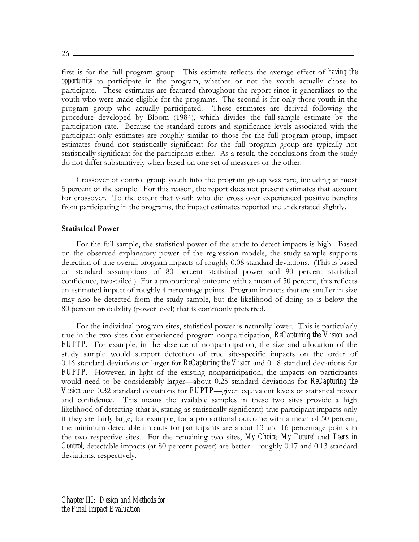first is for the full program group. This estimate reflects the average effect of *having the opportunity* to participate in the program, whether or not the youth actually chose to participate. These estimates are featured throughout the report since it generalizes to the youth who were made eligible for the programs. The second is for only those youth in the program group who actually participated. These estimates are derived following the procedure developed by Bloom (1984), which divides the full-sample estimate by the participation rate. Because the standard errors and significance levels associated with the participant-only estimates are roughly similar to those for the full program group, impact estimates found not statistically significant for the full program group are typically not statistically significant for the participants either. As a result, the conclusions from the study do not differ substantively when based on one set of measures or the other.

Crossover of control group youth into the program group was rare, including at most 5 percent of the sample. For this reason, the report does not present estimates that account for crossover. To the extent that youth who did cross over experienced positive benefits from participating in the programs, the impact estimates reported are understated slightly.

# **Statistical Power**

For the full sample, the statistical power of the study to detect impacts is high. Based on the observed explanatory power of the regression models, the study sample supports detection of true overall program impacts of roughly 0.08 standard deviations. (This is based on standard assumptions of 80 percent statistical power and 90 percent statistical confidence, two-tailed.) For a proportional outcome with a mean of 50 percent, this reflects an estimated impact of roughly 4 percentage points. Program impacts that are smaller in size may also be detected from the study sample, but the likelihood of doing so is below the 80 percent probability (power level) that is commonly preferred.

For the individual program sites, statistical power is naturally lower. This is particularly true in the two sites that experienced program nonparticipation, *ReCapturing the Vision* and *FUPTP*. For example, in the absence of nonparticipation, the size and allocation of the study sample would support detection of true site-specific impacts on the order of 0.16 standard deviations or larger for *ReCapturing the Vision* and 0.18 standard deviations for *FUPTP*. However, in light of the existing nonparticipation, the impacts on participants would need to be considerably larger—about 0.25 standard deviations for *ReCapturing the Vision* and 0.32 standard deviations for *FUPTP*—given equivalent levels of statistical power and confidence. This means the available samples in these two sites provide a high likelihood of detecting (that is, stating as statistically significant) true participant impacts only if they are fairly large; for example, for a proportional outcome with a mean of 50 percent, the minimum detectable impacts for participants are about 13 and 16 percentage points in the two respective sites. For the remaining two sites, *My Choice, My Future!* and *Teens in Control*, detectable impacts (at 80 percent power) are better—roughly 0.17 and 0.13 standard deviations, respectively.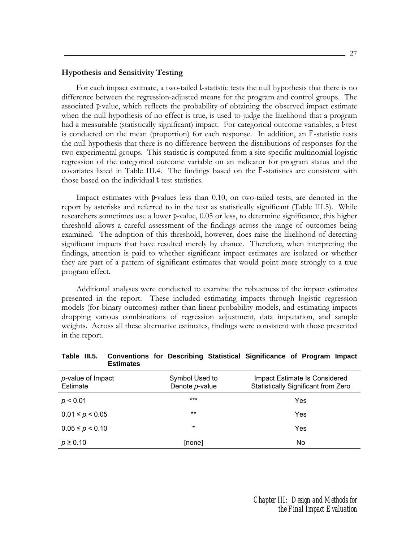# **Hypothesis and Sensitivity Testing**

For each impact estimate, a two-tailed *t*-statistic tests the null hypothesis that there is no difference between the regression-adjusted means for the program and control groups. The associated *p-*value, which reflects the probability of obtaining the observed impact estimate when the null hypothesis of no effect is true, is used to judge the likelihood that a program had a measurable (statistically significant) impact. For categorical outcome variables, a *t-*test is conducted on the mean (proportion) for each response. In addition, an *F*-statistic tests the null hypothesis that there is no difference between the distributions of responses for the two experimental groups. This statistic is computed from a site-specific multinomial logistic regression of the categorical outcome variable on an indicator for program status and the covariates listed in Table III.4. The findings based on the *F*-statistics are consistent with those based on the individual *t*-test statistics.

Impact estimates with *p-*values less than 0.10, on two-tailed tests, are denoted in the report by asterisks and referred to in the text as statistically significant (Table III.5). While researchers sometimes use a lower *p*-value, 0.05 or less, to determine significance, this higher threshold allows a careful assessment of the findings across the range of outcomes being examined. The adoption of this threshold, however, does raise the likelihood of detecting significant impacts that have resulted merely by chance. Therefore, when interpreting the findings, attention is paid to whether significant impact estimates are isolated or whether they are part of a pattern of significant estimates that would point more strongly to a true program effect.

Additional analyses were conducted to examine the robustness of the impact estimates presented in the report. These included estimating impacts through logistic regression models (for binary outcomes) rather than linear probability models, and estimating impacts dropping various combinations of regression adjustment, data imputation, and sample weights. Across all these alternative estimates, findings were consistent with those presented in the report.

| рэшнасэ                       |                                          |                                                                             |
|-------------------------------|------------------------------------------|-----------------------------------------------------------------------------|
| p-value of Impact<br>Estimate | Symbol Used to<br>Denote <i>p</i> -value | Impact Estimate Is Considered<br><b>Statistically Significant from Zero</b> |
| p < 0.01                      | ***                                      | Yes                                                                         |
| $0.01 \le p \le 0.05$         | $***$                                    | Yes                                                                         |
| $0.05 \le p \le 0.10$         | $\star$                                  | Yes                                                                         |
| $p \geq 0.10$                 | [none]                                   | No                                                                          |

# **Table III.5. Conventions for Describing Statistical Significance of Program Impact Estimates**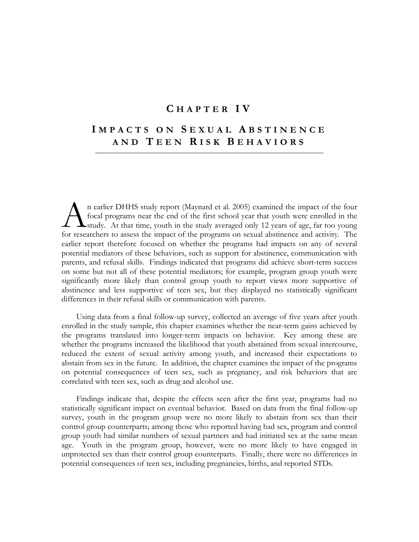# **C HAPTER IV**

# **I MPACTS ON S EXUAL A BSTINENCE AND T EEN R ISK B EHAVIORS**

n earlier DHHS study report (Maynard et al. 2005) examined the impact of the four focal programs near the end of the first school year that youth were enrolled in the **L** study. At that time, youth in the study averaged only 12 years of age, far too young for researchers to assess the impact of the programs on sexual abstinence and activity. The foresearchers to assess the impact of the programs on sexual abstinence and activity. The earlier report therefore focused on whether the programs had impacts on any of several potential mediators of these behaviors, such as support for abstinence, communication with parents, and refusal skills. Findings indicated that programs did achieve short-term success on some but not all of these potential mediators; for example, program group youth were significantly more likely than control group youth to report views more supportive of abstinence and less supportive of teen sex, but they displayed no statistically significant differences in their refusal skills or communication with parents.

Using data from a final follow-up survey, collected an average of five years after youth enrolled in the study sample, this chapter examines whether the near-term gains achieved by the programs translated into longer-term impacts on behavior. Key among these are whether the programs increased the likelihood that youth abstained from sexual intercourse, reduced the extent of sexual activity among youth, and increased their expectations to abstain from sex in the future. In addition, the chapter examines the impact of the programs on potential consequences of teen sex, such as pregnancy, and risk behaviors that are correlated with teen sex, such as drug and alcohol use.

Findings indicate that, despite the effects seen after the first year, programs had no statistically significant impact on eventual behavior. Based on data from the final follow-up survey, youth in the program group were no more likely to abstain from sex than their control group counterparts; among those who reported having had sex, program and control group youth had similar numbers of sexual partners and had initiated sex at the same mean age. Youth in the program group, however, were no more likely to have engaged in unprotected sex than their control group counterparts. Finally, there were no differences in potential consequences of teen sex, including pregnancies, births, and reported STDs.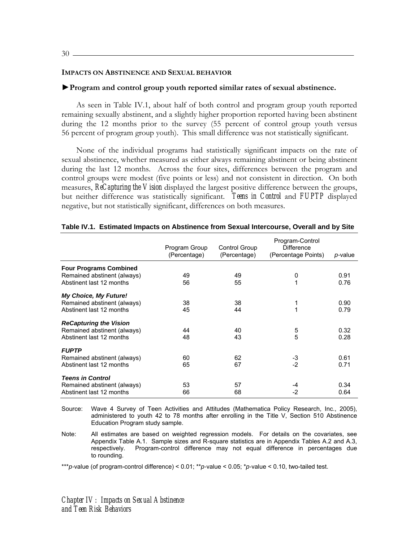#### **IMPACTS ON ABSTINENCE AND SEXUAL BEHAVIOR**

#### **►Program and control group youth reported similar rates of sexual abstinence.**

As seen in Table IV.1, about half of both control and program group youth reported remaining sexually abstinent, and a slightly higher proportion reported having been abstinent during the 12 months prior to the survey (55 percent of control group youth versus 56 percent of program group youth). This small difference was not statistically significant.

None of the individual programs had statistically significant impacts on the rate of sexual abstinence, whether measured as either always remaining abstinent or being abstinent during the last 12 months. Across the four sites, differences between the program and control groups were modest (five points or less) and not consistent in direction. On both measures, *ReCapturing the Vision* displayed the largest positive difference between the groups, but neither difference was statistically significant. *Teens in Control* and *FUPTP* displayed negative, but not statistically significant, differences on both measures.

|                                                                                          | Program Group<br>(Percentage) | Control Group<br>(Percentage) | Program-Control<br><b>Difference</b><br>(Percentage Points) | <i>p</i> -value |
|------------------------------------------------------------------------------------------|-------------------------------|-------------------------------|-------------------------------------------------------------|-----------------|
| <b>Four Programs Combined</b><br>Remained abstinent (always)<br>Abstinent last 12 months | 49<br>56                      | 49<br>55                      | 0<br>1                                                      | 0.91<br>0.76    |
| <b>My Choice, My Future!</b><br>Remained abstinent (always)<br>Abstinent last 12 months  | 38<br>45                      | 38<br>44                      | 1<br>1                                                      | 0.90<br>0.79    |
| <b>ReCapturing the Vision</b><br>Remained abstinent (always)<br>Abstinent last 12 months | 44<br>48                      | 40<br>43                      | 5<br>5                                                      | 0.32<br>0.28    |
| <b>FUPTP</b><br>Remained abstinent (always)<br>Abstinent last 12 months                  | 60<br>65                      | 62<br>67                      | -3<br>$-2$                                                  | 0.61<br>0.71    |
| <b>Teens in Control</b><br>Remained abstinent (always)<br>Abstinent last 12 months       | 53<br>66                      | 57<br>68                      | -4<br>$-2$                                                  | 0.34<br>0.64    |

#### **Table IV.1. Estimated Impacts on Abstinence from Sexual Intercourse, Overall and by Site**

Source: Wave 4 Survey of Teen Activities and Attitudes (Mathematica Policy Research, Inc., 2005), administered to youth 42 to 78 months after enrolling in the Title V, Section 510 Abstinence Education Program study sample.

Note: All estimates are based on weighted regression models. For details on the covariates, see Appendix Table A.1. Sample sizes and R-square statistics are in Appendix Tables A.2 and A.3, respectively. Program-control difference may not equal difference in percentages due to rounding.

\*\*\**p-*value (of program-control difference) < 0.01; \*\**p-*value < 0.05; \**p-*value < 0.10, two-tailed test.

*Chapter IV: Impacts on Sexual Abstinence and Teen Risk Behaviors*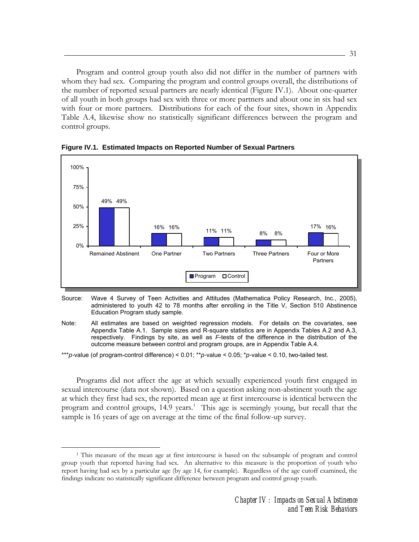Program and control group youth also did not differ in the number of partners with whom they had sex. Comparing the program and control groups overall, the distributions of the number of reported sexual partners are nearly identical (Figure IV.1). About one-quarter of all youth in both groups had sex with three or more partners and about one in six had sex with four or more partners. Distributions for each of the four sites, shown in Appendix Table A.4, likewise show no statistically significant differences between the program and control groups.



**Figure IV.1. Estimated Impacts on Reported Number of Sexual Partners** 

Source: Wave 4 Survey of Teen Activities and Attitudes (Mathematica Policy Research, Inc., 2005), administered to youth 42 to 78 months after enrolling in the Title V, Section 510 Abstinence Education Program study sample.

\*\*\**p-*value (of program-control difference) < 0.01; \*\**p-*value < 0.05; \**p-*value < 0.10, two-tailed test.

Programs did not affect the age at which sexually experienced youth first engaged in sexual intercourse (data not shown). Based on a question asking non-abstinent youth the age at which they first had sex, the reported mean age at first intercourse is identical between the program and control groups, 14.9 years.<sup>1</sup> This age is seemingly young, but recall that the sample is 16 years of age on average at the time of the final follow-up survey.

 $\overline{a}$ 

Note: All estimates are based on weighted regression models. For details on the covariates, see Appendix Table A.1. Sample sizes and R-square statistics are in Appendix Tables A.2 and A.3, respectively. Findings by site, as well as *F*-tests of the difference in the distribution of the outcome measure between control and program groups, are in Appendix Table A.4.

<sup>1</sup> This measure of the mean age at first intercourse is based on the subsample of program and control group youth that reported having had sex. An alternative to this measure is the proportion of youth who report having had sex by a particular age (by age 14, for example). Regardless of the age cutoff examined, the findings indicate no statistically significant difference between program and control group youth.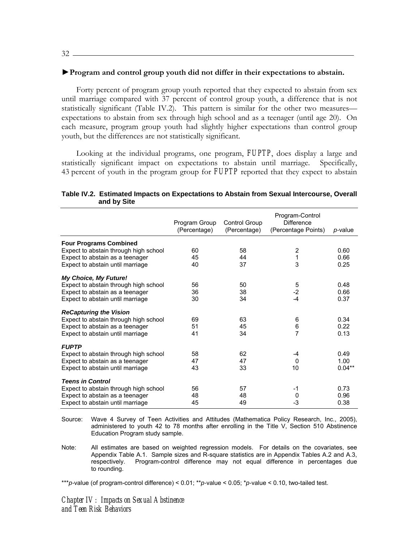# **►Program and control group youth did not differ in their expectations to abstain.**

Forty percent of program group youth reported that they expected to abstain from sex until marriage compared with 37 percent of control group youth, a difference that is not statistically significant (Table IV.2). This pattern is similar for the other two measures expectations to abstain from sex through high school and as a teenager (until age 20). On each measure, program group youth had slightly higher expectations than control group youth, but the differences are not statistically significant.

Looking at the individual programs, one program, *FUPTP*, does display a large and statistically significant impact on expectations to abstain until marriage. Specifically, 43 percent of youth in the program group for *FUPTP* reported that they expect to abstain

|                                                                                                                                               | Program Group<br>(Percentage) | Control Group<br>(Percentage) | Program-Control<br><b>Difference</b><br>(Percentage Points) | p-value                   |
|-----------------------------------------------------------------------------------------------------------------------------------------------|-------------------------------|-------------------------------|-------------------------------------------------------------|---------------------------|
| <b>Four Programs Combined</b><br>Expect to abstain through high school<br>Expect to abstain as a teenager<br>Expect to abstain until marriage | 60<br>45<br>40                | 58<br>44<br>37                | $\overline{2}$<br>1<br>3                                    | 0.60<br>0.66<br>0.25      |
| <b>My Choice, My Future!</b><br>Expect to abstain through high school<br>Expect to abstain as a teenager<br>Expect to abstain until marriage  | 56<br>36<br>30                | 50<br>38<br>34                | 5<br>$-2$<br>$-4$                                           | 0.48<br>0.66<br>0.37      |
| <b>ReCapturing the Vision</b><br>Expect to abstain through high school<br>Expect to abstain as a teenager<br>Expect to abstain until marriage | 69<br>51<br>41                | 63<br>45<br>34                | 6<br>6<br>7                                                 | 0.34<br>0.22<br>0.13      |
| <b>FUPTP</b><br>Expect to abstain through high school<br>Expect to abstain as a teenager<br>Expect to abstain until marriage                  | 58<br>47<br>43                | 62<br>47<br>33                | -4<br>0<br>10                                               | 0.49<br>1.00<br>$0.04***$ |
| <b>Teens in Control</b><br>Expect to abstain through high school<br>Expect to abstain as a teenager<br>Expect to abstain until marriage       | 56<br>48<br>45                | 57<br>48<br>49                | -1<br>0<br>-3                                               | 0.73<br>0.96<br>0.38      |

# **Table IV.2. Estimated Impacts on Expectations to Abstain from Sexual Intercourse, Overall and by Site**

Source: Wave 4 Survey of Teen Activities and Attitudes (Mathematica Policy Research, Inc., 2005), administered to youth 42 to 78 months after enrolling in the Title V, Section 510 Abstinence Education Program study sample.

Note: All estimates are based on weighted regression models. For details on the covariates, see Appendix Table A.1. Sample sizes and R-square statistics are in Appendix Tables A.2 and A.3, respectively. Program-control difference may not equal difference in percentages due to rounding.

\*\*\**p-*value (of program-control difference) < 0.01; \*\**p-*value < 0.05; \**p-*value < 0.10, two-tailed test.

*Chapter IV: Impacts on Sexual Abstinence and Teen Risk Behaviors*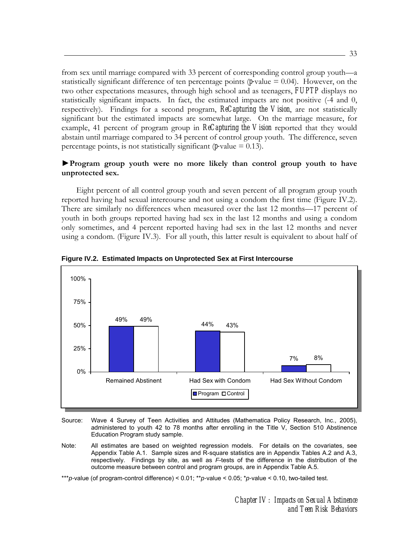from sex until marriage compared with 33 percent of corresponding control group youth— $a$ statistically significant difference of ten percentage points  $(p$ -value  $= 0.04$ ). However, on the two other expectations measures, through high school and as teenagers, *FUPTP* displays no statistically significant impacts. In fact, the estimated impacts are not positive (-4 and 0, respectively). Findings for a second program, *ReCapturing the Vision*, are not statistically significant but the estimated impacts are somewhat large*.* On the marriage measure, for example, 41 percent of program group in *ReCapturing the Vision* reported that they would abstain until marriage compared to 34 percent of control group youth. The difference, seven percentage points, is not statistically significant ( $p$ -value = 0.13).

# **►Program group youth were no more likely than control group youth to have unprotected sex.**

Eight percent of all control group youth and seven percent of all program group youth reported having had sexual intercourse and not using a condom the first time (Figure IV.2). There are similarly no differences when measured over the last 12 months—17 percent of youth in both groups reported having had sex in the last 12 months and using a condom only sometimes, and 4 percent reported having had sex in the last 12 months and never using a condom. (Figure IV.3). For all youth, this latter result is equivalent to about half of



**Figure IV.2. Estimated Impacts on Unprotected Sex at First Intercourse** 

Source: Wave 4 Survey of Teen Activities and Attitudes (Mathematica Policy Research, Inc., 2005), administered to youth 42 to 78 months after enrolling in the Title V, Section 510 Abstinence Education Program study sample.

Note: All estimates are based on weighted regression models. For details on the covariates, see Appendix Table A.1. Sample sizes and R-square statistics are in Appendix Tables A.2 and A.3, respectively. Findings by site, as well as *F*-tests of the difference in the distribution of the outcome measure between control and program groups, are in Appendix Table A.5.

\*\*\**p-*value (of program-control difference) < 0.01; \*\**p-*value < 0.05; \**p-*value < 0.10, two-tailed test.

*Chapter IV: Impacts on Sexual Abstinence and Teen Risk Behaviors*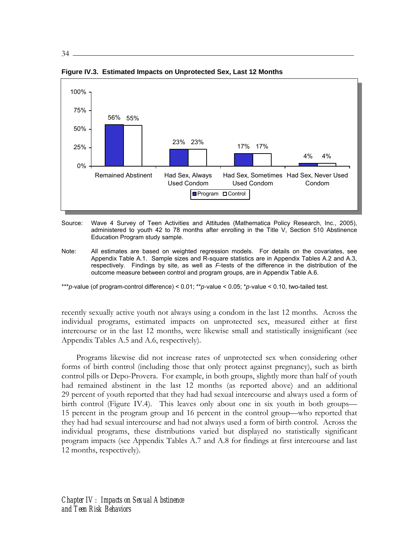$34 -$ 



**Figure IV.3. Estimated Impacts on Unprotected Sex, Last 12 Months** 

- Source: Wave 4 Survey of Teen Activities and Attitudes (Mathematica Policy Research, Inc., 2005), administered to youth 42 to 78 months after enrolling in the Title V, Section 510 Abstinence Education Program study sample.
- Note: All estimates are based on weighted regression models. For details on the covariates, see Appendix Table A.1. Sample sizes and R-square statistics are in Appendix Tables A.2 and A.3, respectively. Findings by site, as well as *F*-tests of the difference in the distribution of the outcome measure between control and program groups, are in Appendix Table A.6.

\*\*\**p-*value (of program-control difference) < 0.01; \*\**p-*value < 0.05; \**p-*value < 0.10, two-tailed test.

recently sexually active youth not always using a condom in the last 12 months. Across the individual programs, estimated impacts on unprotected sex, measured either at first intercourse or in the last 12 months, were likewise small and statistically insignificant (see Appendix Tables A.5 and A.6, respectively).

Programs likewise did not increase rates of unprotected sex when considering other forms of birth control (including those that only protect against pregnancy), such as birth control pills or Depo-Provera. For example, in both groups, slightly more than half of youth had remained abstinent in the last 12 months (as reported above) and an additional 29 percent of youth reported that they had had sexual intercourse and always used a form of birth control (Figure IV.4). This leaves only about one in six youth in both groups— 15 percent in the program group and 16 percent in the control group—who reported that they had had sexual intercourse and had not always used a form of birth control. Across the individual programs, these distributions varied but displayed no statistically significant program impacts (see Appendix Tables A.7 and A.8 for findings at first intercourse and last 12 months, respectively).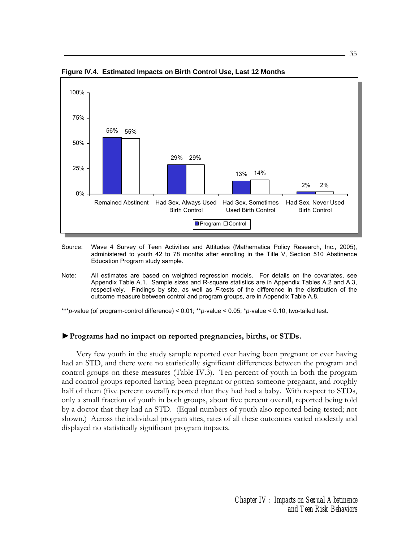

**Figure IV.4. Estimated Impacts on Birth Control Use, Last 12 Months** 

- Source: Wave 4 Survey of Teen Activities and Attitudes (Mathematica Policy Research, Inc., 2005), administered to youth 42 to 78 months after enrolling in the Title V, Section 510 Abstinence Education Program study sample.
- Note: All estimates are based on weighted regression models. For details on the covariates, see Appendix Table A.1. Sample sizes and R-square statistics are in Appendix Tables A.2 and A.3, respectively. Findings by site, as well as *F*-tests of the difference in the distribution of the outcome measure between control and program groups, are in Appendix Table A.8.

\*\*\**p-*value (of program-control difference) < 0.01; \*\**p-*value < 0.05; \**p-*value < 0.10, two-tailed test.

## **►Programs had no impact on reported pregnancies, births, or STDs.**

Very few youth in the study sample reported ever having been pregnant or ever having had an STD, and there were no statistically significant differences between the program and control groups on these measures (Table IV.3). Ten percent of youth in both the program and control groups reported having been pregnant or gotten someone pregnant, and roughly half of them (five percent overall) reported that they had had a baby. With respect to STDs, only a small fraction of youth in both groups, about five percent overall, reported being told by a doctor that they had an STD. (Equal numbers of youth also reported being tested; not shown.) Across the individual program sites, rates of all these outcomes varied modestly and displayed no statistically significant program impacts.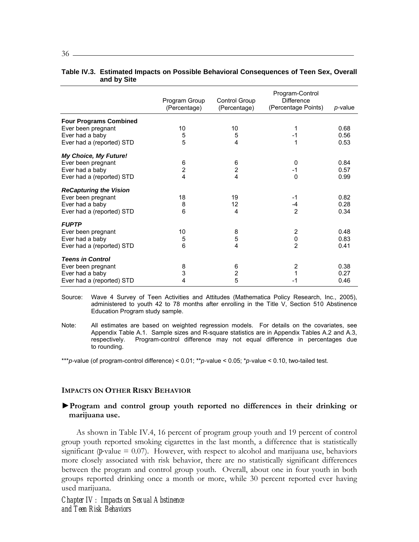| Program Group<br>(Percentage) | Control Group<br>(Percentage) | Program-Control<br><b>Difference</b><br>(Percentage Points) | p-value |
|-------------------------------|-------------------------------|-------------------------------------------------------------|---------|
|                               |                               |                                                             |         |
|                               |                               |                                                             | 0.68    |
|                               |                               |                                                             | 0.56    |
| 5                             | 4                             |                                                             | 0.53    |
|                               |                               |                                                             |         |
| 6                             | 6                             | 0                                                           | 0.84    |
| $\overline{2}$                | $\overline{2}$                | -1                                                          | 0.57    |
| 4                             | 4                             | $\mathbf{0}$                                                | 0.99    |
|                               |                               |                                                             |         |
| 18                            | 19                            | -1                                                          | 0.82    |
| 8                             | 12                            | -4                                                          | 0.28    |
| 6                             | 4                             | $\overline{2}$                                              | 0.34    |
|                               |                               |                                                             |         |
| 10                            | 8                             | $\overline{2}$                                              | 0.48    |
| 5                             | 5                             | 0                                                           | 0.83    |
| 6                             | 4                             | $\overline{2}$                                              | 0.41    |
|                               |                               |                                                             |         |
| 8                             | 6                             | 2                                                           | 0.38    |
| 3                             | $\overline{c}$                |                                                             | 0.27    |
| 4                             | 5                             | -1                                                          | 0.46    |
|                               | 10<br>5                       | 10<br>5                                                     | -1      |

# **Table IV.3. Estimated Impacts on Possible Behavioral Consequences of Teen Sex, Overall and by Site**

Source: Wave 4 Survey of Teen Activities and Attitudes (Mathematica Policy Research, Inc., 2005), administered to youth 42 to 78 months after enrolling in the Title V, Section 510 Abstinence Education Program study sample.

Note: All estimates are based on weighted regression models. For details on the covariates, see Appendix Table A.1. Sample sizes and R-square statistics are in Appendix Tables A.2 and A.3, respectively. Program-control difference may not equal difference in percentages due to rounding.

\*\*\**p-*value (of program-control difference) < 0.01; \*\**p-*value < 0.05; \**p-*value < 0.10, two-tailed test.

# **IMPACTS ON OTHER RISKY BEHAVIOR**

# **►Program and control group youth reported no differences in their drinking or marijuana use.**

As shown in Table IV.4, 16 percent of program group youth and 19 percent of control group youth reported smoking cigarettes in the last month, a difference that is statistically significant ( $p$ -value =  $0.07$ ). However, with respect to alcohol and marijuana use, behaviors more closely associated with risk behavior, there are no statistically significant differences between the program and control group youth. Overall, about one in four youth in both groups reported drinking once a month or more, while 30 percent reported ever having used marijuana.

*Chapter IV: Impacts on Sexual Abstinence and Teen Risk Behaviors* 

 $36 -$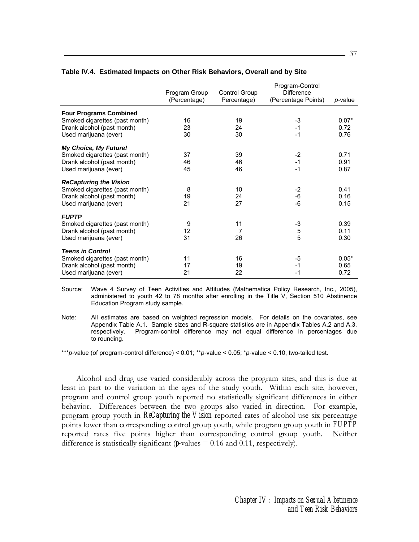|                                | Program Group<br>(Percentage) | Control Group<br>Percentage) | Program-Control<br><b>Difference</b><br>(Percentage Points) | p-value |
|--------------------------------|-------------------------------|------------------------------|-------------------------------------------------------------|---------|
| <b>Four Programs Combined</b>  |                               |                              |                                                             |         |
| Smoked cigarettes (past month) | 16                            | 19                           | -3                                                          | $0.07*$ |
| Drank alcohol (past month)     | 23                            | 24                           | $-1$                                                        | 0.72    |
| Used marijuana (ever)          | 30                            | 30                           | $-1$                                                        | 0.76    |
| <b>My Choice, My Future!</b>   |                               |                              |                                                             |         |
| Smoked cigarettes (past month) | 37                            | 39                           | $-2$                                                        | 0.71    |
| Drank alcohol (past month)     | 46                            | 46                           | $-1$                                                        | 0.91    |
| Used marijuana (ever)          | 45                            | 46                           | $-1$                                                        | 0.87    |
| <b>ReCapturing the Vision</b>  |                               |                              |                                                             |         |
| Smoked cigarettes (past month) | 8                             | 10                           | $-2$                                                        | 0.41    |
| Drank alcohol (past month)     | 19                            | 24                           | $-6$                                                        | 0.16    |
| Used marijuana (ever)          | 21                            | 27                           | $-6$                                                        | 0.15    |
| <b>FUPTP</b>                   |                               |                              |                                                             |         |
| Smoked cigarettes (past month) | 9                             | 11                           | $-3$                                                        | 0.39    |
| Drank alcohol (past month)     | 12                            | 7                            | 5                                                           | 0.11    |
| Used marijuana (ever)          | 31                            | 26                           | 5                                                           | 0.30    |
| <b>Teens in Control</b>        |                               |                              |                                                             |         |
| Smoked cigarettes (past month) | 11                            | 16                           | -5                                                          | $0.05*$ |
| Drank alcohol (past month)     | 17                            | 19                           | $-1$                                                        | 0.65    |
| Used marijuana (ever)          | 21                            | 22                           | $-1$                                                        | 0.72    |

## **Table IV.4. Estimated Impacts on Other Risk Behaviors, Overall and by Site**

Source: Wave 4 Survey of Teen Activities and Attitudes (Mathematica Policy Research, Inc., 2005), administered to youth 42 to 78 months after enrolling in the Title V, Section 510 Abstinence Education Program study sample.

Note: All estimates are based on weighted regression models. For details on the covariates, see Appendix Table A.1. Sample sizes and R-square statistics are in Appendix Tables A.2 and A.3, respectively. Program-control difference may not equal difference in percentages due to rounding.

\*\*\**p-*value (of program-control difference) < 0.01; \*\**p-*value < 0.05; \**p-*value < 0.10, two-tailed test.

Alcohol and drug use varied considerably across the program sites, and this is due at least in part to the variation in the ages of the study youth. Within each site, however, program and control group youth reported no statistically significant differences in either behavior. Differences between the two groups also varied in direction. For example, program group youth in *ReCapturing the Vision* reported rates of alcohol use six percentage points lower than corresponding control group youth, while program group youth in *FUPTP* reported rates five points higher than corresponding control group youth. Neither difference is statistically significant (*p-*values = 0.16 and 0.11, respectively).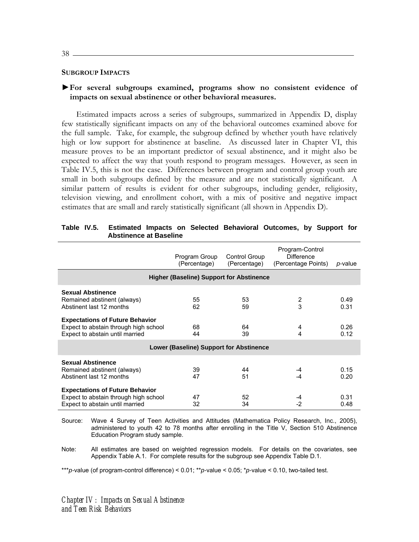#### **SUBGROUP IMPACTS**

# **►For several subgroups examined, programs show no consistent evidence of impacts on sexual abstinence or other behavioral measures.**

Estimated impacts across a series of subgroups, summarized in Appendix D, display few statistically significant impacts on any of the behavioral outcomes examined above for the full sample. Take, for example, the subgroup defined by whether youth have relatively high or low support for abstinence at baseline. As discussed later in Chapter VI, this measure proves to be an important predictor of sexual abstinence, and it might also be expected to affect the way that youth respond to program messages. However, as seen in Table IV.5, this is not the case. Differences between program and control group youth are small in both subgroups defined by the measure and are not statistically significant. A similar pattern of results is evident for other subgroups, including gender, religiosity, television viewing, and enrollment cohort, with a mix of positive and negative impact estimates that are small and rarely statistically significant (all shown in Appendix D).

|                                                         | Program Group<br>(Percentage)                   | Control Group<br>(Percentage) | Program-Control<br><b>Difference</b><br>(Percentage Points) | p-value |
|---------------------------------------------------------|-------------------------------------------------|-------------------------------|-------------------------------------------------------------|---------|
|                                                         | <b>Higher (Baseline) Support for Abstinence</b> |                               |                                                             |         |
| <b>Sexual Abstinence</b>                                |                                                 |                               |                                                             |         |
| Remained abstinent (always)                             | 55                                              | 53                            | 2                                                           | 0.49    |
| Abstinent last 12 months                                | 62                                              | 59                            | 3                                                           | 0.31    |
|                                                         |                                                 |                               |                                                             |         |
| <b>Expectations of Future Behavior</b>                  |                                                 |                               |                                                             |         |
| Expect to abstain through high school                   | 68                                              | 64                            | 4                                                           | 0.26    |
| Expect to abstain until married                         | 44                                              | 39                            | 4                                                           | 0.12    |
|                                                         | Lower (Baseline) Support for Abstinence         |                               |                                                             |         |
|                                                         |                                                 |                               |                                                             |         |
| <b>Sexual Abstinence</b>                                | 39                                              | 44                            |                                                             | 0.15    |
| Remained abstinent (always)<br>Abstinent last 12 months | 47                                              | 51                            | -4                                                          | 0.20    |
|                                                         |                                                 |                               |                                                             |         |
| <b>Expectations of Future Behavior</b>                  |                                                 |                               |                                                             |         |
| Expect to abstain through high school                   | 47                                              | 52                            | -4                                                          | 0.31    |
| Expect to abstain until married                         | 32                                              | 34                            | $-2$                                                        | 0.48    |

| Table IV.5. Estimated Impacts on Selected Behavioral Outcomes, by Support for |                               |  |  |  |  |
|-------------------------------------------------------------------------------|-------------------------------|--|--|--|--|
|                                                                               | <b>Abstinence at Baseline</b> |  |  |  |  |

Source: Wave 4 Survey of Teen Activities and Attitudes (Mathematica Policy Research, Inc., 2005), administered to youth 42 to 78 months after enrolling in the Title V, Section 510 Abstinence Education Program study sample.

Note: All estimates are based on weighted regression models. For details on the covariates, see Appendix Table A.1. For complete results for the subgroup see Appendix Table D.1.

\*\*\**p-*value (of program-control difference) < 0.01; \*\**p-*value < 0.05; \**p-*value < 0.10, two-tailed test.

*Chapter IV: Impacts on Sexual Abstinence and Teen Risk Behaviors*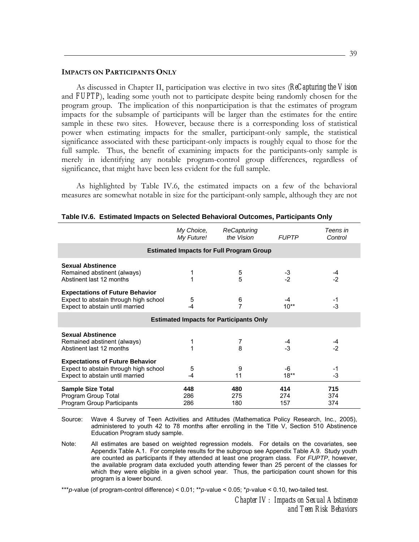# **IMPACTS ON PARTICIPANTS ONLY**

As discussed in Chapter II, participation was elective in two sites (*ReCapturing the Vision* and *FUPTP*), leading some youth not to participate despite being randomly chosen for the program group. The implication of this nonparticipation is that the estimates of program impacts for the subsample of participants will be larger than the estimates for the entire sample in these two sites. However, because there is a corresponding loss of statistical power when estimating impacts for the smaller, participant-only sample, the statistical significance associated with these participant-only impacts is roughly equal to those for the full sample. Thus, the benefit of examining impacts for the participants-only sample is merely in identifying any notable program-control group differences, regardless of significance, that might have been less evident for the full sample.

As highlighted by Table IV.6, the estimated impacts on a few of the behavioral measures are somewhat notable in size for the participant-only sample, although they are not

|                                                                                                                    | My Choice,<br>My Future! | ReCapturing<br>the Vision | <b>FUPTP</b>      | Teens in<br>Control |  |  |  |  |
|--------------------------------------------------------------------------------------------------------------------|--------------------------|---------------------------|-------------------|---------------------|--|--|--|--|
| <b>Estimated Impacts for Full Program Group</b>                                                                    |                          |                           |                   |                     |  |  |  |  |
| <b>Sexual Abstinence</b><br>Remained abstinent (always)<br>Abstinent last 12 months                                | 1                        | 5<br>5                    | $-3$<br>$-2$      | $-2$                |  |  |  |  |
| <b>Expectations of Future Behavior</b><br>Expect to abstain through high school<br>Expect to abstain until married | 5<br>$-4$                | 6<br>7                    | $10^{**}$         | -1<br>$-3$          |  |  |  |  |
| <b>Estimated Impacts for Participants Only</b>                                                                     |                          |                           |                   |                     |  |  |  |  |
| <b>Sexual Abstinence</b><br>Remained abstinent (always)<br>Abstinent last 12 months                                |                          | 7<br>8                    | -4<br>$-3$        | $-2$                |  |  |  |  |
| <b>Expectations of Future Behavior</b><br>Expect to abstain through high school<br>Expect to abstain until married | 5<br>-4                  | 9<br>11                   | -6<br>$18**$      | -1<br>$-3$          |  |  |  |  |
| <b>Sample Size Total</b><br>Program Group Total<br>Program Group Participants                                      | 448<br>286<br>286        | 480<br>275<br>180         | 414<br>274<br>157 | 715<br>374<br>374   |  |  |  |  |

**Table IV.6. Estimated Impacts on Selected Behavioral Outcomes, Participants Only** 

Source: Wave 4 Survey of Teen Activities and Attitudes (Mathematica Policy Research, Inc., 2005), administered to youth 42 to 78 months after enrolling in the Title V, Section 510 Abstinence Education Program study sample.

Note: All estimates are based on weighted regression models. For details on the covariates, see Appendix Table A.1. For complete results for the subgroup see Appendix Table A.9. Study youth are counted as participants if they attended at least one program class. For *FUPTP*, however, the available program data excluded youth attending fewer than 25 percent of the classes for which they were eligible in a given school year. Thus, the participation count shown for this program is a lower bound.

\*\*\**p-*value (of program-control difference) < 0.01; \*\**p-*value < 0.05; \**p-*value < 0.10, two-tailed test.

*Chapter IV: Impacts on Sexual Abstinence and Teen Risk Behaviors*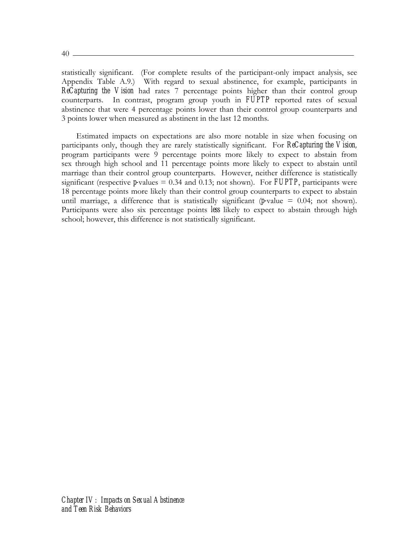statistically significant. (For complete results of the participant-only impact analysis, see Appendix Table A.9.) With regard to sexual abstinence, for example, participants in *ReCapturing the Vision* had rates 7 percentage points higher than their control group counterparts. In contrast, program group youth in *FUPTP* reported rates of sexual abstinence that were 4 percentage points lower than their control group counterparts and 3 points lower when measured as abstinent in the last 12 months.

Estimated impacts on expectations are also more notable in size when focusing on participants only, though they are rarely statistically significant. For *ReCapturing the Vision,* program participants were 9 percentage points more likely to expect to abstain from sex through high school and 11 percentage points more likely to expect to abstain until marriage than their control group counterparts. However, neither difference is statistically significant (respective  $p$ -values = 0.34 and 0.13; not shown). For *FUPTP*, participants were 18 percentage points more likely than their control group counterparts to expect to abstain until marriage, a difference that is statistically significant ( $p$ -value =  $0.04$ ; not shown). Participants were also six percentage points *less* likely to expect to abstain through high school; however, this difference is not statistically significant.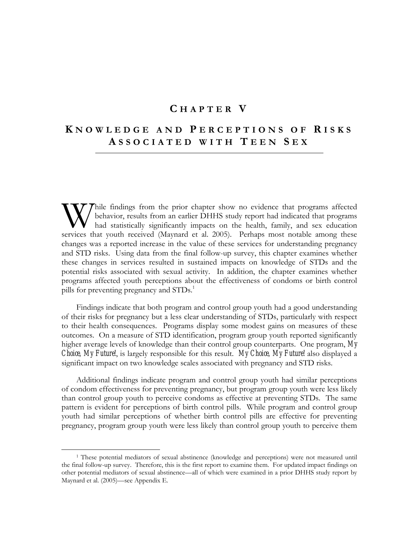# **C HAPTER V**

# **K NOWLEDGE AND P ERCEPTIONS OF R ISKS A SSOCIATED WITH T EEN S E X**

Thile findings from the prior chapter show no evidence that programs affected behavior, results from an earlier DHHS study report had indicated that programs had statistically significantly impacts on the health, family, and sex education W hile findings from the prior chapter show no evidence that programs affected behavior, results from an earlier DHHS study report had indicated that programs had statistically significantly impacts on the health, family, changes was a reported increase in the value of these services for understanding pregnancy and STD risks. Using data from the final follow-up survey, this chapter examines whether these changes in services resulted in sustained impacts on knowledge of STDs and the potential risks associated with sexual activity. In addition, the chapter examines whether programs affected youth perceptions about the effectiveness of condoms or birth control pills for preventing pregnancy and STDs.<sup>1</sup>

Findings indicate that both program and control group youth had a good understanding of their risks for pregnancy but a less clear understanding of STDs, particularly with respect to their health consequences. Programs display some modest gains on measures of these outcomes. On a measure of STD identification, program group youth reported significantly higher average levels of knowledge than their control group counterparts. One program, *My Choice, My Future!*, is largely responsible for this result. *My Choice, My Future!* also displayed a significant impact on two knowledge scales associated with pregnancy and STD risks.

Additional findings indicate program and control group youth had similar perceptions of condom effectiveness for preventing pregnancy, but program group youth were less likely than control group youth to perceive condoms as effective at preventing STDs. The same pattern is evident for perceptions of birth control pills. While program and control group youth had similar perceptions of whether birth control pills are effective for preventing pregnancy, program group youth were less likely than control group youth to perceive them

<u>.</u>

<sup>1</sup> These potential mediators of sexual abstinence (knowledge and perceptions) were not measured until the final follow-up survey. Therefore, this is the first report to examine them. For updated impact findings on other potential mediators of sexual abstinence—all of which were examined in a prior DHHS study report by Maynard et al. (2005)—see Appendix E.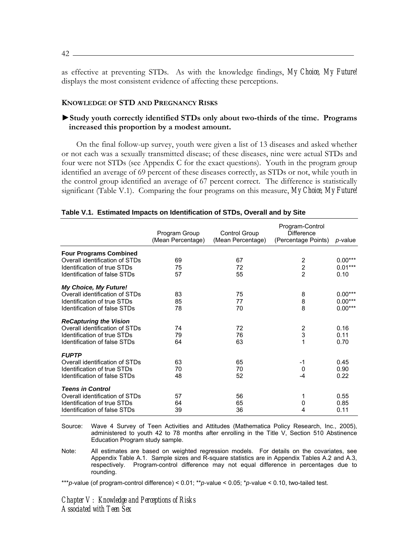as effective at preventing STDs. As with the knowledge findings, *My Choice, My Future!* displays the most consistent evidence of affecting these perceptions.

# **KNOWLEDGE OF STD AND PREGNANCY RISKS**

# **►Study youth correctly identified STDs only about two-thirds of the time. Programs increased this proportion by a modest amount.**

On the final follow-up survey, youth were given a list of 13 diseases and asked whether or not each was a sexually transmitted disease; of these diseases, nine were actual STDs and four were not STDs (see Appendix C for the exact questions). Youth in the program group identified an average of 69 percent of these diseases correctly, as STDs or not, while youth in the control group identified an average of 67 percent correct. The difference is statistically significant (Table V.1). Comparing the four programs on this measure, *My Choice, My Future!* 

|                                | Program Group<br>(Mean Percentage) | Control Group<br>(Mean Percentage) | Program-Control<br><b>Difference</b><br>(Percentage Points) | <i>p</i> -value |
|--------------------------------|------------------------------------|------------------------------------|-------------------------------------------------------------|-----------------|
| <b>Four Programs Combined</b>  |                                    |                                    |                                                             |                 |
| Overall identification of STDs | 69                                 | 67                                 | 2                                                           | $0.00***$       |
| Identification of true STDs    | 75                                 | 72                                 | $\overline{c}$                                              | $0.01***$       |
| Identification of false STDs   | 57                                 | 55                                 | $\overline{2}$                                              | 0.10            |
| <b>My Choice, My Future!</b>   |                                    |                                    |                                                             |                 |
| Overall identification of STDs | 83                                 | 75                                 | 8                                                           | $0.00***$       |
| Identification of true STDs    | 85                                 | 77                                 | 8                                                           | $0.00***$       |
| Identification of false STDs   | 78                                 | 70                                 | 8                                                           | $0.00***$       |
| <b>ReCapturing the Vision</b>  |                                    |                                    |                                                             |                 |
| Overall identification of STDs | 74                                 | 72                                 | 2                                                           | 0.16            |
| Identification of true STDs    | 79                                 | 76                                 | 3                                                           | 0.11            |
| Identification of false STDs   | 64                                 | 63                                 |                                                             | 0.70            |
| <b>FUPTP</b>                   |                                    |                                    |                                                             |                 |
| Overall identification of STDs | 63                                 | 65                                 | -1                                                          | 0.45            |
| Identification of true STDs    | 70                                 | 70                                 | 0                                                           | 0.90            |
| Identification of false STDs   | 48                                 | 52                                 | -4                                                          | 0.22            |
| <b>Teens in Control</b>        |                                    |                                    |                                                             |                 |
| Overall identification of STDs | 57                                 | 56                                 | 1                                                           | 0.55            |
| Identification of true STDs    | 64                                 | 65                                 | 0                                                           | 0.85            |
| Identification of false STDs   | 39                                 | 36                                 | 4                                                           | 0.11            |

#### **Table V.1. Estimated Impacts on Identification of STDs, Overall and by Site**

- Source: Wave 4 Survey of Teen Activities and Attitudes (Mathematica Policy Research, Inc., 2005), administered to youth 42 to 78 months after enrolling in the Title V, Section 510 Abstinence Education Program study sample.
- Note: All estimates are based on weighted regression models. For details on the covariates, see Appendix Table A.1. Sample sizes and R-square statistics are in Appendix Tables A.2 and A.3, respectively. Program-control difference may not equal difference in percentages due to rounding.

\*\*\**p-*value (of program-control difference) < 0.01; \*\**p-*value < 0.05; \**p-*value < 0.10, two-tailed test.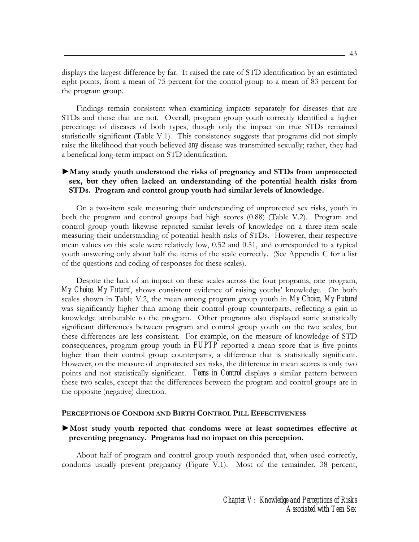displays the largest difference by far. It raised the rate of STD identification by an estimated eight points, from a mean of 75 percent for the control group to a mean of 83 percent for the program group.

Findings remain consistent when examining impacts separately for diseases that are STDs and those that are not. Overall, program group youth correctly identified a higher percentage of diseases of both types, though only the impact on true STDs remained statistically significant (Table V.1). This consistency suggests that programs did not simply raise the likelihood that youth believed *any* disease was transmitted sexually; rather, they had a beneficial long-term impact on STD identification.

# **►Many study youth understood the risks of pregnancy and STDs from unprotected sex, but they often lacked an understanding of the potential health risks from STDs. Program and control group youth had similar levels of knowledge.**

On a two-item scale measuring their understanding of unprotected sex risks, youth in both the program and control groups had high scores (0.88) (Table V.2). Program and control group youth likewise reported similar levels of knowledge on a three-item scale measuring their understanding of potential health risks of STDs. However, their respective mean values on this scale were relatively low, 0.52 and 0.51, and corresponded to a typical youth answering only about half the items of the scale correctly. (See Appendix C for a list of the questions and coding of responses for these scales).

Despite the lack of an impact on these scales across the four programs, one program, *My Choice, My Future!*, shows consistent evidence of raising youths' knowledge. On both scales shown in Table V.2, the mean among program group youth in *My Choice, My Future!* was significantly higher than among their control group counterparts, reflecting a gain in knowledge attributable to the program. Other programs also displayed some statistically significant differences between program and control group youth on the two scales, but these differences are less consistent. For example, on the measure of knowledge of STD consequences, program group youth in *FUPTP* reported a mean score that is five points higher than their control group counterparts, a difference that is statistically significant. However, on the measure of unprotected sex risks, the difference in mean scores is only two points and not statistically significant. *Teens in Control* displays a similar pattern between these two scales, except that the differences between the program and control groups are in the opposite (negative) direction.

# **PERCEPTIONS OF CONDOM AND BIRTH CONTROL PILL EFFECTIVENESS**

# **►Most study youth reported that condoms were at least sometimes effective at preventing pregnancy. Programs had no impact on this perception.**

About half of program and control group youth responded that, when used correctly, condoms usually prevent pregnancy (Figure V.1). Most of the remainder, 38 percent,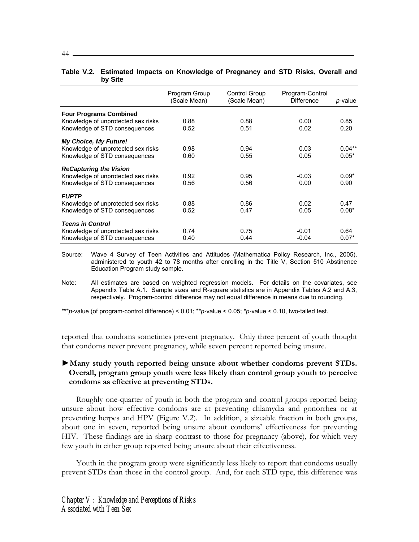|                                    | Program Group<br>(Scale Mean) | Control Group<br>(Scale Mean) | Program-Control<br><b>Difference</b> | p-value   |
|------------------------------------|-------------------------------|-------------------------------|--------------------------------------|-----------|
| <b>Four Programs Combined</b>      |                               |                               |                                      |           |
| Knowledge of unprotected sex risks | 0.88                          | 0.88                          | 0.00                                 | 0.85      |
| Knowledge of STD consequences      | 0.52                          | 0.51                          | 0.02                                 | 0.20      |
| <b>My Choice, My Future!</b>       |                               |                               |                                      |           |
| Knowledge of unprotected sex risks | 0.98                          | 0.94                          | 0.03                                 | $0.04***$ |
| Knowledge of STD consequences      | 0.60                          | 0.55                          | 0.05                                 | $0.05*$   |
| <b>ReCapturing the Vision</b>      |                               |                               |                                      |           |
| Knowledge of unprotected sex risks | 0.92                          | 0.95                          | $-0.03$                              | $0.09*$   |
| Knowledge of STD consequences      | 0.56                          | 0.56                          | 0.00                                 | 0.90      |
| <b>FUPTP</b>                       |                               |                               |                                      |           |
| Knowledge of unprotected sex risks | 0.88                          | 0.86                          | 0.02                                 | 0.47      |
| Knowledge of STD consequences      | 0.52                          | 0.47                          | 0.05                                 | $0.08*$   |
| <b>Teens in Control</b>            |                               |                               |                                      |           |
| Knowledge of unprotected sex risks | 0.74                          | 0.75                          | $-0.01$                              | 0.64      |
| Knowledge of STD consequences      | 0.40                          | 0.44                          | $-0.04$                              | $0.07*$   |

# **Table V.2. Estimated Impacts on Knowledge of Pregnancy and STD Risks, Overall and by Site**

Source: Wave 4 Survey of Teen Activities and Attitudes (Mathematica Policy Research, Inc., 2005), administered to youth 42 to 78 months after enrolling in the Title V, Section 510 Abstinence Education Program study sample.

Note: All estimates are based on weighted regression models. For details on the covariates, see Appendix Table A.1. Sample sizes and R-square statistics are in Appendix Tables A.2 and A.3, respectively. Program-control difference may not equal difference in means due to rounding.

\*\*\**p-*value (of program-control difference) < 0.01; \*\**p-*value < 0.05; \**p-*value < 0.10, two-tailed test.

reported that condoms sometimes prevent pregnancy. Only three percent of youth thought that condoms never prevent pregnancy, while seven percent reported being unsure.

# **►Many study youth reported being unsure about whether condoms prevent STDs. Overall, program group youth were less likely than control group youth to perceive condoms as effective at preventing STDs.**

Roughly one-quarter of youth in both the program and control groups reported being unsure about how effective condoms are at preventing chlamydia and gonorrhea or at preventing herpes and HPV (Figure V.2). In addition, a sizeable fraction in both groups, about one in seven, reported being unsure about condoms' effectiveness for preventing HIV. These findings are in sharp contrast to those for pregnancy (above), for which very few youth in either group reported being unsure about their effectiveness.

Youth in the program group were significantly less likely to report that condoms usually prevent STDs than those in the control group. And, for each STD type, this difference was

 $44 -$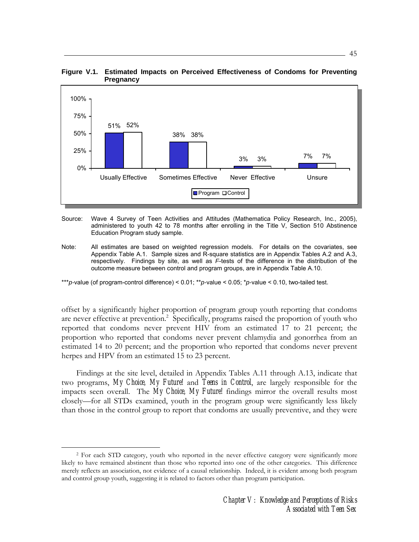

# **Figure V.1. Estimated Impacts on Perceived Effectiveness of Condoms for Preventing Pregnancy**

- Source: Wave 4 Survey of Teen Activities and Attitudes (Mathematica Policy Research, Inc., 2005), administered to youth 42 to 78 months after enrolling in the Title V, Section 510 Abstinence Education Program study sample.
- Note: All estimates are based on weighted regression models. For details on the covariates, see Appendix Table A.1. Sample sizes and R-square statistics are in Appendix Tables A.2 and A.3, respectively. Findings by site, as well as *F*-tests of the difference in the distribution of the outcome measure between control and program groups, are in Appendix Table A.10.

\*\*\**p-*value (of program-control difference) < 0.01; \*\**p-*value < 0.05; \**p-*value < 0.10, two-tailed test.

offset by a significantly higher proportion of program group youth reporting that condoms are never effective at prevention.<sup>2</sup> Specifically, programs raised the proportion of youth who reported that condoms never prevent HIV from an estimated 17 to 21 percent; the proportion who reported that condoms never prevent chlamydia and gonorrhea from an estimated 14 to 20 percent; and the proportion who reported that condoms never prevent herpes and HPV from an estimated 15 to 23 percent.

Findings at the site level, detailed in Appendix Tables A.11 through A.13, indicate that two programs, *My Choice, My Future!* and *Teens in Control*, are largely responsible for the impacts seen overall. The *My Choice, My Future!* findings mirror the overall results most closely—for all STDs examined, youth in the program group were significantly less likely than those in the control group to report that condoms are usually preventive, and they were

 $\overline{a}$ 

<sup>2</sup> For each STD category, youth who reported in the never effective category were significantly more likely to have remained abstinent than those who reported into one of the other categories. This difference merely reflects an association, not evidence of a causal relationship. Indeed, it is evident among both program and control group youth, suggesting it is related to factors other than program participation.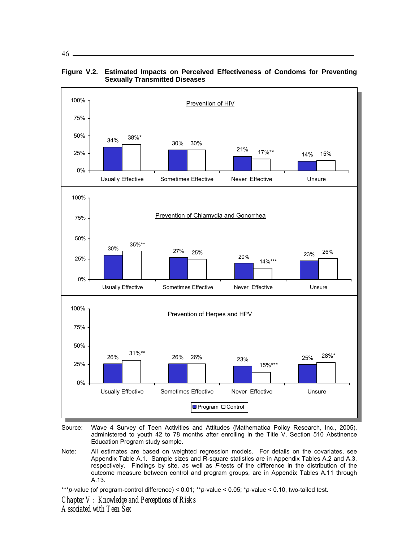

**Figure V.2. Estimated Impacts on Perceived Effectiveness of Condoms for Preventing Sexually Transmitted Diseases**

Source: Wave 4 Survey of Teen Activities and Attitudes (Mathematica Policy Research, Inc., 2005), administered to youth 42 to 78 months after enrolling in the Title V, Section 510 Abstinence Education Program study sample.

Note: All estimates are based on weighted regression models. For details on the covariates, see Appendix Table A.1. Sample sizes and R-square statistics are in Appendix Tables A.2 and A.3, respectively. Findings by site, as well as *F*-tests of the difference in the distribution of the outcome measure between control and program groups, are in Appendix Tables A.11 through A.13.

\*\*\**p-*value (of program-control difference) < 0.01; \*\**p-*value < 0.05; \**p-*value < 0.10, two-tailed test.

*Chapter V: Knowledge and Perceptions of Risks Associated with Teen Sex* 

 $46 -$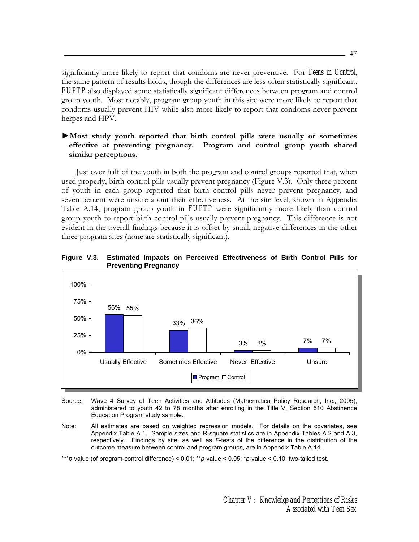significantly more likely to report that condoms are never preventive. For *Teens in Control*, the same pattern of results holds, though the differences are less often statistically significant. *FUPTP* also displayed some statistically significant differences between program and control group youth. Most notably, program group youth in this site were more likely to report that condoms usually prevent HIV while also more likely to report that condoms never prevent herpes and HPV.

# **►Most study youth reported that birth control pills were usually or sometimes effective at preventing pregnancy. Program and control group youth shared similar perceptions.**

Just over half of the youth in both the program and control groups reported that, when used properly, birth control pills usually prevent pregnancy (Figure V.3). Only three percent of youth in each group reported that birth control pills never prevent pregnancy, and seven percent were unsure about their effectiveness. At the site level, shown in Appendix Table A.14, program group youth in *FUPTP* were significantly more likely than control group youth to report birth control pills usually prevent pregnancy. This difference is not evident in the overall findings because it is offset by small, negative differences in the other three program sites (none are statistically significant).

**Figure V.3. Estimated Impacts on Perceived Effectiveness of Birth Control Pills for Preventing Pregnancy** 



Source: Wave 4 Survey of Teen Activities and Attitudes (Mathematica Policy Research, Inc., 2005), administered to youth 42 to 78 months after enrolling in the Title V, Section 510 Abstinence Education Program study sample.

Note: All estimates are based on weighted regression models. For details on the covariates, see Appendix Table A.1. Sample sizes and R-square statistics are in Appendix Tables A.2 and A.3, respectively. Findings by site, as well as *F*-tests of the difference in the distribution of the outcome measure between control and program groups, are in Appendix Table A.14.

\*\*\**p-*value (of program-control difference) < 0.01; \*\**p-*value < 0.05; \**p-*value < 0.10, two-tailed test.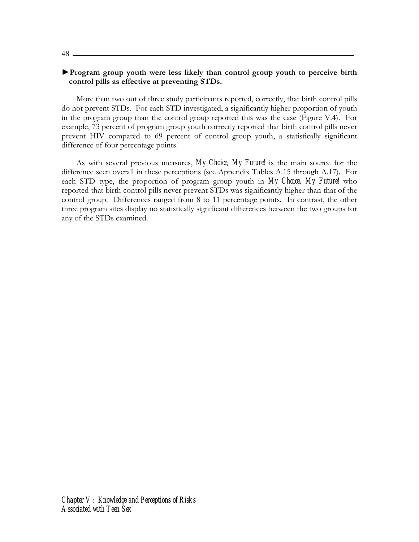# **►Program group youth were less likely than control group youth to perceive birth control pills as effective at preventing STDs.**

More than two out of three study participants reported, correctly, that birth control pills do not prevent STDs. For each STD investigated, a significantly higher proportion of youth in the program group than the control group reported this was the case (Figure V.4). For example, 73 percent of program group youth correctly reported that birth control pills never prevent HIV compared to 69 percent of control group youth, a statistically significant difference of four percentage points.

As with several previous measures, *My Choice, My Future!* is the main source for the difference seen overall in these perceptions (see Appendix Tables A.15 through A.17). For each STD type, the proportion of program group youth in *My Choice, My Future!* who reported that birth control pills never prevent STDs was significantly higher than that of the control group. Differences ranged from 8 to 11 percentage points. In contrast, the other three program sites display no statistically significant differences between the two groups for any of the STDs examined.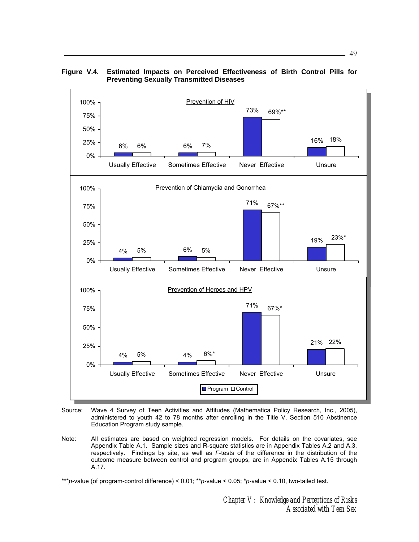

**Figure V.4. Estimated Impacts on Perceived Effectiveness of Birth Control Pills for Preventing Sexually Transmitted Diseases** 

- Source: Wave 4 Survey of Teen Activities and Attitudes (Mathematica Policy Research, Inc., 2005), administered to youth 42 to 78 months after enrolling in the Title V, Section 510 Abstinence Education Program study sample.
- Note: All estimates are based on weighted regression models. For details on the covariates, see Appendix Table A.1. Sample sizes and R-square statistics are in Appendix Tables A.2 and A.3, respectively. Findings by site, as well as *F*-tests of the difference in the distribution of the outcome measure between control and program groups, are in Appendix Tables A.15 through A.17.

\*\*\**p-*value (of program-control difference) < 0.01; \*\**p-*value < 0.05; \**p-*value < 0.10, two-tailed test.

*Chapter V: Knowledge and Perceptions of Risks Associated with Teen Sex*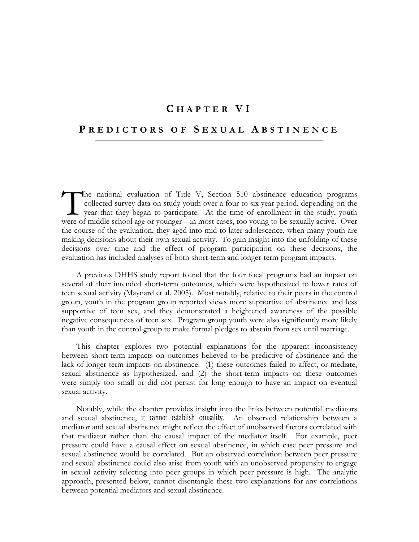## **C HAPTER VI**

### **P REDICTORS OF S EXUAL A BSTINENCE**

he national evaluation of Title V, Section 510 abstinence education programs collected survey data on study youth over a four to six year period, depending on the year that they began to participate. At the time of enrollment in the study, youth The national evaluation of Title V, Section 510 abstinence education programs collected survey data on study youth over a four to six year period, depending on the year that they began to participate. At the time of enroll the course of the evaluation, they aged into mid-to-later adolescence, when many youth are making decisions about their own sexual activity. To gain insight into the unfolding of these decisions over time and the effect of program participation on these decisions, the evaluation has included analyses of both short-term and longer-term program impacts.

A previous DHHS study report found that the four focal programs had an impact on several of their intended short-term outcomes, which were hypothesized to lower rates of teen sexual activity (Maynard et al. 2005). Most notably, relative to their peers in the control group, youth in the program group reported views more supportive of abstinence and less supportive of teen sex, and they demonstrated a heightened awareness of the possible negative consequences of teen sex. Program group youth were also significantly more likely than youth in the control group to make formal pledges to abstain from sex until marriage.

This chapter explores two potential explanations for the apparent inconsistency between short-term impacts on outcomes believed to be predictive of abstinence and the lack of longer-term impacts on abstinence: (1) these outcomes failed to affect, or mediate, sexual abstinence as hypothesized, and (2) the short-term impacts on these outcomes were simply too small or did not persist for long enough to have an impact on eventual sexual activity.

Notably, while the chapter provides insight into the links between potential mediators and sexual abstinence, *it cannot establish causality*. An observed relationship between a mediator and sexual abstinence might reflect the effect of unobserved factors correlated with that mediator rather than the causal impact of the mediator itself. For example, peer pressure could have a causal effect on sexual abstinence, in which case peer pressure and sexual abstinence would be correlated. But an observed correlation between peer pressure and sexual abstinence could also arise from youth with an unobserved propensity to engage in sexual activity selecting into peer groups in which peer pressure is high. The analytic approach, presented below, cannot disentangle these two explanations for any correlations between potential mediators and sexual abstinence.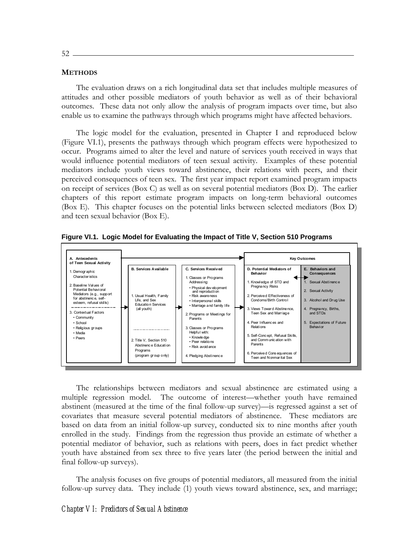$52 -$ 

### **METHODS**

The evaluation draws on a rich longitudinal data set that includes multiple measures of attitudes and other possible mediators of youth behavior as well as of their behavioral outcomes. These data not only allow the analysis of program impacts over time, but also enable us to examine the pathways through which programs might have affected behaviors.

The logic model for the evaluation, presented in Chapter I and reproduced below (Figure VI.1), presents the pathways through which program effects were hypothesized to occur. Programs aimed to alter the level and nature of services youth received in ways that would influence potential mediators of teen sexual activity. Examples of these potential mediators include youth views toward abstinence, their relations with peers, and their perceived consequences of teen sex. The first year impact report examined program impacts on receipt of services (Box C) as well as on several potential mediators (Box D). The earlier chapters of this report estimate program impacts on long-term behavioral outcomes (Box E). This chapter focuses on the potential links between selected mediators (Box D) and teen sexual behavior (Box E).

**Figure VI.1. Logic Model for Evaluating the Impact of Title V, Section 510 Programs** 



The relationships between mediators and sexual abstinence are estimated using a multiple regression model. The outcome of interest—whether youth have remained abstinent (measured at the time of the final follow-up survey)—is regressed against a set of covariates that measure several potential mediators of abstinence. These mediators are based on data from an initial follow-up survey, conducted six to nine months after youth enrolled in the study. Findings from the regression thus provide an estimate of whether a potential mediator of behavior, such as relations with peers, does in fact predict whether youth have abstained from sex three to five years later (the period between the initial and final follow-up surveys).

The analysis focuses on five groups of potential mediators, all measured from the initial follow-up survey data. They include (1) youth views toward abstinence, sex, and marriage;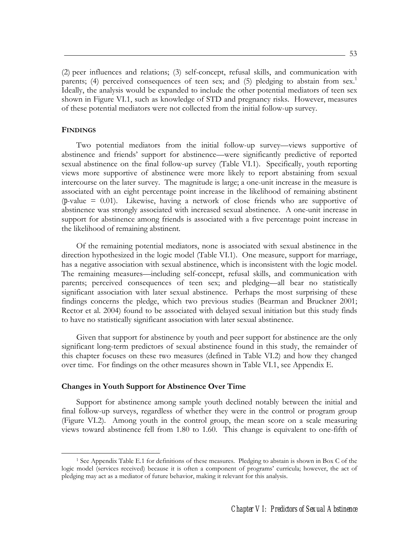(2) peer influences and relations; (3) self-concept, refusal skills, and communication with parents; (4) perceived consequences of teen sex; and (5) pledging to abstain from sex.<sup>1</sup> Ideally, the analysis would be expanded to include the other potential mediators of teen sex shown in Figure VI.1, such as knowledge of STD and pregnancy risks. However, measures of these potential mediators were not collected from the initial follow-up survey.

### **FINDINGS**

<u>.</u>

Two potential mediators from the initial follow-up survey—views supportive of abstinence and friends' support for abstinence—were significantly predictive of reported sexual abstinence on the final follow-up survey (Table VI.1). Specifically, youth reporting views more supportive of abstinence were more likely to report abstaining from sexual intercourse on the later survey. The magnitude is large; a one-unit increase in the measure is associated with an eight percentage point increase in the likelihood of remaining abstinent (*p*-value = 0.01). Likewise, having a network of close friends who are supportive of abstinence was strongly associated with increased sexual abstinence. A one-unit increase in support for abstinence among friends is associated with a five percentage point increase in the likelihood of remaining abstinent.

Of the remaining potential mediators, none is associated with sexual abstinence in the direction hypothesized in the logic model (Table VI.1). One measure, support for marriage, has a negative association with sexual abstinence, which is inconsistent with the logic model. The remaining measures—including self-concept, refusal skills, and communication with parents; perceived consequences of teen sex; and pledging—all bear no statistically significant association with later sexual abstinence. Perhaps the most surprising of these findings concerns the pledge, which two previous studies (Bearman and Bruckner 2001; Rector et al. 2004) found to be associated with delayed sexual initiation but this study finds to have no statistically significant association with later sexual abstinence.

Given that support for abstinence by youth and peer support for abstinence are the only significant long-term predictors of sexual abstinence found in this study, the remainder of this chapter focuses on these two measures (defined in Table VI.2) and how they changed over time. For findings on the other measures shown in Table VI.1, see Appendix E.

### **Changes in Youth Support for Abstinence Over Time**

Support for abstinence among sample youth declined notably between the initial and final follow-up surveys, regardless of whether they were in the control or program group (Figure VI.2). Among youth in the control group, the mean score on a scale measuring views toward abstinence fell from 1.80 to 1.60. This change is equivalent to one-fifth of

<sup>1</sup> See Appendix Table E.1 for definitions of these measures. Pledging to abstain is shown in Box C of the logic model (services received) because it is often a component of programs' curricula; however, the act of pledging may act as a mediator of future behavior, making it relevant for this analysis.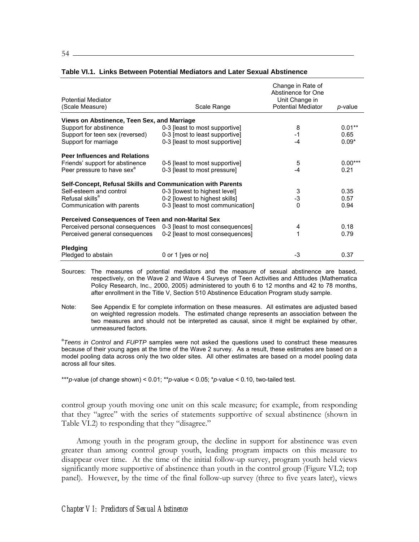| <b>Potential Mediator</b><br>(Scale Measure)                                                                                                             | Scale Range                                                                                          | Change in Rate of<br>Abstinence for One<br>Unit Change in<br><b>Potential Mediator</b> | p-value                     |
|----------------------------------------------------------------------------------------------------------------------------------------------------------|------------------------------------------------------------------------------------------------------|----------------------------------------------------------------------------------------|-----------------------------|
| Views on Abstinence, Teen Sex, and Marriage<br>Support for abstinence<br>Support for teen sex (reversed)<br>Support for marriage                         | 0-3 [least to most supportive]<br>0-3 [most to least supportive]<br>0-3 [least to most supportive]   | 8<br>$-1$<br>$-4$                                                                      | $0.01**$<br>0.65<br>$0.09*$ |
| <b>Peer Influences and Relations</b><br>Friends' support for abstinence<br>Peer pressure to have sex <sup>a</sup>                                        | 0-5 (least to most supportive)<br>0-3 [least to most pressure]                                       | 5<br>-4                                                                                | $0.00***$<br>0.21           |
| Self-Concept, Refusal Skills and Communication with Parents<br>Self-esteem and control<br>Refusal skills <sup>a</sup><br>Communication with parents      | 0-3 [lowest to highest level]<br>0-2 [lowest to highest skills]<br>0-3 [least to most communication] | 3<br>-3<br>0                                                                           | 0.35<br>0.57<br>0.94        |
| Perceived Consequences of Teen and non-Marital Sex<br>Perceived personal consequences 0-3 [least to most consequences]<br>Perceived general consequences | 0-2 [least to most consequences]                                                                     | 4                                                                                      | 0.18<br>0.79                |
| Pledging<br>Pledged to abstain                                                                                                                           | 0 or 1 [yes or no]                                                                                   | -3                                                                                     | 0.37                        |

### **Table VI.1. Links Between Potential Mediators and Later Sexual Abstinence**

- Sources: The measures of potential mediators and the measure of sexual abstinence are based, respectively, on the Wave 2 and Wave 4 Surveys of Teen Activities and Attitudes (Mathematica Policy Research, Inc., 2000, 2005) administered to youth 6 to 12 months and 42 to 78 months, after enrollment in the Title V, Section 510 Abstinence Education Program study sample.
- Note: See Appendix E for complete information on these measures. All estimates are adjusted based on weighted regression models. The estimated change represents an association between the two measures and should not be interpreted as causal, since it might be explained by other, unmeasured factors.

a *Teens in Control* and *FUPTP* samples were not asked the questions used to construct these measures because of their young ages at the time of the Wave 2 survey. As a result, these estimates are based on a model pooling data across only the two older sites. All other estimates are based on a model pooling data across all four sites.

\*\*\**p-*value (of change shown) < 0.01; \*\**p-*value < 0.05; \**p-*value < 0.10, two-tailed test.

control group youth moving one unit on this scale measure; for example, from responding that they "agree" with the series of statements supportive of sexual abstinence (shown in Table VI.2) to responding that they "disagree."

Among youth in the program group, the decline in support for abstinence was even greater than among control group youth, leading program impacts on this measure to disappear over time. At the time of the initial follow-up survey, program youth held views significantly more supportive of abstinence than youth in the control group (Figure VI.2; top panel). However, by the time of the final follow-up survey (three to five years later), views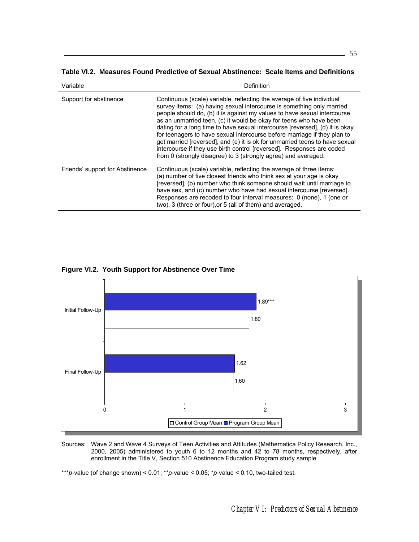**Table VI.2. Measures Found Predictive of Sexual Abstinence: Scale Items and Definitions** 

| Variable                        | Definition                                                                                                                                                                                                                                                                                                                                                                                                                                                                                                                                                                                                                                                                              |
|---------------------------------|-----------------------------------------------------------------------------------------------------------------------------------------------------------------------------------------------------------------------------------------------------------------------------------------------------------------------------------------------------------------------------------------------------------------------------------------------------------------------------------------------------------------------------------------------------------------------------------------------------------------------------------------------------------------------------------------|
| Support for abstinence          | Continuous (scale) variable, reflecting the average of five individual<br>survey items: (a) having sexual intercourse is something only married<br>people should do, (b) it is against my values to have sexual intercourse<br>as an unmarried teen, (c) it would be okay for teens who have been<br>dating for a long time to have sexual intercourse [reversed], (d) it is okay<br>for teenagers to have sexual intercourse before marriage if they plan to<br>get married [reversed], and (e) it is ok for unmarried teens to have sexual<br>intercourse if they use birth control [reversed]. Responses are coded<br>from 0 (strongly disagree) to 3 (strongly agree) and averaged. |
| Friends' support for Abstinence | Continuous (scale) variable, reflecting the average of three items:<br>(a) number of five closest friends who think sex at your age is okay<br>[reversed], (b) number who think someone should wait until marriage to<br>have sex, and (c) number who have had sexual intercourse [reversed].<br>Responses are recoded to four interval measures: 0 (none), 1 (one or<br>two), 3 (three or four), or 5 (all of them) and averaged.                                                                                                                                                                                                                                                      |

**Figure VI.2. Youth Support for Abstinence Over Time** 



Sources: Wave 2 and Wave 4 Surveys of Teen Activities and Attitudes (Mathematica Policy Research, Inc., 2000, 2005) administered to youth 6 to 12 months and 42 to 78 months, respectively, after enrollment in the Title V, Section 510 Abstinence Education Program study sample.

\*\*\**p-*value (of change shown) < 0.01; \*\**p-*value < 0.05; \**p-*value < 0.10, two-tailed test.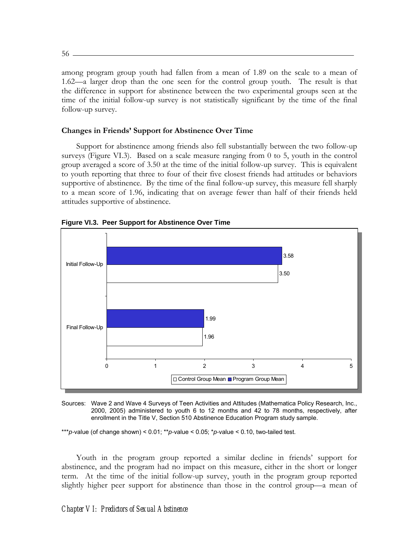$56 -$ 

among program group youth had fallen from a mean of 1.89 on the scale to a mean of  $1.62$ —a larger drop than the one seen for the control group youth. The result is that the difference in support for abstinence between the two experimental groups seen at the time of the initial follow-up survey is not statistically significant by the time of the final follow-up survey.

### **Changes in Friends' Support for Abstinence Over Time**

Support for abstinence among friends also fell substantially between the two follow-up surveys (Figure VI.3). Based on a scale measure ranging from 0 to 5, youth in the control group averaged a score of 3.50 at the time of the initial follow-up survey. This is equivalent to youth reporting that three to four of their five closest friends had attitudes or behaviors supportive of abstinence. By the time of the final follow-up survey, this measure fell sharply to a mean score of 1.96, indicating that on average fewer than half of their friends held attitudes supportive of abstinence.



**Figure VI.3. Peer Support for Abstinence Over Time** 

Sources: Wave 2 and Wave 4 Surveys of Teen Activities and Attitudes (Mathematica Policy Research, Inc., 2000, 2005) administered to youth 6 to 12 months and 42 to 78 months, respectively, after enrollment in the Title V, Section 510 Abstinence Education Program study sample.

\*\*\**p-*value (of change shown) < 0.01; \*\**p-*value < 0.05; \**p-*value < 0.10, two-tailed test.

Youth in the program group reported a similar decline in friends' support for abstinence, and the program had no impact on this measure, either in the short or longer term. At the time of the initial follow-up survey, youth in the program group reported slightly higher peer support for abstinence than those in the control group—a mean of

### *Chapter VI: Predictors of Sexual Abstinence*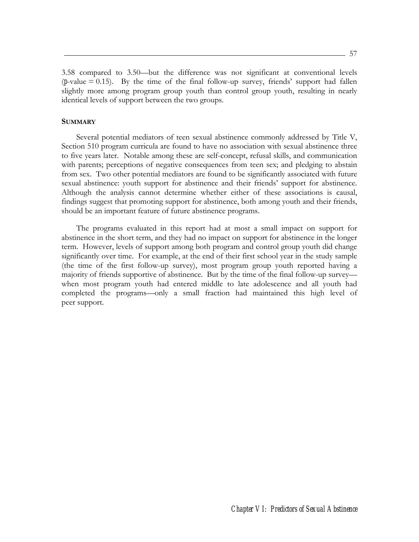$3.58$  compared to  $3.50$ —but the difference was not significant at conventional levels  $(p$ -value = 0.15). By the time of the final follow-up survey, friends' support had fallen slightly more among program group youth than control group youth, resulting in nearly identical levels of support between the two groups.

### **SUMMARY**

Several potential mediators of teen sexual abstinence commonly addressed by Title V, Section 510 program curricula are found to have no association with sexual abstinence three to five years later. Notable among these are self-concept, refusal skills, and communication with parents; perceptions of negative consequences from teen sex; and pledging to abstain from sex. Two other potential mediators are found to be significantly associated with future sexual abstinence: youth support for abstinence and their friends' support for abstinence. Although the analysis cannot determine whether either of these associations is causal, findings suggest that promoting support for abstinence, both among youth and their friends, should be an important feature of future abstinence programs.

The programs evaluated in this report had at most a small impact on support for abstinence in the short term, and they had no impact on support for abstinence in the longer term. However, levels of support among both program and control group youth did change significantly over time. For example, at the end of their first school year in the study sample (the time of the first follow-up survey), most program group youth reported having a majority of friends supportive of abstinence. But by the time of the final follow-up survey when most program youth had entered middle to late adolescence and all youth had completed the programs—only a small fraction had maintained this high level of peer support.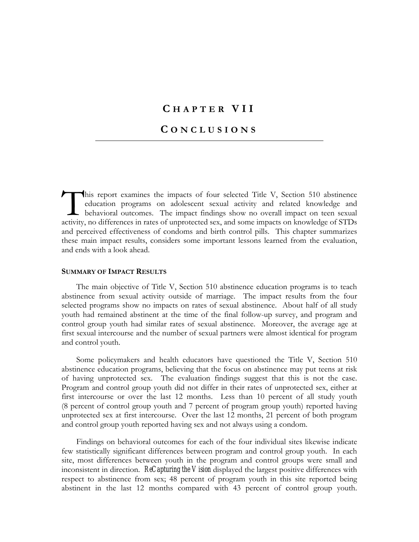## **C HAPTER VII**

### **C ONCLUSIONS**

his report examines the impacts of four selected Title V, Section 510 abstinence education programs on adolescent sexual activity and related knowledge and behavioral outcomes. The impact findings show no overall impact on teen sexual This report examines the impacts of four selected Title V, Section 510 abstinence education programs on adolescent sexual activity and related knowledge and behavioral outcomes. The impact findings show no overall impact o and perceived effectiveness of condoms and birth control pills. This chapter summarizes these main impact results, considers some important lessons learned from the evaluation, and ends with a look ahead.

### **SUMMARY OF IMPACT RESULTS**

The main objective of Title V, Section 510 abstinence education programs is to teach abstinence from sexual activity outside of marriage. The impact results from the four selected programs show no impacts on rates of sexual abstinence. About half of all study youth had remained abstinent at the time of the final follow-up survey, and program and control group youth had similar rates of sexual abstinence. Moreover, the average age at first sexual intercourse and the number of sexual partners were almost identical for program and control youth.

Some policymakers and health educators have questioned the Title V, Section 510 abstinence education programs, believing that the focus on abstinence may put teens at risk of having unprotected sex. The evaluation findings suggest that this is not the case. Program and control group youth did not differ in their rates of unprotected sex, either at first intercourse or over the last 12 months. Less than 10 percent of all study youth (8 percent of control group youth and 7 percent of program group youth) reported having unprotected sex at first intercourse. Over the last 12 months, 21 percent of both program and control group youth reported having sex and not always using a condom.

Findings on behavioral outcomes for each of the four individual sites likewise indicate few statistically significant differences between program and control group youth. In each site, most differences between youth in the program and control groups were small and inconsistent in direction. *ReCapturing the Vision* displayed the largest positive differences with respect to abstinence from sex; 48 percent of program youth in this site reported being abstinent in the last 12 months compared with 43 percent of control group youth.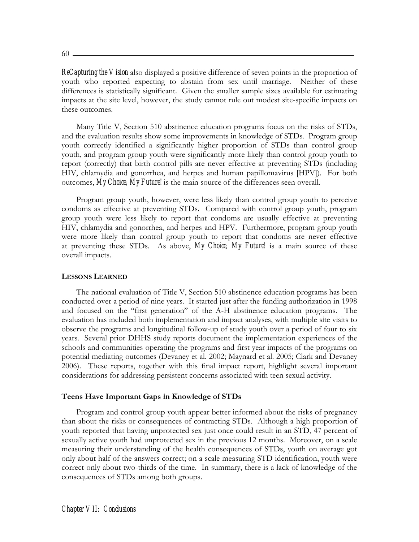60

*ReCapturing the Vision* also displayed a positive difference of seven points in the proportion of youth who reported expecting to abstain from sex until marriage. Neither of these differences is statistically significant. Given the smaller sample sizes available for estimating impacts at the site level, however, the study cannot rule out modest site-specific impacts on these outcomes.

Many Title V, Section 510 abstinence education programs focus on the risks of STDs, and the evaluation results show some improvements in knowledge of STDs. Program group youth correctly identified a significantly higher proportion of STDs than control group youth, and program group youth were significantly more likely than control group youth to report (correctly) that birth control pills are never effective at preventing STDs (including HIV, chlamydia and gonorrhea, and herpes and human papillomavirus [HPV]). For both outcomes, *My Choice, My Future!* is the main source of the differences seen overall.

Program group youth, however, were less likely than control group youth to perceive condoms as effective at preventing STDs. Compared with control group youth, program group youth were less likely to report that condoms are usually effective at preventing HIV, chlamydia and gonorrhea, and herpes and HPV. Furthermore, program group youth were more likely than control group youth to report that condoms are never effective at preventing these STDs. As above, *My Choice, My Future!* is a main source of these overall impacts.

### **LESSONS LEARNED**

The national evaluation of Title V, Section 510 abstinence education programs has been conducted over a period of nine years. It started just after the funding authorization in 1998 and focused on the "first generation" of the A-H abstinence education programs. The evaluation has included both implementation and impact analyses, with multiple site visits to observe the programs and longitudinal follow-up of study youth over a period of four to six years. Several prior DHHS study reports document the implementation experiences of the schools and communities operating the programs and first year impacts of the programs on potential mediating outcomes (Devaney et al. 2002; Maynard et al. 2005; Clark and Devaney 2006). These reports, together with this final impact report, highlight several important considerations for addressing persistent concerns associated with teen sexual activity.

### **Teens Have Important Gaps in Knowledge of STDs**

Program and control group youth appear better informed about the risks of pregnancy than about the risks or consequences of contracting STDs. Although a high proportion of youth reported that having unprotected sex just once could result in an STD, 47 percent of sexually active youth had unprotected sex in the previous 12 months. Moreover, on a scale measuring their understanding of the health consequences of STDs, youth on average got only about half of the answers correct; on a scale measuring STD identification, youth were correct only about two-thirds of the time. In summary, there is a lack of knowledge of the consequences of STDs among both groups.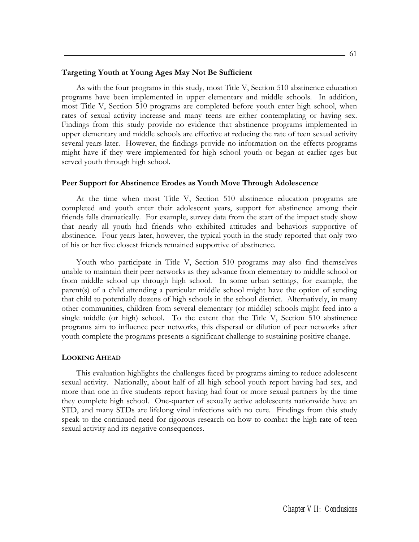### **Targeting Youth at Young Ages May Not Be Sufficient**

As with the four programs in this study, most Title V, Section 510 abstinence education programs have been implemented in upper elementary and middle schools. In addition, most Title V, Section 510 programs are completed before youth enter high school, when rates of sexual activity increase and many teens are either contemplating or having sex. Findings from this study provide no evidence that abstinence programs implemented in upper elementary and middle schools are effective at reducing the rate of teen sexual activity several years later. However, the findings provide no information on the effects programs might have if they were implemented for high school youth or began at earlier ages but served youth through high school.

### **Peer Support for Abstinence Erodes as Youth Move Through Adolescence**

At the time when most Title V, Section 510 abstinence education programs are completed and youth enter their adolescent years, support for abstinence among their friends falls dramatically. For example, survey data from the start of the impact study show that nearly all youth had friends who exhibited attitudes and behaviors supportive of abstinence. Four years later, however, the typical youth in the study reported that only two of his or her five closest friends remained supportive of abstinence.

Youth who participate in Title V, Section 510 programs may also find themselves unable to maintain their peer networks as they advance from elementary to middle school or from middle school up through high school. In some urban settings, for example, the parent(s) of a child attending a particular middle school might have the option of sending that child to potentially dozens of high schools in the school district. Alternatively, in many other communities, children from several elementary (or middle) schools might feed into a single middle (or high) school. To the extent that the Title V, Section 510 abstinence programs aim to influence peer networks, this dispersal or dilution of peer networks after youth complete the programs presents a significant challenge to sustaining positive change.

### **LOOKING AHEAD**

This evaluation highlights the challenges faced by programs aiming to reduce adolescent sexual activity. Nationally, about half of all high school youth report having had sex, and more than one in five students report having had four or more sexual partners by the time they complete high school. One-quarter of sexually active adolescents nationwide have an STD, and many STDs are lifelong viral infections with no cure. Findings from this study speak to the continued need for rigorous research on how to combat the high rate of teen sexual activity and its negative consequences.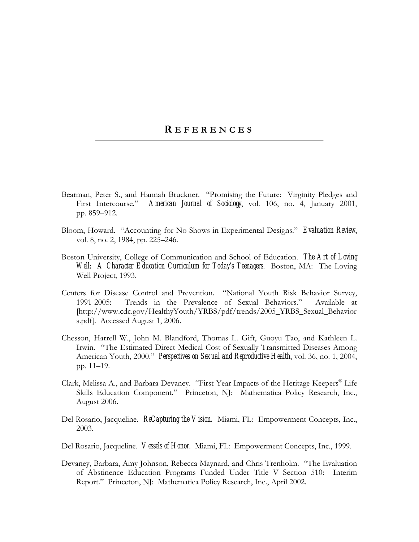### **R EFERENCES**

- Bearman, Peter S., and Hannah Bruckner. "Promising the Future: Virginity Pledges and First Intercourse." American Journal of Sociology, vol. 106, no. 4, January 2001, pp. 859-912.
- Bloom, Howard. "Accounting for No-Shows in Experimental Designs." *Evaluation Review*, vol. 8, no. 2, 1984, pp. 225–246.
- Boston University, College of Communication and School of Education. *The Art of Loving Well: A Character Education Curriculum for Today's Teenagers*. Boston, MA: The Loving Well Project, 1993.
- Centers for Disease Control and Prevention. "National Youth Risk Behavior Survey, 1991-2005: Trends in the Prevalence of Sexual Behaviors." Available at [http://www.cdc.gov/HealthyYouth/YRBS/pdf/trends/2005\_YRBS\_Sexual\_Behavior s.pdf]. Accessed August 1, 2006.
- Chesson, Harrell W., John M. Blandford, Thomas L. Gift, Guoyu Tao, and Kathleen L. Irwin. "The Estimated Direct Medical Cost of Sexually Transmitted Diseases Among American Youth, 2000." *Perspectives on Sexual and Reproductive Health*, vol. 36, no. 1, 2004, pp. 11–19.
- Clark, Melissa A., and Barbara Devaney. "First-Year Impacts of the Heritage Keepers® Life Skills Education Component." Princeton, NJ: Mathematica Policy Research, Inc., August 2006.
- Del Rosario, Jacqueline. *ReCapturing the Vision.* Miami, FL: Empowerment Concepts, Inc., 2003.
- Del Rosario, Jacqueline. *Vessels of Honor*. Miami, FL: Empowerment Concepts, Inc., 1999.
- Devaney, Barbara, Amy Johnson, Rebecca Maynard, and Chris Trenholm. *"The Evaluation* of Abstinence Education Programs Funded Under Title V Section 510: Interim Report." Princeton, NJ: Mathematica Policy Research, Inc., April 2002.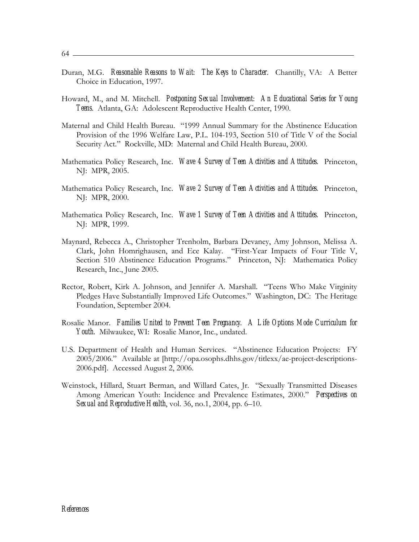$64 -$ 

- Duran, M.G. *Reasonable Reasons to Wait: The Keys to Character*. Chantilly, VA: A Better Choice in Education, 1997.
- Howard, M., and M. Mitchell. *Postponing Sexual Involvement: An Educational Series for Young Teens*. Atlanta, GA: Adolescent Reproductive Health Center, 1990.
- Maternal and Child Health Bureau. "1999 Annual Summary for the Abstinence Education Provision of the 1996 Welfare Law, P.L. 104-193, Section 510 of Title V of the Social Security Act." Rockville, MD: Maternal and Child Health Bureau, 2000.
- Mathematica Policy Research, Inc. *Wave 4 Survey of Teen Activities and Attitudes.* Princeton, NJ: MPR, 2005.
- Mathematica Policy Research, Inc. *Wave 2 Survey of Teen Activities and Attitudes.* Princeton, NJ: MPR, 2000.
- Mathematica Policy Research, Inc. *Wave 1 Survey of Teen Activities and Attitudes.* Princeton, NJ: MPR, 1999.
- Maynard, Rebecca A., Christopher Trenholm, Barbara Devaney, Amy Johnson, Melissa A. Clark, John Homrighausen, and Ece Kalay. "First-Year Impacts of Four Title V, Section 510 Abstinence Education Programs." Princeton, NJ: Mathematica Policy Research, Inc., June 2005.
- Rector, Robert, Kirk A. Johnson, and Jennifer A. Marshall. "Teens Who Make Virginity Pledges Have Substantially Improved Life Outcomes." Washington, DC: The Heritage Foundation, September 2004.
- Rosalie Manor. *Families United to Prevent Teen Pregnancy. A Life Options Mode Curriculum for Youth.* Milwaukee, WI: Rosalie Manor, Inc., undated.
- U.S. Department of Health and Human Services. "Abstinence Education Projects: FY 2005/2006.î Available at [http://opa.osophs.dhhs.gov/titlexx/ae-project-descriptions-2006.pdf]. Accessed August 2, 2006.
- Weinstock, Hillard, Stuart Berman, and Willard Cates, Jr. "Sexually Transmitted Diseases Among American Youth: Incidence and Prevalence Estimates, 2000.<sup>n</sup> Perspectives on *Sexual and Reproductive Health*, vol. 36, no.1, 2004, pp. 6–10.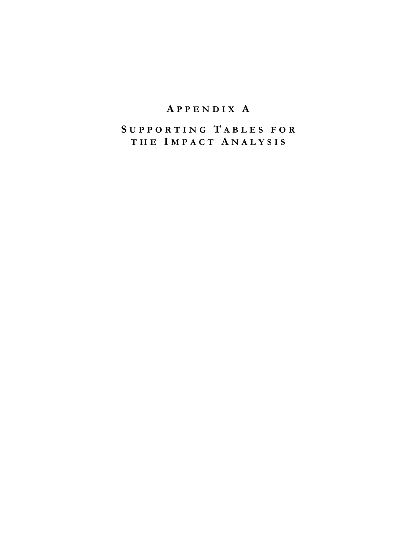# **A PPENDIX A**

## **S UPPORTING T ABLES FOR THE I MPACT A NALYSIS**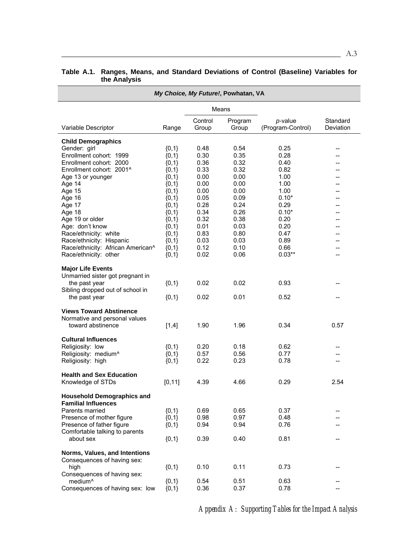| My Choice, My Future!, Powhatan, VA                             |                    |              |              |                   |           |
|-----------------------------------------------------------------|--------------------|--------------|--------------|-------------------|-----------|
|                                                                 |                    |              | Means        |                   |           |
|                                                                 |                    | Control      | Program      | p-value           | Standard  |
| Variable Descriptor                                             | Range              | Group        | Group        | (Program-Control) | Deviation |
| <b>Child Demographics</b>                                       |                    |              |              |                   |           |
| Gender: girl                                                    | ${0,1}$            | 0.48         | 0.54         | 0.25              | --        |
| Enrollment cohort: 1999                                         | ${0,1}$            | 0.30         | 0.35         | 0.28              | --        |
| Enrollment cohort: 2000                                         | ${0, 1}$           | 0.36         | 0.32         | 0.40              | $-$       |
| Enrollment cohort: 2001^                                        | ${0, 1}$           | 0.33         | 0.32         | 0.82              | --        |
| Age 13 or younger                                               | ${0,1}$            | 0.00         | 0.00         | 1.00              | --        |
| Age 14                                                          | ${0,1}$            | 0.00         | 0.00         | 1.00              | $-$       |
| Age 15                                                          | ${0,1}$            | 0.00         | 0.00         | 1.00              | $-$       |
| Age 16                                                          | ${0,1}$            | 0.05         | 0.09         | $0.10*$           | --        |
| Age 17                                                          | ${0,1}$            | 0.28<br>0.34 | 0.24<br>0.26 | 0.29<br>$0.10*$   | $-$       |
| Age 18                                                          | ${0,1}$            | 0.32         | 0.38         | 0.20              | --        |
| Age 19 or older<br>Age: don't know                              | ${0,1}$<br>${0,1}$ | 0.01         | 0.03         | 0.20              | --<br>--  |
| Race/ethnicity: white                                           | ${0, 1}$           | 0.83         | 0.80         | 0.47              | --        |
| Race/ethnicity: Hispanic                                        | ${0,1}$            | 0.03         | 0.03         | 0.89              | $-$       |
| Race/ethnicity: African American^                               | ${0,1}$            | 0.12         | 0.10         | 0.66              | --        |
| Race/ethnicity: other                                           | ${0,1}$            | 0.02         | 0.06         | $0.03**$          | $-$       |
|                                                                 |                    |              |              |                   |           |
| <b>Major Life Events</b>                                        |                    |              |              |                   |           |
| Unmarried sister got pregnant in                                |                    |              |              |                   |           |
| the past year                                                   | ${0,1}$            | 0.02         | 0.02         | 0.93              | --        |
| Sibling dropped out of school in                                |                    |              |              |                   |           |
| the past year                                                   | ${0,1}$            | 0.02         | 0.01         | 0.52              | --        |
|                                                                 |                    |              |              |                   |           |
| <b>Views Toward Abstinence</b>                                  |                    |              |              |                   |           |
| Normative and personal values                                   |                    |              |              |                   |           |
| toward abstinence                                               | [1,4]              | 1.90         | 1.96         | 0.34              | 0.57      |
|                                                                 |                    |              |              |                   |           |
| <b>Cultural Influences</b>                                      |                    |              |              |                   |           |
| Religiosity: low                                                | ${0,1}$            | 0.20         | 0.18         | 0.62              | $-$       |
| Religiosity: medium^                                            | ${0,1}$            | 0.57         | 0.56         | 0.77              | --        |
| Religiosity: high                                               | ${0, 1}$           | 0.22         | 0.23         | 0.78              | --        |
|                                                                 |                    |              |              |                   |           |
| <b>Health and Sex Education</b>                                 |                    |              |              |                   |           |
| Knowledge of STDs                                               | [0, 11]            | 4.39         | 4.66         | 0.29              | 2.54      |
|                                                                 |                    |              |              |                   |           |
| <b>Household Demographics and</b><br><b>Familial Influences</b> |                    |              |              |                   |           |
| Parents married                                                 | ${0, 1}$           | 0.69         | 0.65         | 0.37              |           |
| Presence of mother figure                                       | ${0,1}$            | 0.98         | 0.97         | 0.48              |           |
| Presence of father figure                                       | ${0,1}$            | 0.94         | 0.94         | 0.76              |           |
| Comfortable talking to parents                                  |                    |              |              |                   |           |
| about sex                                                       | ${0,1}$            | 0.39         | 0.40         | 0.81              | --        |
|                                                                 |                    |              |              |                   |           |
| Norms, Values, and Intentions                                   |                    |              |              |                   |           |
| Consequences of having sex:                                     |                    |              |              |                   |           |
| high                                                            | ${0,1}$            | 0.10         | 0.11         | 0.73              | --        |
| Consequences of having sex:                                     |                    |              |              |                   |           |
| medium <sup>^</sup>                                             | ${0,1}$            | 0.54         | 0.51         | 0.63              |           |
| Consequences of having sex: low                                 | ${0,1}$            | 0.36         | 0.37         | 0.78              |           |

### **Table A.1. Ranges, Means, and Standard Deviations of Control (Baseline) Variables for the Analysis**

*Appendix A: Supporting Tables for the Impact Analysis*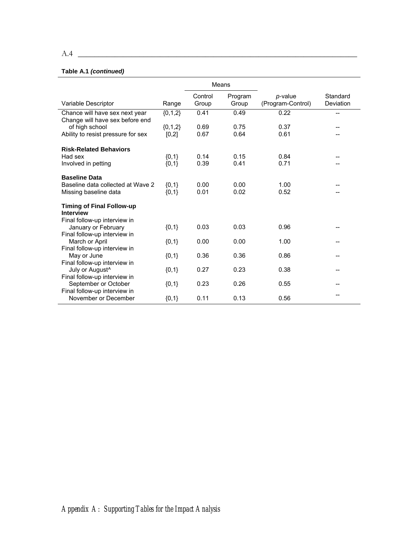|                                                                   |           |                  | Means            |                              |                       |
|-------------------------------------------------------------------|-----------|------------------|------------------|------------------------------|-----------------------|
| Variable Descriptor                                               | Range     | Control<br>Group | Program<br>Group | p-value<br>(Program-Control) | Standard<br>Deviation |
| Chance will have sex next year<br>Change will have sex before end | ${0,1,2}$ | 0.41             | 0.49             | 0.22                         | --                    |
| of high school                                                    | ${0,1,2}$ | 0.69             | 0.75             | 0.37                         |                       |
| Ability to resist pressure for sex                                | [0,2]     | 0.67             | 0.64             | 0.61                         |                       |
| <b>Risk-Related Behaviors</b>                                     |           |                  |                  |                              |                       |
| Had sex                                                           | ${0,1}$   | 0.14             | 0.15             | 0.84                         |                       |
| Involved in petting                                               | ${0,1}$   | 0.39             | 0.41             | 0.71                         |                       |
| <b>Baseline Data</b>                                              |           |                  |                  |                              |                       |
| Baseline data collected at Wave 2                                 | ${0,1}$   | 0.00             | 0.00             | 1.00                         |                       |
| Missing baseline data                                             | ${0,1}$   | 0.01             | 0.02             | 0.52                         |                       |
| <b>Timing of Final Follow-up</b>                                  |           |                  |                  |                              |                       |
| <b>Interview</b>                                                  |           |                  |                  |                              |                       |
| Final follow-up interview in                                      |           |                  |                  |                              |                       |
| January or February                                               | ${0,1}$   | 0.03             | 0.03             | 0.96                         |                       |
| Final follow-up interview in<br>March or April                    | ${0,1}$   | 0.00             | 0.00             | 1.00                         |                       |
| Final follow-up interview in                                      |           |                  |                  |                              |                       |
| May or June                                                       | ${0,1}$   | 0.36             | 0.36             | 0.86                         |                       |
| Final follow-up interview in                                      |           |                  |                  |                              |                       |
| July or August <sup>^</sup>                                       | ${0,1}$   | 0.27             | 0.23             | 0.38                         |                       |
| Final follow-up interview in                                      |           |                  |                  |                              |                       |
| September or October                                              | ${0,1}$   | 0.23             | 0.26             | 0.55                         |                       |
| Final follow-up interview in                                      |           |                  |                  |                              |                       |
| November or December                                              | ${0,1}$   | 0.11             | 0.13             | 0.56                         |                       |

A.4 \_\_\_\_\_\_\_\_\_\_\_\_\_\_\_\_\_\_\_\_\_\_\_\_\_\_\_\_\_\_\_\_\_\_\_\_\_\_\_\_\_\_\_\_\_\_\_\_\_\_\_\_\_\_\_\_\_\_\_\_\_\_\_\_\_\_\_\_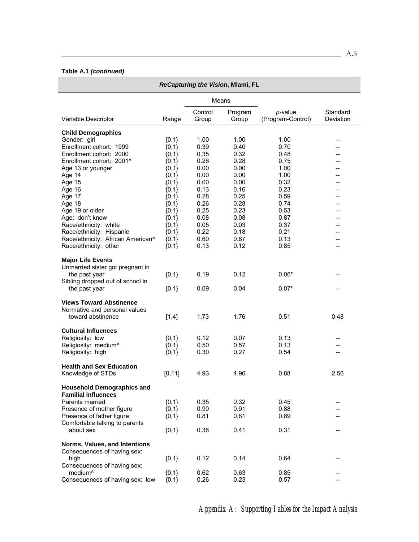| ReCapturing the Vision, Miami, FL |          |                  |                  |                                 |                       |
|-----------------------------------|----------|------------------|------------------|---------------------------------|-----------------------|
|                                   |          |                  | Means            |                                 |                       |
| Variable Descriptor               | Range    | Control<br>Group | Program<br>Group | $p$ -value<br>(Program-Control) | Standard<br>Deviation |
| <b>Child Demographics</b>         |          |                  |                  |                                 |                       |
| Gender: girl                      | ${0,1}$  | 1.00             | 1.00             | 1.00                            | --                    |
| Enrollment cohort: 1999           | ${0, 1}$ | 0.39             | 0.40             | 0.70                            | --                    |
| Enrollment cohort: 2000           | ${0,1}$  | 0.35             | 0.32             | 0.48                            | $-$                   |
| Enrollment cohort: 2001^          | ${0,1}$  | 0.26             | 0.28             | 0.75                            | $-$                   |
| Age 13 or younger                 | ${0, 1}$ | 0.00             | 0.00             | 1.00                            | --                    |
| Age 14                            | ${0, 1}$ | 0.00             | 0.00             | 1.00                            | --                    |
| Age 15                            | ${0, 1}$ | 0.00             | 0.00             | 0.32                            |                       |
| Age 16                            | ${0, 1}$ | 0.13             | 0.16             | 0.23                            | --                    |
| Age 17                            | ${0,1}$  | 0.28             | 0.25             | 0.59                            | --                    |
| Age 18                            | ${0, 1}$ | 0.26             | 0.28             | 0.74                            |                       |
| Age 19 or older                   | ${0,1}$  | 0.25             | 0.23             | 0.53                            | --                    |
| Age: don't know                   | ${0, 1}$ | 0.08             | 0.08             | 0.87                            | $-$                   |
| Race/ethnicity: white             | ${0, 1}$ | 0.05             | 0.03             | 0.37                            | --                    |
| Race/ethnicity: Hispanic          | ${0, 1}$ | 0.22             | 0.18             | 0.21                            | $-$                   |
| Race/ethnicity: African American^ | ${0, 1}$ | 0.60             | 0.67             | 0.13                            | $-$                   |
| Race/ethnicity: other             | ${0,1}$  | 0.13             | 0.12             | 0.85                            | $-$                   |
| <b>Major Life Events</b>          |          |                  |                  |                                 |                       |
| Unmarried sister got pregnant in  |          |                  |                  |                                 |                       |
| the past year                     | ${0,1}$  | 0.19             | 0.12             | $0.06*$                         | --                    |
| Sibling dropped out of school in  |          |                  |                  |                                 |                       |
| the past year                     | ${0,1}$  | 0.09             | 0.04             | $0.07*$                         | --                    |
| <b>Views Toward Abstinence</b>    |          |                  |                  |                                 |                       |
| Normative and personal values     |          |                  |                  |                                 |                       |
| toward abstinence                 | [1,4]    | 1.73             | 1.76             | 0.51                            | 0.48                  |
| <b>Cultural Influences</b>        |          |                  |                  |                                 |                       |
| Religiosity: low                  | ${0,1}$  | 0.12             | 0.07             | 0.13                            | --                    |
| Religiosity: medium^              | ${0,1}$  | 0.50             | 0.57             | 0.13                            | $-$                   |
| Religiosity: high                 | ${0,1}$  | 0.30             | 0.27             | 0.54                            | $- -$                 |
|                                   |          |                  |                  |                                 |                       |
| <b>Health and Sex Education</b>   |          |                  |                  |                                 |                       |
| Knowledge of STDs                 | [0, 11]  | 4.93             | 4.96             | 0.88                            | 2.56                  |
| <b>Household Demographics and</b> |          |                  |                  |                                 |                       |
| <b>Familial Influences</b>        |          |                  |                  |                                 |                       |
| Parents married                   | ${0,1}$  | 0.35             | 0.32             | 0.45                            | --                    |
| Presence of mother figure         | ${0,1}$  | 0.90             | 0.91             | 0.88                            |                       |
| Presence of father figure         | ${0, 1}$ | 0.81             | 0.81             | 0.89                            | --                    |
| Comfortable talking to parents    |          |                  |                  |                                 |                       |
| about sex                         | ${0,1}$  | 0.36             | 0.41             | 0.31                            | --                    |
| Norms, Values, and Intentions     |          |                  |                  |                                 |                       |
| Consequences of having sex:       |          |                  |                  |                                 |                       |
| high                              | ${0,1}$  | 0.12             | 0.14             | 0.64                            |                       |
| Consequences of having sex:       |          |                  |                  |                                 |                       |
| medium <sup>^</sup>               | ${0,1}$  | 0.62             | 0.63             | 0.85                            |                       |
| Consequences of having sex: low   | ${0,1}$  | 0.26             | 0.23             | 0.57                            | $=$                   |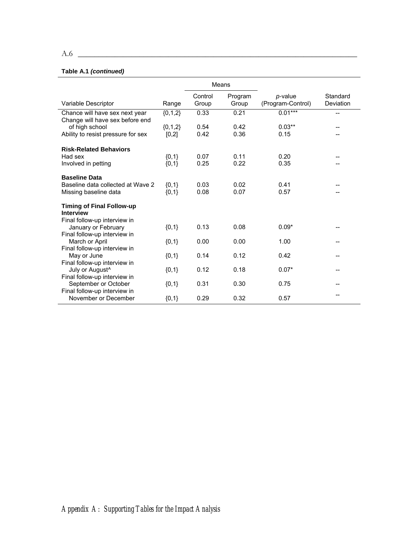|                                                                   |             |                  | Means            |                              |                       |
|-------------------------------------------------------------------|-------------|------------------|------------------|------------------------------|-----------------------|
| Variable Descriptor                                               | Range       | Control<br>Group | Program<br>Group | p-value<br>(Program-Control) | Standard<br>Deviation |
| Chance will have sex next year<br>Change will have sex before end | ${0, 1, 2}$ | 0.33             | 0.21             | $0.01***$                    | --                    |
| of high school                                                    | ${0,1,2}$   | 0.54             | 0.42             | $0.03**$                     |                       |
| Ability to resist pressure for sex                                | [0,2]       | 0.42             | 0.36             | 0.15                         |                       |
| <b>Risk-Related Behaviors</b>                                     |             |                  |                  |                              |                       |
| Had sex                                                           | ${0,1}$     | 0.07             | 0.11             | 0.20                         |                       |
| Involved in petting                                               | ${0,1}$     | 0.25             | 0.22             | 0.35                         |                       |
| <b>Baseline Data</b>                                              |             |                  |                  |                              |                       |
| Baseline data collected at Wave 2                                 | ${0,1}$     | 0.03             | 0.02             | 0.41                         |                       |
| Missing baseline data                                             | ${0,1}$     | 0.08             | 0.07             | 0.57                         |                       |
| <b>Timing of Final Follow-up</b>                                  |             |                  |                  |                              |                       |
| <b>Interview</b>                                                  |             |                  |                  |                              |                       |
| Final follow-up interview in                                      |             | 0.13             | 0.08             | $0.09*$                      |                       |
| January or February<br>Final follow-up interview in               | ${0,1}$     |                  |                  |                              |                       |
| March or April                                                    | ${0,1}$     | 0.00             | 0.00             | 1.00                         |                       |
| Final follow-up interview in                                      |             |                  |                  |                              |                       |
| May or June                                                       | ${0,1}$     | 0.14             | 0.12             | 0.42                         |                       |
| Final follow-up interview in                                      |             |                  |                  |                              |                       |
| July or August <sup>^</sup>                                       | ${0,1}$     | 0.12             | 0.18             | $0.07*$                      |                       |
| Final follow-up interview in                                      |             |                  |                  |                              |                       |
| September or October                                              | ${0,1}$     | 0.31             | 0.30             | 0.75                         |                       |
| Final follow-up interview in<br>November or December              | ${0,1}$     | 0.29             | 0.32             | 0.57                         |                       |
|                                                                   |             |                  |                  |                              |                       |

A.6 \_\_\_\_\_\_\_\_\_\_\_\_\_\_\_\_\_\_\_\_\_\_\_\_\_\_\_\_\_\_\_\_\_\_\_\_\_\_\_\_\_\_\_\_\_\_\_\_\_\_\_\_\_\_\_\_\_\_\_\_\_\_\_\_\_\_\_\_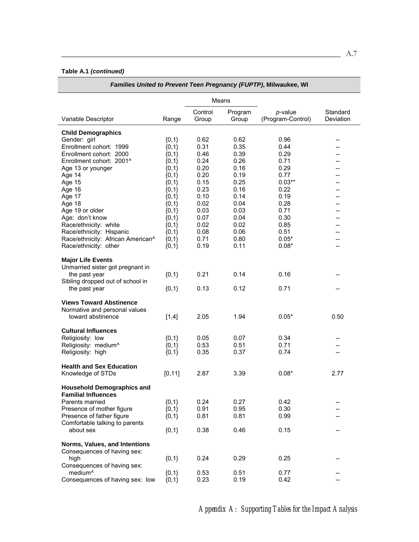|                                   |          |         |         | Families United to Prevent Teen Pregnancy (FUPTP), Milwaukee, WI |           |
|-----------------------------------|----------|---------|---------|------------------------------------------------------------------|-----------|
|                                   |          |         | Means   |                                                                  |           |
|                                   |          | Control | Program | p-value                                                          | Standard  |
| Variable Descriptor               | Range    | Group   | Group   | (Program-Control)                                                | Deviation |
| <b>Child Demographics</b>         |          |         |         |                                                                  |           |
| Gender: girl                      | ${0,1}$  | 0.62    | 0.62    | 0.96                                                             | --        |
| Enrollment cohort: 1999           | ${0,1}$  | 0.31    | 0.35    | 0.44                                                             | $-$       |
| Enrollment cohort: 2000           | ${0,1}$  | 0.46    | 0.39    | 0.29                                                             | $-$       |
| Enrollment cohort: 2001^          | ${0,1}$  | 0.24    | 0.26    | 0.71                                                             | $-$       |
| Age 13 or younger                 | ${0,1}$  | 0.20    | 0.16    | 0.29                                                             | --        |
| Age 14                            | ${0,1}$  | 0.20    | 0.19    | 0.77                                                             | $-$       |
| Age 15                            | ${0,1}$  | 0.15    | 0.25    | $0.03***$                                                        | $-$       |
| Age 16                            | ${0,1}$  | 0.23    | 0.16    | 0.22                                                             | --        |
| Age 17                            | ${0,1}$  | 0.10    | 0.14    | 0.19                                                             | --        |
| Age 18                            | ${0, 1}$ | 0.02    | 0.04    | 0.28                                                             | --        |
| Age 19 or older                   | ${0,1}$  | 0.03    | 0.03    | 0.71                                                             | --        |
| Age: don't know                   | ${0, 1}$ | 0.07    | 0.04    | 0.30                                                             | --        |
| Race/ethnicity: white             | ${0,1}$  | 0.02    | 0.02    | 0.85                                                             | $-$       |
| Race/ethnicity: Hispanic          | ${0,1}$  | 0.08    | 0.06    | 0.51                                                             | $-$       |
| Race/ethnicity: African American^ | ${0,1}$  | 0.71    | 0.80    | $0.05*$                                                          | $-$       |
| Race/ethnicity: other             | ${0,1}$  | 0.19    | 0.11    | $0.08*$                                                          | --        |
| <b>Major Life Events</b>          |          |         |         |                                                                  |           |
| Unmarried sister got pregnant in  |          |         |         |                                                                  |           |
| the past year                     | ${0,1}$  | 0.21    | 0.14    | 0.16                                                             |           |
| Sibling dropped out of school in  |          |         |         |                                                                  |           |
| the past year                     | ${0,1}$  | 0.13    | 0.12    | 0.71                                                             |           |
| <b>Views Toward Abstinence</b>    |          |         |         |                                                                  |           |
| Normative and personal values     |          |         |         |                                                                  |           |
| toward abstinence                 | [1,4]    | 2.05    | 1.94    | $0.05*$                                                          | 0.50      |
|                                   |          |         |         |                                                                  |           |
| <b>Cultural Influences</b>        |          |         |         |                                                                  |           |
| Religiosity: low                  | ${0,1}$  | 0.05    | 0.07    | 0.34                                                             | --        |
| Religiosity: medium^              | ${0,1}$  | 0.53    | 0.51    | 0.71                                                             | $-$       |
| Religiosity: high                 | ${0,1}$  | 0.35    | 0.37    | 0.74                                                             | --        |
| <b>Health and Sex Education</b>   |          |         |         |                                                                  |           |
| Knowledge of STDs                 | [0, 11]  | 2.87    | 3.39    | $0.08*$                                                          | 2.77      |
| <b>Household Demographics and</b> |          |         |         |                                                                  |           |
| <b>Familial Influences</b>        |          |         |         |                                                                  |           |
| Parents married                   | ${0,1}$  | 0.24    | 0.27    | 0.42                                                             |           |
| Presence of mother figure         | ${0,1}$  | 0.91    | 0.95    | 0.30                                                             |           |
| Presence of father figure         | ${0,1}$  | 0.81    | 0.81    | 0.99                                                             |           |
| Comfortable talking to parents    |          |         |         |                                                                  |           |
| about sex                         | ${0,1}$  | 0.38    | 0.46    | 0.15                                                             |           |
| Norms, Values, and Intentions     |          |         |         |                                                                  |           |
| Consequences of having sex:       |          |         |         |                                                                  |           |
| high                              | ${0,1}$  | 0.24    | 0.29    | 0.25                                                             |           |
| Consequences of having sex:       |          |         |         |                                                                  |           |
| medium <sup>^</sup>               | ${0,1}$  | 0.53    | 0.51    | 0.77                                                             | --        |
| Consequences of having sex: low   | ${0,1}$  | 0.23    | 0.19    | 0.42                                                             |           |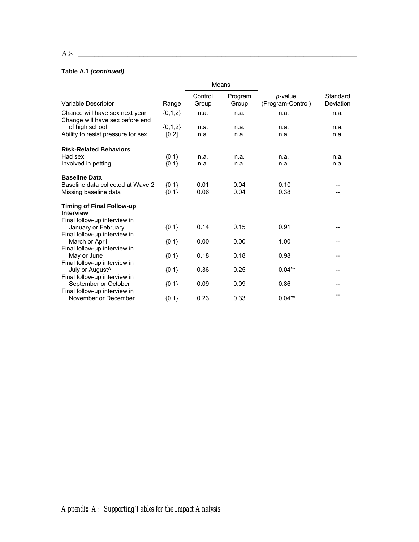|                                                                   |           | Means   |         |                   |           |
|-------------------------------------------------------------------|-----------|---------|---------|-------------------|-----------|
|                                                                   |           | Control | Program | $p$ -value        | Standard  |
| Variable Descriptor                                               | Range     | Group   | Group   | (Program-Control) | Deviation |
| Chance will have sex next year<br>Change will have sex before end | ${0,1,2}$ | n.a.    | n.a.    | n.a.              | n.a.      |
| of high school                                                    | ${0,1,2}$ | n.a.    | n.a.    | n.a.              | n.a.      |
| Ability to resist pressure for sex                                | [0,2]     | n.a.    | n.a.    | n.a.              | n.a.      |
|                                                                   |           |         |         |                   |           |
| <b>Risk-Related Behaviors</b>                                     |           |         |         |                   |           |
| Had sex                                                           | ${0,1}$   | n.a.    | n.a.    | n.a.              | n.a.      |
| Involved in petting                                               | ${0,1}$   | n.a.    | n.a.    | n.a.              | n.a.      |
| <b>Baseline Data</b>                                              |           |         |         |                   |           |
| Baseline data collected at Wave 2                                 | ${0,1}$   | 0.01    | 0.04    | 0.10              |           |
| Missing baseline data                                             | ${0,1}$   | 0.06    | 0.04    | 0.38              |           |
|                                                                   |           |         |         |                   |           |
| <b>Timing of Final Follow-up</b>                                  |           |         |         |                   |           |
| <b>Interview</b>                                                  |           |         |         |                   |           |
| Final follow-up interview in                                      |           |         |         |                   |           |
| January or February                                               | ${0,1}$   | 0.14    | 0.15    | 0.91              |           |
| Final follow-up interview in                                      |           |         |         |                   |           |
| March or April                                                    | ${0,1}$   | 0.00    | 0.00    | 1.00              |           |
| Final follow-up interview in                                      |           |         |         |                   |           |
| May or June                                                       | ${0,1}$   | 0.18    | 0.18    | 0.98              |           |
| Final follow-up interview in                                      |           |         |         |                   |           |
| July or August <sup>^</sup>                                       | ${0,1}$   | 0.36    | 0.25    | $0.04**$          |           |
| Final follow-up interview in                                      |           |         |         |                   |           |
| September or October                                              | ${0,1}$   | 0.09    | 0.09    | 0.86              |           |
| Final follow-up interview in                                      |           |         |         |                   |           |
| November or December                                              | ${0,1}$   | 0.23    | 0.33    | $0.04***$         |           |

# A.8 \_\_\_\_\_\_\_\_\_\_\_\_\_\_\_\_\_\_\_\_\_\_\_\_\_\_\_\_\_\_\_\_\_\_\_\_\_\_\_\_\_\_\_\_\_\_\_\_\_\_\_\_\_\_\_\_\_\_\_\_\_\_\_\_\_\_\_\_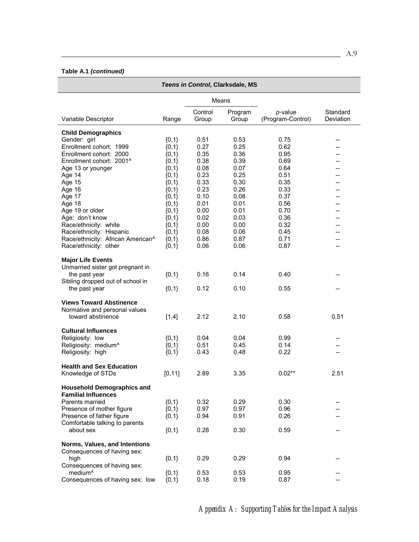| Means<br>Control<br>Program<br>p-value<br>Standard<br>(Program-Control)<br>Deviation<br>Variable Descriptor<br>Group<br>Group<br>Range<br><b>Child Demographics</b><br>Gender: girl<br>0.75<br>${0,1}$<br>0.51<br>0.53<br>--<br>Enrollment cohort: 1999<br>0.27<br>0.25<br>0.62<br>${0, 1}$<br>$-$<br>Enrollment cohort: 2000<br>0.35<br>0.36<br>0.95<br>${0, 1}$<br>--<br>Enrollment cohort: 2001^<br>0.38<br>0.39<br>0.69<br>${0, 1}$<br>--<br>0.08<br>0.07<br>0.64<br>Age 13 or younger<br>${0, 1}$<br>--<br>Age 14<br>0.23<br>0.25<br>0.51<br>${0,1}$<br>$=$<br>0.33<br>0.30<br>0.35<br>Age 15<br>${0,1}$<br>$=$<br>0.23<br>0.26<br>0.33<br>Age 16<br>${0,1}$<br>$-$<br>${0,1}$<br>0.10<br>0.08<br>0.37<br>Age 17<br>$-$<br>0.01<br>0.56<br>Age 18<br>${0, 1}$<br>0.01<br>$-$<br>0.70<br>Age 19 or older<br>${0,1}$<br>0.00<br>0.01<br>$-$<br>Age: don't know<br>0.02<br>0.03<br>0.36<br>${0, 1}$<br>$-$<br>Race/ethnicity: white<br>${0, 1}$<br>0.00<br>0.00<br>0.32<br>--<br>Race/ethnicity: Hispanic<br>0.08<br>0.06<br>${0,1}$<br>0.45<br>$-$<br>Race/ethnicity: African American^<br>0.86<br>0.87<br>0.71<br>${0,1}$<br>--<br>Race/ethnicity: other<br>0.87<br>${0,1}$<br>0.06<br>0.06<br>--<br><b>Major Life Events</b><br>Unmarried sister got pregnant in<br>0.16<br>the past year<br>${0,1}$<br>0.14<br>0.40<br>Sibling dropped out of school in<br>0.12<br>the past year<br>0.10<br>0.55<br>${0,1}$<br><b>Views Toward Abstinence</b><br>Normative and personal values<br>2.12<br>2.10<br>0.58<br>0.51<br>toward abstinence<br>[1,4]<br><b>Cultural Influences</b><br>Religiosity: low<br>${0,1}$<br>0.04<br>0.04<br>0.99<br>$- -$<br>Religiosity: medium^<br>${0,1}$<br>0.51<br>0.14<br>0.45<br>$-$<br>0.22<br>Religiosity: high<br>${0,1}$<br>0.43<br>0.48<br>$-$<br><b>Health and Sex Education</b><br>Knowledge of STDs<br>[0, 11]<br>2.89<br>3.35<br>$0.02**$<br>2.51<br><b>Household Demographics and</b><br><b>Familial Influences</b><br>0.32<br>0.29<br>0.30<br>Parents married<br>${0,1}$<br>--<br>0.97<br>Presence of mother figure<br>0.97<br>0.96<br>${0,1}$<br>0.94<br>0.91<br>0.26<br>Presence of father figure<br>${0,1}$<br>Comfortable talking to parents<br>0.28<br>0.30<br>0.59<br>about sex<br>${0,1}$<br>Norms, Values, and Intentions<br>Consequences of having sex:<br>high<br>${0,1}$<br>0.29<br>0.29<br>0.94<br>Consequences of having sex:<br>medium <sup>^</sup><br>0.53<br>0.53<br>0.95<br>${0,1}$<br>$-$ |                                 |         |      | Teens in Control, Clarksdale, MS |      |  |
|------------------------------------------------------------------------------------------------------------------------------------------------------------------------------------------------------------------------------------------------------------------------------------------------------------------------------------------------------------------------------------------------------------------------------------------------------------------------------------------------------------------------------------------------------------------------------------------------------------------------------------------------------------------------------------------------------------------------------------------------------------------------------------------------------------------------------------------------------------------------------------------------------------------------------------------------------------------------------------------------------------------------------------------------------------------------------------------------------------------------------------------------------------------------------------------------------------------------------------------------------------------------------------------------------------------------------------------------------------------------------------------------------------------------------------------------------------------------------------------------------------------------------------------------------------------------------------------------------------------------------------------------------------------------------------------------------------------------------------------------------------------------------------------------------------------------------------------------------------------------------------------------------------------------------------------------------------------------------------------------------------------------------------------------------------------------------------------------------------------------------------------------------------------------------------------------------------------------------------------------------------------------------------------------------------------------------------------------------------------------------------------------------------------------------------------------------|---------------------------------|---------|------|----------------------------------|------|--|
|                                                                                                                                                                                                                                                                                                                                                                                                                                                                                                                                                                                                                                                                                                                                                                                                                                                                                                                                                                                                                                                                                                                                                                                                                                                                                                                                                                                                                                                                                                                                                                                                                                                                                                                                                                                                                                                                                                                                                                                                                                                                                                                                                                                                                                                                                                                                                                                                                                                      |                                 |         |      |                                  |      |  |
|                                                                                                                                                                                                                                                                                                                                                                                                                                                                                                                                                                                                                                                                                                                                                                                                                                                                                                                                                                                                                                                                                                                                                                                                                                                                                                                                                                                                                                                                                                                                                                                                                                                                                                                                                                                                                                                                                                                                                                                                                                                                                                                                                                                                                                                                                                                                                                                                                                                      |                                 |         |      |                                  |      |  |
|                                                                                                                                                                                                                                                                                                                                                                                                                                                                                                                                                                                                                                                                                                                                                                                                                                                                                                                                                                                                                                                                                                                                                                                                                                                                                                                                                                                                                                                                                                                                                                                                                                                                                                                                                                                                                                                                                                                                                                                                                                                                                                                                                                                                                                                                                                                                                                                                                                                      |                                 |         |      |                                  |      |  |
|                                                                                                                                                                                                                                                                                                                                                                                                                                                                                                                                                                                                                                                                                                                                                                                                                                                                                                                                                                                                                                                                                                                                                                                                                                                                                                                                                                                                                                                                                                                                                                                                                                                                                                                                                                                                                                                                                                                                                                                                                                                                                                                                                                                                                                                                                                                                                                                                                                                      |                                 |         |      |                                  |      |  |
|                                                                                                                                                                                                                                                                                                                                                                                                                                                                                                                                                                                                                                                                                                                                                                                                                                                                                                                                                                                                                                                                                                                                                                                                                                                                                                                                                                                                                                                                                                                                                                                                                                                                                                                                                                                                                                                                                                                                                                                                                                                                                                                                                                                                                                                                                                                                                                                                                                                      |                                 |         |      |                                  |      |  |
|                                                                                                                                                                                                                                                                                                                                                                                                                                                                                                                                                                                                                                                                                                                                                                                                                                                                                                                                                                                                                                                                                                                                                                                                                                                                                                                                                                                                                                                                                                                                                                                                                                                                                                                                                                                                                                                                                                                                                                                                                                                                                                                                                                                                                                                                                                                                                                                                                                                      |                                 |         |      |                                  |      |  |
|                                                                                                                                                                                                                                                                                                                                                                                                                                                                                                                                                                                                                                                                                                                                                                                                                                                                                                                                                                                                                                                                                                                                                                                                                                                                                                                                                                                                                                                                                                                                                                                                                                                                                                                                                                                                                                                                                                                                                                                                                                                                                                                                                                                                                                                                                                                                                                                                                                                      |                                 |         |      |                                  |      |  |
|                                                                                                                                                                                                                                                                                                                                                                                                                                                                                                                                                                                                                                                                                                                                                                                                                                                                                                                                                                                                                                                                                                                                                                                                                                                                                                                                                                                                                                                                                                                                                                                                                                                                                                                                                                                                                                                                                                                                                                                                                                                                                                                                                                                                                                                                                                                                                                                                                                                      |                                 |         |      |                                  |      |  |
|                                                                                                                                                                                                                                                                                                                                                                                                                                                                                                                                                                                                                                                                                                                                                                                                                                                                                                                                                                                                                                                                                                                                                                                                                                                                                                                                                                                                                                                                                                                                                                                                                                                                                                                                                                                                                                                                                                                                                                                                                                                                                                                                                                                                                                                                                                                                                                                                                                                      |                                 |         |      |                                  |      |  |
|                                                                                                                                                                                                                                                                                                                                                                                                                                                                                                                                                                                                                                                                                                                                                                                                                                                                                                                                                                                                                                                                                                                                                                                                                                                                                                                                                                                                                                                                                                                                                                                                                                                                                                                                                                                                                                                                                                                                                                                                                                                                                                                                                                                                                                                                                                                                                                                                                                                      |                                 |         |      |                                  |      |  |
|                                                                                                                                                                                                                                                                                                                                                                                                                                                                                                                                                                                                                                                                                                                                                                                                                                                                                                                                                                                                                                                                                                                                                                                                                                                                                                                                                                                                                                                                                                                                                                                                                                                                                                                                                                                                                                                                                                                                                                                                                                                                                                                                                                                                                                                                                                                                                                                                                                                      |                                 |         |      |                                  |      |  |
|                                                                                                                                                                                                                                                                                                                                                                                                                                                                                                                                                                                                                                                                                                                                                                                                                                                                                                                                                                                                                                                                                                                                                                                                                                                                                                                                                                                                                                                                                                                                                                                                                                                                                                                                                                                                                                                                                                                                                                                                                                                                                                                                                                                                                                                                                                                                                                                                                                                      |                                 |         |      |                                  |      |  |
|                                                                                                                                                                                                                                                                                                                                                                                                                                                                                                                                                                                                                                                                                                                                                                                                                                                                                                                                                                                                                                                                                                                                                                                                                                                                                                                                                                                                                                                                                                                                                                                                                                                                                                                                                                                                                                                                                                                                                                                                                                                                                                                                                                                                                                                                                                                                                                                                                                                      |                                 |         |      |                                  |      |  |
|                                                                                                                                                                                                                                                                                                                                                                                                                                                                                                                                                                                                                                                                                                                                                                                                                                                                                                                                                                                                                                                                                                                                                                                                                                                                                                                                                                                                                                                                                                                                                                                                                                                                                                                                                                                                                                                                                                                                                                                                                                                                                                                                                                                                                                                                                                                                                                                                                                                      |                                 |         |      |                                  |      |  |
|                                                                                                                                                                                                                                                                                                                                                                                                                                                                                                                                                                                                                                                                                                                                                                                                                                                                                                                                                                                                                                                                                                                                                                                                                                                                                                                                                                                                                                                                                                                                                                                                                                                                                                                                                                                                                                                                                                                                                                                                                                                                                                                                                                                                                                                                                                                                                                                                                                                      |                                 |         |      |                                  |      |  |
|                                                                                                                                                                                                                                                                                                                                                                                                                                                                                                                                                                                                                                                                                                                                                                                                                                                                                                                                                                                                                                                                                                                                                                                                                                                                                                                                                                                                                                                                                                                                                                                                                                                                                                                                                                                                                                                                                                                                                                                                                                                                                                                                                                                                                                                                                                                                                                                                                                                      |                                 |         |      |                                  |      |  |
|                                                                                                                                                                                                                                                                                                                                                                                                                                                                                                                                                                                                                                                                                                                                                                                                                                                                                                                                                                                                                                                                                                                                                                                                                                                                                                                                                                                                                                                                                                                                                                                                                                                                                                                                                                                                                                                                                                                                                                                                                                                                                                                                                                                                                                                                                                                                                                                                                                                      |                                 |         |      |                                  |      |  |
|                                                                                                                                                                                                                                                                                                                                                                                                                                                                                                                                                                                                                                                                                                                                                                                                                                                                                                                                                                                                                                                                                                                                                                                                                                                                                                                                                                                                                                                                                                                                                                                                                                                                                                                                                                                                                                                                                                                                                                                                                                                                                                                                                                                                                                                                                                                                                                                                                                                      |                                 |         |      |                                  |      |  |
|                                                                                                                                                                                                                                                                                                                                                                                                                                                                                                                                                                                                                                                                                                                                                                                                                                                                                                                                                                                                                                                                                                                                                                                                                                                                                                                                                                                                                                                                                                                                                                                                                                                                                                                                                                                                                                                                                                                                                                                                                                                                                                                                                                                                                                                                                                                                                                                                                                                      |                                 |         |      |                                  |      |  |
|                                                                                                                                                                                                                                                                                                                                                                                                                                                                                                                                                                                                                                                                                                                                                                                                                                                                                                                                                                                                                                                                                                                                                                                                                                                                                                                                                                                                                                                                                                                                                                                                                                                                                                                                                                                                                                                                                                                                                                                                                                                                                                                                                                                                                                                                                                                                                                                                                                                      |                                 |         |      |                                  |      |  |
|                                                                                                                                                                                                                                                                                                                                                                                                                                                                                                                                                                                                                                                                                                                                                                                                                                                                                                                                                                                                                                                                                                                                                                                                                                                                                                                                                                                                                                                                                                                                                                                                                                                                                                                                                                                                                                                                                                                                                                                                                                                                                                                                                                                                                                                                                                                                                                                                                                                      |                                 |         |      |                                  |      |  |
|                                                                                                                                                                                                                                                                                                                                                                                                                                                                                                                                                                                                                                                                                                                                                                                                                                                                                                                                                                                                                                                                                                                                                                                                                                                                                                                                                                                                                                                                                                                                                                                                                                                                                                                                                                                                                                                                                                                                                                                                                                                                                                                                                                                                                                                                                                                                                                                                                                                      |                                 |         |      |                                  |      |  |
|                                                                                                                                                                                                                                                                                                                                                                                                                                                                                                                                                                                                                                                                                                                                                                                                                                                                                                                                                                                                                                                                                                                                                                                                                                                                                                                                                                                                                                                                                                                                                                                                                                                                                                                                                                                                                                                                                                                                                                                                                                                                                                                                                                                                                                                                                                                                                                                                                                                      |                                 |         |      |                                  |      |  |
|                                                                                                                                                                                                                                                                                                                                                                                                                                                                                                                                                                                                                                                                                                                                                                                                                                                                                                                                                                                                                                                                                                                                                                                                                                                                                                                                                                                                                                                                                                                                                                                                                                                                                                                                                                                                                                                                                                                                                                                                                                                                                                                                                                                                                                                                                                                                                                                                                                                      |                                 |         |      |                                  |      |  |
|                                                                                                                                                                                                                                                                                                                                                                                                                                                                                                                                                                                                                                                                                                                                                                                                                                                                                                                                                                                                                                                                                                                                                                                                                                                                                                                                                                                                                                                                                                                                                                                                                                                                                                                                                                                                                                                                                                                                                                                                                                                                                                                                                                                                                                                                                                                                                                                                                                                      |                                 |         |      |                                  |      |  |
|                                                                                                                                                                                                                                                                                                                                                                                                                                                                                                                                                                                                                                                                                                                                                                                                                                                                                                                                                                                                                                                                                                                                                                                                                                                                                                                                                                                                                                                                                                                                                                                                                                                                                                                                                                                                                                                                                                                                                                                                                                                                                                                                                                                                                                                                                                                                                                                                                                                      |                                 |         |      |                                  |      |  |
|                                                                                                                                                                                                                                                                                                                                                                                                                                                                                                                                                                                                                                                                                                                                                                                                                                                                                                                                                                                                                                                                                                                                                                                                                                                                                                                                                                                                                                                                                                                                                                                                                                                                                                                                                                                                                                                                                                                                                                                                                                                                                                                                                                                                                                                                                                                                                                                                                                                      |                                 |         |      |                                  |      |  |
|                                                                                                                                                                                                                                                                                                                                                                                                                                                                                                                                                                                                                                                                                                                                                                                                                                                                                                                                                                                                                                                                                                                                                                                                                                                                                                                                                                                                                                                                                                                                                                                                                                                                                                                                                                                                                                                                                                                                                                                                                                                                                                                                                                                                                                                                                                                                                                                                                                                      |                                 |         |      |                                  |      |  |
|                                                                                                                                                                                                                                                                                                                                                                                                                                                                                                                                                                                                                                                                                                                                                                                                                                                                                                                                                                                                                                                                                                                                                                                                                                                                                                                                                                                                                                                                                                                                                                                                                                                                                                                                                                                                                                                                                                                                                                                                                                                                                                                                                                                                                                                                                                                                                                                                                                                      |                                 |         |      |                                  |      |  |
|                                                                                                                                                                                                                                                                                                                                                                                                                                                                                                                                                                                                                                                                                                                                                                                                                                                                                                                                                                                                                                                                                                                                                                                                                                                                                                                                                                                                                                                                                                                                                                                                                                                                                                                                                                                                                                                                                                                                                                                                                                                                                                                                                                                                                                                                                                                                                                                                                                                      |                                 |         |      |                                  |      |  |
|                                                                                                                                                                                                                                                                                                                                                                                                                                                                                                                                                                                                                                                                                                                                                                                                                                                                                                                                                                                                                                                                                                                                                                                                                                                                                                                                                                                                                                                                                                                                                                                                                                                                                                                                                                                                                                                                                                                                                                                                                                                                                                                                                                                                                                                                                                                                                                                                                                                      |                                 |         |      |                                  |      |  |
|                                                                                                                                                                                                                                                                                                                                                                                                                                                                                                                                                                                                                                                                                                                                                                                                                                                                                                                                                                                                                                                                                                                                                                                                                                                                                                                                                                                                                                                                                                                                                                                                                                                                                                                                                                                                                                                                                                                                                                                                                                                                                                                                                                                                                                                                                                                                                                                                                                                      |                                 |         |      |                                  |      |  |
|                                                                                                                                                                                                                                                                                                                                                                                                                                                                                                                                                                                                                                                                                                                                                                                                                                                                                                                                                                                                                                                                                                                                                                                                                                                                                                                                                                                                                                                                                                                                                                                                                                                                                                                                                                                                                                                                                                                                                                                                                                                                                                                                                                                                                                                                                                                                                                                                                                                      |                                 |         |      |                                  |      |  |
|                                                                                                                                                                                                                                                                                                                                                                                                                                                                                                                                                                                                                                                                                                                                                                                                                                                                                                                                                                                                                                                                                                                                                                                                                                                                                                                                                                                                                                                                                                                                                                                                                                                                                                                                                                                                                                                                                                                                                                                                                                                                                                                                                                                                                                                                                                                                                                                                                                                      |                                 |         |      |                                  |      |  |
|                                                                                                                                                                                                                                                                                                                                                                                                                                                                                                                                                                                                                                                                                                                                                                                                                                                                                                                                                                                                                                                                                                                                                                                                                                                                                                                                                                                                                                                                                                                                                                                                                                                                                                                                                                                                                                                                                                                                                                                                                                                                                                                                                                                                                                                                                                                                                                                                                                                      |                                 |         |      |                                  |      |  |
|                                                                                                                                                                                                                                                                                                                                                                                                                                                                                                                                                                                                                                                                                                                                                                                                                                                                                                                                                                                                                                                                                                                                                                                                                                                                                                                                                                                                                                                                                                                                                                                                                                                                                                                                                                                                                                                                                                                                                                                                                                                                                                                                                                                                                                                                                                                                                                                                                                                      |                                 |         |      |                                  |      |  |
|                                                                                                                                                                                                                                                                                                                                                                                                                                                                                                                                                                                                                                                                                                                                                                                                                                                                                                                                                                                                                                                                                                                                                                                                                                                                                                                                                                                                                                                                                                                                                                                                                                                                                                                                                                                                                                                                                                                                                                                                                                                                                                                                                                                                                                                                                                                                                                                                                                                      |                                 |         |      |                                  |      |  |
|                                                                                                                                                                                                                                                                                                                                                                                                                                                                                                                                                                                                                                                                                                                                                                                                                                                                                                                                                                                                                                                                                                                                                                                                                                                                                                                                                                                                                                                                                                                                                                                                                                                                                                                                                                                                                                                                                                                                                                                                                                                                                                                                                                                                                                                                                                                                                                                                                                                      |                                 |         |      |                                  |      |  |
|                                                                                                                                                                                                                                                                                                                                                                                                                                                                                                                                                                                                                                                                                                                                                                                                                                                                                                                                                                                                                                                                                                                                                                                                                                                                                                                                                                                                                                                                                                                                                                                                                                                                                                                                                                                                                                                                                                                                                                                                                                                                                                                                                                                                                                                                                                                                                                                                                                                      |                                 |         |      |                                  |      |  |
|                                                                                                                                                                                                                                                                                                                                                                                                                                                                                                                                                                                                                                                                                                                                                                                                                                                                                                                                                                                                                                                                                                                                                                                                                                                                                                                                                                                                                                                                                                                                                                                                                                                                                                                                                                                                                                                                                                                                                                                                                                                                                                                                                                                                                                                                                                                                                                                                                                                      |                                 |         |      |                                  |      |  |
|                                                                                                                                                                                                                                                                                                                                                                                                                                                                                                                                                                                                                                                                                                                                                                                                                                                                                                                                                                                                                                                                                                                                                                                                                                                                                                                                                                                                                                                                                                                                                                                                                                                                                                                                                                                                                                                                                                                                                                                                                                                                                                                                                                                                                                                                                                                                                                                                                                                      |                                 |         |      |                                  |      |  |
|                                                                                                                                                                                                                                                                                                                                                                                                                                                                                                                                                                                                                                                                                                                                                                                                                                                                                                                                                                                                                                                                                                                                                                                                                                                                                                                                                                                                                                                                                                                                                                                                                                                                                                                                                                                                                                                                                                                                                                                                                                                                                                                                                                                                                                                                                                                                                                                                                                                      |                                 |         |      |                                  |      |  |
|                                                                                                                                                                                                                                                                                                                                                                                                                                                                                                                                                                                                                                                                                                                                                                                                                                                                                                                                                                                                                                                                                                                                                                                                                                                                                                                                                                                                                                                                                                                                                                                                                                                                                                                                                                                                                                                                                                                                                                                                                                                                                                                                                                                                                                                                                                                                                                                                                                                      |                                 |         |      |                                  |      |  |
|                                                                                                                                                                                                                                                                                                                                                                                                                                                                                                                                                                                                                                                                                                                                                                                                                                                                                                                                                                                                                                                                                                                                                                                                                                                                                                                                                                                                                                                                                                                                                                                                                                                                                                                                                                                                                                                                                                                                                                                                                                                                                                                                                                                                                                                                                                                                                                                                                                                      |                                 |         |      |                                  |      |  |
|                                                                                                                                                                                                                                                                                                                                                                                                                                                                                                                                                                                                                                                                                                                                                                                                                                                                                                                                                                                                                                                                                                                                                                                                                                                                                                                                                                                                                                                                                                                                                                                                                                                                                                                                                                                                                                                                                                                                                                                                                                                                                                                                                                                                                                                                                                                                                                                                                                                      |                                 |         |      |                                  |      |  |
|                                                                                                                                                                                                                                                                                                                                                                                                                                                                                                                                                                                                                                                                                                                                                                                                                                                                                                                                                                                                                                                                                                                                                                                                                                                                                                                                                                                                                                                                                                                                                                                                                                                                                                                                                                                                                                                                                                                                                                                                                                                                                                                                                                                                                                                                                                                                                                                                                                                      |                                 |         |      |                                  |      |  |
|                                                                                                                                                                                                                                                                                                                                                                                                                                                                                                                                                                                                                                                                                                                                                                                                                                                                                                                                                                                                                                                                                                                                                                                                                                                                                                                                                                                                                                                                                                                                                                                                                                                                                                                                                                                                                                                                                                                                                                                                                                                                                                                                                                                                                                                                                                                                                                                                                                                      |                                 |         |      |                                  |      |  |
|                                                                                                                                                                                                                                                                                                                                                                                                                                                                                                                                                                                                                                                                                                                                                                                                                                                                                                                                                                                                                                                                                                                                                                                                                                                                                                                                                                                                                                                                                                                                                                                                                                                                                                                                                                                                                                                                                                                                                                                                                                                                                                                                                                                                                                                                                                                                                                                                                                                      |                                 |         |      |                                  |      |  |
|                                                                                                                                                                                                                                                                                                                                                                                                                                                                                                                                                                                                                                                                                                                                                                                                                                                                                                                                                                                                                                                                                                                                                                                                                                                                                                                                                                                                                                                                                                                                                                                                                                                                                                                                                                                                                                                                                                                                                                                                                                                                                                                                                                                                                                                                                                                                                                                                                                                      | Consequences of having sex: low | ${0,1}$ | 0.18 | 0.19                             | 0.87 |  |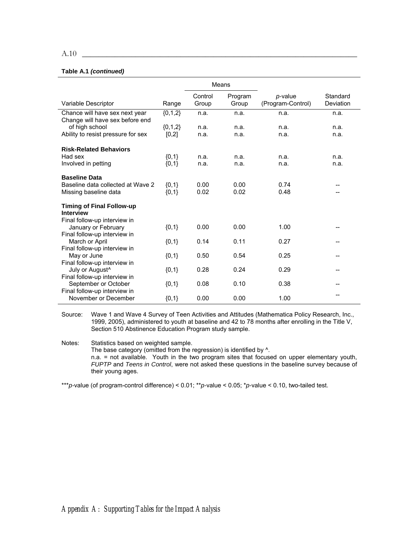### A.10 \_\_\_\_\_\_\_\_\_\_\_\_\_\_\_\_\_\_\_\_\_\_\_\_\_\_\_\_\_\_\_\_\_\_\_\_\_\_\_\_\_\_\_\_\_\_\_\_\_\_\_\_\_\_\_\_\_\_\_\_\_\_\_\_\_\_\_

### **Table A.1** *(continued)*

|                                                                   | Means     |                  |                  |                              |                       |
|-------------------------------------------------------------------|-----------|------------------|------------------|------------------------------|-----------------------|
| Variable Descriptor                                               | Range     | Control<br>Group | Program<br>Group | p-value<br>(Program-Control) | Standard<br>Deviation |
| Chance will have sex next year<br>Change will have sex before end | ${0,1,2}$ | n.a.             | n.a.             | n.a.                         | n.a.                  |
| of high school                                                    | ${0,1,2}$ | n.a.             | n.a.             | n.a.                         | n.a.                  |
| Ability to resist pressure for sex                                | [0,2]     | n.a.             | n.a.             | n.a.                         | n.a.                  |
| <b>Risk-Related Behaviors</b>                                     |           |                  |                  |                              |                       |
| Had sex                                                           | ${0,1}$   | n.a.             | n.a.             | n.a.                         | n.a.                  |
| Involved in petting                                               | ${0,1}$   | n.a.             | n.a.             | n.a.                         | n.a.                  |
| <b>Baseline Data</b>                                              |           |                  |                  |                              |                       |
| Baseline data collected at Wave 2                                 | ${0,1}$   | 0.00             | 0.00             | 0.74                         |                       |
| Missing baseline data                                             | ${0,1}$   | 0.02             | 0.02             | 0.48                         |                       |
| <b>Timing of Final Follow-up</b>                                  |           |                  |                  |                              |                       |
| <b>Interview</b><br>Final follow-up interview in                  |           |                  |                  |                              |                       |
| January or February                                               | ${0,1}$   | 0.00             | 0.00             | 1.00                         |                       |
| Final follow-up interview in                                      |           |                  |                  |                              |                       |
| March or April                                                    | ${0,1}$   | 0.14             | 0.11             | 0.27                         |                       |
| Final follow-up interview in                                      |           |                  |                  |                              |                       |
| May or June                                                       | ${0,1}$   | 0.50             | 0.54             | 0.25                         |                       |
| Final follow-up interview in<br>July or August <sup>^</sup>       | ${0,1}$   | 0.28             | 0.24             | 0.29                         |                       |
| Final follow-up interview in                                      |           |                  |                  |                              |                       |
| September or October                                              | ${0,1}$   | 0.08             | 0.10             | 0.38                         |                       |
| Final follow-up interview in<br>November or December              | ${0,1}$   | 0.00             | 0.00             | 1.00                         |                       |

Source: Wave 1 and Wave 4 Survey of Teen Activities and Attitudes (Mathematica Policy Research, Inc., 1999, 2005), administered to youth at baseline and 42 to 78 months after enrolling in the Title V, Section 510 Abstinence Education Program study sample.

Notes: Statistics based on weighted sample. The base category (omitted from the regression) is identified by  $\wedge$ . n.a. = not available. Youth in the two program sites that focused on upper elementary youth, *FUPTP* and *Teens in Control*, were not asked these questions in the baseline survey because of their young ages.

\*\*\**p-*value (of program-control difference) < 0.01; \*\**p-*value < 0.05; \**p-*value < 0.10, two-tailed test.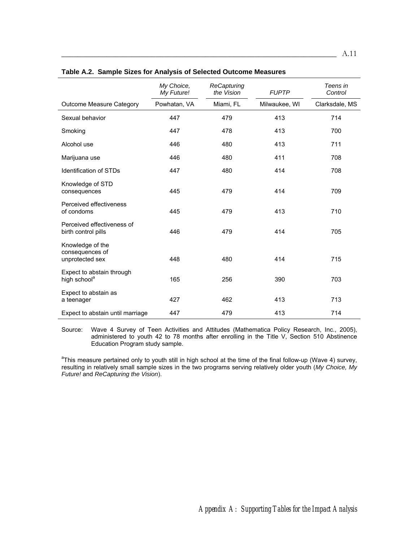|                                                        | My Choice,<br>My Future! | ReCapturing<br>the Vision | <b>FUPTP</b>  | Teens in<br>Control |
|--------------------------------------------------------|--------------------------|---------------------------|---------------|---------------------|
| Outcome Measure Category                               | Powhatan, VA             | Miami, FL                 | Milwaukee, WI | Clarksdale, MS      |
| Sexual behavior                                        | 447                      | 479                       | 413           | 714                 |
| Smoking                                                | 447                      | 478                       | 413           | 700                 |
| Alcohol use                                            | 446                      | 480                       | 413           | 711                 |
| Marijuana use                                          | 446                      | 480                       | 411           | 708                 |
| Identification of STDs                                 | 447                      | 480                       | 414           | 708                 |
| Knowledge of STD<br>consequences                       | 445                      | 479                       | 414           | 709                 |
| Perceived effectiveness<br>of condoms                  | 445                      | 479                       | 413           | 710                 |
| Perceived effectiveness of<br>birth control pills      | 446                      | 479                       | 414           | 705                 |
| Knowledge of the<br>consequences of<br>unprotected sex | 448                      | 480                       | 414           | 715                 |
| Expect to abstain through<br>high school <sup>a</sup>  | 165                      | 256                       | 390           | 703                 |
| Expect to abstain as<br>a teenager                     | 427                      | 462                       | 413           | 713                 |
| Expect to abstain until marriage                       | 447                      | 479                       | 413           | 714                 |

### **Table A.2. Sample Sizes for Analysis of Selected Outcome Measures**

Source: Wave 4 Survey of Teen Activities and Attitudes (Mathematica Policy Research, Inc., 2005), administered to youth 42 to 78 months after enrolling in the Title V, Section 510 Abstinence Education Program study sample.

<sup>a</sup>This measure pertained only to youth still in high school at the time of the final follow-up (Wave 4) survey, resulting in relatively small sample sizes in the two programs serving relatively older youth (*My Choice, My Future!* and *ReCapturing the Vision*).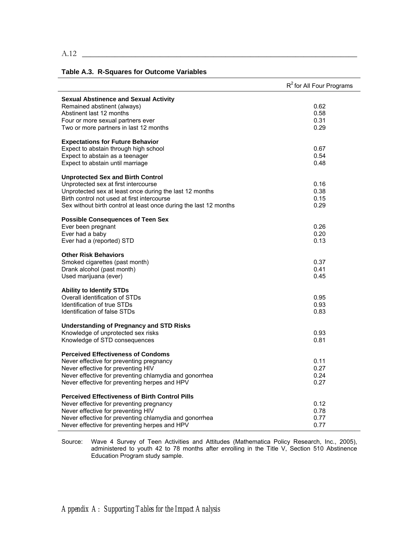|  | the contract of the contract of the contract of the contract of the contract of |  |
|--|---------------------------------------------------------------------------------|--|
|--|---------------------------------------------------------------------------------|--|

### **Table A.3. R-Squares for Outcome Variables**

|                                                                   | $R^2$ for All Four Programs |
|-------------------------------------------------------------------|-----------------------------|
| <b>Sexual Abstinence and Sexual Activity</b>                      |                             |
| Remained abstinent (always)                                       | 0.62                        |
| Abstinent last 12 months                                          | 0.58                        |
| Four or more sexual partners ever                                 | 0.31                        |
| Two or more partners in last 12 months                            | 0.29                        |
|                                                                   |                             |
| <b>Expectations for Future Behavior</b>                           |                             |
| Expect to abstain through high school                             | 0.67                        |
| Expect to abstain as a teenager                                   | 0.54                        |
| Expect to abstain until marriage                                  | 0.48                        |
| <b>Unprotected Sex and Birth Control</b>                          |                             |
| Unprotected sex at first intercourse                              | 0.16                        |
| Unprotected sex at least once during the last 12 months           | 0.38                        |
| Birth control not used at first intercourse                       | 0.15                        |
|                                                                   | 0.29                        |
| Sex without birth control at least once during the last 12 months |                             |
| <b>Possible Consequences of Teen Sex</b>                          |                             |
| Ever been pregnant                                                | 0.26                        |
| Ever had a baby                                                   | 0.20                        |
| Ever had a (reported) STD                                         | 0.13                        |
|                                                                   |                             |
| <b>Other Risk Behaviors</b>                                       |                             |
| Smoked cigarettes (past month)                                    | 0.37                        |
| Drank alcohol (past month)                                        | 0.41                        |
| Used marijuana (ever)                                             | 0.45                        |
| <b>Ability to Identify STDs</b>                                   |                             |
| Overall identification of STDs                                    | 0.95                        |
| <b>Identification of true STDs</b>                                | 0.93                        |
| <b>Identification of false STDs</b>                               | 0.83                        |
|                                                                   |                             |
| <b>Understanding of Pregnancy and STD Risks</b>                   |                             |
| Knowledge of unprotected sex risks                                | 0.93                        |
| Knowledge of STD consequences                                     | 0.81                        |
| <b>Perceived Effectiveness of Condoms</b>                         |                             |
| Never effective for preventing pregnancy                          | 0.11                        |
| Never effective for preventing HIV                                | 0.27                        |
| Never effective for preventing chlamydia and gonorrhea            | 0.24                        |
| Never effective for preventing herpes and HPV                     | 0.27                        |
|                                                                   |                             |
| <b>Perceived Effectiveness of Birth Control Pills</b>             |                             |
| Never effective for preventing pregnancy                          | 0.12                        |
| Never effective for preventing HIV                                | 0.78                        |
| Never effective for preventing chlamydia and gonorrhea            | 0.77                        |
| Never effective for preventing herpes and HPV                     | 0.77                        |

Source: Wave 4 Survey of Teen Activities and Attitudes (Mathematica Policy Research, Inc., 2005), administered to youth 42 to 78 months after enrolling in the Title V, Section 510 Abstinence Education Program study sample.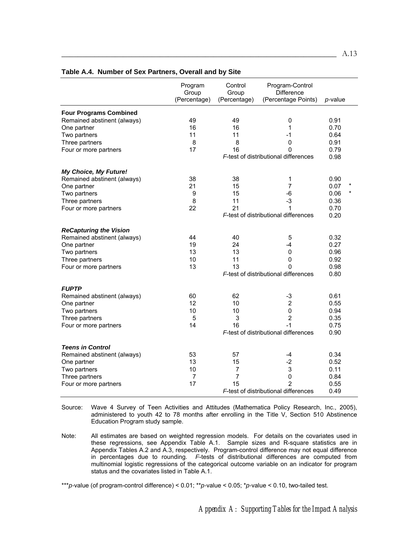|                               | Program<br>Group<br>(Percentage) | Control<br>Group<br>(Percentage) | Program-Control<br>Difference<br>(Percentage Points) | $p$ -value |
|-------------------------------|----------------------------------|----------------------------------|------------------------------------------------------|------------|
| <b>Four Programs Combined</b> |                                  |                                  |                                                      |            |
| Remained abstinent (always)   | 49                               | 49                               | 0                                                    | 0.91       |
| One partner                   | 16                               | 16                               | 1                                                    | 0.70       |
| Two partners                  | 11                               | 11                               | $-1$                                                 | 0.64       |
| Three partners                | 8                                | 8                                | 0                                                    | 0.91       |
| Four or more partners         | 17                               | 16                               | $\Omega$                                             | 0.79       |
|                               |                                  |                                  | F-test of distributional differences                 | 0.98       |
| My Choice, My Future!         |                                  |                                  |                                                      |            |
| Remained abstinent (always)   | 38                               | 38                               | 1                                                    | 0.90       |
| One partner                   | 21                               | 15                               | $\overline{7}$                                       | 0.07       |
| Two partners                  | 9                                | 15                               | -6                                                   | 0.06       |
| Three partners                | 8                                | 11                               | $-3$                                                 | 0.36       |
| Four or more partners         | 22                               | 21                               | 1                                                    | 0.70       |
|                               |                                  |                                  | F-test of distributional differences                 | 0.20       |
| <b>ReCapturing the Vision</b> |                                  |                                  |                                                      |            |
| Remained abstinent (always)   | 44                               | 40                               | 5                                                    | 0.32       |
| One partner                   | 19                               | 24                               | -4                                                   | 0.27       |
| Two partners                  | 13                               | 13                               | 0                                                    | 0.96       |
| Three partners                | 10                               | 11                               | 0                                                    | 0.92       |
| Four or more partners         | 13                               | 13                               | 0                                                    | 0.98       |
|                               |                                  |                                  | F-test of distributional differences                 | 0.80       |
| <b>FUPTP</b>                  |                                  |                                  |                                                      |            |
| Remained abstinent (always)   | 60                               | 62                               | $-3$                                                 | 0.61       |
| One partner                   | 12                               | 10                               | $\overline{2}$                                       | 0.55       |
| Two partners                  | 10                               | 10                               | 0                                                    | 0.94       |
| Three partners                | 5                                | 3                                | $\overline{2}$                                       | 0.35       |
| Four or more partners         | 14                               | 16                               | $-1$                                                 | 0.75       |
|                               |                                  |                                  | F-test of distributional differences                 | 0.90       |
| <b>Teens in Control</b>       |                                  |                                  |                                                      |            |
| Remained abstinent (always)   | 53                               | 57                               | -4                                                   | 0.34       |
| One partner                   | 13                               | 15                               | $-2$                                                 | 0.52       |
| Two partners                  | 10                               | 7                                | 3                                                    | 0.11       |
| Three partners                | 7                                | 7                                | $\pmb{0}$                                            | 0.84       |
| Four or more partners         | 17                               | 15                               | $\overline{2}$                                       | 0.55       |
|                               |                                  |                                  | F-test of distributional differences                 | 0.49       |

### **Table A.4. Number of Sex Partners, Overall and by Site**

Source: Wave 4 Survey of Teen Activities and Attitudes (Mathematica Policy Research, Inc., 2005), administered to youth 42 to 78 months after enrolling in the Title V, Section 510 Abstinence Education Program study sample.

Note: All estimates are based on weighted regression models. For details on the covariates used in these regressions, see Appendix Table A.1. Sample sizes and R-square statistics are in Appendix Tables A.2 and A.3, respectively. Program-control difference may not equal difference in percentages due to rounding. *F*-tests of distributional differences are computed from multinomial logistic regressions of the categorical outcome variable on an indicator for program status and the covariates listed in Table A.1.

\*\*\**p-*value (of program-control difference) < 0.01; \*\**p-*value < 0.05; \**p-*value < 0.10, two-tailed test.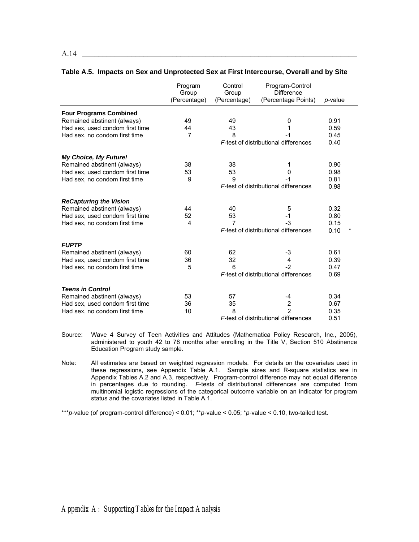### $A.14$

|                                 | Program<br>Group<br>(Percentage) | Control<br>Group<br>(Percentage) | Program-Control<br><b>Difference</b><br>(Percentage Points) | p-value |          |
|---------------------------------|----------------------------------|----------------------------------|-------------------------------------------------------------|---------|----------|
| <b>Four Programs Combined</b>   |                                  |                                  |                                                             |         |          |
| Remained abstinent (always)     | 49                               | 49                               | 0                                                           | 0.91    |          |
| Had sex. used condom first time | 44                               | 43                               | 1                                                           | 0.59    |          |
| Had sex, no condom first time   | 7                                | 8                                | $-1$                                                        | 0.45    |          |
|                                 |                                  |                                  | F-test of distributional differences                        | 0.40    |          |
| <b>My Choice, My Future!</b>    |                                  |                                  |                                                             |         |          |
| Remained abstinent (always)     | 38                               | 38                               | 1                                                           | 0.90    |          |
| Had sex, used condom first time | 53                               | 53                               | 0                                                           | 0.98    |          |
| Had sex, no condom first time   | 9                                | 9                                | $-1$                                                        | 0.81    |          |
|                                 |                                  |                                  | F-test of distributional differences                        | 0.98    |          |
| <b>ReCapturing the Vision</b>   |                                  |                                  |                                                             |         |          |
| Remained abstinent (always)     | 44                               | 40                               | 5                                                           | 0.32    |          |
| Had sex, used condom first time | 52                               | 53                               | $-1$                                                        | 0.80    |          |
| Had sex, no condom first time   | 4                                | $\overline{7}$                   | $-3$                                                        | 0.15    |          |
|                                 |                                  |                                  | F-test of distributional differences                        | 0.10    | $^\star$ |
| <b>FUPTP</b>                    |                                  |                                  |                                                             |         |          |
| Remained abstinent (always)     | 60                               | 62                               | -3                                                          | 0.61    |          |
| Had sex, used condom first time | 36                               | 32                               | 4                                                           | 0.39    |          |
| Had sex, no condom first time   | 5                                | 6                                | $-2$                                                        | 0.47    |          |
|                                 |                                  |                                  | F-test of distributional differences                        | 0.69    |          |
| <b>Teens in Control</b>         |                                  |                                  |                                                             |         |          |
| Remained abstinent (always)     | 53                               | 57                               | -4                                                          | 0.34    |          |
| Had sex, used condom first time | 36                               | 35                               | $\overline{2}$                                              | 0.67    |          |
| Had sex, no condom first time   | 10                               | 8                                | $\overline{2}$                                              | 0.35    |          |
|                                 |                                  |                                  | F-test of distributional differences                        | 0.51    |          |

### **Table A.5. Impacts on Sex and Unprotected Sex at First Intercourse, Overall and by Site**

Source: Wave 4 Survey of Teen Activities and Attitudes (Mathematica Policy Research, Inc., 2005), administered to youth 42 to 78 months after enrolling in the Title V, Section 510 Abstinence Education Program study sample.

Note: All estimates are based on weighted regression models. For details on the covariates used in these regressions, see Appendix Table A.1. Sample sizes and R-square statistics are in Appendix Tables A.2 and A.3, respectively. Program-control difference may not equal difference in percentages due to rounding. *F*-tests of distributional differences are computed from multinomial logistic regressions of the categorical outcome variable on an indicator for program status and the covariates listed in Table A.1.

\*\*\**p-*value (of program-control difference) < 0.01; \*\**p-*value < 0.05; \**p-*value < 0.10, two-tailed test.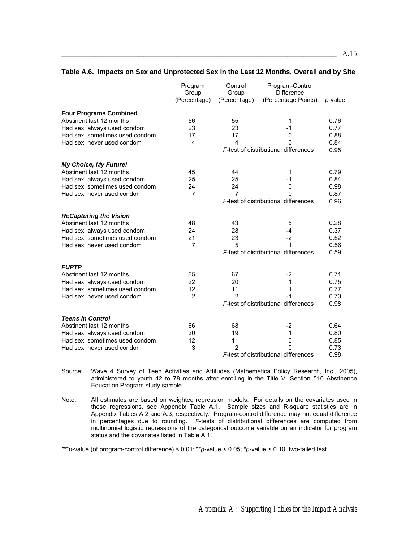|                                | Program<br>Group<br>(Percentage) | Control<br>Group<br>(Percentage) | Program-Control<br>Difference<br>(Percentage Points) | p-value |
|--------------------------------|----------------------------------|----------------------------------|------------------------------------------------------|---------|
| <b>Four Programs Combined</b>  |                                  |                                  |                                                      |         |
| Abstinent last 12 months       | 56                               | 55                               | 1                                                    | 0.76    |
| Had sex, always used condom    | 23                               | 23                               | -1                                                   | 0.77    |
| Had sex, sometimes used condom | 17                               | 17                               | 0                                                    | 0.88    |
| Had sex, never used condom     | 4                                | 4                                | O                                                    | 0.84    |
|                                |                                  |                                  | F-test of distributional differences                 | 0.95    |
| <b>My Choice, My Future!</b>   |                                  |                                  |                                                      |         |
| Abstinent last 12 months       | 45                               | 44                               |                                                      | 0.79    |
| Had sex, always used condom    | 25                               | 25                               | -1                                                   | 0.84    |
| Had sex, sometimes used condom | 24                               | 24                               | 0                                                    | 0.98    |
| Had sex, never used condom     | 7                                | 7                                | O                                                    | 0.87    |
|                                |                                  |                                  | F-test of distributional differences                 | 0.96    |
| <b>ReCapturing the Vision</b>  |                                  |                                  |                                                      |         |
| Abstinent last 12 months       | 48                               | 43                               | 5                                                    | 0.28    |
| Had sex, always used condom    | 24                               | 28                               | -4                                                   | 0.37    |
| Had sex, sometimes used condom | 21                               | 23                               | $-2$                                                 | 0.52    |
| Had sex, never used condom     | 7                                | 5                                | 1                                                    | 0.56    |
|                                |                                  |                                  | F-test of distributional differences                 | 0.59    |
| <b>FUPTP</b>                   |                                  |                                  |                                                      |         |
| Abstinent last 12 months       | 65                               | 67                               | $-2$                                                 | 0.71    |
| Had sex, always used condom    | 22                               | 20                               | 1                                                    | 0.75    |
| Had sex, sometimes used condom | 12                               | 11                               |                                                      | 0.77    |
| Had sex, never used condom     | $\overline{2}$                   | $\overline{2}$                   |                                                      | 0.73    |
|                                |                                  |                                  | F-test of distributional differences                 | 0.98    |

### **Table A.6. Impacts on Sex and Unprotected Sex in the Last 12 Months, Overall and by Site**

Source: Wave 4 Survey of Teen Activities and Attitudes (Mathematica Policy Research, Inc., 2005), administered to youth 42 to 78 months after enrolling in the Title V, Section 510 Abstinence Education Program study sample.

Abstinent last 12 months 66 68 -2 0.64 Had sex, always used condom  $\begin{array}{ccc} 20 & 19 & 1 & 0.80 \\ 1 & 2 & 1 & 0.80 \\ 1 & 1 & 0 & 0.85 \end{array}$ 

Had sex, never used condom and the same state of 3 and 2 contract 2 contract 0 0.73

Had sex, sometimes used condom 12 11 0.

Note: All estimates are based on weighted regression models. For details on the covariates used in these regressions, see Appendix Table A.1. Sample sizes and R-square statistics are in Appendix Tables A.2 and A.3, respectively. Program-control difference may not equal difference in percentages due to rounding. *F*-tests of distributional differences are computed from multinomial logistic regressions of the categorical outcome variable on an indicator for program status and the covariates listed in Table A.1.

\*\*\**p-*value (of program-control difference) < 0.01; \*\**p-*value < 0.05; \**p-*value < 0.10, two-tailed test.

*Teens in Control* 

*F*-test of distributional differences 0.98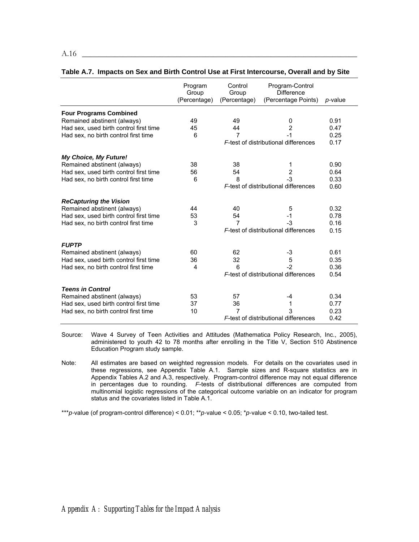### $A.16$

|                                        | Program<br>Group<br>(Percentage) | Control<br>Group<br>(Percentage) | Program-Control<br><b>Difference</b><br>(Percentage Points) | p-value |  |
|----------------------------------------|----------------------------------|----------------------------------|-------------------------------------------------------------|---------|--|
|                                        |                                  |                                  |                                                             |         |  |
| <b>Four Programs Combined</b>          |                                  |                                  |                                                             |         |  |
| Remained abstinent (always)            | 49                               | 49                               | 0                                                           | 0.91    |  |
| Had sex, used birth control first time | 45                               | 44                               | 2                                                           | 0.47    |  |
| Had sex, no birth control first time   | 6                                | 7                                |                                                             | 0.25    |  |
|                                        |                                  |                                  | F-test of distributional differences                        | 0.17    |  |
| <b>My Choice, My Future!</b>           |                                  |                                  |                                                             |         |  |
| Remained abstinent (always)            | 38                               | 38                               | 1                                                           | 0.90    |  |
| Had sex, used birth control first time | 56                               | 54                               | $\overline{c}$                                              | 0.64    |  |
| Had sex, no birth control first time   | 6                                | 8                                | $-3$                                                        | 0.33    |  |
|                                        |                                  |                                  | F-test of distributional differences                        | 0.60    |  |
| <b>ReCapturing the Vision</b>          |                                  |                                  |                                                             |         |  |
| Remained abstinent (always)            | 44                               | 40                               | 5                                                           | 0.32    |  |
| Had sex, used birth control first time | 53                               | 54                               | -1                                                          | 0.78    |  |
|                                        | 3                                | 7                                | $-3$                                                        | 0.16    |  |
| Had sex, no birth control first time   |                                  |                                  | F-test of distributional differences                        |         |  |
|                                        |                                  |                                  |                                                             | 0.15    |  |
| <b>FUPTP</b>                           |                                  |                                  |                                                             |         |  |
| Remained abstinent (always)            | 60                               | 62                               | -3                                                          | 0.61    |  |
| Had sex, used birth control first time | 36                               | 32                               | 5                                                           | 0.35    |  |
| Had sex, no birth control first time   | 4                                | 6                                | $-2$                                                        | 0.36    |  |
|                                        |                                  |                                  | F-test of distributional differences                        | 0.54    |  |
| <b>Teens in Control</b>                |                                  |                                  |                                                             |         |  |
| Remained abstinent (always)            | 53                               | 57                               | -4                                                          | 0.34    |  |
| Had sex, used birth control first time | 37                               | 36                               | 1                                                           | 0.77    |  |
| Had sex, no birth control first time   | 10                               | 7                                | 3                                                           | 0.23    |  |
|                                        |                                  |                                  | F-test of distributional differences                        | 0.42    |  |
|                                        |                                  |                                  |                                                             |         |  |

### **Table A.7. Impacts on Sex and Birth Control Use at First Intercourse, Overall and by Site**

Source: Wave 4 Survey of Teen Activities and Attitudes (Mathematica Policy Research, Inc., 2005), administered to youth 42 to 78 months after enrolling in the Title V, Section 510 Abstinence Education Program study sample.

Note: All estimates are based on weighted regression models. For details on the covariates used in these regressions, see Appendix Table A.1. Sample sizes and R-square statistics are in Appendix Tables A.2 and A.3, respectively. Program-control difference may not equal difference in percentages due to rounding. *F*-tests of distributional differences are computed from multinomial logistic regressions of the categorical outcome variable on an indicator for program status and the covariates listed in Table A.1.

\*\*\**p-*value (of program-control difference) < 0.01; \*\**p-*value < 0.05; \**p-*value < 0.10, two-tailed test.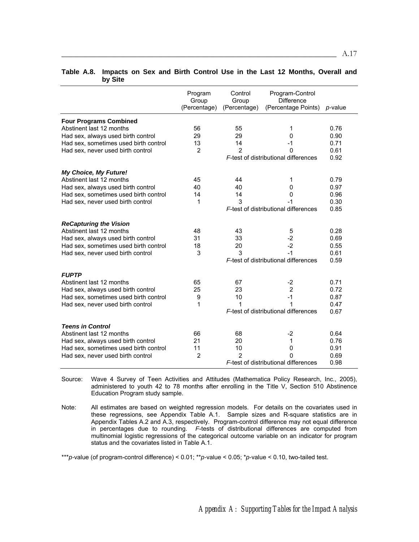|                                       | Program<br>Group<br>(Percentage) | Control<br>Group<br>(Percentage) | Program-Control<br><b>Difference</b><br>(Percentage Points) | $p$ -value |
|---------------------------------------|----------------------------------|----------------------------------|-------------------------------------------------------------|------------|
|                                       |                                  |                                  |                                                             |            |
| <b>Four Programs Combined</b>         |                                  |                                  |                                                             |            |
| Abstinent last 12 months              | 56                               | 55                               | 1                                                           | 0.76       |
| Had sex, always used birth control    | 29                               | 29                               | 0                                                           | 0.90       |
| Had sex, sometimes used birth control | 13                               | 14                               | $-1$                                                        | 0.71       |
| Had sex, never used birth control     | $\overline{2}$                   | 2                                | 0                                                           | 0.61       |
|                                       |                                  |                                  | F-test of distributional differences                        | 0.92       |
| <b>My Choice, My Future!</b>          |                                  |                                  |                                                             |            |
| Abstinent last 12 months              | 45                               | 44                               | 1                                                           | 0.79       |
| Had sex, always used birth control    | 40                               | 40                               | 0                                                           | 0.97       |
| Had sex, sometimes used birth control | 14                               | 14                               | 0                                                           | 0.96       |
| Had sex, never used birth control     | 1                                | 3                                | $-1$                                                        | 0.30       |
|                                       |                                  |                                  | F-test of distributional differences                        | 0.85       |
| <b>ReCapturing the Vision</b>         |                                  |                                  |                                                             |            |
| Abstinent last 12 months              | 48                               | 43                               | 5                                                           | 0.28       |
| Had sex, always used birth control    | 31                               | 33                               | $-2$                                                        | 0.69       |
| Had sex, sometimes used birth control | 18                               | 20                               | $-2$                                                        | 0.55       |
| Had sex, never used birth control     | 3                                | 3                                | $-1$                                                        | 0.61       |
|                                       |                                  |                                  | F-test of distributional differences                        | 0.59       |
|                                       |                                  |                                  |                                                             |            |
| <b>FUPTP</b>                          |                                  |                                  |                                                             |            |
| Abstinent last 12 months              | 65                               | 67                               | $-2$                                                        | 0.71       |
| Had sex, always used birth control    | 25                               | 23                               | $\overline{2}$                                              | 0.72       |
| Had sex, sometimes used birth control | 9                                | 10                               | $-1$                                                        | 0.87       |
| Had sex, never used birth control     | 1                                | 1                                | 1                                                           | 0.47       |
|                                       |                                  |                                  | F-test of distributional differences                        | 0.67       |
|                                       |                                  |                                  |                                                             |            |
| <b>Teens in Control</b>               |                                  |                                  |                                                             |            |
| Abstinent last 12 months              | 66                               | 68                               | -2                                                          | 0.64       |
| Had sex, always used birth control    | 21                               | 20                               | 1                                                           | 0.76       |
| Had sex, sometimes used birth control | 11                               | 10                               | 0                                                           | 0.91       |
| Had sex, never used birth control     | $\overline{2}$                   | 2                                | 0                                                           | 0.69       |
|                                       |                                  |                                  | F-test of distributional differences                        | 0.98       |

### **Table A.8. Impacts on Sex and Birth Control Use in the Last 12 Months, Overall and by Site**

Source: Wave 4 Survey of Teen Activities and Attitudes (Mathematica Policy Research, Inc., 2005), administered to youth 42 to 78 months after enrolling in the Title V, Section 510 Abstinence Education Program study sample.

Note: All estimates are based on weighted regression models. For details on the covariates used in these regressions, see Appendix Table A.1. Sample sizes and R-square statistics are in Appendix Tables A.2 and A.3, respectively. Program-control difference may not equal difference in percentages due to rounding. *F*-tests of distributional differences are computed from multinomial logistic regressions of the categorical outcome variable on an indicator for program status and the covariates listed in Table A.1.

\*\*\**p-*value (of program-control difference) < 0.01; \*\**p-*value < 0.05; \**p-*value < 0.10, two-tailed test.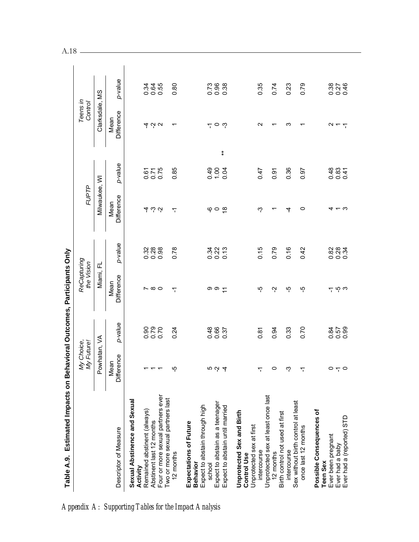| Table A.9. Estimated Impacts on Behavioral Outcomes, Participants Only               |                          |                |                           |                  |                    |                      |              |                                 |                   |
|--------------------------------------------------------------------------------------|--------------------------|----------------|---------------------------|------------------|--------------------|----------------------|--------------|---------------------------------|-------------------|
|                                                                                      | My Choice,<br>My Future! |                | ReCapturing<br>the Vision |                  | FUPTP              |                      |              | Teens in<br>Control             |                   |
|                                                                                      | Powhatan, VA             |                | Miami, FL                 |                  | Milwaukee, WI      |                      |              | Clarksdale,                     | SM                |
| Descriptor of Measure                                                                | Mean<br>Difference       | p-value        | <b>Difference</b><br>Mean | p-value          | Difference<br>Mean | p-value              |              | Difference<br>Mean              | p-value           |
| Sexual Abstinence and Sexual<br>Activity                                             |                          |                |                           |                  |                    |                      |              |                                 |                   |
| Remained abstinent (always)                                                          |                          |                |                           |                  |                    |                      |              |                                 |                   |
| Abstinent last 12 months                                                             |                          |                | $\sim \infty$             |                  | すぃぃ                |                      |              | す い い                           |                   |
| Four or more sexual partners ever                                                    | $\overline{\phantom{0}}$ | 888<br>000     |                           |                  |                    | 82<br>22<br>20<br>20 |              |                                 | 000<br>200<br>200 |
| Two or more sexual partners last<br>12 months                                        | ယူ                       | 0.24           | ↸                         | 0.78             | ᡪ                  | 0.85                 |              | ᡪ                               | 0.80              |
| Expect to abstain through high<br>Expectations of Future<br><b>Behavior</b>          |                          |                |                           |                  |                    |                      |              |                                 |                   |
| Expect to abstain as a teenager<br>school                                            | 4 <sub>ب</sub> ه به      | 0.48<br>0.37   | ᅇᅁᄃᆞ                      | 32<br>325<br>000 | မှ ဝ စ္            | $0.49$<br>1.00       |              | ဝ ကု<br>ᡪ                       | 0.73<br>0.96      |
| Expect to abstain until married                                                      |                          |                |                           |                  |                    | 0.04                 | $^\ast_\ast$ |                                 | 0.38              |
| Unprotected Sex and Birth<br>Unprotected sex at first<br><b>Control Use</b>          |                          |                |                           |                  |                    |                      |              |                                 |                   |
| Unprotected sex at least once last<br>intercourse                                    | 7                        | 0.81           | ယှ                        | 0.15             | ကု                 | 0.47                 |              | $\mathbf{\Omega}$               | 0.35              |
| 12 months                                                                            | $\circ$                  | 0.94           | Ņ                         | 0.79             |                    | 0.91                 |              | ᡪ                               | 0.74              |
| Sex without birth control at least<br>Birth control not used at first<br>intercourse | ကု                       | 0.33           | ယူ                        | 0.16             | 4                  | 0.36                 |              | ო                               | 0.23              |
| once last 12 months                                                                  | ᡪ                        | 0.70           | ပှ                        | 0.42             | 0                  | 0.97                 |              | ᠇                               | 0.79              |
| Possible Consequences of<br>Teen Sex                                                 |                          |                |                           |                  |                    |                      |              |                                 |                   |
| Ever had a (reported) STD<br>Ever been pregnant<br>Ever had a baby                   | $\circ \tau$             | 8<br>858<br>85 | ပ္ပ္က ယ<br>ᡪ              | 8883             | 4-の                | 0.48<br>0.83         |              | $\sim$ $\sim$<br>$\overline{ }$ | 8276<br>8276      |
|                                                                                      |                          |                |                           |                  |                    |                      |              |                                 |                   |

*Appendix A: Supporting Tables for the Impact Analysis*

### A.18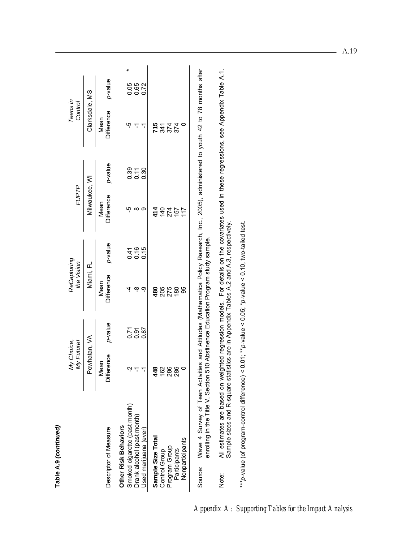| ۰ |
|---|
|   |
|   |
|   |
|   |

|                                                                                                                                               | My Choice,<br>My Future! |         | ReCapturing<br>the Vision          |                   | FUPTP                     |            | Teens in<br>Control      |                      |  |
|-----------------------------------------------------------------------------------------------------------------------------------------------|--------------------------|---------|------------------------------------|-------------------|---------------------------|------------|--------------------------|----------------------|--|
|                                                                                                                                               | Powhatan, VA             |         | Miami, FL                          |                   | Milwaukee, WI             |            | Clarksdale, MS           |                      |  |
| Descriptor of Measure                                                                                                                         | Difference<br>lean       | p-value | Difference<br>Nean                 | p-value           | <b>Difference</b><br>Mean | p-value    | Difference<br>Mean       | p-value              |  |
| Other Risk Behaviors                                                                                                                          |                          |         |                                    |                   |                           |            |                          |                      |  |
| Smoked cigarette (past month)                                                                                                                 | ې                        | 0.71    |                                    |                   |                           |            | ပှ                       |                      |  |
| Drank alcohol (past month)                                                                                                                    |                          | 0.91    | ထု                                 | 0.0<br>0.0<br>0.0 | ∞                         | 88<br>0.71 | Т                        | 0.05<br>0.05<br>0.00 |  |
| Used marijuana (ever)                                                                                                                         |                          | 0.87    | ႖                                  |                   | တ                         | 0.30       | ī                        |                      |  |
| Sample Size Total                                                                                                                             |                          |         |                                    |                   |                           |            |                          |                      |  |
| <b>Control Group</b>                                                                                                                          | 162                      |         | 80550<br>80560<br><del>8</del> 027 |                   | $4422$<br>$452$           |            | <b>2</b><br>2222<br>2422 |                      |  |
| Program Group                                                                                                                                 | 286                      |         |                                    |                   |                           |            |                          |                      |  |
| Participants                                                                                                                                  | 286                      |         |                                    |                   |                           |            |                          |                      |  |
| Nonparticipants                                                                                                                               |                          |         | 95                                 |                   | 117                       |            |                          |                      |  |
| Source: Wave 4 Survey of Teen Activities and Attitudes (Mathematica Policy Research, Inc., 2005), administered to youth 42 to 78 months after |                          |         |                                    |                   |                           |            |                          |                      |  |

Source: Wave 4 Survey of Teen Activities and Attitudes (Mathematica Policy Research, Inc., 2005), administered to youth 42 to 78 months after enrolling in the Title V, Section 510 Abstinence Education Program study sample. enrolling in the Title V, Section 510 Abstinence Education Program study sample.

All estimates are based on weighted regression models. For details on the covariates used in these regressions, see Appendix Table A.1.<br>Sample sizes and R-square statistics are in Appendix Tables A.2 and A.3, respectively. Note: All estimates are based on weighted regression models. For details on the covariates used in these regressions, see Appendix Table A.1. Sample sizes and R-square statistics are in Appendix Tables A.2 and A.3, respectively. Note:

\*\*\**p-*value (of program-control difference) < 0.01; \*\**p-*value < 0.05; \**p-*value < 0.10, two-tailed test. \*\*\*p-value (of program-control difference) < 0.01; \*\*p-value < 0.05; \*p-value < 0.10, two-tailed test.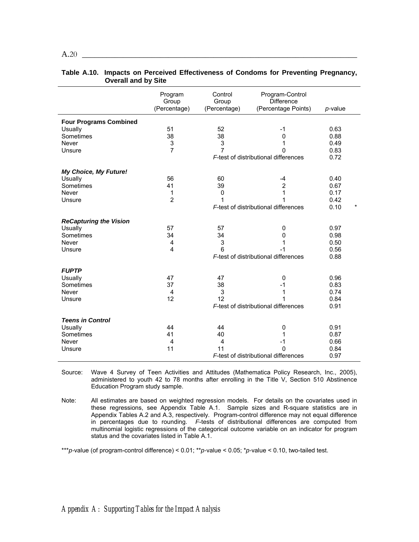|                               | Program<br>Group<br>(Percentage) | Control<br>Group<br>(Percentage) | Program-Control<br><b>Difference</b><br>(Percentage Points) | $p$ -value      |
|-------------------------------|----------------------------------|----------------------------------|-------------------------------------------------------------|-----------------|
|                               |                                  |                                  |                                                             |                 |
| <b>Four Programs Combined</b> |                                  |                                  |                                                             |                 |
| Usually                       | 51                               | 52                               | $-1$                                                        | 0.63            |
| Sometimes                     | 38                               | 38                               | 0                                                           | 0.88            |
| Never                         | $\ensuremath{\mathsf{3}}$        | 3                                | 1                                                           | 0.49            |
| Unsure                        | $\overline{7}$                   | 7                                | 0                                                           | 0.83            |
|                               |                                  |                                  | F-test of distributional differences                        | 0.72            |
|                               |                                  |                                  |                                                             |                 |
| <b>My Choice, My Future!</b>  |                                  |                                  |                                                             |                 |
| Usually                       | 56                               | 60                               | -4                                                          | 0.40            |
| Sometimes                     | 41                               | 39                               | $\overline{2}$                                              | 0.67            |
| Never                         | 1                                | 0                                | 1                                                           | 0.17            |
| Unsure                        | $\overline{2}$                   | 1                                | 1                                                           | 0.42            |
|                               |                                  |                                  | F-test of distributional differences                        | $\star$<br>0.10 |
|                               |                                  |                                  |                                                             |                 |
| <b>ReCapturing the Vision</b> |                                  |                                  |                                                             |                 |
| Usually                       | 57                               | 57                               | 0                                                           | 0.97            |
| Sometimes                     | 34                               | 34                               | 0                                                           | 0.98            |
| <b>Never</b>                  | $\overline{4}$                   | 3                                | 1                                                           | 0.50            |
| Unsure                        | 4                                | 6                                | -1                                                          | 0.56            |
|                               |                                  |                                  | F-test of distributional differences                        | 0.88            |
| <b>FUPTP</b>                  |                                  |                                  |                                                             |                 |
| Usually                       | 47                               | 47                               | 0                                                           | 0.96            |
| Sometimes                     | 37                               | 38                               | $-1$                                                        | 0.83            |
| Never                         | $\overline{4}$                   | 3                                | 1                                                           | 0.74            |
| Unsure                        | 12                               | 12                               |                                                             | 0.84            |
|                               |                                  |                                  | F-test of distributional differences                        | 0.91            |
|                               |                                  |                                  |                                                             |                 |
| <b>Teens in Control</b>       |                                  |                                  |                                                             |                 |
| Usually                       | 44                               | 44                               | 0                                                           | 0.91            |
| Sometimes                     | 41                               | 40                               | 1                                                           | 0.87            |
| Never                         | $\overline{4}$                   | $\overline{4}$                   | $-1$                                                        | 0.66            |
| Unsure                        | 11                               | 11                               | 0                                                           | 0.84            |
|                               |                                  |                                  | F-test of distributional differences                        | 0.97            |

### **Table A.10. Impacts on Perceived Effectiveness of Condoms for Preventing Pregnancy, Overall and by Site**

Source: Wave 4 Survey of Teen Activities and Attitudes (Mathematica Policy Research, Inc., 2005), administered to youth 42 to 78 months after enrolling in the Title V, Section 510 Abstinence Education Program study sample.

Note: All estimates are based on weighted regression models. For details on the covariates used in these regressions, see Appendix Table A.1. Sample sizes and R-square statistics are in Appendix Tables A.2 and A.3, respectively. Program-control difference may not equal difference in percentages due to rounding. *F*-tests of distributional differences are computed from multinomial logistic regressions of the categorical outcome variable on an indicator for program status and the covariates listed in Table A.1.

\*\*\**p-*value (of program-control difference) < 0.01; \*\**p-*value < 0.05; \**p-*value < 0.10, two-tailed test.

### $A.20$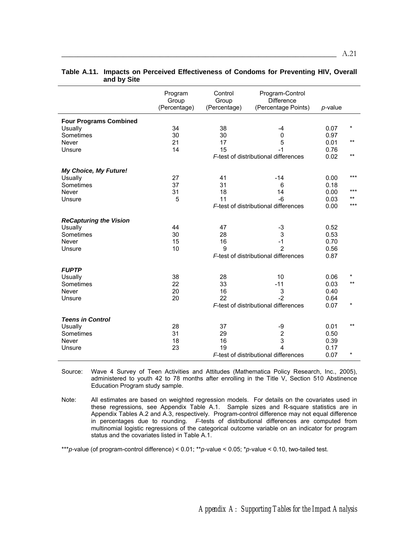|                               | Program<br>Group<br>(Percentage) | Control<br>Group<br>(Percentage)     | Program-Control<br><b>Difference</b><br>(Percentage Points) | $p$ -value |          |
|-------------------------------|----------------------------------|--------------------------------------|-------------------------------------------------------------|------------|----------|
|                               |                                  |                                      |                                                             |            |          |
| <b>Four Programs Combined</b> |                                  |                                      |                                                             |            |          |
| Usually                       | 34                               | 38                                   | -4                                                          | 0.07       | $\star$  |
| Sometimes                     | 30                               | 30                                   | $\mathbf 0$                                                 | 0.97       |          |
| Never                         | 21                               | 17                                   | 5                                                           | 0.01       | $***$    |
| Unsure                        | 14                               | 15                                   | $-1$                                                        | 0.76       |          |
|                               |                                  |                                      | F-test of distributional differences                        | 0.02       | $***$    |
|                               |                                  |                                      |                                                             |            |          |
| My Choice, My Future!         |                                  |                                      |                                                             |            |          |
| Usually                       | 27                               | 41                                   | $-14$                                                       | 0.00       | $***$    |
| Sometimes                     | 37                               | 31                                   | 6                                                           | 0.18       |          |
| Never                         | 31                               | 18                                   | 14                                                          | 0.00       | ***      |
| Unsure                        | 5                                | 11                                   | -6                                                          | 0.03       | $***$    |
|                               |                                  | F-test of distributional differences |                                                             | 0.00       | $***$    |
| <b>ReCapturing the Vision</b> |                                  |                                      |                                                             |            |          |
| Usually                       | 44                               | 47                                   | -3                                                          | 0.52       |          |
| Sometimes                     | 30                               | 28                                   | 3                                                           | 0.53       |          |
| Never                         | 15                               | 16                                   | $-1$                                                        | 0.70       |          |
| Unsure                        | 10                               | 9                                    | $\overline{2}$                                              | 0.56       |          |
|                               |                                  |                                      | F-test of distributional differences                        | 0.87       |          |
|                               |                                  |                                      |                                                             |            |          |
| <b>FUPTP</b>                  |                                  |                                      |                                                             |            |          |
| Usually                       | 38                               | 28                                   | 10                                                          | 0.06       | $^\star$ |
| Sometimes                     | 22                               | 33                                   | $-11$                                                       | 0.03       | $**$     |
| <b>Never</b>                  | 20                               | 16                                   | 3                                                           | 0.40       |          |
| Unsure                        | 20                               | 22                                   | $-2$                                                        | 0.64       |          |
|                               |                                  |                                      | F-test of distributional differences                        | 0.07       | $\star$  |
| <b>Teens in Control</b>       |                                  |                                      |                                                             |            |          |
| Usually                       | 28                               | 37                                   | -9                                                          | 0.01       | $***$    |
| Sometimes                     | 31                               | 29                                   | $\overline{c}$                                              | 0.50       |          |
| Never                         | 18                               | 16                                   | 3                                                           | 0.39       |          |
| Unsure                        | 23                               | 19                                   | 4                                                           | 0.17       |          |
|                               |                                  |                                      | F-test of distributional differences                        | 0.07       | $\star$  |

#### **Table A.11. Impacts on Perceived Effectiveness of Condoms for Preventing HIV, Overall and by Site**

Source: Wave 4 Survey of Teen Activities and Attitudes (Mathematica Policy Research, Inc., 2005), administered to youth 42 to 78 months after enrolling in the Title V, Section 510 Abstinence Education Program study sample.

Note: All estimates are based on weighted regression models. For details on the covariates used in these regressions, see Appendix Table A.1. Sample sizes and R-square statistics are in Appendix Tables A.2 and A.3, respectively. Program-control difference may not equal difference in percentages due to rounding. *F*-tests of distributional differences are computed from multinomial logistic regressions of the categorical outcome variable on an indicator for program status and the covariates listed in Table A.1.

\*\*\**p-*value (of program-control difference) < 0.01; \*\**p-*value < 0.05; \**p-*value < 0.10, two-tailed test.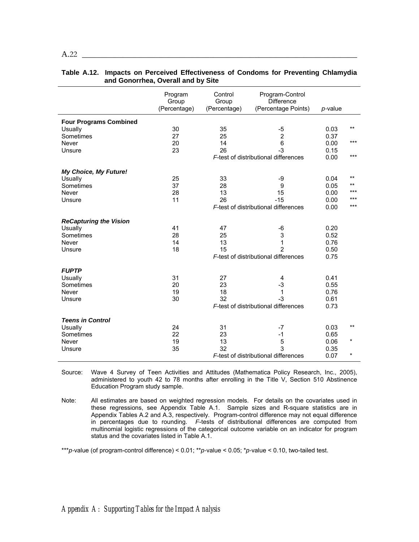|                               | Program<br>Group<br>(Percentage) | Control<br>Group<br>(Percentage)             | Program-Control<br><b>Difference</b><br>(Percentage Points) | p-value |         |
|-------------------------------|----------------------------------|----------------------------------------------|-------------------------------------------------------------|---------|---------|
| <b>Four Programs Combined</b> |                                  |                                              |                                                             |         |         |
| Usually                       | 30                               | 35                                           | $-5$                                                        | 0.03    | $***$   |
| Sometimes                     | 27                               | 25                                           | $\overline{c}$                                              | 0.37    |         |
| Never                         | 20                               | 14                                           | 6                                                           | 0.00    | $***$   |
| Unsure                        | 23                               | 26                                           | $-3$                                                        | 0.15    |         |
|                               |                                  |                                              | F-test of distributional differences                        | 0.00    | $***$   |
| <b>My Choice, My Future!</b>  |                                  |                                              |                                                             |         |         |
| Usually                       | 25                               | 33                                           | -9                                                          | 0.04    | $***$   |
| Sometimes                     | 37                               | 28                                           | 9                                                           | 0.05    | $**$    |
| Never                         | 28                               | 13                                           | 15                                                          | 0.00    | ***     |
| Unsure                        | 11                               | 26                                           | $-15$                                                       | 0.00    | $***$   |
|                               |                                  |                                              | F-test of distributional differences                        | 0.00    | $***$   |
| <b>ReCapturing the Vision</b> |                                  |                                              |                                                             |         |         |
| Usually                       | 41                               | 47                                           | -6                                                          | 0.20    |         |
| Sometimes                     | 28                               | 25                                           | 3                                                           | 0.52    |         |
| Never                         | 14                               | 13                                           | 1                                                           | 0.76    |         |
| Unsure                        | 18                               | 15                                           | $\overline{2}$                                              | 0.50    |         |
|                               |                                  | F-test of distributional differences         |                                                             | 0.75    |         |
| <b>FUPTP</b>                  |                                  |                                              |                                                             |         |         |
| Usually                       | 31                               | 27                                           | 4                                                           | 0.41    |         |
| Sometimes                     | 20                               | 23                                           | $-3$                                                        | 0.55    |         |
| <b>Never</b>                  | 19                               | 18                                           | $\mathbf{1}$                                                | 0.76    |         |
| Unsure                        | 30                               | 32                                           | $-3$                                                        | 0.61    |         |
|                               |                                  |                                              | F-test of distributional differences                        | 0.73    |         |
| <b>Teens in Control</b>       |                                  |                                              |                                                             |         |         |
| Usually                       | 24                               | 31                                           | $-7$                                                        | 0.03    | $***$   |
| Sometimes                     | 22                               | 23                                           | $-1$                                                        | 0.65    |         |
| Never                         | 19                               | 13                                           | 5                                                           | 0.06    | $\ast$  |
| Unsure                        | 35                               | 32                                           | 3                                                           | 0.35    |         |
|                               |                                  | F-test of distributional differences<br>0.07 |                                                             |         | $\star$ |

#### **Table A.12. Impacts on Perceived Effectiveness of Condoms for Preventing Chlamydia and Gonorrhea, Overall and by Site**

Source: Wave 4 Survey of Teen Activities and Attitudes (Mathematica Policy Research, Inc., 2005), administered to youth 42 to 78 months after enrolling in the Title V, Section 510 Abstinence Education Program study sample.

Note: All estimates are based on weighted regression models. For details on the covariates used in these regressions, see Appendix Table A.1. Sample sizes and R-square statistics are in Appendix Tables A.2 and A.3, respectively. Program-control difference may not equal difference in percentages due to rounding. *F*-tests of distributional differences are computed from multinomial logistic regressions of the categorical outcome variable on an indicator for program status and the covariates listed in Table A.1.

\*\*\**p-*value (of program-control difference) < 0.01; \*\**p-*value < 0.05; \**p-*value < 0.10, two-tailed test.

#### $A.22$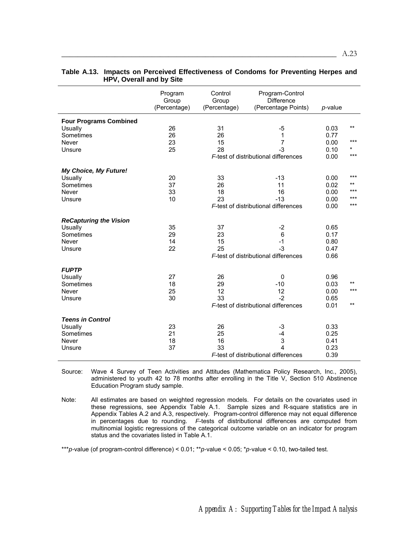|                               | Program      | Control                                      | Program-Control                      |            |         |
|-------------------------------|--------------|----------------------------------------------|--------------------------------------|------------|---------|
|                               | Group        | Group                                        | <b>Difference</b>                    |            |         |
|                               | (Percentage) | (Percentage)                                 | (Percentage Points)                  | $p$ -value |         |
| <b>Four Programs Combined</b> |              |                                              |                                      |            |         |
| Usually                       | 26           | 31                                           | -5                                   | 0.03       | $***$   |
| Sometimes                     | 26           | 26                                           | 1                                    | 0.77       |         |
| Never                         | 23           | 15                                           | $\overline{7}$                       | 0.00       | $***$   |
| Unsure                        | 25           | 28                                           | $-3$                                 | 0.10       | $\star$ |
|                               |              |                                              | F-test of distributional differences | 0.00       | $***$   |
|                               |              |                                              |                                      |            |         |
| <b>My Choice, My Future!</b>  |              |                                              |                                      |            |         |
| Usually                       | 20           | 33                                           | $-13$                                | 0.00       | $***$   |
| Sometimes                     | 37           | 26                                           | 11                                   | 0.02       | $**$    |
| Never                         | 33           | 18                                           | 16                                   | 0.00       | ***     |
| Unsure                        | 10           | 23                                           | $-13$                                | 0.00       | ***     |
|                               |              |                                              | F-test of distributional differences |            | ***     |
|                               |              |                                              |                                      | 0.00       |         |
| <b>ReCapturing the Vision</b> |              |                                              |                                      |            |         |
| Usually                       | 35           | 37                                           | $-2$                                 | 0.65       |         |
| Sometimes                     | 29           | 23                                           | 6                                    | 0.17       |         |
| Never                         | 14           | 15                                           | $-1$                                 | 0.80       |         |
| Unsure                        | 22           | 25                                           | $-3$                                 | 0.47       |         |
|                               |              | F-test of distributional differences         |                                      | 0.66       |         |
|                               |              |                                              |                                      |            |         |
| <b>FUPTP</b>                  |              |                                              |                                      |            |         |
| Usually                       | 27           | 26                                           | $\Omega$                             | 0.96       |         |
| Sometimes                     | 18           | 29                                           | $-10$                                | 0.03       | $***$   |
| Never                         | 25           | 12                                           | 12                                   | 0.00       | $***$   |
| Unsure                        | 30           | 33                                           | $-2$                                 | 0.65       |         |
|                               |              |                                              | F-test of distributional differences | 0.01       | $***$   |
|                               |              |                                              |                                      |            |         |
| <b>Teens in Control</b>       |              |                                              |                                      |            |         |
| Usually                       | 23           | 26                                           | -3                                   | 0.33       |         |
| Sometimes                     | 21           | 25                                           | $-4$                                 | 0.25       |         |
| Never                         | 18           | 16                                           | 3                                    | 0.41       |         |
| Unsure                        | 37           | 33                                           | 4                                    | 0.23       |         |
|                               |              | F-test of distributional differences<br>0.39 |                                      |            |         |

#### **Table A.13. Impacts on Perceived Effectiveness of Condoms for Preventing Herpes and HPV, Overall and by Site**

Source: Wave 4 Survey of Teen Activities and Attitudes (Mathematica Policy Research, Inc., 2005), administered to youth 42 to 78 months after enrolling in the Title V, Section 510 Abstinence Education Program study sample.

Note: All estimates are based on weighted regression models. For details on the covariates used in these regressions, see Appendix Table A.1. Sample sizes and R-square statistics are in Appendix Tables A.2 and A.3, respectively. Program-control difference may not equal difference in percentages due to rounding. *F*-tests of distributional differences are computed from multinomial logistic regressions of the categorical outcome variable on an indicator for program status and the covariates listed in Table A.1.

\*\*\**p-*value (of program-control difference) < 0.01; \*\**p-*value < 0.05; \**p-*value < 0.10, two-tailed test.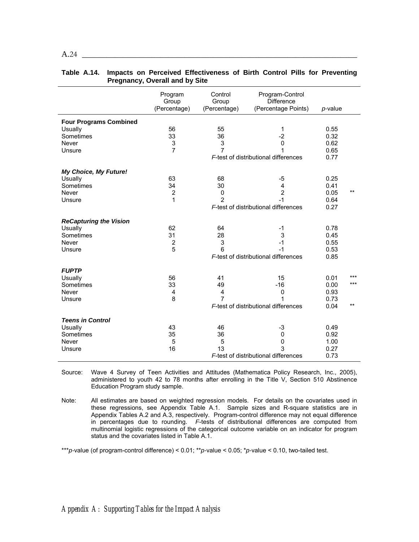|                               | Program<br>Group<br>(Percentage) | Control<br>Group<br>(Percentage) | Program-Control<br><b>Difference</b><br>(Percentage Points) | $p$ -value |       |
|-------------------------------|----------------------------------|----------------------------------|-------------------------------------------------------------|------------|-------|
|                               |                                  |                                  |                                                             |            |       |
| <b>Four Programs Combined</b> | 56                               | 55                               | 1                                                           | 0.55       |       |
| Usually<br>Sometimes          | 33                               | 36                               | $-2$                                                        | 0.32       |       |
| Never                         | 3                                | 3                                | $\mathbf 0$                                                 | 0.62       |       |
| Unsure                        | $\overline{7}$                   | 7                                | 1                                                           | 0.65       |       |
|                               |                                  |                                  | F-test of distributional differences                        | 0.77       |       |
|                               |                                  |                                  |                                                             |            |       |
| <b>My Choice, My Future!</b>  |                                  |                                  |                                                             |            |       |
| Usually                       | 63                               | 68                               | -5                                                          | 0.25       |       |
| Sometimes                     | 34                               | 30                               | $\overline{4}$                                              | 0.41       |       |
| Never                         | $\overline{2}$                   | 0                                | $\overline{c}$                                              | 0.05       | $**$  |
| Unsure                        | 1                                | $\overline{2}$                   | $-1$                                                        | 0.64       |       |
|                               |                                  |                                  | F-test of distributional differences                        | 0.27       |       |
|                               |                                  |                                  |                                                             |            |       |
| <b>ReCapturing the Vision</b> |                                  |                                  |                                                             |            |       |
| Usually                       | 62                               | 64                               | $-1$                                                        | 0.78       |       |
| Sometimes                     | 31                               | 28                               | $\ensuremath{\mathsf{3}}$                                   | 0.45       |       |
| <b>Never</b>                  | $\overline{2}$                   | 3                                | $-1$                                                        | 0.55       |       |
| Unsure                        | 5                                | 6                                | $-1$                                                        | 0.53       |       |
|                               |                                  |                                  | F-test of distributional differences                        |            |       |
|                               |                                  |                                  |                                                             |            |       |
| <b>FUPTP</b>                  |                                  |                                  |                                                             |            |       |
| Usually                       | 56                               | 41                               | 15                                                          | 0.01       | ***   |
| Sometimes                     | 33                               | 49                               | $-16$                                                       | 0.00       | $***$ |
| <b>Never</b>                  | 4                                | 4                                | $\Omega$                                                    | 0.93       |       |
| Unsure                        | 8                                | 7                                |                                                             | 0.73       |       |
|                               |                                  |                                  | F-test of distributional differences                        | 0.04       | $***$ |
| <b>Teens in Control</b>       |                                  |                                  |                                                             |            |       |
| Usually                       | 43                               | 46                               | -3                                                          | 0.49       |       |
| Sometimes                     | 35                               | 36                               | 0                                                           | 0.92       |       |
| Never                         | 5                                | 5                                | 0                                                           | 1.00       |       |
| Unsure                        | 16                               | 13                               | 3                                                           | 0.27       |       |
|                               |                                  |                                  | F-test of distributional differences                        | 0.73       |       |
|                               |                                  |                                  |                                                             |            |       |

#### **Table A.14. Impacts on Perceived Effectiveness of Birth Control Pills for Preventing Pregnancy, Overall and by Site**

Source: Wave 4 Survey of Teen Activities and Attitudes (Mathematica Policy Research, Inc., 2005), administered to youth 42 to 78 months after enrolling in the Title V, Section 510 Abstinence Education Program study sample.

Note: All estimates are based on weighted regression models. For details on the covariates used in these regressions, see Appendix Table A.1. Sample sizes and R-square statistics are in Appendix Tables A.2 and A.3, respectively. Program-control difference may not equal difference in percentages due to rounding. *F*-tests of distributional differences are computed from multinomial logistic regressions of the categorical outcome variable on an indicator for program status and the covariates listed in Table A.1.

\*\*\**p-*value (of program-control difference) < 0.01; \*\**p-*value < 0.05; \**p-*value < 0.10, two-tailed test.

#### A.24 \_\_\_\_\_\_\_\_\_\_\_\_\_\_\_\_\_\_\_\_\_\_\_\_\_\_\_\_\_\_\_\_\_\_\_\_\_\_\_\_\_\_\_\_\_\_\_\_\_\_\_\_\_\_\_\_\_\_\_\_\_\_\_\_\_\_\_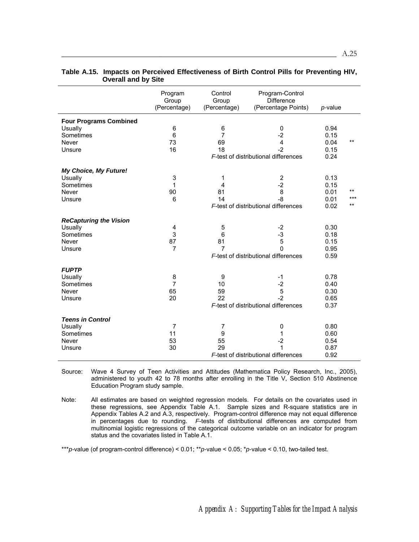| Program<br>Control<br>Program-Control<br>Group<br>Group<br><b>Difference</b><br>(Percentage Points)<br>(Percentage)<br>(Percentage) | $p$ -value    |
|-------------------------------------------------------------------------------------------------------------------------------------|---------------|
|                                                                                                                                     |               |
| <b>Four Programs Combined</b>                                                                                                       | 0.94          |
| Usually<br>6<br>6<br>0<br>$6\phantom{1}6$<br>7<br>$-2$<br>Sometimes                                                                 | 0.15          |
| $\overline{\mathbf{4}}$<br>73<br><b>Never</b><br>69                                                                                 | 0.04<br>$***$ |
| $-2$<br>16<br>18<br>Unsure                                                                                                          | 0.15          |
|                                                                                                                                     |               |
| F-test of distributional differences                                                                                                | 0.24          |
| <b>My Choice, My Future!</b>                                                                                                        |               |
| 3<br>Usually<br>1<br>2                                                                                                              | 0.13          |
| $-2$<br>Sometimes<br>1<br>4                                                                                                         | 0.15          |
| 90<br>8<br>Never<br>81                                                                                                              | $***$<br>0.01 |
| $-8$<br>6<br>14<br>Unsure                                                                                                           | ***<br>0.01   |
| F-test of distributional differences                                                                                                | $***$<br>0.02 |
|                                                                                                                                     |               |
| <b>ReCapturing the Vision</b>                                                                                                       |               |
| Usually<br>5<br>$-2$<br>4                                                                                                           | 0.30          |
| $-3$<br>3<br>Sometimes<br>6                                                                                                         | 0.18          |
| 5<br>87<br>81<br>Never                                                                                                              | 0.15          |
| $\Omega$<br>$\overline{7}$<br>7<br>Unsure                                                                                           | 0.95          |
| F-test of distributional differences                                                                                                | 0.59          |
|                                                                                                                                     |               |
| <b>FUPTP</b>                                                                                                                        |               |
| Usually<br>8<br>9<br>$-1$                                                                                                           | 0.78          |
| $-2$<br>Sometimes<br>$\overline{7}$<br>10                                                                                           | 0.40          |
| 5<br>65<br>59<br><b>Never</b>                                                                                                       | 0.30          |
| 22<br>$-2$<br>20<br>Unsure                                                                                                          | 0.65          |
| F-test of distributional differences                                                                                                | 0.37          |
| <b>Teens in Control</b>                                                                                                             |               |
| $\overline{7}$<br>Usually<br>7<br>0                                                                                                 | 0.80          |
| Sometimes<br>11<br>9<br>1                                                                                                           | 0.60          |
| $-2$<br>53<br>55<br>Never                                                                                                           | 0.54          |
| 30<br>1<br>29<br>Unsure                                                                                                             | 0.87          |
| F-test of distributional differences                                                                                                | 0.92          |

#### **Table A.15. Impacts on Perceived Effectiveness of Birth Control Pills for Preventing HIV, Overall and by Site**

Source: Wave 4 Survey of Teen Activities and Attitudes (Mathematica Policy Research, Inc., 2005), administered to youth 42 to 78 months after enrolling in the Title V, Section 510 Abstinence Education Program study sample.

Note: All estimates are based on weighted regression models. For details on the covariates used in these regressions, see Appendix Table A.1. Sample sizes and R-square statistics are in Appendix Tables A.2 and A.3, respectively. Program-control difference may not equal difference in percentages due to rounding. *F*-tests of distributional differences are computed from multinomial logistic regressions of the categorical outcome variable on an indicator for program status and the covariates listed in Table A.1.

\*\*\**p-*value (of program-control difference) < 0.01; \*\**p-*value < 0.05; \**p-*value < 0.10, two-tailed test.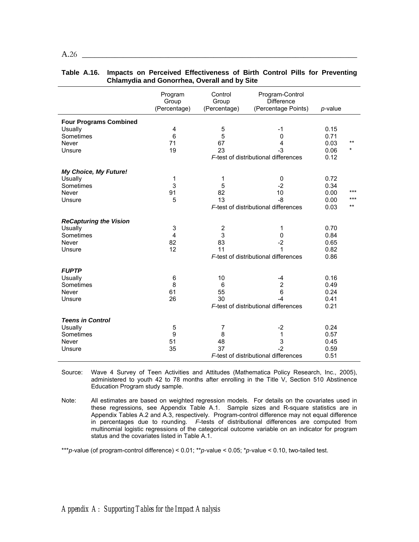|                               | Program<br>Group<br>(Percentage) | Control<br>Group<br>(Percentage)             | Program-Control<br><b>Difference</b><br>(Percentage Points) | $p$ -value |         |
|-------------------------------|----------------------------------|----------------------------------------------|-------------------------------------------------------------|------------|---------|
|                               |                                  |                                              |                                                             |            |         |
| <b>Four Programs Combined</b> |                                  |                                              |                                                             |            |         |
| Usually                       | 4                                | 5                                            | $-1$                                                        | 0.15       |         |
| Sometimes                     | $6\phantom{1}6$                  | 5                                            | 0                                                           | 0.71       |         |
| Never                         | 71                               | 67                                           | 4                                                           | 0.03       | $***$   |
|                               | 19                               | 23                                           | $-3$                                                        | 0.06       | $\star$ |
| Unsure                        |                                  |                                              |                                                             |            |         |
|                               |                                  |                                              | F-test of distributional differences                        | 0.12       |         |
|                               |                                  |                                              |                                                             |            |         |
| <b>My Choice, My Future!</b>  |                                  |                                              |                                                             |            |         |
| Usually                       | 1                                | 1                                            | 0                                                           | 0.72       |         |
| Sometimes                     | 3                                | 5                                            | $-2$                                                        | 0.34       |         |
| Never                         | 91                               | 82                                           | 10                                                          | 0.00       | ***     |
| Unsure                        | 5                                | 13                                           | $-8$                                                        | 0.00       | ***     |
|                               |                                  |                                              | F-test of distributional differences                        | 0.03       | $***$   |
|                               |                                  |                                              |                                                             |            |         |
| <b>ReCapturing the Vision</b> |                                  |                                              |                                                             |            |         |
| Usually                       | $\ensuremath{\mathsf{3}}$        | $\boldsymbol{2}$                             | 1                                                           | 0.70       |         |
| Sometimes                     | $\overline{4}$                   | 3                                            | 0                                                           | 0.84       |         |
| <b>Never</b>                  | 82                               | 83                                           | $-2$                                                        | 0.65       |         |
| Unsure                        | 12                               | 11                                           | 1                                                           | 0.82       |         |
|                               |                                  | F-test of distributional differences         |                                                             | 0.86       |         |
|                               |                                  |                                              |                                                             |            |         |
| <b>FUPTP</b>                  |                                  |                                              |                                                             |            |         |
|                               |                                  | 10                                           |                                                             | 0.16       |         |
| Usually                       | 6                                |                                              | -4                                                          |            |         |
| Sometimes                     | 8                                | 6                                            | $\overline{2}$                                              | 0.49       |         |
| Never                         | 61                               | 55                                           | 6                                                           | 0.24       |         |
| Unsure                        | 26                               | 30                                           | -4                                                          | 0.41       |         |
|                               |                                  | F-test of distributional differences         |                                                             | 0.21       |         |
|                               |                                  |                                              |                                                             |            |         |
| <b>Teens in Control</b>       |                                  |                                              |                                                             |            |         |
| Usually                       | 5                                | 7                                            | $-2$                                                        | 0.24       |         |
| Sometimes                     | 9                                | 8                                            | 1                                                           | 0.57       |         |
| Never                         | 51                               | 48                                           | 3                                                           | 0.45       |         |
| Unsure                        | 35                               | 37                                           | $-2$                                                        | 0.59       |         |
|                               |                                  | F-test of distributional differences<br>0.51 |                                                             |            |         |

#### **Table A.16. Impacts on Perceived Effectiveness of Birth Control Pills for Preventing Chlamydia and Gonorrhea, Overall and by Site**

Source: Wave 4 Survey of Teen Activities and Attitudes (Mathematica Policy Research, Inc., 2005), administered to youth 42 to 78 months after enrolling in the Title V, Section 510 Abstinence Education Program study sample.

Note: All estimates are based on weighted regression models. For details on the covariates used in these regressions, see Appendix Table A.1. Sample sizes and R-square statistics are in Appendix Tables A.2 and A.3, respectively. Program-control difference may not equal difference in percentages due to rounding. *F*-tests of distributional differences are computed from multinomial logistic regressions of the categorical outcome variable on an indicator for program status and the covariates listed in Table A.1.

\*\*\**p-*value (of program-control difference) < 0.01; \*\**p-*value < 0.05; \**p-*value < 0.10, two-tailed test.

#### $A.26$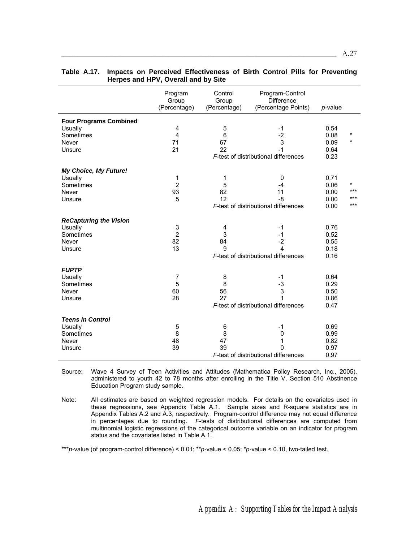|                               | Program<br>Group<br>(Percentage) | Control<br>Group<br>(Percentage)             | Program-Control<br>Difference<br>(Percentage Points) | p-value |          |
|-------------------------------|----------------------------------|----------------------------------------------|------------------------------------------------------|---------|----------|
| <b>Four Programs Combined</b> |                                  |                                              |                                                      |         |          |
| Usually                       | 4                                | 5                                            | $-1$                                                 | 0.54    |          |
| Sometimes                     | 4                                | $\,6\,$                                      | $-2$                                                 | 0.08    | $\star$  |
| Never                         | 71                               | 67                                           | 3                                                    | 0.09    | $^\star$ |
| Unsure                        | 21                               | 22                                           | $-1$                                                 | 0.64    |          |
|                               |                                  |                                              | F-test of distributional differences                 | 0.23    |          |
| <b>My Choice, My Future!</b>  |                                  |                                              |                                                      |         |          |
| Usually                       | 1                                | 1                                            | 0                                                    | 0.71    |          |
| Sometimes                     | $\overline{2}$                   | 5                                            | -4                                                   | 0.06    | $\star$  |
| Never                         | 93                               | 82                                           | 11                                                   | 0.00    | $***$    |
| Unsure                        | 5                                | 12                                           | -8                                                   | 0.00    | ***      |
|                               |                                  |                                              | F-test of distributional differences                 | 0.00    | $***$    |
| <b>ReCapturing the Vision</b> |                                  |                                              |                                                      |         |          |
| Usually                       | 3                                | 4                                            | $-1$                                                 | 0.76    |          |
| Sometimes                     | $\overline{2}$                   | 3                                            | $-1$                                                 | 0.52    |          |
| Never                         | 82                               | 84                                           | $-2$                                                 | 0.55    |          |
| Unsure                        | 13                               | 9                                            | $\overline{\mathbf{4}}$                              | 0.18    |          |
|                               |                                  |                                              | F-test of distributional differences                 | 0.16    |          |
| <b>FUPTP</b>                  |                                  |                                              |                                                      |         |          |
| Usually                       | 7                                | 8                                            | $-1$                                                 | 0.64    |          |
| Sometimes                     | 5                                | 8                                            | $-3$                                                 | 0.29    |          |
| Never                         | 60                               | 56                                           | 3                                                    | 0.50    |          |
| Unsure                        | 28                               | 27                                           | 1                                                    | 0.86    |          |
|                               |                                  |                                              | F-test of distributional differences                 | 0.47    |          |
| <b>Teens in Control</b>       |                                  |                                              |                                                      |         |          |
| Usually                       | 5                                | 6                                            | $-1$                                                 | 0.69    |          |
| Sometimes                     | 8                                | 8                                            | 0                                                    | 0.99    |          |
| Never                         | 48                               | 47                                           | 1                                                    | 0.82    |          |
| Unsure                        | 39                               | 39                                           | 0                                                    | 0.97    |          |
|                               |                                  | 0.97<br>F-test of distributional differences |                                                      |         |          |

## **Table A.17. Impacts on Perceived Effectiveness of Birth Control Pills for Preventing Herpes and HPV, Overall and by Site**

Source: Wave 4 Survey of Teen Activities and Attitudes (Mathematica Policy Research, Inc., 2005), administered to youth 42 to 78 months after enrolling in the Title V, Section 510 Abstinence Education Program study sample.

Note: All estimates are based on weighted regression models. For details on the covariates used in these regressions, see Appendix Table A.1. Sample sizes and R-square statistics are in Appendix Tables A.2 and A.3, respectively. Program-control difference may not equal difference in percentages due to rounding. *F*-tests of distributional differences are computed from multinomial logistic regressions of the categorical outcome variable on an indicator for program status and the covariates listed in Table A.1.

\*\*\**p-*value (of program-control difference) < 0.01; \*\**p-*value < 0.05; \**p-*value < 0.10, two-tailed test.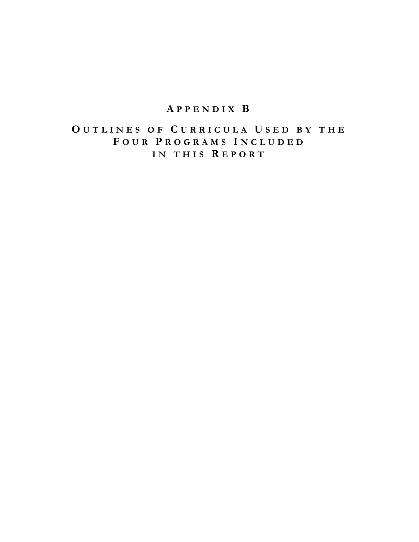# **A PPENDIX B**

# **O UTLINES OF C URRICULA U SED BY THE F OUR P ROGRAMS I NCLUDED IN THIS R EPORT**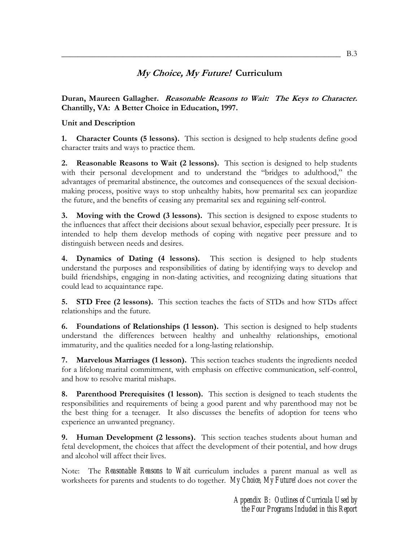# **My Choice, My Future! Curriculum**

**Duran, Maureen Gallagher. Reasonable Reasons to Wait: The Keys to Character. Chantilly, VA: A Better Choice in Education, 1997.** 

# **Unit and Description**

**1. Character Counts (5 lessons).** This section is designed to help students define good character traits and ways to practice them.

**2. Reasonable Reasons to Wait (2 lessons).** This section is designed to help students with their personal development and to understand the "bridges to adulthood," the advantages of premarital abstinence, the outcomes and consequences of the sexual decisionmaking process, positive ways to stop unhealthy habits, how premarital sex can jeopardize the future, and the benefits of ceasing any premarital sex and regaining self-control.

**3. Moving with the Crowd (3 lessons).** This section is designed to expose students to the influences that affect their decisions about sexual behavior, especially peer pressure. It is intended to help them develop methods of coping with negative peer pressure and to distinguish between needs and desires.

**4. Dynamics of Dating (4 lessons).** This section is designed to help students understand the purposes and responsibilities of dating by identifying ways to develop and build friendships, engaging in non-dating activities, and recognizing dating situations that could lead to acquaintance rape.

**5. STD Free (2 lessons).** This section teaches the facts of STDs and how STDs affect relationships and the future.

**6. Foundations of Relationships (1 lesson).** This section is designed to help students understand the differences between healthy and unhealthy relationships, emotional immaturity, and the qualities needed for a long-lasting relationship.

**7. Marvelous Marriages (1 lesson).** This section teaches students the ingredients needed for a lifelong marital commitment, with emphasis on effective communication, self-control, and how to resolve marital mishaps.

**8. Parenthood Prerequisites (1 lesson).** This section is designed to teach students the responsibilities and requirements of being a good parent and why parenthood may not be the best thing for a teenager. It also discusses the benefits of adoption for teens who experience an unwanted pregnancy.

**9. Human Development (2 lessons).** This section teaches students about human and fetal development, the choices that affect the development of their potential, and how drugs and alcohol will affect their lives.

Note: The *Reasonable Reasons to Wait* curriculum includes a parent manual as well as worksheets for parents and students to do together. *My Choice, My Future!* does not cover the

> *Appendix B: Outlines of Curricula Used by the Four Programs Included in this Report*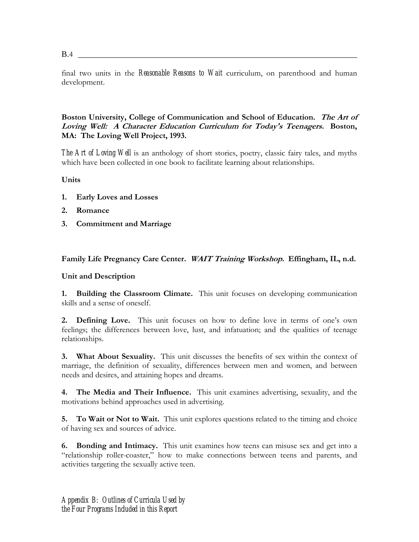B.4 \_\_\_\_\_\_\_\_\_\_\_\_\_\_\_\_\_\_\_\_\_\_\_\_\_\_\_\_\_\_\_\_\_\_\_\_\_\_\_\_\_\_\_\_\_\_\_\_\_\_\_\_\_\_\_\_\_\_\_\_\_\_\_\_\_\_\_\_

final two units in the *Reasonable Reasons to Wait* curriculum, on parenthood and human development.

### **Boston University, College of Communication and School of Education. The Art of Loving Well: A Character Education Curriculum for Today's Teenagers. Boston, MA: The Loving Well Project, 1993.**

*The Art of Loving Well* is an anthology of short stories, poetry, classic fairy tales, and myths which have been collected in one book to facilitate learning about relationships.

**Units** 

- **1. Early Loves and Losses**
- **2. Romance**
- **3. Commitment and Marriage**

# **Family Life Pregnancy Care Center. WAIT Training Workshop. Effingham, IL, n.d.**

### **Unit and Description**

**1. Building the Classroom Climate.** This unit focuses on developing communication skills and a sense of oneself.

**2. Defining Love.** This unit focuses on how to define love in terms of one's own feelings; the differences between love, lust, and infatuation; and the qualities of teenage relationships.

**3. What About Sexuality.** This unit discusses the benefits of sex within the context of marriage, the definition of sexuality, differences between men and women, and between needs and desires, and attaining hopes and dreams.

**4. The Media and Their Influence.** This unit examines advertising, sexuality, and the motivations behind approaches used in advertising.

**5. To Wait or Not to Wait.** This unit explores questions related to the timing and choice of having sex and sources of advice.

**6. Bonding and Intimacy.** This unit examines how teens can misuse sex and get into a "relationship roller-coaster," how to make connections between teens and parents, and activities targeting the sexually active teen.

*Appendix B: Outlines of Curricula Used by the Four Programs Included in this Report*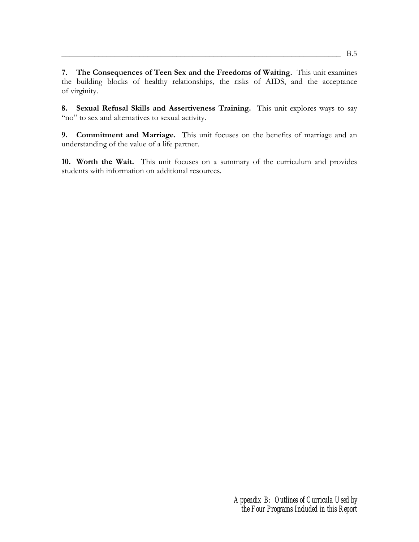**7. The Consequences of Teen Sex and the Freedoms of Waiting.** This unit examines the building blocks of healthy relationships, the risks of AIDS, and the acceptance of virginity.

**8. Sexual Refusal Skills and Assertiveness Training.** This unit explores ways to say "no" to sex and alternatives to sexual activity.

**9. Commitment and Marriage.** This unit focuses on the benefits of marriage and an understanding of the value of a life partner.

**10. Worth the Wait.** This unit focuses on a summary of the curriculum and provides students with information on additional resources.

> *Appendix B: Outlines of Curricula Used by the Four Programs Included in this Report*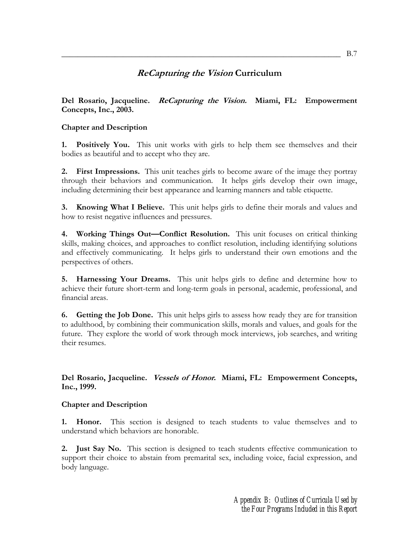# **ReCapturing the Vision Curriculum**

**Del Rosario, Jacqueline. ReCapturing the Vision. Miami, FL: Empowerment Concepts, Inc., 2003.** 

## **Chapter and Description**

**1. Positively You.** This unit works with girls to help them see themselves and their bodies as beautiful and to accept who they are.

**2. First Impressions.** This unit teaches girls to become aware of the image they portray through their behaviors and communication. It helps girls develop their own image, including determining their best appearance and learning manners and table etiquette.

**3. Knowing What I Believe.** This unit helps girls to define their morals and values and how to resist negative influences and pressures.

4. Working Things Out-Conflict Resolution. This unit focuses on critical thinking skills, making choices, and approaches to conflict resolution, including identifying solutions and effectively communicating. It helps girls to understand their own emotions and the perspectives of others.

**5. Harnessing Your Dreams.** This unit helps girls to define and determine how to achieve their future short-term and long-term goals in personal, academic, professional, and financial areas.

**6. Getting the Job Done.** This unit helps girls to assess how ready they are for transition to adulthood, by combining their communication skills, morals and values, and goals for the future. They explore the world of work through mock interviews, job searches, and writing their resumes.

# **Del Rosario, Jacqueline. Vessels of Honor. Miami, FL: Empowerment Concepts, Inc., 1999.**

### **Chapter and Description**

**1. Honor.** This section is designed to teach students to value themselves and to understand which behaviors are honorable.

**2. Just Say No.** This section is designed to teach students effective communication to support their choice to abstain from premarital sex, including voice, facial expression, and body language.

> *Appendix B: Outlines of Curricula Used by the Four Programs Included in this Report*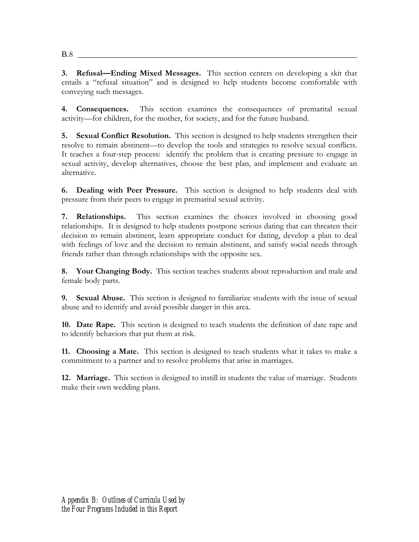B.8 \_\_\_\_\_\_\_\_\_\_\_\_\_\_\_\_\_\_\_\_\_\_\_\_\_\_\_\_\_\_\_\_\_\_\_\_\_\_\_\_\_\_\_\_\_\_\_\_\_\_\_\_\_\_\_\_\_\_\_\_\_\_\_\_\_\_\_\_

**3. Refusal—Ending Mixed Messages.** This section centers on developing a skit that entails a "refusal situation" and is designed to help students become comfortable with conveying such messages.

**4. Consequences.** This section examines the consequences of premarital sexual activity—for children, for the mother, for society, and for the future husband.

**5. Sexual Conflict Resolution.** This section is designed to help students strengthen their resolve to remain abstinent—to develop the tools and strategies to resolve sexual conflicts. It teaches a four-step process: identify the problem that is creating pressure to engage in sexual activity, develop alternatives, choose the best plan, and implement and evaluate an alternative.

**6. Dealing with Peer Pressure.** This section is designed to help students deal with pressure from their peers to engage in premarital sexual activity.

**7. Relationships.** This section examines the choices involved in choosing good relationships. It is designed to help students postpone serious dating that can threaten their decision to remain abstinent, learn appropriate conduct for dating, develop a plan to deal with feelings of love and the decision to remain abstinent, and satisfy social needs through friends rather than through relationships with the opposite sex.

**8. Your Changing Body.** This section teaches students about reproduction and male and female body parts.

**9. Sexual Abuse.** This section is designed to familiarize students with the issue of sexual abuse and to identify and avoid possible danger in this area.

**10. Date Rape.** This section is designed to teach students the definition of date rape and to identify behaviors that put them at risk.

**11. Choosing a Mate.** This section is designed to teach students what it takes to make a commitment to a partner and to resolve problems that arise in marriages.

**12. Marriage.** This section is designed to instill in students the value of marriage. Students make their own wedding plans.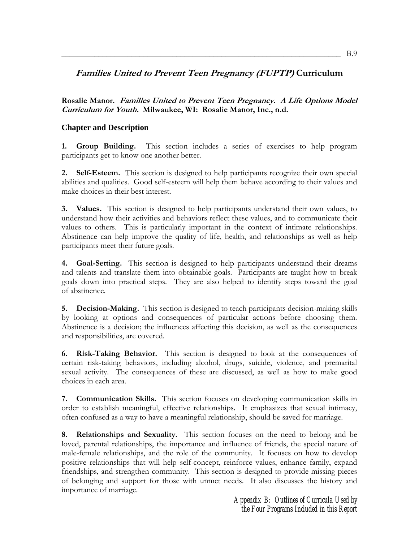# **Families United to Prevent Teen Pregnancy (FUPTP) Curriculum**

**Rosalie Manor. Families United to Prevent Teen Pregnancy. A Life Options Model Curriculum for Youth. Milwaukee, WI: Rosalie Manor, Inc., n.d.** 

# **Chapter and Description**

**1. Group Building.** This section includes a series of exercises to help program participants get to know one another better.

**2. Self-Esteem.** This section is designed to help participants recognize their own special abilities and qualities. Good self-esteem will help them behave according to their values and make choices in their best interest.

**3. Values.** This section is designed to help participants understand their own values, to understand how their activities and behaviors reflect these values, and to communicate their values to others. This is particularly important in the context of intimate relationships. Abstinence can help improve the quality of life, health, and relationships as well as help participants meet their future goals.

**4. Goal-Setting.** This section is designed to help participants understand their dreams and talents and translate them into obtainable goals. Participants are taught how to break goals down into practical steps. They are also helped to identify steps toward the goal of abstinence.

**5. Decision-Making.** This section is designed to teach participants decision-making skills by looking at options and consequences of particular actions before choosing them. Abstinence is a decision; the influences affecting this decision, as well as the consequences and responsibilities, are covered.

**6. Risk-Taking Behavior.** This section is designed to look at the consequences of certain risk-taking behaviors, including alcohol, drugs, suicide, violence, and premarital sexual activity. The consequences of these are discussed, as well as how to make good choices in each area.

**7. Communication Skills.** This section focuses on developing communication skills in order to establish meaningful, effective relationships. It emphasizes that sexual intimacy, often confused as a way to have a meaningful relationship, should be saved for marriage.

**8. Relationships and Sexuality.** This section focuses on the need to belong and be loved, parental relationships, the importance and influence of friends, the special nature of male-female relationships, and the role of the community. It focuses on how to develop positive relationships that will help self-concept, reinforce values, enhance family, expand friendships, and strengthen community. This section is designed to provide missing pieces of belonging and support for those with unmet needs. It also discusses the history and importance of marriage.

> *Appendix B: Outlines of Curricula Used by the Four Programs Included in this Report*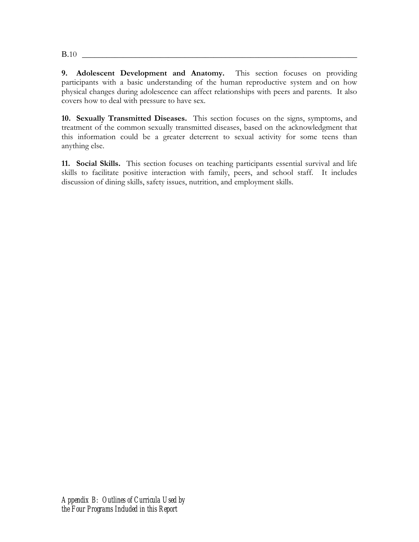B.10 \_\_\_\_\_\_\_\_\_\_\_\_\_\_\_\_\_\_\_\_\_\_\_\_\_\_\_\_\_\_\_\_\_\_\_\_\_\_\_\_\_\_\_\_\_\_\_\_\_\_\_\_\_\_\_\_\_\_\_\_\_\_\_\_\_\_\_

**9. Adolescent Development and Anatomy.** This section focuses on providing participants with a basic understanding of the human reproductive system and on how physical changes during adolescence can affect relationships with peers and parents. It also covers how to deal with pressure to have sex.

**10. Sexually Transmitted Diseases.** This section focuses on the signs, symptoms, and treatment of the common sexually transmitted diseases, based on the acknowledgment that this information could be a greater deterrent to sexual activity for some teens than anything else.

**11. Social Skills.** This section focuses on teaching participants essential survival and life skills to facilitate positive interaction with family, peers, and school staff. It includes discussion of dining skills, safety issues, nutrition, and employment skills.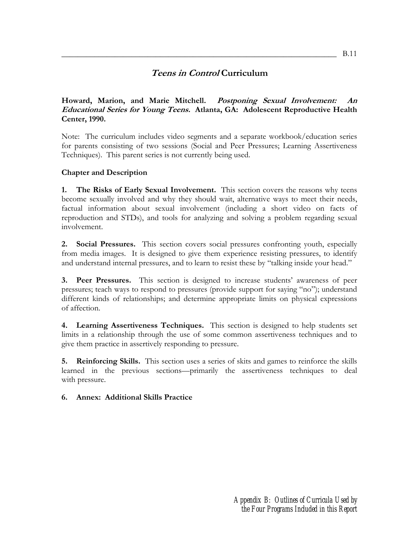# **Teens in Control Curriculum**

# **Howard, Marion, and Marie Mitchell. Postponing Sexual Involvement: An Educational Series for Young Teens. Atlanta, GA: Adolescent Reproductive Health Center, 1990.**

Note: The curriculum includes video segments and a separate workbook/education series for parents consisting of two sessions (Social and Peer Pressures; Learning Assertiveness Techniques). This parent series is not currently being used.

# **Chapter and Description**

**1. The Risks of Early Sexual Involvement.** This section covers the reasons why teens become sexually involved and why they should wait, alternative ways to meet their needs, factual information about sexual involvement (including a short video on facts of reproduction and STDs), and tools for analyzing and solving a problem regarding sexual involvement.

**2. Social Pressures.** This section covers social pressures confronting youth, especially from media images. It is designed to give them experience resisting pressures, to identify and understand internal pressures, and to learn to resist these by "talking inside your head."

**3. Peer Pressures.** This section is designed to increase studentsí awareness of peer pressures; teach ways to respond to pressures (provide support for saying "no"); understand different kinds of relationships; and determine appropriate limits on physical expressions of affection.

**4. Learning Assertiveness Techniques.** This section is designed to help students set limits in a relationship through the use of some common assertiveness techniques and to give them practice in assertively responding to pressure.

**5. Reinforcing Skills.** This section uses a series of skits and games to reinforce the skills learned in the previous sections—primarily the assertiveness techniques to deal with pressure.

**6. Annex: Additional Skills Practice** 

*Appendix B: Outlines of Curricula Used by the Four Programs Included in this Report*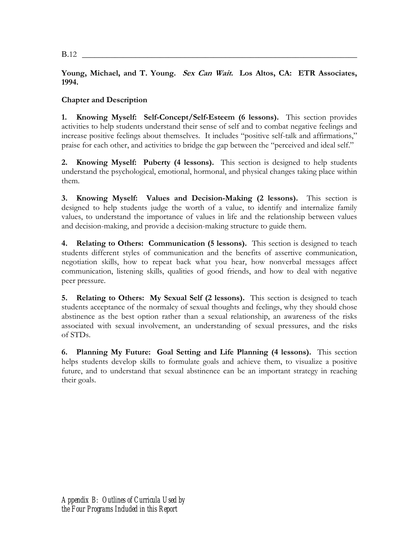B.12 \_\_\_\_\_\_\_\_\_\_\_\_\_\_\_\_\_\_\_\_\_\_\_\_\_\_\_\_\_\_\_\_\_\_\_\_\_\_\_\_\_\_\_\_\_\_\_\_\_\_\_\_\_\_\_\_\_\_\_\_\_\_\_\_\_\_\_

**Young, Michael, and T. Young. Sex Can Wait. Los Altos, CA: ETR Associates, 1994.** 

# **Chapter and Description**

**1. Knowing Myself: Self-Concept/Self-Esteem (6 lessons).** This section provides activities to help students understand their sense of self and to combat negative feelings and increase positive feelings about themselves. It includes "positive self-talk and affirmations," praise for each other, and activities to bridge the gap between the "perceived and ideal self."

**2. Knowing Myself: Puberty (4 lessons).** This section is designed to help students understand the psychological, emotional, hormonal, and physical changes taking place within them.

**3. Knowing Myself: Values and Decision-Making (2 lessons).** This section is designed to help students judge the worth of a value, to identify and internalize family values, to understand the importance of values in life and the relationship between values and decision-making, and provide a decision-making structure to guide them.

**4. Relating to Others: Communication (5 lessons).** This section is designed to teach students different styles of communication and the benefits of assertive communication, negotiation skills, how to repeat back what you hear, how nonverbal messages affect communication, listening skills, qualities of good friends, and how to deal with negative peer pressure.

**5. Relating to Others: My Sexual Self (2 lessons).** This section is designed to teach students acceptance of the normalcy of sexual thoughts and feelings, why they should chose abstinence as the best option rather than a sexual relationship, an awareness of the risks associated with sexual involvement, an understanding of sexual pressures, and the risks of STDs.

**6. Planning My Future: Goal Setting and Life Planning (4 lessons).** This section helps students develop skills to formulate goals and achieve them, to visualize a positive future, and to understand that sexual abstinence can be an important strategy in reaching their goals.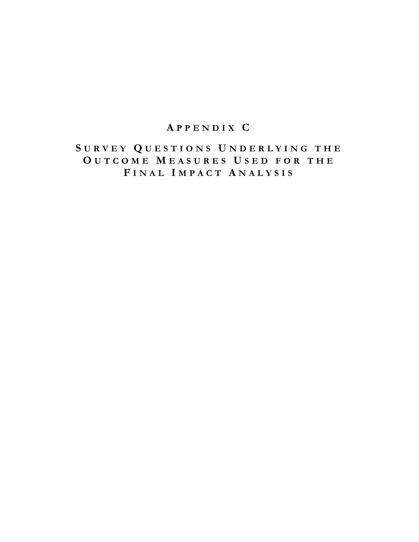# APPENDIX C

# SURVEY QUESTIONS UNDERLYING THE OUTCOME MEASURES USED FOR THE FINAL IMPACT ANALYSIS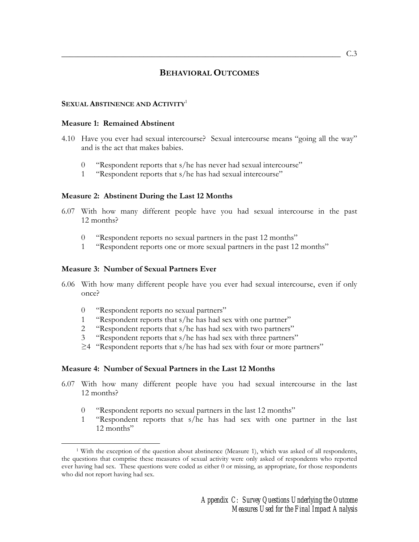# **BEHAVIORAL OUTCOMES**

#### **SEXUAL ABSTINENCE AND ACTIVITY**<sup>1</sup>

#### **Measure 1: Remained Abstinent**

- 4.10 Have you ever had sexual intercourse? Sexual intercourse means "going all the way" and is the act that makes babies.
	- $0$  "Respondent reports that s/he has never had sexual intercourse"
	- 1 "Respondent reports that s/he has had sexual intercourse"

#### **Measure 2: Abstinent During the Last 12 Months**

- 6.07 With how many different people have you had sexual intercourse in the past 12 months?
	- $0$  "Respondent reports no sexual partners in the past 12 months"
	- 1 "Respondent reports one or more sexual partners in the past 12 months"

#### **Measure 3: Number of Sexual Partners Ever**

<u>.</u>

- 6.06 With how many different people have you ever had sexual intercourse, even if only once?
	- 0 *"Respondent reports no sexual partners*"
	- 1 "Respondent reports that s/he has had sex with one partner"
	- 2 "Respondent reports that s/he has had sex with two partners"
	- 3 "Respondent reports that s/he has had sex with three partners"
	- $\geq$ 4 "Respondent reports that s/he has had sex with four or more partners"

#### **Measure 4: Number of Sexual Partners in the Last 12 Months**

- 6.07 With how many different people have you had sexual intercourse in the last 12 months?
	- 0 "Respondent reports no sexual partners in the last 12 months"
	- 1 "Respondent reports that s/he has had sex with one partner in the last 12 months"

<sup>1</sup> With the exception of the question about abstinence (Measure 1), which was asked of all respondents, the questions that comprise these measures of sexual activity were only asked of respondents who reported ever having had sex. These questions were coded as either 0 or missing, as appropriate, for those respondents who did not report having had sex.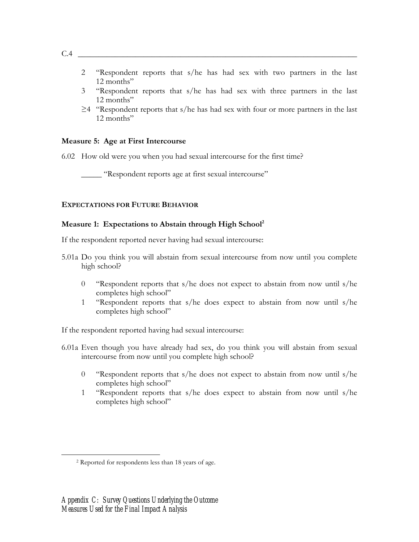- 2 "Respondent reports that s/he has had sex with two partners in the last 12 months"
- 3 "Respondent reports that s/he has had sex with three partners in the last 12 months"
- $\geq$ 4 "Respondent reports that s/he has had sex with four or more partners in the last  $12$  months"

#### **Measure 5: Age at First Intercourse**

6.02 How old were you when you had sexual intercourse for the first time?

"Respondent reports age at first sexual intercourse"

#### **EXPECTATIONS FOR FUTURE BEHAVIOR**

#### **Measure 1: Expectations to Abstain through High School2**

If the respondent reported never having had sexual intercourse:

- 5.01a Do you think you will abstain from sexual intercourse from now until you complete high school?
	- 0  $\degree$  <sup>e</sup>Respondent reports that s/he does not expect to abstain from now until s/he completes high school"
	- 1 "Respondent reports that s/he does expect to abstain from now until s/he completes high school"

If the respondent reported having had sexual intercourse:

- 6.01a Even though you have already had sex, do you think you will abstain from sexual intercourse from now until you complete high school?
	- 0  $\degree$  <sup>e</sup>Respondent reports that s/he does not expect to abstain from now until s/he completes high school"
	- 1 "Respondent reports that s/he does expect to abstain from now until s/he completes high school"

<sup>2</sup> Reported for respondents less than 18 years of age.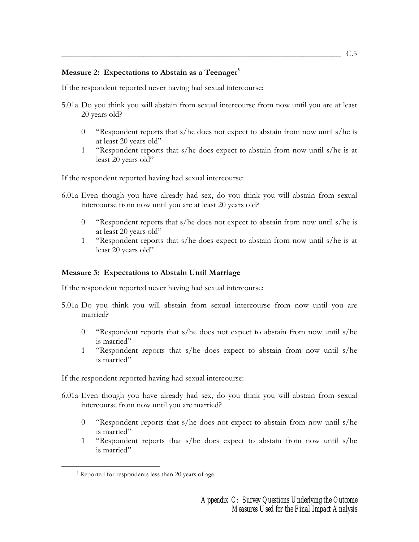#### Measure 2: Expectations to Abstain as a Teenager<sup>3</sup>

If the respondent reported never having had sexual intercourse:

- 5.01a Do you think you will abstain from sexual intercourse from now until you are at least 20 years old?
	- 0  $\degree$  <sup>e</sup>Respondent reports that s/he does not expect to abstain from now until s/he is at least 20 years old"
	- 1 *Exercise is that s/he does expect to abstain from now until s/he is at* $\frac{1}{2}$ least 20 years old"

If the respondent reported having had sexual intercourse:

- 6.01a Even though you have already had sex, do you think you will abstain from sexual intercourse from now until you are at least 20 years old?
	- 0  $\degree$  <sup>e</sup>Respondent reports that s/he does not expect to abstain from now until s/he is at least 20 years old"
	- 1 *Exerchment reports that s/he does expect to abstain from now until s/he is at* least 20 years old"

#### **Measure 3: Expectations to Abstain Until Marriage**

If the respondent reported never having had sexual intercourse:

- 5.01a Do you think you will abstain from sexual intercourse from now until you are married?
	- 0  $\degree$  Eespondent reports that s/he does not expect to abstain from now until s/he is married"
	- 1 "Respondent reports that s/he does expect to abstain from now until s/he is married"

If the respondent reported having had sexual intercourse:

- 6.01a Even though you have already had sex, do you think you will abstain from sexual intercourse from now until you are married?
	- 0  $\degree$  <sup>e</sup>Respondent reports that s/he does not expect to abstain from now until s/he is married"
	- 1 "Respondent reports that s/he does expect to abstain from now until s/he is married"

<sup>3</sup> Reported for respondents less than 20 years of age.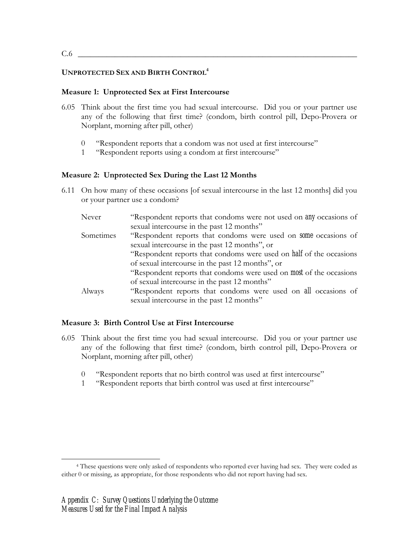$C.6$ 

## **UNPROTECTED SEX AND BIRTH CONTROL4**

#### **Measure 1: Unprotected Sex at First Intercourse**

- 6.05 Think about the first time you had sexual intercourse. Did you or your partner use any of the following that first time? (condom, birth control pill, Depo-Provera or Norplant, morning after pill, other)
	- 0 "Respondent reports that a condom was not used at first intercourse"
	- 1 "Respondent reports using a condom at first intercourse"

#### **Measure 2: Unprotected Sex During the Last 12 Months**

6.11 On how many of these occasions [of sexual intercourse in the last 12 months] did you or your partner use a condom?

| Never     | "Respondent reports that condoms were not used on <i>any</i> occasions of                                   |
|-----------|-------------------------------------------------------------------------------------------------------------|
|           | sexual intercourse in the past 12 months"                                                                   |
| Sometimes | "Respondent reports that condoms were used on <i>some</i> occasions of                                      |
|           | sexual intercourse in the past 12 months", or                                                               |
|           | "Respondent reports that condoms were used on <i>half</i> of the occasions                                  |
|           | of sexual intercourse in the past 12 months", or                                                            |
|           | "Respondent reports that condoms were used on <i>most</i> of the occasions                                  |
|           | of sexual intercourse in the past 12 months"                                                                |
| Always    | "Respondent reports that condoms were used on all occasions of<br>sexual intercourse in the past 12 months" |
|           |                                                                                                             |

#### **Measure 3: Birth Control Use at First Intercourse**

- 6.05 Think about the first time you had sexual intercourse. Did you or your partner use any of the following that first time? (condom, birth control pill, Depo-Provera or Norplant, morning after pill, other)
	- 0 "Respondent reports that no birth control was used at first intercourse"
	- 1 "Respondent reports that birth control was used at first intercourse"

<sup>4</sup> These questions were only asked of respondents who reported ever having had sex. They were coded as either 0 or missing, as appropriate, for those respondents who did not report having had sex.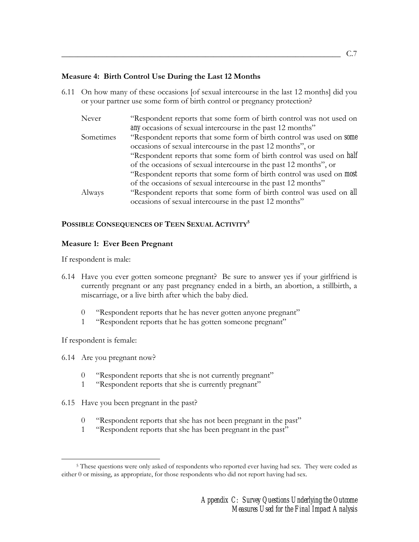#### **Measure 4: Birth Control Use During the Last 12 Months**

6.11 On how many of these occasions [of sexual intercourse in the last 12 months] did you or your partner use some form of birth control or pregnancy protection?

| Never     | "Respondent reports that some form of birth control was not used on         |
|-----------|-----------------------------------------------------------------------------|
|           | <i>any</i> occasions of sexual intercourse in the past 12 months"           |
| Sometimes | "Respondent reports that some form of birth control was used on <i>some</i> |
|           | occasions of sexual intercourse in the past 12 months", or                  |
|           | "Respondent reports that some form of birth control was used on half        |
|           | of the occasions of sexual intercourse in the past 12 months", or           |
|           | "Respondent reports that some form of birth control was used on most        |
|           | of the occasions of sexual intercourse in the past 12 months"               |
| Always    | "Respondent reports that some form of birth control was used on all         |
|           | occasions of sexual intercourse in the past 12 months"                      |

# POSSIBLE CONSEQUENCES OF TEEN SEXUAL ACTIVITY<sup>5</sup>

#### **Measure 1: Ever Been Pregnant**

If respondent is male:

- 6.14 Have you ever gotten someone pregnant? Be sure to answer yes if your girlfriend is currently pregnant or any past pregnancy ended in a birth, an abortion, a stillbirth, a miscarriage, or a live birth after which the baby died.
	- 0 "Respondent reports that he has never gotten anyone pregnant"
	- 1 "Respondent reports that he has gotten someone pregnant"

If respondent is female:

 $\overline{a}$ 

6.14 Are you pregnant now?

- 0 "Respondent reports that she is not currently pregnant"
- 1 "Respondent reports that she is currently pregnant"
- 6.15 Have you been pregnant in the past?
	- 0 "Respondent reports that she has not been pregnant in the past"
	- 1 "Respondent reports that she has been pregnant in the past"

<sup>&</sup>lt;sup>5</sup> These questions were only asked of respondents who reported ever having had sex. They were coded as either 0 or missing, as appropriate, for those respondents who did not report having had sex.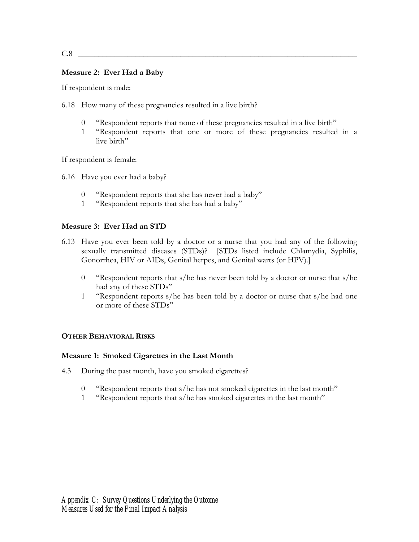C.8

#### **Measure 2: Ever Had a Baby**

If respondent is male:

- 6.18 How many of these pregnancies resulted in a live birth?
	- 0 "Respondent reports that none of these pregnancies resulted in a live birth"
	- 1 "Respondent reports that one or more of these pregnancies resulted in a live birth"

If respondent is female:

- 6.16 Have you ever had a baby?
	- 0 "Respondent reports that she has never had a baby"
	- 1 "Respondent reports that she has had a baby"

#### **Measure 3: Ever Had an STD**

- 6.13 Have you ever been told by a doctor or a nurse that you had any of the following sexually transmitted diseases (STDs)? [STDs listed include Chlamydia, Syphilis, Gonorrhea, HIV or AIDs, Genital herpes, and Genital warts (or HPV).]
	- 0  $\degree$  Tespondent reports that s/he has never been told by a doctor or nurse that s/he had any of these STDs"
	- 1 <sup>a</sup>Respondent reports s/he has been told by a doctor or nurse that s/he had one or more of these STDs"

#### **OTHER BEHAVIORAL RISKS**

#### **Measure 1: Smoked Cigarettes in the Last Month**

- 4.3 During the past month, have you smoked cigarettes?
	- 0  $\degree$  "Respondent reports that s/he has not smoked cigarettes in the last month"
	- 1 "Respondent reports that s/he has smoked cigarettes in the last month"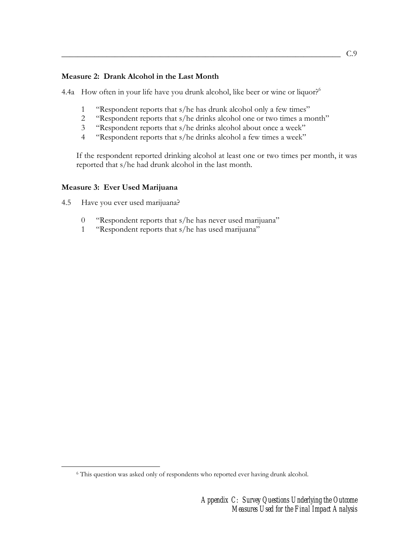#### **Measure 2: Drank Alcohol in the Last Month**

4.4a How often in your life have you drunk alcohol, like beer or wine or liquor?<sup>6</sup>

- 1 "Respondent reports that s/he has drunk alcohol only a few times"
- 2 "Respondent reports that s/he drinks alcohol one or two times a month"
- 3 "Respondent reports that s/he drinks alcohol about once a week"
- 4 "Respondent reports that s/he drinks alcohol a few times a week"

If the respondent reported drinking alcohol at least one or two times per month, it was reported that s/he had drunk alcohol in the last month.

#### **Measure 3: Ever Used Marijuana**

4.5 Have you ever used marijuana?

- $0$  "Respondent reports that s/he has never used marijuana"
- 1 "Respondent reports that s/he has used marijuana"

<sup>6</sup> This question was asked only of respondents who reported ever having drunk alcohol.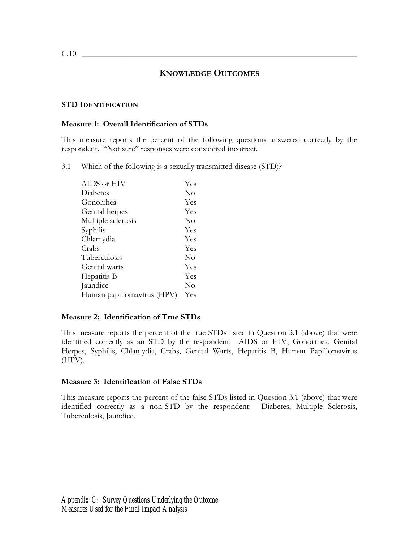# **KNOWLEDGE OUTCOMES**

#### **STD IDENTIFICATION**

#### **Measure 1: Overall Identification of STDs**

This measure reports the percent of the following questions answered correctly by the respondent. "Not sure" responses were considered incorrect.

3.1 Which of the following is a sexually transmitted disease (STD)?

| Yes      |
|----------|
| $\rm No$ |
| Yes      |
| Yes      |
| $\rm No$ |
| Yes      |
| Yes      |
| Yes      |
| $\rm No$ |
| Yes      |
| Yes      |
| No       |
| Yes      |
|          |

#### **Measure 2: Identification of True STDs**

This measure reports the percent of the true STDs listed in Question 3.1 (above) that were identified correctly as an STD by the respondent: AIDS or HIV, Gonorrhea, Genital Herpes, Syphilis, Chlamydia, Crabs, Genital Warts, Hepatitis B, Human Papillomavirus (HPV).

### **Measure 3: Identification of False STDs**

This measure reports the percent of the false STDs listed in Question 3.1 (above) that were identified correctly as a non-STD by the respondent: Diabetes, Multiple Sclerosis, Tuberculosis, Jaundice.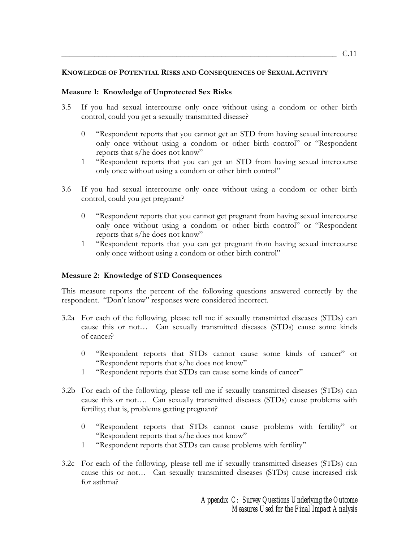#### **KNOWLEDGE OF POTENTIAL RISKS AND CONSEQUENCES OF SEXUAL ACTIVITY**

#### **Measure 1: Knowledge of Unprotected Sex Risks**

- 3.5 If you had sexual intercourse only once without using a condom or other birth control, could you get a sexually transmitted disease?
	- 0 <sup>"</sup>Respondent reports that you cannot get an STD from having sexual intercourse only once without using a condom or other birth control" or "Respondent reports that s/he does not know"
	- 1 "Respondent reports that you can get an STD from having sexual intercourse only once without using a condom or other birth control"
- 3.6 If you had sexual intercourse only once without using a condom or other birth control, could you get pregnant?
	- 0 ìRespondent reports that you cannot get pregnant from having sexual intercourse only once without using a condom or other birth control" or "Respondent reports that s/he does not know"
	- 1 <sup>"</sup>Respondent reports that you can get pregnant from having sexual intercourse only once without using a condom or other birth control"

#### **Measure 2: Knowledge of STD Consequences**

This measure reports the percent of the following questions answered correctly by the respondent. "Don't know" responses were considered incorrect.

- 3.2a For each of the following, please tell me if sexually transmitted diseases (STDs) can cause this or not... Can sexually transmitted diseases (STDs) cause some kinds of cancer?
	- 0 "Respondent reports that STDs cannot cause some kinds of cancer" or "Respondent reports that  $s/h$ e does not know"
	- 1 "Respondent reports that STDs can cause some kinds of cancer"
- 3.2b For each of the following, please tell me if sexually transmitted diseases (STDs) can cause this or not.... Can sexually transmitted diseases (STDs) cause problems with fertility; that is, problems getting pregnant?
	- 0 "Respondent reports that STDs cannot cause problems with fertility" or "Respondent reports that  $s/h$ e does not know"
	- 1 "Respondent reports that STDs can cause problems with fertility"
- 3.2c For each of the following, please tell me if sexually transmitted diseases (STDs) can cause this or not... Can sexually transmitted diseases (STDs) cause increased risk for asthma?

*Appendix C: Survey Questions Underlying the Outcome Measures Used for the Final Impact Analysis*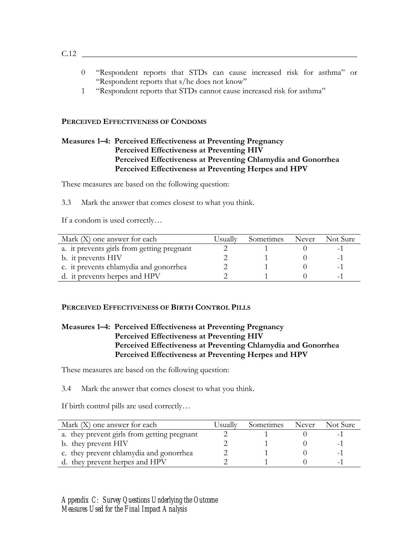- 0 "Respondent reports that STDs can cause increased risk for asthma" or  $R$ espondent reports that s/he does not know"
- 1 "Respondent reports that STDs cannot cause increased risk for asthma"

#### **PERCEIVED EFFECTIVENESS OF CONDOMS**

## **Measures 1–4: Perceived Effectiveness at Preventing Pregnancy Perceived Effectiveness at Preventing HIV Perceived Effectiveness at Preventing Chlamydia and Gonorrhea Perceived Effectiveness at Preventing Herpes and HPV**

These measures are based on the following question:

3.3 Mark the answer that comes closest to what you think.

If a condom is used correctly...

| Mark $(X)$ one answer for each             | Usually | Sometimes | Never. | Not Sure |
|--------------------------------------------|---------|-----------|--------|----------|
| a. it prevents girls from getting pregnant |         |           |        | - 1      |
| b. it prevents HIV                         |         |           |        | - 1      |
| c. it prevents chlamydia and gonorrhea     |         |           |        |          |
| d. it prevents herpes and HPV              |         |           |        |          |

### **PERCEIVED EFFECTIVENESS OF BIRTH CONTROL PILLS**

# **Measures 1–4: Perceived Effectiveness at Preventing Pregnancy Perceived Effectiveness at Preventing HIV Perceived Effectiveness at Preventing Chlamydia and Gonorrhea Perceived Effectiveness at Preventing Herpes and HPV**

These measures are based on the following question:

3.4 Mark the answer that comes closest to what you think.

If birth control pills are used correctly...

| Mark $(X)$ one answer for each              | Usually | Sometimes | Never | Not Sure |
|---------------------------------------------|---------|-----------|-------|----------|
| a. they prevent girls from getting pregnant |         |           |       |          |
| b. they prevent HIV                         |         |           |       |          |
| c. they prevent chlamydia and gonorrhea     |         |           |       | - 1      |
| d. they prevent herpes and HPV              |         |           |       |          |

*Appendix C: Survey Questions Underlying the Outcome Measures Used for the Final Impact Analysis* 

C.12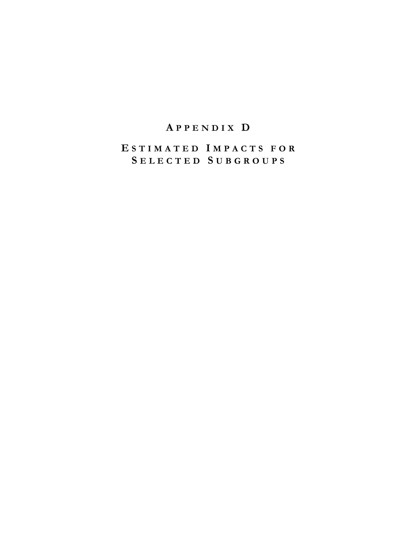# APPENDIX D

# ESTIMATED IMPACTS FOR SELECTED SUBGROUPS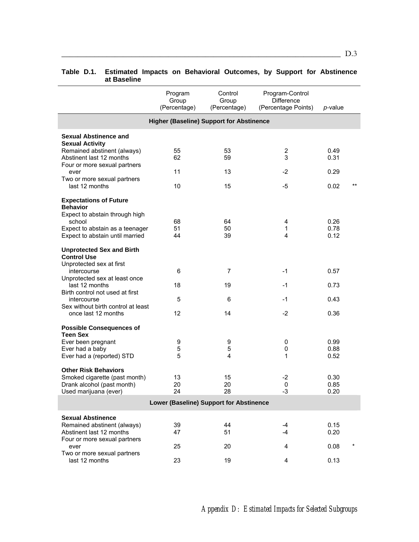|                                                                    | Program<br>Group<br>(Percentage) | Control<br>Group<br>(Percentage) | Program-Control<br>Difference<br>(Percentage Points) | p-value      |    |  |  |  |
|--------------------------------------------------------------------|----------------------------------|----------------------------------|------------------------------------------------------|--------------|----|--|--|--|
| <b>Higher (Baseline) Support for Abstinence</b>                    |                                  |                                  |                                                      |              |    |  |  |  |
| <b>Sexual Abstinence and</b><br><b>Sexual Activity</b>             |                                  |                                  |                                                      |              |    |  |  |  |
| Remained abstinent (always)<br>Abstinent last 12 months            | 55<br>62                         | 53<br>59                         | $\overline{2}$<br>3                                  | 0.49<br>0.31 |    |  |  |  |
| Four or more sexual partners<br>ever                               | 11                               | 13                               | $-2$                                                 | 0.29         |    |  |  |  |
| Two or more sexual partners<br>last 12 months                      | 10                               | 15                               | -5                                                   | 0.02         | ** |  |  |  |
| <b>Expectations of Future</b><br><b>Behavior</b>                   |                                  |                                  |                                                      |              |    |  |  |  |
| Expect to abstain through high<br>school                           | 68                               | 64                               | 4                                                    | 0.26         |    |  |  |  |
| Expect to abstain as a teenager<br>Expect to abstain until married | 51<br>44                         | 50<br>39                         | 1<br>4                                               | 0.78<br>0.12 |    |  |  |  |
| <b>Unprotected Sex and Birth</b>                                   |                                  |                                  |                                                      |              |    |  |  |  |
| <b>Control Use</b><br>Unprotected sex at first                     |                                  |                                  |                                                      |              |    |  |  |  |
| intercourse<br>Unprotected sex at least once                       | 6<br>18                          | 7                                | $-1$<br>$-1$                                         | 0.57<br>0.73 |    |  |  |  |
| last 12 months<br>Birth control not used at first<br>intercourse   | 5                                | 19<br>6                          | $-1$                                                 | 0.43         |    |  |  |  |
| Sex without birth control at least<br>once last 12 months          | 12                               | 14                               | $-2$                                                 | 0.36         |    |  |  |  |
| <b>Possible Consequences of</b>                                    |                                  |                                  |                                                      |              |    |  |  |  |
| <b>Teen Sex</b><br>Ever been pregnant                              | 9                                | 9                                | 0                                                    | 0.99         |    |  |  |  |
| Ever had a baby                                                    | 5                                | 5                                | 0                                                    | 0.88         |    |  |  |  |
| Ever had a (reported) STD                                          | 5                                | 4                                | 1                                                    | 0.52         |    |  |  |  |
| <b>Other Risk Behaviors</b><br>Smoked cigarette (past month)       | 13<br>20                         | 15<br>20                         | $-2$<br>0                                            | 0.30<br>0.85 |    |  |  |  |
| Drank alcohol (past month)<br>Used marijuana (ever)                | 24                               | 28                               | -3                                                   | 0.20         |    |  |  |  |
| Lower (Baseline) Support for Abstinence                            |                                  |                                  |                                                      |              |    |  |  |  |
| <b>Sexual Abstinence</b><br>Remained abstinent (always)            | 39                               | 44                               | -4                                                   | 0.15         |    |  |  |  |
| Abstinent last 12 months<br>Four or more sexual partners           | 47                               | 51                               | $-4$                                                 | 0.20         |    |  |  |  |
| ever<br>Two or more sexual partners                                | 25                               | 20                               | 4                                                    | 0.08         | *  |  |  |  |
| last 12 months                                                     | 23                               | 19                               | 4                                                    | 0.13         |    |  |  |  |

#### **Table D.1. Estimated Impacts on Behavioral Outcomes, by Support for Abstinence at Baseline**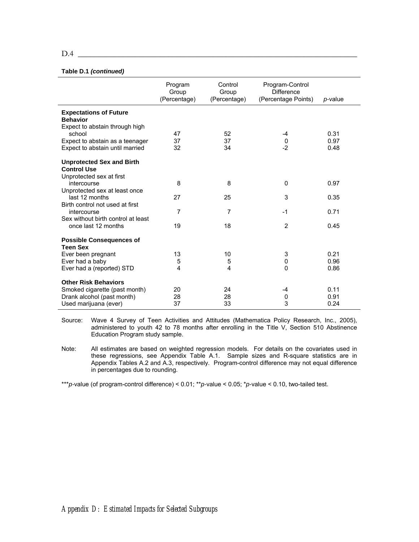#### $D.4$

#### **Table D.1** *(continued)*

|                                                  | Program<br>Group<br>(Percentage) | Control<br>Group<br>(Percentage) | Program-Control<br><b>Difference</b><br>(Percentage Points) | p-value |
|--------------------------------------------------|----------------------------------|----------------------------------|-------------------------------------------------------------|---------|
| <b>Expectations of Future</b><br><b>Behavior</b> |                                  |                                  |                                                             |         |
|                                                  |                                  |                                  |                                                             |         |
| Expect to abstain through high<br>school         | 47                               | 52                               | -4                                                          | 0.31    |
|                                                  |                                  |                                  |                                                             |         |
| Expect to abstain as a teenager                  | 37                               | 37                               | 0                                                           | 0.97    |
| Expect to abstain until married                  | 32                               | 34                               | $-2$                                                        | 0.48    |
| <b>Unprotected Sex and Birth</b>                 |                                  |                                  |                                                             |         |
| <b>Control Use</b>                               |                                  |                                  |                                                             |         |
| Unprotected sex at first                         |                                  |                                  |                                                             |         |
| intercourse                                      | 8                                | 8                                | 0                                                           | 0.97    |
| Unprotected sex at least once                    |                                  |                                  |                                                             |         |
| last 12 months                                   | 27                               | 25                               | 3                                                           | 0.35    |
| Birth control not used at first                  |                                  |                                  |                                                             |         |
| intercourse                                      | $\overline{7}$                   | 7                                | $-1$                                                        | 0.71    |
| Sex without birth control at least               |                                  |                                  |                                                             |         |
| once last 12 months                              | 19                               | 18                               | $\overline{2}$                                              | 0.45    |
|                                                  |                                  |                                  |                                                             |         |
| <b>Possible Consequences of</b>                  |                                  |                                  |                                                             |         |
| <b>Teen Sex</b>                                  |                                  |                                  |                                                             |         |
| Ever been pregnant                               | 13                               | 10                               | 3                                                           | 0.21    |
| Ever had a baby                                  | 5                                | 5                                | 0                                                           | 0.96    |
| Ever had a (reported) STD                        | 4                                | 4                                | $\mathbf 0$                                                 | 0.86    |
|                                                  |                                  |                                  |                                                             |         |
| <b>Other Risk Behaviors</b>                      |                                  |                                  |                                                             |         |
| Smoked cigarette (past month)                    | 20                               | 24                               | -4                                                          | 0.11    |
| Drank alcohol (past month)                       | 28                               | 28                               | 0                                                           | 0.91    |
| Used marijuana (ever)                            | 37                               | 33                               | 3                                                           | 0.24    |
|                                                  |                                  |                                  |                                                             |         |

Source: Wave 4 Survey of Teen Activities and Attitudes (Mathematica Policy Research, Inc., 2005), administered to youth 42 to 78 months after enrolling in the Title V, Section 510 Abstinence Education Program study sample.

Note: All estimates are based on weighted regression models. For details on the covariates used in these regressions, see Appendix Table A.1. Sample sizes and R-square statistics are in Appendix Tables A.2 and A.3, respectively. Program-control difference may not equal difference in percentages due to rounding.

\*\*\**p-*value (of program-control difference) < 0.01; \*\**p-*value < 0.05; \**p-*value < 0.10, two-tailed test.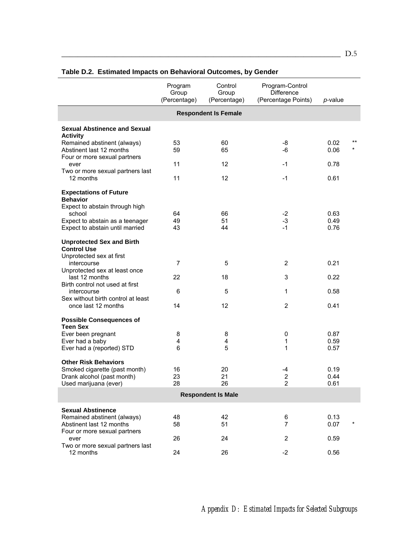|                                                                                         | Program<br>Group<br>(Percentage) | Control<br>Group<br>(Percentage) | Program-Control<br><b>Difference</b><br>(Percentage Points) | p-value      |  |  |
|-----------------------------------------------------------------------------------------|----------------------------------|----------------------------------|-------------------------------------------------------------|--------------|--|--|
|                                                                                         | <b>Respondent Is Female</b>      |                                  |                                                             |              |  |  |
| <b>Sexual Abstinence and Sexual</b><br><b>Activity</b>                                  |                                  |                                  |                                                             |              |  |  |
| Remained abstinent (always)<br>Abstinent last 12 months<br>Four or more sexual partners | 53<br>59                         | 60<br>65                         | -8<br>-6                                                    | 0.02<br>0.06 |  |  |
| ever                                                                                    | 11                               | 12                               | $-1$                                                        | 0.78         |  |  |
| Two or more sexual partners last<br>12 months                                           | 11                               | 12                               | -1                                                          | 0.61         |  |  |
| <b>Expectations of Future</b><br><b>Behavior</b>                                        |                                  |                                  |                                                             |              |  |  |
| Expect to abstain through high<br>school                                                | 64                               | 66                               | $-2$                                                        | 0.63         |  |  |
|                                                                                         | 49                               |                                  | $-3$                                                        |              |  |  |
| Expect to abstain as a teenager<br>Expect to abstain until married                      | 43                               | 51<br>44                         | $-1$                                                        | 0.49<br>0.76 |  |  |
| <b>Unprotected Sex and Birth</b><br><b>Control Use</b><br>Unprotected sex at first      |                                  |                                  |                                                             |              |  |  |
| intercourse                                                                             | 7                                | 5                                | $\overline{2}$                                              | 0.21         |  |  |
| Unprotected sex at least once<br>last 12 months                                         | 22                               | 18                               | 3                                                           | 0.22         |  |  |
| Birth control not used at first<br>intercourse                                          | 6                                | 5                                | $\mathbf{1}$                                                | 0.58         |  |  |
| Sex without birth control at least<br>once last 12 months                               | 14                               | 12                               | $\overline{2}$                                              | 0.41         |  |  |
| <b>Possible Consequences of</b>                                                         |                                  |                                  |                                                             |              |  |  |
| <b>Teen Sex</b>                                                                         |                                  |                                  |                                                             |              |  |  |
| Ever been pregnant                                                                      | 8                                | 8                                | 0                                                           | 0.87         |  |  |
| Ever had a baby<br>Ever had a (reported) STD                                            | 4<br>6                           | 4<br>5                           | 1<br>1                                                      | 0.59<br>0.57 |  |  |
| <b>Other Risk Behaviors</b>                                                             |                                  |                                  |                                                             |              |  |  |
| Smoked cigarette (past month)                                                           | 16                               | 20                               | -4                                                          | 0.19         |  |  |
| Drank alcohol (past month)                                                              | 23                               | 21                               | $\overline{2}$                                              | 0.44         |  |  |
| Used marijuana (ever)                                                                   | 28                               | 26                               | 2                                                           | 0.61         |  |  |
|                                                                                         |                                  | <b>Respondent Is Male</b>        |                                                             |              |  |  |
| <b>Sexual Abstinence</b>                                                                |                                  |                                  |                                                             |              |  |  |
| Remained abstinent (always)                                                             | 48                               | 42                               | 6                                                           | 0.13         |  |  |
| Abstinent last 12 months<br>Four or more sexual partners                                | 58                               | 51                               | 7                                                           | 0.07         |  |  |
| ever<br>Two or more sexual partners last                                                | 26                               | 24                               | $\overline{2}$                                              | 0.59         |  |  |
| 12 months                                                                               | 24                               | 26                               | $-2$                                                        | 0.56         |  |  |

# **Table D.2. Estimated Impacts on Behavioral Outcomes, by Gender**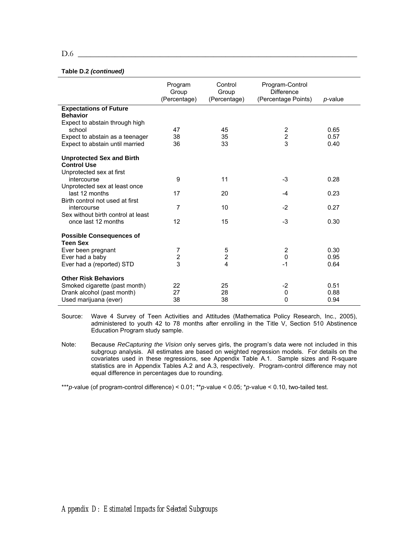### D.6 \_\_\_\_\_\_\_\_\_\_\_\_\_\_\_\_\_\_\_\_\_\_\_\_\_\_\_\_\_\_\_\_\_\_\_\_\_\_\_\_\_\_\_\_\_\_\_\_\_\_\_\_\_\_\_\_\_\_\_\_\_\_\_\_\_\_\_\_

#### **Table D.2** *(continued)*

|                                    | Program<br>Group<br>(Percentage) | Control<br>Group<br>(Percentage) | Program-Control<br><b>Difference</b><br>(Percentage Points) | <i>p</i> -value |
|------------------------------------|----------------------------------|----------------------------------|-------------------------------------------------------------|-----------------|
| <b>Expectations of Future</b>      |                                  |                                  |                                                             |                 |
| <b>Behavior</b>                    |                                  |                                  |                                                             |                 |
| Expect to abstain through high     |                                  |                                  |                                                             |                 |
| school                             | 47                               | 45                               |                                                             | 0.65            |
| Expect to abstain as a teenager    | 38                               | 35                               | $\begin{array}{c} 2 \\ 2 \\ 3 \end{array}$                  | 0.57            |
| Expect to abstain until married    | 36                               | 33                               |                                                             | 0.40            |
|                                    |                                  |                                  |                                                             |                 |
| <b>Unprotected Sex and Birth</b>   |                                  |                                  |                                                             |                 |
| <b>Control Use</b>                 |                                  |                                  |                                                             |                 |
| Unprotected sex at first           |                                  |                                  |                                                             |                 |
| intercourse                        | 9                                | 11                               | -3                                                          | 0.28            |
| Unprotected sex at least once      |                                  |                                  |                                                             |                 |
| last 12 months                     | 17                               | 20                               | $-4$                                                        | 0.23            |
| Birth control not used at first    |                                  |                                  |                                                             |                 |
| intercourse                        | 7                                | 10                               | $-2$                                                        | 0.27            |
| Sex without birth control at least |                                  |                                  |                                                             |                 |
| once last 12 months                | 12                               | 15                               | $-3$                                                        | 0.30            |
|                                    |                                  |                                  |                                                             |                 |
| <b>Possible Consequences of</b>    |                                  |                                  |                                                             |                 |
| <b>Teen Sex</b>                    |                                  |                                  |                                                             |                 |
| Ever been pregnant                 | 7                                | 5                                | 2                                                           | 0.30            |
| Ever had a baby                    | $\overline{\mathbf{c}}$          | $\overline{\mathbf{c}}$          | $\pmb{0}$                                                   | 0.95            |
| Ever had a (reported) STD          | 3                                | 4                                | $-1$                                                        | 0.64            |
|                                    |                                  |                                  |                                                             |                 |
| <b>Other Risk Behaviors</b>        |                                  |                                  |                                                             |                 |
| Smoked cigarette (past month)      | 22                               | 25                               | $-2$                                                        | 0.51            |
| Drank alcohol (past month)         | 27                               | 28                               | 0                                                           | 0.88            |
| Used marijuana (ever)              | 38                               | 38                               | 0                                                           | 0.94            |
|                                    |                                  |                                  |                                                             |                 |

Source: Wave 4 Survey of Teen Activities and Attitudes (Mathematica Policy Research, Inc., 2005), administered to youth 42 to 78 months after enrolling in the Title V, Section 510 Abstinence Education Program study sample.

Note: Because *ReCapturing the Vision* only serves girls, the programís data were not included in this subgroup analysis. All estimates are based on weighted regression models. For details on the covariates used in these regressions, see Appendix Table A.1. Sample sizes and R-square statistics are in Appendix Tables A.2 and A.3, respectively. Program-control difference may not equal difference in percentages due to rounding.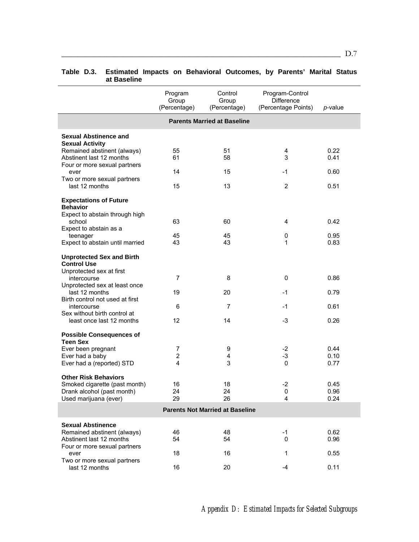|                                                                                    | Program<br>Group<br>(Percentage) | Control<br>Group<br>(Percentage)             | Program-Control<br><b>Difference</b><br>(Percentage Points) | p-value      |
|------------------------------------------------------------------------------------|----------------------------------|----------------------------------------------|-------------------------------------------------------------|--------------|
|                                                                                    |                                  | <b>Parents Married at Baseline</b>           |                                                             |              |
| <b>Sexual Abstinence and</b>                                                       |                                  |                                              |                                                             |              |
| <b>Sexual Activity</b><br>Remained abstinent (always)<br>Abstinent last 12 months  | 55<br>61                         | 51<br>58                                     | 4<br>3                                                      | 0.22<br>0.41 |
| Four or more sexual partners<br>ever                                               | 14                               | 15                                           | -1                                                          | 0.60         |
| Two or more sexual partners<br>last 12 months                                      | 15                               | 13                                           | $\overline{2}$                                              | 0.51         |
| <b>Expectations of Future</b><br><b>Behavior</b><br>Expect to abstain through high |                                  |                                              |                                                             |              |
| school<br>Expect to abstain as a                                                   | 63                               | 60                                           | 4                                                           | 0.42         |
| teenager<br>Expect to abstain until married                                        | 45<br>43                         | 45<br>43                                     | 0<br>1                                                      | 0.95<br>0.83 |
| <b>Unprotected Sex and Birth</b><br><b>Control Use</b>                             |                                  |                                              |                                                             |              |
| Unprotected sex at first<br>intercourse                                            | 7                                | 8                                            | $\mathbf 0$                                                 | 0.86         |
| Unprotected sex at least once<br>last 12 months<br>Birth control not used at first | 19                               | 20                                           | $-1$                                                        | 0.79         |
| intercourse<br>Sex without birth control at                                        | 6                                | $\overline{7}$                               | $-1$                                                        | 0.61         |
| least once last 12 months                                                          | 12                               | 14                                           | $-3$                                                        | 0.26         |
| <b>Possible Consequences of</b><br><b>Teen Sex</b>                                 |                                  |                                              |                                                             |              |
| Ever been pregnant                                                                 | 7                                | 9                                            | $-2$                                                        | 0.44         |
| Ever had a baby<br>Ever had a (reported) STD                                       | $\overline{2}$<br>4              | 4<br>3                                       | $-3$<br>0                                                   | 0.10<br>0.77 |
| <b>Other Risk Behaviors</b>                                                        |                                  |                                              |                                                             |              |
| Smoked cigarette (past month)<br>Drank alcohol (past month)                        | 16<br>24                         | 18<br>24                                     | $-2$<br><sup>0</sup>                                        | 0.45<br>0.96 |
| Used marijuana (ever)                                                              | 29                               | 26<br><b>Parents Not Married at Baseline</b> | 4                                                           | 0.24         |
| <b>Sexual Abstinence</b>                                                           |                                  |                                              |                                                             |              |
| Remained abstinent (always)<br>Abstinent last 12 months                            | 46<br>54                         | 48<br>54                                     | -1<br>$\mathbf 0$                                           | 0.62<br>0.96 |
| Four or more sexual partners<br>ever                                               | 18                               | 16                                           | $\mathbf{1}$                                                | 0.55         |
| Two or more sexual partners<br>last 12 months                                      | 16                               | 20                                           | -4                                                          | 0.11         |

#### **Table D.3. Estimated Impacts on Behavioral Outcomes, by Parents' Marital Status at Baseline**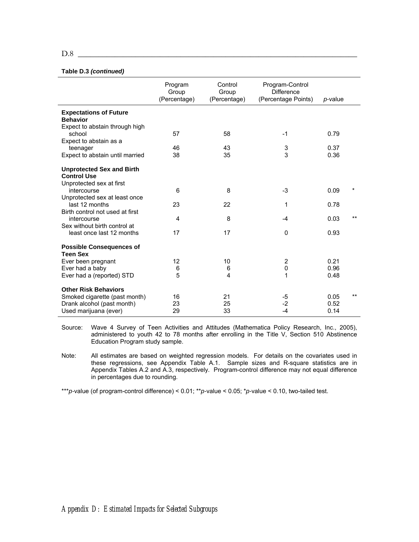# D.8 \_\_\_\_\_\_\_\_\_\_\_\_\_\_\_\_\_\_\_\_\_\_\_\_\_\_\_\_\_\_\_\_\_\_\_\_\_\_\_\_\_\_\_\_\_\_\_\_\_\_\_\_\_\_\_\_\_\_\_\_\_\_\_\_\_\_\_\_

#### **Table D.3** *(continued)*

|                                                                                    | Program<br>Group | Control<br>Group | Program-Control<br><b>Difference</b> |              |       |
|------------------------------------------------------------------------------------|------------------|------------------|--------------------------------------|--------------|-------|
|                                                                                    | (Percentage)     | (Percentage)     | (Percentage Points)                  | p-value      |       |
| <b>Expectations of Future</b><br><b>Behavior</b>                                   |                  |                  |                                      |              |       |
| Expect to abstain through high<br>school                                           | 57               | 58               | $-1$                                 | 0.79         |       |
| Expect to abstain as a<br>teenager                                                 | 46               | 43               | 3                                    | 0.37         |       |
| Expect to abstain until married                                                    | 38               | 35               | 3                                    | 0.36         |       |
| <b>Unprotected Sex and Birth</b><br><b>Control Use</b><br>Unprotected sex at first |                  |                  |                                      |              |       |
| intercourse                                                                        | 6                | 8                | $-3$                                 | 0.09         |       |
| Unprotected sex at least once<br>last 12 months<br>Birth control not used at first | 23               | 22               | 1                                    | 0.78         |       |
| intercourse<br>Sex without birth control at                                        | 4                | 8                | $-4$                                 | 0.03         | $***$ |
| least once last 12 months                                                          | 17               | 17               | $\mathbf 0$                          | 0.93         |       |
| <b>Possible Consequences of</b><br><b>Teen Sex</b>                                 |                  |                  |                                      |              |       |
| Ever been pregnant                                                                 | 12               | 10               | 2                                    | 0.21         |       |
| Ever had a baby<br>Ever had a (reported) STD                                       | 6<br>5           | 6<br>4           | $\pmb{0}$<br>1                       | 0.96<br>0.48 |       |
| <b>Other Risk Behaviors</b>                                                        |                  |                  |                                      |              |       |
| Smoked cigarette (past month)<br>Drank alcohol (past month)                        | 16<br>23         | 21<br>25         | -5<br>$-2$                           | 0.05<br>0.52 | $***$ |
| Used marijuana (ever)                                                              | 29               | 33               | $-4$                                 | 0.14         |       |

Source: Wave 4 Survey of Teen Activities and Attitudes (Mathematica Policy Research, Inc., 2005), administered to youth 42 to 78 months after enrolling in the Title V, Section 510 Abstinence Education Program study sample.

Note: All estimates are based on weighted regression models. For details on the covariates used in these regressions, see Appendix Table A.1. Sample sizes and R-square statistics are in Appendix Tables A.2 and A.3, respectively. Program-control difference may not equal difference in percentages due to rounding.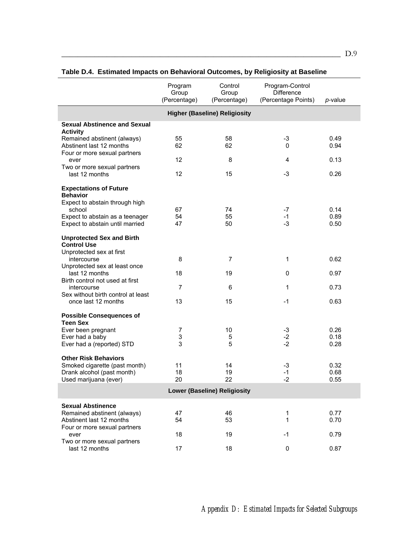|                                                           | Program<br>Group<br>(Percentage) | Control<br>Group<br>(Percentage)     | Program-Control<br><b>Difference</b><br>(Percentage Points) | p-value      |
|-----------------------------------------------------------|----------------------------------|--------------------------------------|-------------------------------------------------------------|--------------|
|                                                           |                                  | <b>Higher (Baseline) Religiosity</b> |                                                             |              |
| <b>Sexual Abstinence and Sexual</b><br><b>Activity</b>    |                                  |                                      |                                                             |              |
| Remained abstinent (always)                               | 55                               | 58                                   | $-3$                                                        | 0.49         |
| Abstinent last 12 months                                  | 62                               | 62                                   | $\mathbf 0$                                                 | 0.94         |
| Four or more sexual partners                              |                                  |                                      |                                                             |              |
| ever                                                      | 12                               | 8                                    | 4                                                           | 0.13         |
| Two or more sexual partners                               |                                  |                                      |                                                             |              |
| last 12 months                                            | 12                               | 15                                   | -3                                                          | 0.26         |
| <b>Expectations of Future</b>                             |                                  |                                      |                                                             |              |
| <b>Behavior</b>                                           |                                  |                                      |                                                             |              |
| Expect to abstain through high                            |                                  | 74                                   |                                                             |              |
| school<br>Expect to abstain as a teenager                 | 67<br>54                         | 55                                   | -7<br>$-1$                                                  | 0.14<br>0.89 |
| Expect to abstain until married                           | 47                               | 50                                   | $-3$                                                        | 0.50         |
|                                                           |                                  |                                      |                                                             |              |
| <b>Unprotected Sex and Birth</b>                          |                                  |                                      |                                                             |              |
| <b>Control Use</b><br>Unprotected sex at first            |                                  |                                      |                                                             |              |
| intercourse                                               | 8                                | 7                                    | 1                                                           | 0.62         |
| Unprotected sex at least once                             |                                  |                                      |                                                             |              |
| last 12 months                                            | 18                               | 19                                   | 0                                                           | 0.97         |
| Birth control not used at first                           |                                  |                                      |                                                             |              |
| intercourse                                               | 7                                | 6                                    | 1                                                           | 0.73         |
| Sex without birth control at least<br>once last 12 months | 13                               |                                      | $-1$                                                        |              |
|                                                           |                                  | 15                                   |                                                             | 0.63         |
| <b>Possible Consequences of</b>                           |                                  |                                      |                                                             |              |
| <b>Teen Sex</b>                                           |                                  |                                      |                                                             |              |
| Ever been pregnant                                        | 7                                | 10                                   | $-3$                                                        | 0.26         |
| Ever had a baby<br>Ever had a (reported) STD              | 3<br>3                           | 5<br>5                               | $-2$<br>$-2$                                                | 0.18<br>0.28 |
|                                                           |                                  |                                      |                                                             |              |
| <b>Other Risk Behaviors</b>                               |                                  |                                      |                                                             |              |
| Smoked cigarette (past month)                             | 11                               | 14                                   | -3                                                          | 0.32         |
| Drank alcohol (past month)                                | 18                               | 19                                   | $-1$                                                        | 0.68         |
| Used marijuana (ever)                                     | 20                               | 22                                   | $-2$                                                        | 0.55         |
|                                                           |                                  | <b>Lower (Baseline) Religiosity</b>  |                                                             |              |
| <b>Sexual Abstinence</b>                                  |                                  |                                      |                                                             |              |
| Remained abstinent (always)                               | 47                               | 46                                   | 1                                                           | 0.77         |
| Abstinent last 12 months                                  | 54                               | 53                                   | 1                                                           | 0.70         |
| Four or more sexual partners                              |                                  |                                      |                                                             |              |
| ever                                                      | 18                               | 19                                   | $-1$                                                        | 0.79         |
| Two or more sexual partners<br>last 12 months             | 17                               | 18                                   | 0                                                           | 0.87         |

# **Table D.4. Estimated Impacts on Behavioral Outcomes, by Religiosity at Baseline**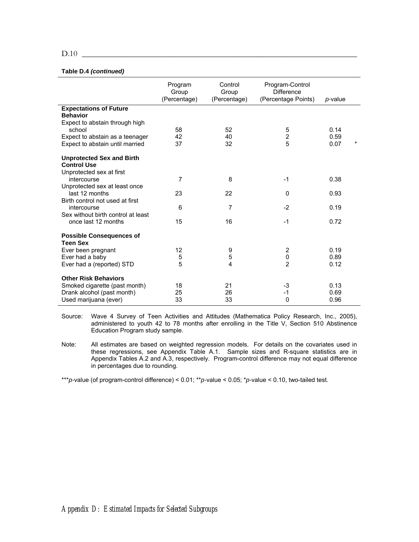### D.10 \_\_\_\_\_\_\_\_\_\_\_\_\_\_\_\_\_\_\_\_\_\_\_\_\_\_\_\_\_\_\_\_\_\_\_\_\_\_\_\_\_\_\_\_\_\_\_\_\_\_\_\_\_\_\_\_\_\_\_\_\_\_\_\_\_\_\_

#### **Table D.4** *(continued)*

|                                    | Program<br>Group<br>(Percentage) | Control<br>Group<br>(Percentage) | Program-Control<br><b>Difference</b><br>(Percentage Points) | <i>p</i> -value |
|------------------------------------|----------------------------------|----------------------------------|-------------------------------------------------------------|-----------------|
| <b>Expectations of Future</b>      |                                  |                                  |                                                             |                 |
| <b>Behavior</b>                    |                                  |                                  |                                                             |                 |
| Expect to abstain through high     |                                  |                                  |                                                             |                 |
| school                             | 58                               | 52                               | 5                                                           | 0.14            |
| Expect to abstain as a teenager    | 42                               | 40                               | $\overline{c}$                                              | 0.59            |
| Expect to abstain until married    | 37                               | 32                               | 5                                                           | 0.07            |
|                                    |                                  |                                  |                                                             |                 |
| <b>Unprotected Sex and Birth</b>   |                                  |                                  |                                                             |                 |
| <b>Control Use</b>                 |                                  |                                  |                                                             |                 |
| Unprotected sex at first           |                                  |                                  |                                                             |                 |
| intercourse                        | 7                                | 8                                | $-1$                                                        | 0.38            |
| Unprotected sex at least once      |                                  |                                  |                                                             |                 |
| last 12 months                     | 23                               | 22                               | $\Omega$                                                    | 0.93            |
| Birth control not used at first    |                                  |                                  |                                                             |                 |
| intercourse                        | 6                                | 7                                | $-2$                                                        | 0.19            |
| Sex without birth control at least |                                  |                                  |                                                             |                 |
| once last 12 months                | 15                               | 16                               | $-1$                                                        | 0.72            |
|                                    |                                  |                                  |                                                             |                 |
|                                    |                                  |                                  |                                                             |                 |
| <b>Possible Consequences of</b>    |                                  |                                  |                                                             |                 |
| <b>Teen Sex</b>                    |                                  |                                  |                                                             |                 |
| Ever been pregnant                 | 12                               | 9                                | 2                                                           | 0.19            |
| Ever had a baby                    | 5                                | 5                                | 0                                                           | 0.89            |
| Ever had a (reported) STD          | 5                                | 4                                | $\overline{2}$                                              | 0.12            |
|                                    |                                  |                                  |                                                             |                 |
| <b>Other Risk Behaviors</b>        |                                  |                                  |                                                             |                 |
| Smoked cigarette (past month)      | 18                               | 21                               | -3                                                          | 0.13            |
| Drank alcohol (past month)         | 25                               | 26                               | $-1$                                                        | 0.69            |
| Used marijuana (ever)              | 33                               | 33                               | 0                                                           | 0.96            |

Source: Wave 4 Survey of Teen Activities and Attitudes (Mathematica Policy Research, Inc., 2005), administered to youth 42 to 78 months after enrolling in the Title V, Section 510 Abstinence Education Program study sample.

Note: All estimates are based on weighted regression models. For details on the covariates used in these regressions, see Appendix Table A.1. Sample sizes and R-square statistics are in Appendix Tables A.2 and A.3, respectively. Program-control difference may not equal difference in percentages due to rounding.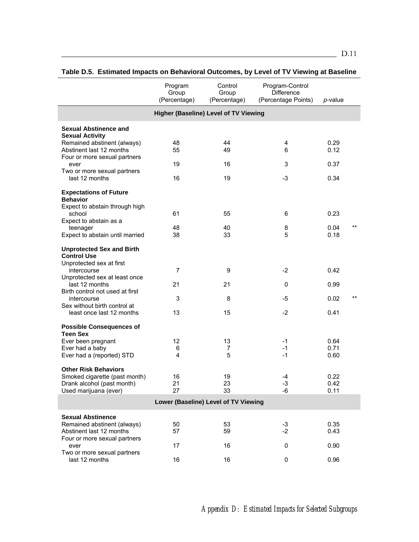|                                                       | Program<br>Group<br>(Percentage) | Control<br>Group<br>(Percentage)             | Program-Control<br><b>Difference</b><br>(Percentage Points) | p-value      |       |
|-------------------------------------------------------|----------------------------------|----------------------------------------------|-------------------------------------------------------------|--------------|-------|
|                                                       |                                  | <b>Higher (Baseline) Level of TV Viewing</b> |                                                             |              |       |
| <b>Sexual Abstinence and</b>                          |                                  |                                              |                                                             |              |       |
| <b>Sexual Activity</b><br>Remained abstinent (always) | 48                               | 44                                           | 4                                                           | 0.29         |       |
| Abstinent last 12 months                              | 55                               | 49                                           | 6                                                           | 0.12         |       |
| Four or more sexual partners                          |                                  |                                              |                                                             |              |       |
| ever                                                  | 19                               | 16                                           | 3                                                           | 0.37         |       |
| Two or more sexual partners                           |                                  |                                              |                                                             |              |       |
| last 12 months                                        | 16                               | 19                                           | -3                                                          | 0.34         |       |
| <b>Expectations of Future</b><br><b>Behavior</b>      |                                  |                                              |                                                             |              |       |
| Expect to abstain through high                        |                                  |                                              |                                                             |              |       |
| school                                                | 61                               | 55                                           | 6                                                           | 0.23         |       |
| Expect to abstain as a                                |                                  |                                              |                                                             |              |       |
| teenager                                              | 48                               | 40                                           | 8                                                           | 0.04         | **    |
| Expect to abstain until married                       | 38                               | 33                                           | 5                                                           | 0.18         |       |
| <b>Unprotected Sex and Birth</b>                      |                                  |                                              |                                                             |              |       |
| <b>Control Use</b>                                    |                                  |                                              |                                                             |              |       |
| Unprotected sex at first<br>intercourse               | $\overline{7}$                   | 9                                            | $-2$                                                        | 0.42         |       |
| Unprotected sex at least once                         |                                  |                                              |                                                             |              |       |
| last 12 months                                        | 21                               | 21                                           | 0                                                           | 0.99         |       |
| Birth control not used at first                       |                                  |                                              |                                                             |              |       |
| intercourse                                           | 3                                | 8                                            | $-5$                                                        | 0.02         | $***$ |
| Sex without birth control at                          |                                  |                                              |                                                             |              |       |
| least once last 12 months                             | 13                               | 15                                           | $-2$                                                        | 0.41         |       |
| <b>Possible Consequences of</b><br><b>Teen Sex</b>    |                                  |                                              |                                                             |              |       |
| Ever been pregnant                                    | 12                               | 13                                           | $-1$                                                        | 0.64         |       |
| Ever had a baby                                       | 6                                | 7                                            | $-1$                                                        | 0.71         |       |
| Ever had a (reported) STD                             | 4                                | 5                                            | $-1$                                                        | 0.60         |       |
|                                                       |                                  |                                              |                                                             |              |       |
| <b>Other Risk Behaviors</b>                           |                                  |                                              |                                                             |              |       |
| Smoked cigarette (past month)                         | 16                               | 19                                           | -4                                                          | 0.22         |       |
| Drank alcohol (past month)<br>Used marijuana (ever)   | 21<br>27                         | 23<br>33                                     | -3<br>-6                                                    | 0.42<br>0.11 |       |
|                                                       |                                  |                                              |                                                             |              |       |
|                                                       |                                  | Lower (Baseline) Level of TV Viewing         |                                                             |              |       |
| <b>Sexual Abstinence</b>                              |                                  |                                              |                                                             |              |       |
| Remained abstinent (always)                           | 50                               | 53                                           | -3                                                          | 0.35         |       |
| Abstinent last 12 months                              | 57                               | 59                                           | $-2$                                                        | 0.43         |       |
| Four or more sexual partners                          |                                  |                                              |                                                             |              |       |
| ever                                                  | 17                               | 16                                           | 0                                                           | 0.90         |       |
| Two or more sexual partners                           |                                  |                                              |                                                             |              |       |
| last 12 months                                        | 16                               | 16                                           | 0                                                           | 0.96         |       |

# **Table D.5. Estimated Impacts on Behavioral Outcomes, by Level of TV Viewing at Baseline**

\_\_\_\_\_\_\_\_\_\_\_\_\_\_\_\_\_\_\_\_\_\_\_\_\_\_\_\_\_\_\_\_\_\_\_\_\_\_\_\_\_\_\_\_\_\_\_\_\_\_\_\_\_\_\_\_\_\_\_\_\_\_\_\_\_\_\_ D.11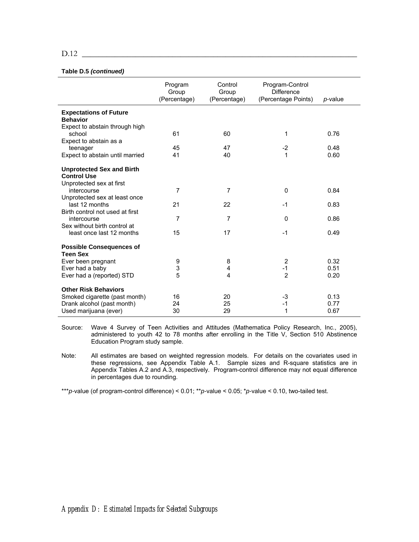# D.12 \_\_\_\_\_\_\_\_\_\_\_\_\_\_\_\_\_\_\_\_\_\_\_\_\_\_\_\_\_\_\_\_\_\_\_\_\_\_\_\_\_\_\_\_\_\_\_\_\_\_\_\_\_\_\_\_\_\_\_\_\_\_\_\_\_\_\_

#### **Table D.5** *(continued)*

|                                  | Program<br>Group<br>(Percentage) | Control<br>Group<br>(Percentage) | Program-Control<br><b>Difference</b><br>(Percentage Points) | p-value |
|----------------------------------|----------------------------------|----------------------------------|-------------------------------------------------------------|---------|
| <b>Expectations of Future</b>    |                                  |                                  |                                                             |         |
| <b>Behavior</b>                  |                                  |                                  |                                                             |         |
| Expect to abstain through high   |                                  |                                  |                                                             |         |
| school                           | 61                               | 60                               | 1                                                           | 0.76    |
| Expect to abstain as a           |                                  |                                  |                                                             |         |
| teenager                         | 45                               | 47                               | $-2$                                                        | 0.48    |
| Expect to abstain until married  | 41                               | 40                               | 1                                                           | 0.60    |
| <b>Unprotected Sex and Birth</b> |                                  |                                  |                                                             |         |
| <b>Control Use</b>               |                                  |                                  |                                                             |         |
| Unprotected sex at first         |                                  |                                  |                                                             |         |
| intercourse                      | 7                                | 7                                | 0                                                           | 0.84    |
| Unprotected sex at least once    |                                  |                                  |                                                             |         |
| last 12 months                   | 21                               | 22                               | $-1$                                                        | 0.83    |
| Birth control not used at first  |                                  |                                  |                                                             |         |
| intercourse                      | 7                                | $\overline{7}$                   | 0                                                           | 0.86    |
| Sex without birth control at     |                                  |                                  |                                                             |         |
| least once last 12 months        | 15                               | 17                               | $-1$                                                        | 0.49    |
| <b>Possible Consequences of</b>  |                                  |                                  |                                                             |         |
| <b>Teen Sex</b>                  |                                  |                                  |                                                             |         |
| Ever been pregnant               | 9                                | 8                                | 2                                                           | 0.32    |
| Ever had a baby                  | 3                                | 4                                | $-1$                                                        | 0.51    |
| Ever had a (reported) STD        | 5                                | 4                                | $\overline{2}$                                              | 0.20    |
|                                  |                                  |                                  |                                                             |         |
| <b>Other Risk Behaviors</b>      |                                  |                                  |                                                             |         |
| Smoked cigarette (past month)    | 16                               | 20                               | -3                                                          | 0.13    |
| Drank alcohol (past month)       | 24                               | 25                               | $-1$                                                        | 0.77    |
| Used marijuana (ever)            | 30                               | 29                               | 1                                                           | 0.67    |

Source: Wave 4 Survey of Teen Activities and Attitudes (Mathematica Policy Research, Inc., 2005), administered to youth 42 to 78 months after enrolling in the Title V, Section 510 Abstinence Education Program study sample.

Note: All estimates are based on weighted regression models. For details on the covariates used in these regressions, see Appendix Table A.1. Sample sizes and R-square statistics are in Appendix Tables A.2 and A.3, respectively. Program-control difference may not equal difference in percentages due to rounding.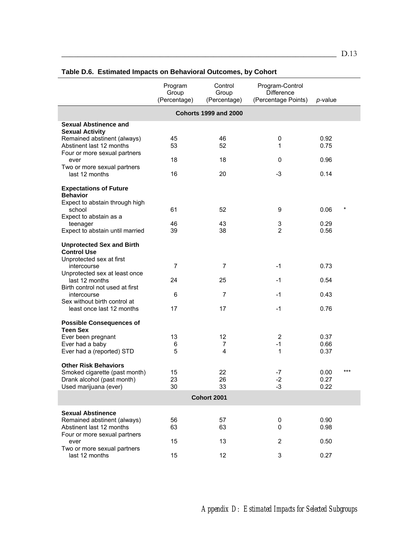|                                                          | Program<br>Group<br>(Percentage) | Control<br>Group<br>(Percentage) | Program-Control<br><b>Difference</b><br>(Percentage Points) | $p$ -value   |     |
|----------------------------------------------------------|----------------------------------|----------------------------------|-------------------------------------------------------------|--------------|-----|
|                                                          |                                  | <b>Cohorts 1999 and 2000</b>     |                                                             |              |     |
| <b>Sexual Abstinence and</b>                             |                                  |                                  |                                                             |              |     |
| <b>Sexual Activity</b>                                   |                                  |                                  |                                                             |              |     |
| Remained abstinent (always)                              | 45                               | 46                               | 0                                                           | 0.92         |     |
| Abstinent last 12 months<br>Four or more sexual partners | 53                               | 52                               | 1                                                           | 0.75         |     |
| ever                                                     | 18                               | 18                               | 0                                                           | 0.96         |     |
| Two or more sexual partners                              |                                  |                                  |                                                             |              |     |
| last 12 months                                           | 16                               | 20                               | $-3$                                                        | 0.14         |     |
| <b>Expectations of Future</b>                            |                                  |                                  |                                                             |              |     |
| <b>Behavior</b>                                          |                                  |                                  |                                                             |              |     |
| Expect to abstain through high                           |                                  |                                  |                                                             |              |     |
| school                                                   | 61                               | 52                               | 9                                                           | 0.06         |     |
| Expect to abstain as a<br>teenager                       | 46                               | 43                               | 3                                                           | 0.29         |     |
| Expect to abstain until married                          | 39                               | 38                               | $\overline{2}$                                              | 0.56         |     |
|                                                          |                                  |                                  |                                                             |              |     |
| <b>Unprotected Sex and Birth</b><br><b>Control Use</b>   |                                  |                                  |                                                             |              |     |
| Unprotected sex at first                                 |                                  |                                  |                                                             |              |     |
| intercourse                                              | $\overline{7}$                   | 7                                | $-1$                                                        | 0.73         |     |
| Unprotected sex at least once                            |                                  |                                  |                                                             |              |     |
| last 12 months                                           | 24                               | 25                               | $-1$                                                        | 0.54         |     |
| Birth control not used at first                          |                                  |                                  |                                                             |              |     |
| intercourse<br>Sex without birth control at              | 6                                | 7                                | $-1$                                                        | 0.43         |     |
| least once last 12 months                                | 17                               | 17                               | $-1$                                                        | 0.76         |     |
|                                                          |                                  |                                  |                                                             |              |     |
| <b>Possible Consequences of</b>                          |                                  |                                  |                                                             |              |     |
| <b>Teen Sex</b><br>Ever been pregnant                    | 13                               | 12                               | 2                                                           | 0.37         |     |
| Ever had a baby                                          | 6                                | 7                                | $-1$                                                        | 0.66         |     |
| Ever had a (reported) STD                                | 5                                | 4                                | 1                                                           | 0.37         |     |
|                                                          |                                  |                                  |                                                             |              |     |
| <b>Other Risk Behaviors</b>                              |                                  |                                  |                                                             |              | *** |
| Smoked cigarette (past month)                            | 15<br>23                         | 22<br>26                         | $-7$<br>$-2$                                                | 0.00<br>0.27 |     |
| Drank alcohol (past month)<br>Used marijuana (ever)      | 30                               | 33                               | $-3$                                                        | 0.22         |     |
|                                                          |                                  |                                  |                                                             |              |     |
|                                                          |                                  | Cohort 2001                      |                                                             |              |     |
| <b>Sexual Abstinence</b>                                 |                                  |                                  |                                                             |              |     |
| Remained abstinent (always)                              | 56                               | 57                               | 0                                                           | 0.90         |     |
| Abstinent last 12 months                                 | 63                               | 63                               | 0                                                           | 0.98         |     |
| Four or more sexual partners                             |                                  |                                  |                                                             |              |     |
| ever<br>Two or more sexual partners                      | 15                               | 13                               | $\overline{c}$                                              | 0.50         |     |
| last 12 months                                           | 15                               | 12                               | 3                                                           | 0.27         |     |

# **Table D.6. Estimated Impacts on Behavioral Outcomes, by Cohort**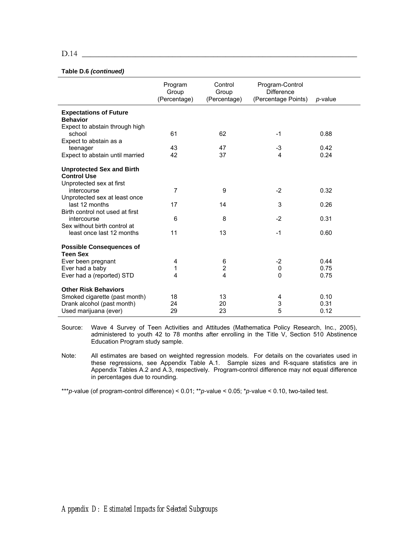# D.14 \_\_\_\_\_\_\_\_\_\_\_\_\_\_\_\_\_\_\_\_\_\_\_\_\_\_\_\_\_\_\_\_\_\_\_\_\_\_\_\_\_\_\_\_\_\_\_\_\_\_\_\_\_\_\_\_\_\_\_\_\_\_\_\_\_\_\_

#### **Table D.6** *(continued)*

|                                  | Program      | Control        | Program-Control     |            |
|----------------------------------|--------------|----------------|---------------------|------------|
|                                  | Group        | Group          | <b>Difference</b>   |            |
|                                  | (Percentage) | (Percentage)   | (Percentage Points) | $p$ -value |
| <b>Expectations of Future</b>    |              |                |                     |            |
| <b>Behavior</b>                  |              |                |                     |            |
| Expect to abstain through high   |              |                |                     |            |
| school                           | 61           | 62             | $-1$                | 0.88       |
| Expect to abstain as a           |              |                |                     |            |
| teenager                         | 43           | 47             | -3                  | 0.42       |
| Expect to abstain until married  | 42           | 37             | 4                   | 0.24       |
| <b>Unprotected Sex and Birth</b> |              |                |                     |            |
| <b>Control Use</b>               |              |                |                     |            |
| Unprotected sex at first         |              |                |                     |            |
| intercourse                      | 7            | 9              | $-2$                | 0.32       |
| Unprotected sex at least once    |              |                |                     |            |
| last 12 months                   | 17           | 14             | 3                   | 0.26       |
| Birth control not used at first  |              |                |                     |            |
| intercourse                      | 6            | 8              | $-2$                | 0.31       |
| Sex without birth control at     |              |                |                     |            |
| least once last 12 months        | 11           | 13             | $-1$                | 0.60       |
| <b>Possible Consequences of</b>  |              |                |                     |            |
| <b>Teen Sex</b>                  |              |                |                     |            |
| Ever been pregnant               | 4            | 6              | $-2$                | 0.44       |
| Ever had a baby                  | 1            | $\overline{2}$ | 0                   | 0.75       |
| Ever had a (reported) STD        | 4            | 4              | 0                   | 0.75       |
| <b>Other Risk Behaviors</b>      |              |                |                     |            |
| Smoked cigarette (past month)    | 18           | 13             | 4                   | 0.10       |
| Drank alcohol (past month)       | 24           | 20             | 3                   | 0.31       |
| Used marijuana (ever)            | 29           | 23             | 5                   | 0.12       |

Source: Wave 4 Survey of Teen Activities and Attitudes (Mathematica Policy Research, Inc., 2005), administered to youth 42 to 78 months after enrolling in the Title V, Section 510 Abstinence Education Program study sample.

Note: All estimates are based on weighted regression models. For details on the covariates used in these regressions, see Appendix Table A.1. Sample sizes and R-square statistics are in Appendix Tables A.2 and A.3, respectively. Program-control difference may not equal difference in percentages due to rounding.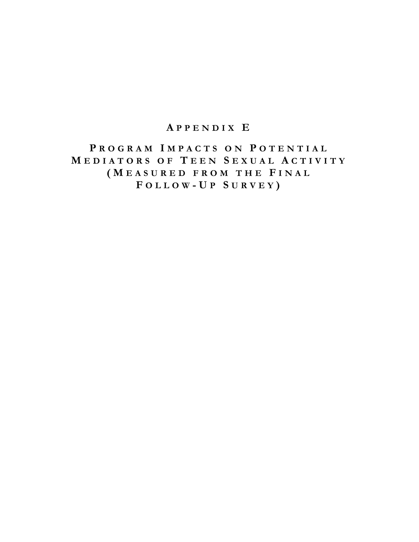# **A PPENDIX E**

**P ROGRAM I MPACTS ON P OTENTIAL M EDIATORS OF T EEN S EXUAL A CTIVITY ( M EASURED FROM THE F INAL F OLLOW - U P S URVEY )**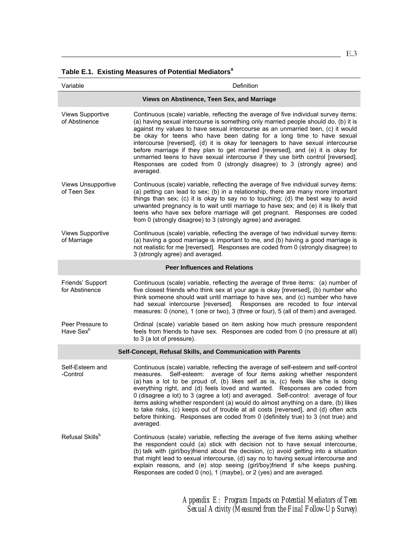|  |  | Table E.1. Existing Measures of Potential Mediators <sup>a</sup> |
|--|--|------------------------------------------------------------------|
|  |  |                                                                  |

| Variable                                  | Definition                                                                                                                                                                                                                                                                                                                                                                                                                                                                                                                                                                                                                                                                                         |
|-------------------------------------------|----------------------------------------------------------------------------------------------------------------------------------------------------------------------------------------------------------------------------------------------------------------------------------------------------------------------------------------------------------------------------------------------------------------------------------------------------------------------------------------------------------------------------------------------------------------------------------------------------------------------------------------------------------------------------------------------------|
|                                           | Views on Abstinence, Teen Sex, and Marriage                                                                                                                                                                                                                                                                                                                                                                                                                                                                                                                                                                                                                                                        |
| <b>Views Supportive</b><br>of Abstinence  | Continuous (scale) variable, reflecting the average of five individual survey items:<br>(a) having sexual intercourse is something only married people should do, (b) it is<br>against my values to have sexual intercourse as an unmarried teen, (c) it would<br>be okay for teens who have been dating for a long time to have sexual<br>intercourse [reversed], (d) it is okay for teenagers to have sexual intercourse<br>before marriage if they plan to get married [reversed], and (e) it is okay for<br>unmarried teens to have sexual intercourse if they use birth control [reversed].<br>Responses are coded from 0 (strongly disagree) to 3 (strongly agree) and<br>averaged.          |
| <b>Views Unsupportive</b><br>of Teen Sex  | Continuous (scale) variable, reflecting the average of five individual survey items:<br>(a) petting can lead to sex; (b) in a relationship, there are many more important<br>things than sex; (c) it is okay to say no to touching; (d) the best way to avoid<br>unwanted pregnancy is to wait until marriage to have sex; and (e) it is likely that<br>teens who have sex before marriage will get pregnant. Responses are coded<br>from 0 (strongly disagree) to 3 (strongly agree) and averaged.                                                                                                                                                                                                |
| <b>Views Supportive</b><br>of Marriage    | Continuous (scale) variable, reflecting the average of two individual survey items:<br>(a) having a good marriage is important to me, and (b) having a good marriage is<br>not realistic for me [reversed]. Responses are coded from 0 (strongly disagree) to<br>3 (strongly agree) and averaged.                                                                                                                                                                                                                                                                                                                                                                                                  |
|                                           | <b>Peer Influences and Relations</b>                                                                                                                                                                                                                                                                                                                                                                                                                                                                                                                                                                                                                                                               |
| Friends' Support<br>for Abstinence        | Continuous (scale) variable, reflecting the average of three items: (a) number of<br>five closest friends who think sex at your age is okay [reversed], (b) number who<br>think someone should wait until marriage to have sex, and (c) number who have<br>had sexual intercourse [reversed]. Responses are recoded to four interval<br>measures: 0 (none), 1 (one or two), 3 (three or four), 5 (all of them) and averaged.                                                                                                                                                                                                                                                                       |
| Peer Pressure to<br>Have Sex <sup>b</sup> | Ordinal (scale) variable based on item asking how much pressure respondent<br>feels from friends to have sex. Responses are coded from 0 (no pressure at all)<br>to 3 (a lot of pressure).                                                                                                                                                                                                                                                                                                                                                                                                                                                                                                         |
|                                           | Self-Concept, Refusal Skills, and Communication with Parents                                                                                                                                                                                                                                                                                                                                                                                                                                                                                                                                                                                                                                       |
| Self-Esteem and<br>-Control               | Continuous (scale) variable, reflecting the average of self-esteem and self-control<br>measures. Self-esteem: average of four items asking whether respondent<br>(a) has a lot to be proud of, (b) likes self as is, (c) feels like s/he is doing<br>everything right, and (d) feels loved and wanted. Responses are coded from<br>0 (disagree a lot) to 3 (agree a lot) and averaged. Self-control: average of four<br>items asking whether respondent (a) would do almost anything on a dare, (b) likes<br>to take risks, (c) keeps out of trouble at all costs [reversed], and (d) often acts<br>before thinking. Responses are coded from 0 (definitely true) to 3 (not true) and<br>averaged. |
| Refusal Skills <sup>b</sup>               | Continuous (scale) variable, reflecting the average of five items asking whether<br>the respondent could (a) stick with decision not to have sexual intercourse,<br>(b) talk with (girl/boy)friend about the decision, (c) avoid getting into a situation<br>that might lead to sexual intercourse, (d) say no to having sexual intercourse and<br>explain reasons, and (e) stop seeing (girl/boy)friend if s/he keeps pushing.<br>Responses are coded 0 (no), 1 (maybe), or 2 (yes) and are averaged.                                                                                                                                                                                             |

*Appendix E: Program Impacts on Potential Mediators of Teen Sexual Activity (Measured from the Final Follow-Up Survey)*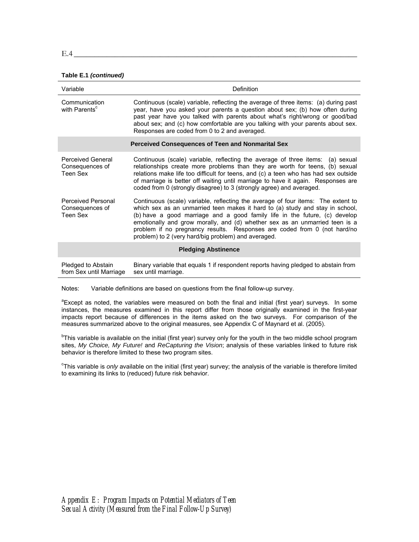$E.4$ 

| Table E.1 (continued) |
|-----------------------|
|                       |

| Variable                                                 | Definition                                                                                                                                                                                                                                                                                                                                                                                                                                                        |  |  |  |
|----------------------------------------------------------|-------------------------------------------------------------------------------------------------------------------------------------------------------------------------------------------------------------------------------------------------------------------------------------------------------------------------------------------------------------------------------------------------------------------------------------------------------------------|--|--|--|
| Communication<br>with Parents <sup>c</sup>               | Continuous (scale) variable, reflecting the average of three items: (a) during past<br>year, have you asked your parents a question about sex; (b) how often during<br>past year have you talked with parents about what's right/wrong or good/bad<br>about sex; and (c) how comfortable are you talking with your parents about sex.<br>Responses are coded from 0 to 2 and averaged.                                                                            |  |  |  |
|                                                          | Perceived Consequences of Teen and Nonmarital Sex                                                                                                                                                                                                                                                                                                                                                                                                                 |  |  |  |
| <b>Perceived General</b><br>Consequences of<br>Teen Sex  | Continuous (scale) variable, reflecting the average of three items: (a) sexual<br>relationships create more problems than they are worth for teens, (b) sexual<br>relations make life too difficult for teens, and (c) a teen who has had sex outside<br>of marriage is better off waiting until marriage to have it again. Responses are<br>coded from 0 (strongly disagree) to 3 (strongly agree) and averaged.                                                 |  |  |  |
| <b>Perceived Personal</b><br>Consequences of<br>Teen Sex | Continuous (scale) variable, reflecting the average of four items: The extent to<br>which sex as an unmarried teen makes it hard to (a) study and stay in school,<br>(b) have a good marriage and a good family life in the future, (c) develop<br>emotionally and grow morally, and (d) whether sex as an unmarried teen is a<br>problem if no pregnancy results. Responses are coded from 0 (not hard/no<br>problem) to 2 (very hard/big problem) and averaged. |  |  |  |
| <b>Pledging Abstinence</b>                               |                                                                                                                                                                                                                                                                                                                                                                                                                                                                   |  |  |  |
| Pledged to Abstain<br>from Sex until Marriage            | Binary variable that equals 1 if respondent reports having pledged to abstain from<br>sex until marriage.                                                                                                                                                                                                                                                                                                                                                         |  |  |  |

Notes: Variable definitions are based on questions from the final follow-up survey.

<sup>a</sup>Except as noted, the variables were measured on both the final and initial (first year) surveys. In some instances, the measures examined in this report differ from those originally examined in the first-year impacts report because of differences in the items asked on the two surveys. For comparison of the measures summarized above to the original measures, see Appendix C of Maynard et al. (2005).

<sup>b</sup>This variable is available on the initial (first year) survey only for the youth in the two middle school program sites, *My Choice, My Future!* and *ReCapturing the Vision*; analysis of these variables linked to future risk behavior is therefore limited to these two program sites.

<sup>c</sup>This variable is *only* available on the initial (first year) survey; the analysis of the variable is therefore limited to examining its links to (reduced) future risk behavior.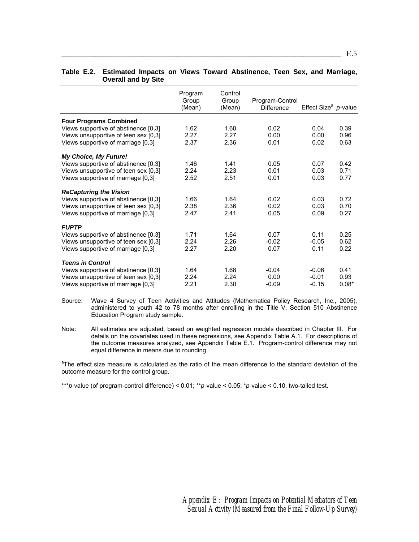| Program<br>Group<br>(Mean) | Control<br>Group<br>(Mean) | Program-Control<br><b>Difference</b> | Effect Size <sup>a</sup> $p$ -value |         |
|----------------------------|----------------------------|--------------------------------------|-------------------------------------|---------|
|                            |                            |                                      |                                     |         |
| 1.62                       | 1.60                       | 0.02                                 | 0.04                                | 0.39    |
| 2.27                       | 2.27                       | 0.00                                 | 0.00                                | 0.96    |
| 2.37                       | 2.36                       | 0.01                                 | 0.02                                | 0.63    |
|                            |                            |                                      |                                     |         |
| 1.46                       | 1.41                       | 0.05                                 | 0.07                                | 0.42    |
| 2.24                       | 2.23                       | 0.01                                 | 0.03                                | 0.71    |
| 2.52                       | 2.51                       | 0.01                                 | 0.03                                | 0.77    |
|                            |                            |                                      |                                     |         |
| 1.66                       | 1.64                       | 0.02                                 | 0.03                                | 0.72    |
| 2.38                       | 2.36                       | 0.02                                 | 0.03                                | 0.70    |
| 2.47                       | 2.41                       | 0.05                                 | 0.09                                | 0.27    |
|                            |                            |                                      |                                     |         |
| 1.71                       | 1.64                       | 0.07                                 | 0.11                                | 0.25    |
| 2.24                       | 2.26                       | $-0.02$                              | $-0.05$                             | 0.62    |
| 2.27                       | 2.20                       | 0.07                                 | 0.11                                | 0.22    |
|                            |                            |                                      |                                     |         |
| 1.64                       | 1.68                       | $-0.04$                              | $-0.06$                             | 0.41    |
| 2.24                       | 2.24                       | 0.00                                 | $-0.01$                             | 0.93    |
| 2.21                       | 2.30                       | $-0.09$                              | $-0.15$                             | $0.08*$ |
|                            |                            |                                      |                                     |         |

### **Table E.2. Estimated Impacts on Views Toward Abstinence, Teen Sex, and Marriage, Overall and by Site**

Source: Wave 4 Survey of Teen Activities and Attitudes (Mathematica Policy Research, Inc., 2005), administered to youth 42 to 78 months after enrolling in the Title V, Section 510 Abstinence Education Program study sample.

Note: All estimates are adjusted, based on weighted regression models described in Chapter III. For details on the covariates used in these regressions, see Appendix Table A.1. For descriptions of the outcome measures analyzed, see Appendix Table E.1. Program-control difference may not equal difference in means due to rounding.

<sup>a</sup>The effect size measure is calculated as the ratio of the mean difference to the standard deviation of the outcome measure for the control group.

\*\*\**p-*value (of program-control difference) < 0.01; \*\**p-*value < 0.05; \**p-*value < 0.10, two-tailed test.

\_\_\_\_\_\_\_\_\_\_\_\_\_\_\_\_\_\_\_\_\_\_\_\_\_\_\_\_\_\_\_\_\_\_\_\_\_\_\_\_\_\_\_\_\_\_\_\_\_\_\_\_\_\_\_\_\_\_\_\_\_\_\_\_\_\_\_\_ E.5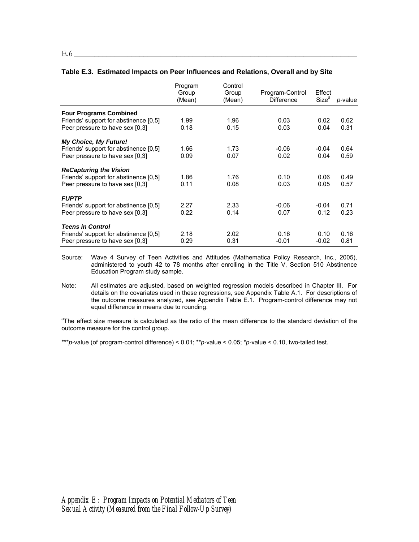| Table E.3. Estimated Impacts on Peer Influences and Relations, Overall and by Site |
|------------------------------------------------------------------------------------|
|------------------------------------------------------------------------------------|

 $E.6$ 

| Control<br>Program<br>Effect<br>Program-Control<br>Group<br>Group<br>Size <sup>a</sup><br><b>Difference</b><br>(Mean)<br>(Mean) | <i>p</i> -value |
|---------------------------------------------------------------------------------------------------------------------------------|-----------------|
| <b>Four Programs Combined</b>                                                                                                   |                 |
| Friends' support for abstinence [0,5]<br>1.96<br>1.99<br>0.03<br>0.02                                                           | 0.62            |
| Peer pressure to have sex [0,3]<br>0.18<br>0.15<br>0.03<br>0.04                                                                 | 0.31            |
| <b>My Choice, My Future!</b>                                                                                                    |                 |
| Friends' support for abstinence [0,5]<br>1.66<br>$-0.06$<br>$-0.04$<br>1.73                                                     | 0.64            |
| Peer pressure to have sex [0,3]<br>0.09<br>0.07<br>0.02<br>0.04                                                                 | 0.59            |
| <b>ReCapturing the Vision</b>                                                                                                   |                 |
| Friends' support for abstinence [0,5]<br>1.86<br>0.10<br>0.06<br>1.76                                                           | 0.49            |
| 0.08<br>Peer pressure to have sex [0,3]<br>0.11<br>0.03<br>0.05                                                                 | 0.57            |
| <b>FUPTP</b>                                                                                                                    |                 |
| $-0.04$<br>Friends' support for abstinence [0,5]<br>2.27<br>2.33<br>$-0.06$                                                     | 0.71            |
| Peer pressure to have sex [0,3]<br>0.22<br>0.07<br>0.12<br>0.14                                                                 | 0.23            |
| <b>Teens in Control</b>                                                                                                         |                 |
| Friends' support for abstinence [0,5]<br>2.18<br>0.16<br>2.02<br>0.10                                                           | 0.16            |
| Peer pressure to have sex [0,3]<br>0.31<br>$-0.02$<br>0.29<br>$-0.01$                                                           | 0.81            |

Source: Wave 4 Survey of Teen Activities and Attitudes (Mathematica Policy Research, Inc., 2005), administered to youth 42 to 78 months after enrolling in the Title V, Section 510 Abstinence Education Program study sample.

Note: All estimates are adjusted, based on weighted regression models described in Chapter III. For details on the covariates used in these regressions, see Appendix Table A.1. For descriptions of the outcome measures analyzed, see Appendix Table E.1. Program-control difference may not equal difference in means due to rounding.

<sup>a</sup>The effect size measure is calculated as the ratio of the mean difference to the standard deviation of the outcome measure for the control group.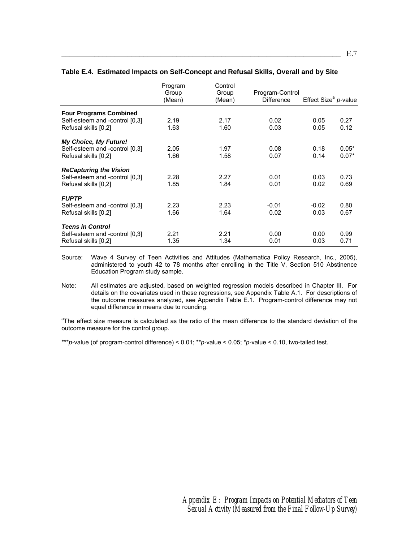|                                | Program<br>Group<br>(Mean) | Control<br>Group<br>(Mean) | Program-Control<br><b>Difference</b> | Effect Size <sup>a</sup> p-value |         |
|--------------------------------|----------------------------|----------------------------|--------------------------------------|----------------------------------|---------|
| <b>Four Programs Combined</b>  |                            |                            |                                      |                                  |         |
| Self-esteem and -control [0,3] | 2.19                       | 2.17                       | 0.02                                 | 0.05                             | 0.27    |
| Refusal skills [0,2]           | 1.63                       | 1.60                       | 0.03                                 | 0.05                             | 0.12    |
| <b>My Choice, My Future!</b>   |                            |                            |                                      |                                  |         |
| Self-esteem and -control [0,3] | 2.05                       | 1.97                       | 0.08                                 | 0.18                             | $0.05*$ |
| Refusal skills [0,2]           | 1.66                       | 1.58                       | 0.07                                 | 0.14                             | $0.07*$ |
| <b>ReCapturing the Vision</b>  |                            |                            |                                      |                                  |         |
| Self-esteem and -control [0,3] | 2.28                       | 2.27                       | 0.01                                 | 0.03                             | 0.73    |
| Refusal skills [0,2]           | 1.85                       | 1.84                       | 0.01                                 | 0.02                             | 0.69    |
| <b>FUPTP</b>                   |                            |                            |                                      |                                  |         |
| Self-esteem and -control [0,3] | 2.23                       | 2.23                       | $-0.01$                              | $-0.02$                          | 0.80    |
| Refusal skills [0,2]           | 1.66                       | 1.64                       | 0.02                                 | 0.03                             | 0.67    |
| <b>Teens in Control</b>        |                            |                            |                                      |                                  |         |
| Self-esteem and -control [0,3] | 2.21                       | 2.21                       | 0.00                                 | 0.00                             | 0.99    |
| Refusal skills [0,2]           | 1.35                       | 1.34                       | 0.01                                 | 0.03                             | 0.71    |

#### **Table E.4. Estimated Impacts on Self-Concept and Refusal Skills, Overall and by Site**

\_\_\_\_\_\_\_\_\_\_\_\_\_\_\_\_\_\_\_\_\_\_\_\_\_\_\_\_\_\_\_\_\_\_\_\_\_\_\_\_\_\_\_\_\_\_\_\_\_\_\_\_\_\_\_\_\_\_\_\_\_\_\_\_\_\_\_\_ E.7

Source: Wave 4 Survey of Teen Activities and Attitudes (Mathematica Policy Research, Inc., 2005), administered to youth 42 to 78 months after enrolling in the Title V, Section 510 Abstinence Education Program study sample.

Note: All estimates are adjusted, based on weighted regression models described in Chapter III. For details on the covariates used in these regressions, see Appendix Table A.1. For descriptions of the outcome measures analyzed, see Appendix Table E.1. Program-control difference may not equal difference in means due to rounding.

<sup>a</sup>The effect size measure is calculated as the ratio of the mean difference to the standard deviation of the outcome measure for the control group.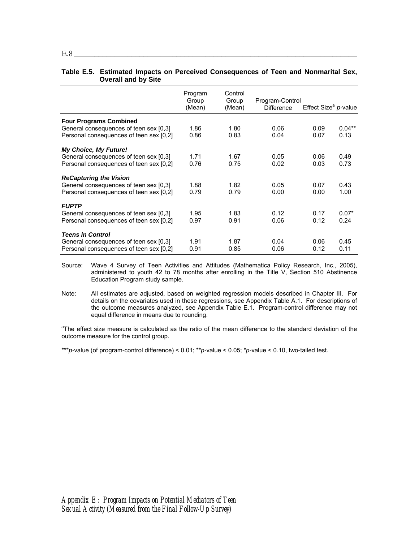|                                         | Program<br>Group<br>(Mean) | Control<br>Group<br>(Mean) | Program-Control<br><b>Difference</b> | Effect Size <sup>a</sup> <i>p</i> -value |          |
|-----------------------------------------|----------------------------|----------------------------|--------------------------------------|------------------------------------------|----------|
| <b>Four Programs Combined</b>           |                            |                            |                                      |                                          |          |
| General consequences of teen sex [0,3]  | 1.86                       | 1.80                       | 0.06                                 | 0.09                                     | $0.04**$ |
| Personal consequences of teen sex [0,2] | 0.86                       | 0.83                       | 0.04                                 | 0.07                                     | 0.13     |
| <b>My Choice, My Future!</b>            |                            |                            |                                      |                                          |          |
| General consequences of teen sex [0,3]  | 1.71                       | 1.67                       | 0.05                                 | 0.06                                     | 0.49     |
| Personal consequences of teen sex [0,2] | 0.76                       | 0.75                       | 0.02                                 | 0.03                                     | 0.73     |
| <b>ReCapturing the Vision</b>           |                            |                            |                                      |                                          |          |
| General consequences of teen sex [0,3]  | 1.88                       | 1.82                       | 0.05                                 | 0.07                                     | 0.43     |
| Personal consequences of teen sex [0,2] | 0.79                       | 0.79                       | 0.00                                 | 0.00                                     | 1.00     |
| <b>FUPTP</b>                            |                            |                            |                                      |                                          |          |
| General consequences of teen sex [0,3]  | 1.95                       | 1.83                       | 0.12                                 | 0.17                                     | $0.07*$  |
| Personal consequences of teen sex [0,2] | 0.97                       | 0.91                       | 0.06                                 | 0.12                                     | 0.24     |
| <b>Teens in Control</b>                 |                            |                            |                                      |                                          |          |
| General consequences of teen sex [0,3]  | 1.91                       | 1.87                       | 0.04                                 | 0.06                                     | 0.45     |
| Personal consequences of teen sex [0,2] | 0.91                       | 0.85                       | 0.06                                 | 0.12                                     | 0.11     |
|                                         |                            |                            |                                      |                                          |          |

### **Table E.5. Estimated Impacts on Perceived Consequences of Teen and Nonmarital Sex, Overall and by Site**

Source: Wave 4 Survey of Teen Activities and Attitudes (Mathematica Policy Research, Inc., 2005), administered to youth 42 to 78 months after enrolling in the Title V, Section 510 Abstinence Education Program study sample.

Note: All estimates are adjusted, based on weighted regression models described in Chapter III. For details on the covariates used in these regressions, see Appendix Table A.1. For descriptions of the outcome measures analyzed, see Appendix Table E.1. Program-control difference may not equal difference in means due to rounding.

<sup>a</sup>The effect size measure is calculated as the ratio of the mean difference to the standard deviation of the outcome measure for the control group.

\*\*\**p-*value (of program-control difference) < 0.01; \*\**p-*value < 0.05; \**p-*value < 0.10, two-tailed test.

E.8  $\pm$